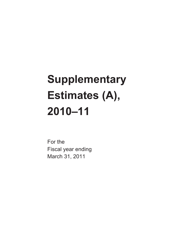# **Supplementary Estimates (A), 2010–11**

For the Fiscal year ending March 31, 2011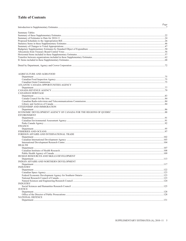### **Table of Contents**

|                                         | Page |
|-----------------------------------------|------|
|                                         |      |
| <b>Summary Tables</b>                   |      |
|                                         |      |
|                                         |      |
|                                         |      |
|                                         |      |
|                                         |      |
|                                         |      |
|                                         |      |
|                                         |      |
|                                         |      |
|                                         |      |
| AGRICULTURE AND AGRI-FOOD               |      |
|                                         |      |
|                                         |      |
|                                         |      |
| ATLANTIC CANADA OPPORTUNITIES AGENCY    |      |
|                                         |      |
|                                         |      |
| <b>CANADIAN HERITAGE</b>                |      |
|                                         |      |
|                                         |      |
|                                         |      |
|                                         |      |
| CITIZENSHIP AND IMMIGRATION             |      |
|                                         |      |
|                                         |      |
| <b>ENVIRONMENT</b>                      |      |
|                                         |      |
|                                         |      |
| <b>FINANCE</b>                          |      |
|                                         |      |
|                                         |      |
| FOREIGN AFFAIRS AND INTERNATIONAL TRADE |      |
|                                         |      |
|                                         |      |
|                                         |      |
| <b>HEALTH</b>                           |      |
|                                         |      |
|                                         |      |
|                                         |      |
| HUMAN RESOURCES AND SKILLS DEVELOPMENT  |      |
|                                         |      |
| INDIAN AFFAIRS AND NORTHERN DEVELOPMENT |      |
|                                         |      |
| <b>INDUSTRY</b>                         |      |
|                                         |      |
|                                         |      |
|                                         |      |
|                                         |      |
| <b>INDUSTRY</b>                         |      |
|                                         |      |
| <b>JUSTICE</b>                          |      |
|                                         |      |
|                                         |      |
| NATIONAL DEFENCE                        |      |
|                                         |      |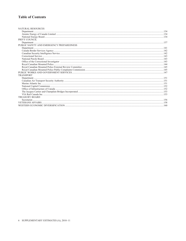### **Table of Contents**

| <b>NATURAL RESOURCES</b>                 |  |
|------------------------------------------|--|
|                                          |  |
|                                          |  |
|                                          |  |
| PRIVY COUNCIL                            |  |
|                                          |  |
| PUBLIC SAFETY AND EMERGENCY PREPAREDNESS |  |
|                                          |  |
|                                          |  |
|                                          |  |
|                                          |  |
|                                          |  |
|                                          |  |
|                                          |  |
|                                          |  |
|                                          |  |
|                                          |  |
| <b>TRANSPORT</b>                         |  |
|                                          |  |
|                                          |  |
|                                          |  |
|                                          |  |
|                                          |  |
|                                          |  |
|                                          |  |
| <b>TREASURY BOARD</b>                    |  |
|                                          |  |
|                                          |  |
|                                          |  |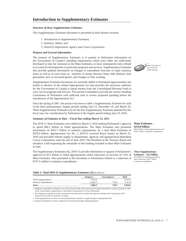#### <span id="page-4-0"></span>*Structure of these Supplementary Estimates*

This Supplementary Estimates document is presented in three distinct sections:

- 1. *Introduction to Supplementary Estimates;*
- 2. *Summary Tables; and*
- 3. *Detail by Department, Agency and Crown Corporation.*

#### *Purpose and General Information*

The purpose of Supplementary Estimates is to present to Parliament information on the Government of Canada's spending requirements which were either not sufficiently developed in time for inclusion in the Main Estimates, or have subsequently been refined to account for developments in particular programs and services. Supplementary Estimates also provide updated information on changes to expenditure forecasts of major statutory items as well as on such items as: transfers of money between Votes; debt deletion; loan guarantees; new or increased grants; and changes to Vote wording.

Supplementary Estimates documents are normally tabled in Parliament approximately one month in advance of the related Appropriation Act that provides the necessary authority for the Government of Canada to spend monies from the Consolidated Revenue Fund to carry out its programs and services. This period is intended to provide the various Standing Committees of Parliament with sufficient time to review proposed spending before the introduction of the Appropriation Act.

Since the spring of 2007, the practice has been to table a Supplementary Estimate for each of the three parliamentary Supply periods ending June 23, December 10, and March 26. These Supplementary Estimates (A) are the first Supplementary Estimates planned for this fiscal year, for consideration by Parliament in the Supply period ending June 23, 2010.

#### *Summary of Estimates to Date – Fiscal Year ending March 31, 2011*

The 2010-11 Main Estimates were tabled on March 3, 2010 seeking Parliament's approval to spend \$96.3 billion in Voted appropriations. The Main Estimates also presented information on \$162.7 billion in statutory requirements for a total Main Estimates of \$259.0 billion. *Appropriation Act No. 1, 2010-11* received Royal Assent on March 31, 2010 and provided interim supply to departments, agencies and appropriation-dependent Crown Corporations until the end of June 2010. The President of the Treasury Board will introduce a bill requesting the remainder of the funding included in these Main Estimates in June.

The Supplementary Estimates (A), 2010-11 provide information in support of Parliament's approval of \$3.3 billion in Voted appropriations which represents an increase of 3.4% of Main Estimates. Also presented in this document is information related to a reduction of \$747.2 million in statutory expenditures.

#### **Table 1: Total 2010-11 Supplementary Estimates (A)** (\$ millions)

|                                     | Budgetary <sup>1</sup> | Non-budgetary <sup>2</sup> | Total   |
|-------------------------------------|------------------------|----------------------------|---------|
| Voted Appropriations <sup>3</sup>   | 3.312.0                | 1.1.1.1                    | 3.312.0 |
| Statutory Expenditures <sup>4</sup> | (1.465.7)              | 718.5                      | (747.2) |
|                                     | 1,846.3                | 718.5                      | 2,564.8 |

1. Budgetary expenditures include the cost of servicing the public debt; operating and capital expenditures; transfer payments to other levels of government, organizations or individuals; and payments to Crown corporations.

2. Non-budgetary expenditures (loans, investments and advances) are outlays that represent changes in the composition of the financial assets of the Government of Canada.

3. Voted Appropriations are those for which parliamentary authority is sought through an Appropriation bill.

4. Statutory Expenditures are those authorized by Parliament through enabling legislation.



**Main Estimates – \$259.0 billion**  *\$96.3 billion in Voted appropriations and \$162.7 billion in statutory expenditures.*

**These Supplementary Estimates – \$2.6 billion**  *\$3.3 billion in Voted appropriations and a deacrease of \$0.7 billion in statutory expenditures.*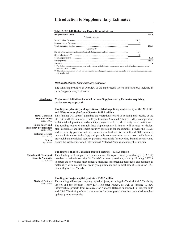#### **Table 2: 2010-11 Budgetary Expenditures** (\$ billions)

| <b>Budget (March 2010)</b>                                                                                                      |       | 280.5 |
|---------------------------------------------------------------------------------------------------------------------------------|-------|-------|
| Estimates to-date                                                                                                               |       |       |
|                                                                                                                                 | 261.2 |       |
|                                                                                                                                 | 1.9   |       |
|                                                                                                                                 |       | 263.1 |
| Adjustments                                                                                                                     |       |       |
|                                                                                                                                 | 16.4  |       |
|                                                                                                                                 | 1.0   |       |
|                                                                                                                                 |       | 17.4  |
|                                                                                                                                 |       | 280.5 |
|                                                                                                                                 |       | - 0   |
| * The Budget presents expenses on a gross basis, whereas Main Estimates are presented on net basis. Certain revenues are netted |       |       |

against budgetary expenses.

\*\* Other adjustments consist of cash disbursements for capital acquisition, expenditures charged to prior years and program expenses not yet allocated.

#### *Highlights of these Supplementary Estimates*

The following provides an overview of the major items (voted and statutory) included in these Supplementary Estimates.

#### *Voted items* **Major voted initiatives included in these Supplementary Estimates requiring parliamentary approval:**

#### **Funding for planning and operations related to policing and security at the 2010 G8 and G20 summits** *(horizontal item)* **– \$653.9 million**

**Royal Canadian Mounted Police**  *\$321.5 million* 

**Public Safety and Emergency Preparedness**  *\$262.6 million*

> **National Defence**  *\$63.1 million*  **Others**

*\$6.7 million*

**Canadian Air Transport Security Authority**  *\$350.6 million*

This funding will support planning and operations related to policing and security at the 2010 G8 and G20 Summits. The Royal Canadian Mounted Police (RCMP), in cooperation with its federal, provincial and municipal partners, will provide security for all participants. The funding requested through these Supplementary Estimates will be used to: design, plan, coordinate and implement security operations for the summits; provide the RCMP and its security partners with accommodation facilities for the G8 and G20 Summits; procure information technology and portable communication assets; work with federal, provincial and municipal security partners responsible for providing Summit security; and ensure the safekeeping of all International Protected Persons attending the summits.

#### **Funding to enhance Canadian aviation security – \$350.6 million**

This funding will support the Canadian Air Transport Security Authority's (CATSA) mandate to maintain security for Canada's air transportation system by allowing CATSA to obtain the newest and most effective machines for screening passengers and baggage, to better align with international security requirements, and to meet new U.S. rules for U.S. bound flights from Canada.

**National Defence**  *\$338.7 million*

#### **Funding for major capital projects – \$338.7 million**

This funding will support ongoing capital projects, including the Tactical Airlift Capability Project and the Medium Heavy Lift Helicopter Project, as well as funding 17 new infrastructure projects from resources for National Defence announced in Budgets 2005 and 2006. The timing of cash requirements for these projects has been amended to reflect updated project schedules.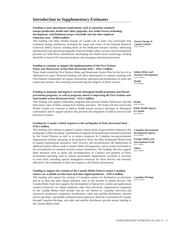#### **Funding to meet operational requirements such as ensuring continued isotope production, health and safety upgrades, new build reactor technology development, refurbishment project shortfalls and one-time employee reduction costs – \$300.0 million**

This funding will allow Atomic Energy of Canada Ltd. to meet costs associated with continued isotope production, including the repair and restart of the National Research Universal (NRU) reactor; winding down of the Dedicated Isotopes Facility; addressing infrastructure and operational upgrades related to health, safety, security and environmental priorities at Chalk River Laboratories; developing new build reactor technology; funding shortfalls in reactor life extension projects; and managing operational pressures.

#### **Funding to continue to support the implementation of the First Nations Water and Wastewater Action Plan** *(horizontal item)* **– \$162.1 million**

These funds extend the First Nations Water and Wastewater Action Plan for the first of an additional two years. Renewed funding will allow departments to continue working with First Nations communities on capital construction, operation and maintenance of water and wastewater systems, thus ensuring and preserving the integrity of those systems.

#### **Funding to maintain and improve current Aboriginal health promotion and disease prevention programs, as well as programs aimed at improving the First Nations and Inuit health system** *(horizontal item)* **– \$135.1 million**

This funding will support community programs that promote healthy behaviours and that help reduce rates of illness among First Nations and Inuit. The funds will also ensure that Health Canada can continue to address health human resource shortages in Aboriginal communities and to support projects that promote the integration of federal services with provincial systems.

#### **Funding for Canada's initial response to the earthquake in Haiti** *(horizontal item)* **– \$130.3 million**

This funding will continue to support Canada's initial whole-of-government response to the earthquake in Haiti including: contributions to appeals for humanitarian assistance launched by the United Nations as well as to project proposals by Canadian non-governmental organizations already operating on the ground in Haiti; the Haiti Earthquake Relief Fund to support humanitarian assistance; early recovery and reconstruction; the deployment of additional police officers under Canada's Police Arrangement; and an initial investment to the reconstitution of essential security system institutions. The funding will also support other measures such as repair and reconfiguration of Canada's real property in Haiti, incremental operating costs to various government organizations involved in activities to assist Haiti, including special immigration measures for those directly and seriously affected by the earthquake in Haiti and support to the Haitian government.

#### **Funding to support the creation of the Canada Media Fund to ensure Canadian choices are available on television and other digital platforms – \$107.6 million**

This funding will support the creation of Canadian content for distribution on television and on at least one other digital platform, such as the internet or mobile devices. The Canada Media Fund also supports the development of interactive content and applications created exclusively for digital platforms other than television. Organizations supported by the Canada Media Fund include; but are not limited to: Canadian television and interactive production companies; broadcasters; cable and satellite distributors; Internet service providers; and mobile communications operators. Both the Government of Canada, through Canadian Heritage, and cable and satellite distributors provide annual funding to the Canada Media Fund.

**Atomic Energy of Canada Limited**  *\$300.0 million*

**Indian Affairs and Northern Development**  *\$136.5 million* **Health** *\$25.6 million* 

**Health** *\$130.4 million*

**Public Health Agency of Canada** *\$4.6 million*

**Canadian International Development Agency** *\$70.0 million*

**Foreign Affairs and International Trade** *\$34.7 million*

**Others** *\$25.6 million*

**Canadian Heritage** *\$107.6 million*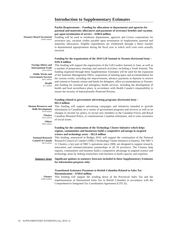#### **Paylist Requirements – Funding for allocations to departments and agencies for parental and maternity allowances and payments of severance benefi ts and vacation pay upon termination of service – \$100.0 million**

**Treasury Board Secretariat** *\$100.0 million*

Funding will be used to reimburse departments, agencies and Crown corporations for severance pay, vacation credits payable upon termination of employment, parental and maternity allowances. Eligible expenditures are reimbursed through a direct transfer to departmental appropriations during the fiscal year in which such costs were actually incurred.

#### **Funding for the organization of the 2010 G20 Summit in Toronto** *(horizontal item)* **– \$101.0 million**

**Foreign Affairs and International Trade** *\$70.6 million* **Public Works and** 

**Government Services** *\$29.2 million*

> **Health** *\$1.2 million*

This funding will support the organization of the G20 Leaders Summit in June, as well as a number of preparatory meetings and outreach activities, including a Youth Summit. The funding requested through these Supplementary Estimates will be used for the expansion of the Summits Management Office, acquisition of meeting space and accommodation for the various events, including site improvements, advance payments or deposits to reserve and commit to Summit venues and hotels for delegates, office accommodations in Toronto, and funding for essential and emergency health services, including the development of health and food surveillance plans, in accordance with Health Canada's responsibility to ensure the security of Internationally Protected Persons.

#### **Funding related to government advertising programs** *(horizontal item)* **– \$65.4 million**

**Human Resources and Skills Development** *\$16.8 million*

> **Finance** *\$10.0 million* **Others** *\$38.6 million*

This funding will support advertising campaigns and initiatives intended to provide information to Canadians on a variety of government programs and services as well as on changes to income tax policy, to recruit new members to the Canadian Forces and Royal Canadian Mounted Police, to commemorate Canadian milestones, and to raise awareness of social issues.

#### **Funding for the continuation of the Technology Cluster Initiative which helps regions, communities and businesses build a competitive advantage in targeted science and technology areas – \$62.8 million**

**National Research Council of Canada**  *\$62.8 million* This funding, announced in Budget 2010, will support the continuation of the National Research Council of Canada's (NRC) Technology Cluster Initiative (Clusters). The NRC's 11 Clusters, a key part of NRC's operations since 2000, are designed to support research, innovation and commercialization partnerships in all 10 provinces. The Clusters help regions, communities and business build a competitive advantage in targeted science and technology areas by linking researchers with business to build capacity and expertise.

**Signifi cant updates to statutory forecasts included in these Supplementary Estimates for information purposes only:** *Statutory items*

#### **Transitional Assistance Payments to British Columbia Related to Sales Tax Harmonization – \$769.0 million**

**Finance** *\$769.0 million* 

This funding will support the winding down of the Provincial Sales Tax and the implementation of Harmonized Sales Tax in British Columbia in accordance with the Comprehensive Integrated Tax Coordination Agreement (CITCA).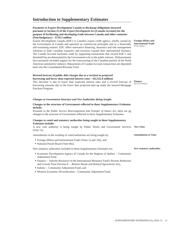#### **Payments to Export Development Canada to discharge obligations incurred pursuant to Section 23 of the** *Export Development Act* **(Canada Account) for the purpose of facilitating and developing trade between Canada and other countries (Non-budgetary) – \$718.5 million**

Export Development Canada (EDC) is Canada's export credit agency, wholly owned by the Government of Canada and operated on commercial principles and in a financially self-sustaining manner. EDC offers innovative financing, insurance and risk management solutions to help Canadian exporters and investors expand their international business. The Canada Account facilitates trade by supporting transactions that exceed EDC's risk threshold but are determined by the Government to be in the public interest. Disbursements have primarily included support for the restructuring of the Canadian portion of the North American automotive industry. Repayments of Canada Account transactions are deposited back into the Consolidated Revenue Fund.

#### **Revised forecast of public debt charges due to a revision in projected borrowing and lower than expected interest rates – (\$2,352.0 million)**

This decrease is due to lower than expected interest rates and a revised forecast of borrowing amounts due to the lower than projected take-up under the Insured Mortgage Purchase Program.

#### *Changes to Government Structure and New Authorities Being Sought*

#### **Changes to the structure of Government refl ected in these Supplementary Estimates include:**

Pursuant to the *Public Service Rearrangement and Transfer of Duties Act*, there are no changes to the structure of Government reflected in these Supplementary Estimates.

#### **Changes to voted and statutory authorities being sought in these Supplementary Estimates include:**

A new vote authority is being sought by Public Works and Government Services **New Votes** (Vote 7a).

Amendments to the wording of voted authorities are being sought by:

- Foreign Affairs and International Trade (Votes 1a and 10a), and
- National Parole Board (Vote 40a).

New statutory authorities included in these Supplementary Estimates are:

- Economic Development Agency of Canada for the Regions of Quebec Community Adjustment Fund,
- Finance Subsidy Resources to the International Monetary Fund's Poverty Reduction and Growth Trust (Section 8 – *Bretton Woods and Related Agreements Act*),
- Industy Community Adjustment Fund, and
- Western Economic Diversification Community Adjustment Fund.

**Foreign Affairs and International Trade** *\$718.5 million*

**Finance** *(\$2,352.0 million)*

**New statutory authorities**

**Amendments to Votes**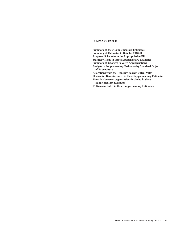#### **SUMMARY TABLES**

**Summary of these Supplementary Estimates Summary of Estimates to Date for 2010-11 Proposed Schedules to the Appropriation Bill Statutory Items in these Supplementary Estimates Summary of Changes to Voted Appropriations Budgetary Supplementary Estimates by Standard Object of Expenditure Allocations from the Treasury Board Central Votes Horizontal Items included in these Supplementary Estimates Transfers between organizations included in these Supplementary Estimates \$1 Items included in these Supplementary Estimates**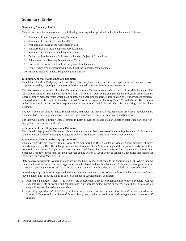#### <span id="page-11-0"></span>*Overview of Summary Tables*

This section provides an overview of the following summary tables provided in the Supplementary Estimates.

- 1. Summary of these Supplementary Estimates
- 2. Summary of Estimates to date for 2010-11
- 3. Proposed Schedules to the Appropriation Bill
- 4. Statutory Items in these Supplementary Estimates
- 5. Summary of Changes to Voted Appropriations
- 6. Budgetary Supplementary Estimates by Standard Object of Expenditure
- 7. Allocations from Treasury Board Central Votes
- 8. Horizontal Items included in these Supplementary Estimates
- 9. Transfers between organizations included in these Supplementary Estimates
- 10. \$1 Items included in these Supplementary Estimates

#### **1. Summary of these Supplementary Estimates**

This table identifies Budgetary and Non-Budgetary Supplementary Estimates by department, agency and Crown corporation, and by type of parliamentary authority (annual Votes and Statutory requirements).

The first two columns entitled "Previous Estimates" represent Estimates to date which consist of the Main Estimates. The third column entitled "Permanent Allocations from TB Central Votes" represents permanent allocations from Treasury Board centrally-managed Votes which have an impact on spending authorities. Information on Treasury Board centrallymanaged Votes can be found in the table entitled "Allocations from the Treasury Board Central Votes". The columns under "Previous Estimates to Date" represent the organizations' total Estimates which is the starting point for these Estimates.

The next six columns entitled "These Supplementary Estimates" are the current requirements as provided in Supplementary Estimates (A). These requirements are split into three categories: Transfers, To be Voted and Statutory.

The last two columns entitled "Total Estimates to Date" provide the reader with an update of total Budgetary and Non-Budgetary requirements for 2010-11.

#### **2. Summary of these Supplementary Estimates**

This table displays previous Estimates publications and amounts being requested in these Supplementary Estimates and contains a breakdown of funding by Budgetary and Non-Budgetary/Voted and Statutory requirements.

#### **3. Proposed Schedules to the Appropriation Bill**

This table provides the reader with a preview of the Appropriation Bill. As noted previously, Supplementary Estimates directly supports the Bill. This table provides a list of Vote numbers, Vote wording and the requested funds that will be proposed to Parliament for approval. There are two schedules to the Appropriation Bill in Supplementary Estimates: Schedule 1 identifies those items for the fiscal year ending March 31, 2011 whereas Schedule 2 identifies those items for the fiscal year ending March 31, 2012.

Only positive adjustments to appropriations are included in a Proposed Schedule to the Appropriation Bill. Where funding for a Vote has netted to zero or has a negative amount displayed in these Supplementary Estimates, no change is required to existing spending authority and not requested of Parliament. Therefore, they are not included in these schedules.

Once the Appropriation Bill is approved, the Vote wording becomes the governing conditions under which expenditures may be made. The following kinds of Votes can appear in Supplementary Estimates:

- a. Program expenditures Votes This type of Vote is used when there is no requirement for either a separate "Capital expenditures" Vote or "Grants and contributions" Vote because neither equals or exceeds \$5 million. In this case, all expenditures are charged to the one Vote.
- b. Operating expenditures Votes This type of Vote is used when there is a requirement for either a "Capital expenditures" Vote or a "Grants and contributions" Vote or both; that is, when expenditures of either type equals or exceeds \$5 million.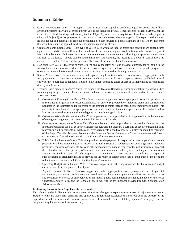- c. Capital expenditures Votes This type of Vote is used when capital expenditures equal or exceed \$5 million. Expenditure items in a "Capital expenditures" Vote could include individual items expected to exceed \$10,000 for the acquisition of land, buildings and works (Standard Object 8), as well as the acquisition of machinery and equipment (Standard Object 9), or for purposes of constructing or creating assets, where an organization expects to draw upon its own labour and materials, or employs consultants or other services or goods (Standard objects 1 to 9). Different threshold limits may be applied for different capital expenditure classes.
- d. Grants and contributions Votes This type of Vote is used when the total of grants and contributions expenditures equals or exceeds \$5 million. It should be noted that the inclusion of a grant, contribution or other transfer payment item in Supplementary Estimates imposes no requirement to make a payment, nor does it give a prospective recipient any right to the funds. It should also be noted that in the Vote wording, the meaning of the word "contributions" is considered to include "other transfer payments" because of the similar characteristics of each.
- e. Non-budgetary Votes This type of Vote is identified by the letter "L", and provides authority for spending in the form of loans or advances to, and investments in, Crown corporations and loans or advances for specific purposes to other governments, international organizations or persons or corporations in the private sector.
- f. Special Votes: Crown Corporation Deficits and Separate Legal Entities Where it is necessary to appropriate funds for a payment to a Crown corporation or for the expenditures of a legal entity, a separate Vote is established. A legal entity for these purposes is defined as a unit of government operating under an Act of Parliament and is responsible directly to a Minister.
- g. Treasury Board centrally-managed Votes To support the Treasury Board in performing its statutory responsibilities for managing the government's financial, human and materiel resources, a number of special authorities are required as outlined below.
	- i. Government Contingencies Vote This Vote serves to supplement other appropriations and to provide for miscellaneous, urgent or unforeseen expenditures not otherwise provided for, including grants and contributions not listed in the Estimates and the increase of the amount of grants listed in these Supplementary Estimates. This authority to supplement other appropriations is provided until parliamentary approval can be obtained and as long as the expenditures are within the legal mandate of the organization.
	- ii. Government-Wide Initiatives Vote This Vote supplements other appropriations in support of the implementation of strategic management initiatives in the Public Service of Canada.
	- iii. Compensation Adjustments Vote This Vote supplements other appropriations to provide funding for the increased personnel costs of collective agreements between the Treasury Board and collective bargaining units representing public servants, as well as collective agreements signed by separate employers, including members of the Royal Canadian Mounted Police and the Canadian Forces, Governor in Council appointees and Crown corporations as defined in section 83 of the *Financial Administration Act*.
	- iv. Public Service Insurance Vote This Vote provides for the payment, in respect of insurance, pension or benefit programs or other arrangements, or in respect of the administration of such programs, or arrangements, including premiums, contributions, benefits, fees and other expenditures, made in respect of the public service or any part thereof and for such other persons, as Treasury Board determines, and authority to expend any revenues or other amounts received in respect of such programs or arrangements to offset any such expenditures in respect of such programs or arrangements and to provide for the return to certain employees of their share of the premium reduction under subsection 96(3) of the *Employment Insurance Act* .
	- v. Operating Budget Carry Forward Vote This Vote supplements other appropriations for the operating budget carry forward from the previous fiscal year.
	- vi. Paylist Requirements Vote This Vote supplements other appropriations for requirements related to parental and maternity allowances, entitlements on cessation of service or employment and adjustments made to terms and conditions of service or employment of the federal public administration including members of the Royal Canadian Mounted Police and the Canadian Forces, where these have not been provided from the Compensation Adjustments Vote.

#### **4. Statutory Items in these Supplementary Estimates**

This table provides Parliament with an update on significant changes to expenditure forecasts of major statutory items. Statutory items are those that Parliament has approved through other legislation that sets out both the purpose of the expenditures and the terms and conditions under which they may be made. Statutory spending is displayed in the Supplementary Estimates for information only.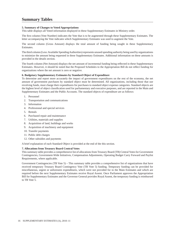#### **5. Summary of Changes to Voted Appropriations**

This table displays all Voted information displayed in these Supplementary Estimates in Ministry order.

The first column (Vote Number) indicates the Vote that is to be augmented through these Supplementary Estimates. The letter accompanying the Vote indicates which Supplementary Estimates was used to augment the Vote.

The second column (Gross Amount) displays the total amount of funding being sought in these Supplementary Estimates.

The third column (Less: Available Spending Authorities) represents unused spending authority being used by organizations to minimize the amount being requested in these Supplementary Estimates. Additional information on these amounts is provided in the details section.

The fourth column (Net Amount) displays the net amount of incremental funding being reflected in these Supplementary Estimates. However, it should be noted that the Proposed Schedules to the Appropriation Bill do not reflect funding for organizations where the net amount is zero or negative.

#### **6. Budgetary Supplementary Estimates by Standard Object of Expenditure**

To determine and report more accurately the impact of government expenditures on the rest of the economy, the net amount of government purchases by standard object must be determined. All organizations, including those that use revolving funds, must charge their expenditures for purchases to standard object expense categories. Standard objects are the highest level of object classification used for parliamentary and executive purposes, and are reported in the Main and Supplementary Estimates and the Public Accounts. The standard objects of expenditure are as follows:

- 1. Personnel
- 2. Transportation and communications
- 3. Information
- 4. Professional and special services
- Rentals 5.
- 6. Purchased repair and maintenance
- 7. Utilities, materials and supplies
- 8. Acquisition of land, buildings and works
- 9. Acquisition of machinery and equipment
- 10. Transfer payments
- 11. Public debt charges
- 12. Other subsidies and payments

A brief explanation of each Standard Object is provided at the end of the this section.

#### **7. Allocations from Treasury Board Central Votes**

This summary table provides a comprehensive list of allocations from Treasury Board (TB) Central Votes for Government Contingencies, Government-Wide Initiatives, Compensation Adjustments, Operating Budget Carry Forward and Paylist Requirements, where applicable.

Government Contingencies (TB Vote 5) – This summary table provides a comprehensive list of organizations that have received temporary Treasury Board Contingency Vote (TB Vote 5) funding. Temporary funding can be provided for miscellaneous, urgent or unforeseen expenditures, which were not provided for in the Main Estimates and which are required before the next Supplementary Estimates receive Royal Assent. Once Parliament approves the Appropriation Bill for Supplementary Estimates and the Governor General provides Royal Assent, the temporary funding is reimbursed to TB Vote 5.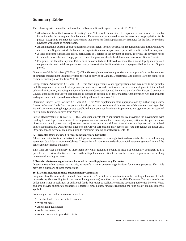The following criteria must be met in order for Treasury Board to approve access to TB Vote 5:

- All advances from the Government Contingencies Vote should be considered temporary advances to be covered by items included in subsequent Supplementary Estimates and reimbursed when the associated Appropriation Act is passed. Exceptions are made for requirements that arise after final Supplementary Estimates for the fiscal year where advances would not be reimbursable.
- An organization's existing appropriation must be insufficient to cover both existing requirements and the new initiative until the next Supply period. To that end, an organization must support any request with a valid cash flow analysis.
- A valid and compelling reason exists, particularly as it relates to the payment of grants, as to why the payment needs to be made before the next Supply period. If not, the payment should be deferred and access to TB Vote 5 denied.
- For grants, the Transfer Payment Policy must be consulted and followed to ensure that a valid, legally incorporated recipient exists and that the organization clearly demonstrates that it needs to make a payment before the next Supply period.

Government-Wide Initiatives (TB Vote 10) – This Vote supplements other appropriations in support of the implementation of strategic management initiatives within the public service of Canada. Departments and agencies are not required to reimburse funding allocated from Vote 10.

Compensation Adjustments (TB Vote 15) – This Vote supplements other appropriations that may need to be partially or fully augmented as a result of adjustments made to terms and conditions of service or employment of the federal public administration, including members of the Royal Canadian Mounted Police and the Canadian Forces, Governor in Council appointees and Crown corporations as defined in section 83 of the *Financial Administration Act*. Departments and agencies are not required to reimburse funding allocated from Vote 15.

Operating Budget Carry Forward (TB Vote 25) – This Vote supplements other appropriations by authorizing a carry forward of unused funds from the previous fiscal year up to a maximum of five per cent of departments' and agencies' Main Estimates operating budget as was established in the previous fiscal year. Departments and agencies are not required to reimburse funding allocated from Vote 25.

Paylist Requirements (TB Vote 30) – This Vote supplements other appropriations by providing the government with funding to meet legal requirements of the employer such as parental leave, maternity leave, entitlements upon cessation of service or employment and adjustments made to terms and conditions of service or employment of the federal public administration. Departments, agencies and Crown corporations may access this Vote throughout the fiscal year. Departments and agencies are not required to reimburse funding allocated from Vote 30.

#### **8. Horizontal Items included in these Supplementary Estimates**

A horizontal initiative is an initiative in which partners from two or more organizations have established a formal funding agreement (e.g. Memorandum to Cabinet, Treasury Board submission, federal-provincial agreement) to work toward the achievement of shared outcomes.

This table provides a summary of those items for which funding is sought in these Supplementary Estimates. It also provides an overview of initiatives related to these Supplementary Estimates where two or more organizations are seeking incremental funding increases.

#### **9. Transfers between organizations included in these Supplementary Estimates**

Organizations often request the authority to transfer monies between organizations for various purposes. This table provides a summary of these transactions.

#### **10. \$1 Items included in these Supplementary Estimates**

Supplementary Estimates often include "one dollar items", which seek an alteration in the existing allocation of funds or to existing Vote wording (as in the case of loan guarantees) as authorized in the Main Estimates. The purpose of a one dollar item is not to seek new or additional funds, but rather to reallocate existing spending authorities between Votes and/or to provide appropriate authorities. Therefore, since no new funds are requested, the "one-dollar" amount is merely symbolic.

For example, one-dollar items may be used to:

- Transfer funds from one Vote to another;
- Write off debts;
- Adjust loan guarantees;
- Authorize grants; or
- Amend previous Appropriation Acts.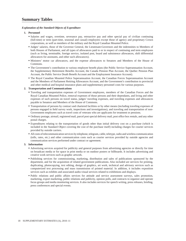#### *Explanation of the Standard Objects of Expenditure*

#### **1. Personnel**

- Salaries and wages, overtime, severance pay, retroactive pay and other special pay of civilian continuing (full-time) or term (part-time, seasonal and casual) employees except those of agency and proprietary Crown corporations, as well as members of the military and the Royal Canadian Mounted Police.
- Judges' salaries, those of the Governor General, the Lieutenant-Governors and the indemnities to Members of both Houses of Parliament, and all types of allowances paid to or in respect of continuing and term employees (such as living, terminable, foreign service, isolated post, board and subsistence allowances, shift differential allowances for assistants, and other such allowances).
- Ministers' motor car allowances, and the expense allowances to Senators and Members of the House of Commons.
- The Government's contribution to various employee benefi t plans (the Public Service Superannuation Account, the Supplementary Retirement Benefits Account, the Canada Pension Plan Account, the Quebec Pension Plan Account, the Public Service Death Benefi t Account and the Employment Insurance Account).
- The Royal Canadian Mounted Police Superannuation Account, the Canadian Forces Superannuation Account and the Members of Parliament Retiring Allowances Account, and the Government's contribution to provincial and other medical and hospital insurance plans and supplementary personnel costs for various purposes.

#### **2. Transportation and Communications**

- Traveling and transportation expenses of Government employees, members of the Canadian Forces and the Royal Canadian Mounted Police, removal expenses of those persons and their dependants, and living and other expenses of such persons on travel status, judges' traveling expenses, and traveling expenses and allowances payable to Senators and Members of the House of Commons.
- Transportation of persons by contract and chartered facilities or by other means (including traveling expenses of persons engaged in field survey work, inspections and investigations), and traveling and transportation of non-Government employees such as travel costs of veterans who are applicants for treatment or pensions.
- Ordinary postage, airmail, registered mail, parcel post special delivery mail, post office box rentals, and any other postal charges.
- Expenditures relating to the transportation of goods other than initial delivery cost on a purchase (which is included in the Standard Object covering the cost of the purchase itself) including charges for courier services provided by outside carriers.
- All costs of telecommunication services by telephone, telegram, cable, teletype, radio and wireless communication (tolls, rates, etc.) and other communication costs such as courier services provided by outside agencies and communication services performed under contract or agreement.

#### **3. Information**

- Advertising services acquired for publicity and general purposes from advertising agencies or directly for time on broadcast media or for space in print media or on outdoor posters or billboards. It includes advertising and creative work services such as graphic artwork.
- Publishing services for commissioning, marketing, distribution and sales of publications sponsored by the department, and for the acquisition of related government publications. Also included are services for printing, duplicating, photocopying, text editing, design of graphics, art work, technical and advisory services such as computerized text processing and mass transmission of printed material. In addition, it includes exposition services such as exhibits and associated audio-visual services related to exhibitions and displays.
- Public relations and public affairs services for attitude and service assessment surveys, sales promotion, marketing, export marketing, public relations and publicity, opinion polls, and contracts to organize and operate focus groups and media monitoring services. It also includes services for speech writing, press releases, briefing, press conferences and special events.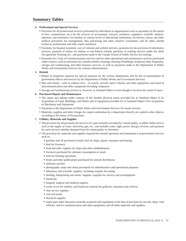#### **4. Professional and Special Services**

- Provision for all professional services performed by individuals or organizations such as payments (in the nature of fees, commissions, etc.) for the services of accountants, lawyers, architects, engineers, scientific analysts, reporters, and translators; for teachers at various levels of educational institutions; for doctors, nurses and other medical personnel; for management, data processing and other research consultants; and for other outside technical, professional and other expert assistance.
- Payments for hospital treatment, care of veterans and welfare services, payments for the provision of informatics services, payment of tuition for Indians at non-federal schools, purchase of training services under the *Adult Occupational Training Act* , and payments made to the Canada School of Public Service for training.
- Payments for Corps of Commissionaires services and for other operational and maintenance services performed under contract, such as armoured cars, laundry and dry cleaning, cleaning of buildings, temporary help, hospitality, storage and warehousing, and other business services, as well as payments made to the Department of Public Works and Government Services for contract administration.

#### **5. Rentals**

- Rental of properties required for special purposes by the various departments and for the accommodation of government offices and services by the Department of Public Works and Government Services.
- Hire and charter with or without crew of vessels, aircraft, motor vehicles and other equipment, and rental of telecommunication and office equipment including computers.
- Storage and warehousing services is, however, in Standard Object 4 even though it involves the rental of space.

#### **6. Purchased Repair and Maintenance**

- The repair and upkeep under contract of the durable physical assets provided for in Standard Object 8 for Acquisition of Land, Buildings, and Works and of equipment provided for in Standard Object 9 for Acquisition of Machinery and Equipment.
- **Payments to the Department of Public Works and Government Services for tenant services.**
- Materials, supplies and other charges for repairs undertaken by a department directly are coded to other objects, according to the nature of the purchase.

#### **7. Utilities, Materials and Supplies**

- The provision for all payments for services of a type normally provided by a municipality, or public utility service such as the supply of water, electricity, gas, etc., and includes water, light, power and gas services, and payment for such services whether obtained from the municipality or elsewhere.
- The provision for materials and supplies required for normal operation and maintenance of government services such as:
	- gasoline and oil purchased in bulk; fuel for ships, planes, transport and heating
	- **feed for livestock**
	- food and other supplies for ships and other establishments
	- livestock purchased for ultimate consumption or resale
	- **seed for farming operations**
	- books and other publications purchased for outside distribution
	- uniforms and kits
	- photographs, maps and charts purchased for administrative and operational purposes
	- $\blacksquare$  laboratory and scientific supplies, including samples for testing
	- drafting, blueprinting and artists' supplies; supplies for surveys and investigations
	- chemicals
	- hospital, surgical and medical supplies
	- works of art for exhibits, and historical material for galleries, museums and archives
	- char service supplies
	- coal and wood
	- **e** electrical supplies
	- repair parts other than parts normally acquired with equipment at the time of purchase for aircraft, ships, road vehicles, and for communication and other equipment; and all other materials and supplies.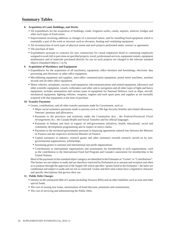#### **8. Acquisition of Land, Buildings, and Works**

- All expenditures for the acquisition of buildings, roads, irrigation works, canals, airports, wharves, bridges and other such types of fixed assets.
- Improvements involving additions or changes of a structural nature, and for installing fixed equipment which is essentially a part of the work or structure such as elevators, heating and ventilating equipment.
- All reconstruction of such types of physical assets and such projects performed under contract or agreement.
- The purchase of land.
- Expenditures pursuant to contracts for new construction for casual employees hired or continuing employees assigned to work full or part-time on specified projects, travel, professional services, equipment rentals, equipment maintenance and of materials purchased directly for use on such projects are charged to the relevant standard objects (Standard Objects 1 to 9).

#### **9. Acquisition of Machinery and Equipment**

- Expenditures for the acquisition of all machinery, equipment, office furniture and furnishings, electronic data processing and electronic or other office equipment.
- Microfilming equipment and supplies, inter-office communication equipment, postal meter machines, machine records and all other office equipment.
- Motor vehicles, aeroplanes, tractors, road equipment, telecommunications and related equipment, laboratory and other scientific equipment, vessels, icebreakers and other aids to navigation and all other types of light and heavy equipment; includes ammunition and various types of equipment for National Defence, such as ships, aircraft, mechanical equipment, fighting vehicles, weapons, engines and such spare parts and supplies as are normally acquired with that equipment at the time of purchase.

#### **10. Transfer Payments**

- Grants, contributions, and all other transfer payments made by Government, such as:
	- Major social assistance payments made to persons such as Old Age Security benefits and related allowances, Veterans' pensions and allowances.
	- Payments to the provinces and territories under the *Constitution Acts* , the *Federal-Provincial Fiscal Arrangements Act*, the Canada Health and Social Transfers and for official languages.
	- Payments to Indians and Inuit in support of self-government initiatives, health, educational, social and community development programming and in respect of native claims.
	- **Payments to the territorial governments pursuant to financing agreements entered into between the Minister** of Finance and the respective territorial Minister of Finance.
	- Capital assistance to industry; research grants and other assistance towards research carried on by nongovernmental organizations; scholarships.
	- Sustaining grants to national and international non-profi t organizations.
	- Contributions to international organizations and assessments for membership in such organizations, such as the contribution to the International Food Aid Program and Canada's assessment for membership in the United Nations.

Most of the payments in this standard object category are identified in the Estimates as "Grants" or "Contributions". The former are not subject to audit and are therefore restricted by Parliament as to amount and recipient and often as to purpose through the approval of the Supply bill which specifies "grants listed in the Estimates"; the latter are conditional and subject to audit and are not so restricted. Grants and their total values have a legislative character and specific descriptions that govern their use.

#### **11. Public Debt Charges**

- Interest on the unmatured debt of Canada (including Treasury Bills) and on other liabilities such as trust and other special funds.
- The cost of issuing new loans, amortization of bond discount, premiums and commissions.
- The cost of servicing and administering the Public Debt.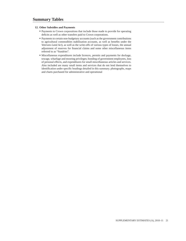#### **12. Other Subsidies and Payments**

- Payments to Crown corporations that include those made to provide for operating deficits as well as other transfers paid to Crown corporations.
- Payments to certain non-budgetary accounts (such as the government contributions to agricultural commodities stabilization accounts, as well as benefits under the *Veterans Land Act*), as well as the write-offs of various types of losses, the annual adjustment of reserves for financial claims and some other miscellaneous items referred to as "Sundries".
- Miscellaneous expenditures include licences, permits and payments for dockage, towage, wharfage and mooring privileges; bonding of government employees, loss of personal effects, and expenditures for small miscellaneous articles and services. Also included are many small items and services that do not lend themselves to identification under specific headings detailed in this summary. photographs, maps and charts purchased for administrative and operational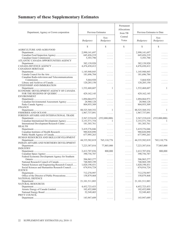# <span id="page-19-0"></span>**Summary of these Supplementary Estimates**

| Department, Agency or Crown corporation           | Previous Estimates           |                                            | Permanent<br>Allocations<br>from TB              | Previous Estimates to Date   |                                        |
|---------------------------------------------------|------------------------------|--------------------------------------------|--------------------------------------------------|------------------------------|----------------------------------------|
|                                                   | Budgetary                    | $Non-$<br>Budgetary                        | Central<br>Votes                                 | Budgetary                    | $Non-$<br>Budgetary                    |
|                                                   | S                            | \$.                                        | $\mathbb{S}$                                     | S                            | \$                                     |
| AGRICULTURE AND AGRI-FOOD                         |                              |                                            |                                                  |                              |                                        |
|                                                   | 2.990.141.697                | $\mathbb{Z}^2$ . The set of $\mathbb{Z}^2$ | $\mathbb{R}^n$ . In the $\mathbb{R}^n$           | 2,990,141,697                | .                                      |
|                                                   | 645, 426, 219                | $\mathbb{Z}^2$ . The set of $\mathbb{Z}^2$ | $\ldots$                                         | 645, 426, 219                | .                                      |
|                                                   | 5,393,790                    | $\mathbb{Z}^2$ . The set of $\mathbb{Z}^2$ | $\ldots$                                         | 5,393,790                    | .                                      |
| ATLANTIC CANADA OPPORTUNITIES AGENCY              |                              |                                            |                                                  |                              |                                        |
|                                                   | 382,139,920                  | .                                          | $\mathbb{Z}^2$ . In the $\mathbb{Z}^2$           | 382,139,920                  | .                                      |
|                                                   | 4,476,430,412                | .                                          | $\ldots$                                         | 4,476,430,412                | .                                      |
| <b>CANADIAN HERITAGE</b>                          |                              |                                            |                                                  |                              |                                        |
|                                                   | 1,145,948,845<br>181,696,784 | .                                          | $\mathbb{Z}^n$ . $\mathbb{Z}^n$ , $\mathbb{Z}^n$ | 1,145,948,845<br>181,696,784 | .                                      |
| Canadian Radio-television and Telecommunications  |                              | $\cdots$                                   | $\mathbb{Z}^n$ . In the $\mathbb{Z}^n$           |                              | .                                      |
|                                                   | 5,664,920                    | .                                          | $\mathbb{Z}^2$ . The set of $\mathbb{Z}^2$       | 5,664,920                    | .                                      |
|                                                   | 120,285,150                  | $\ldots$                                   | $\ldots$                                         | 120,285,150                  | .                                      |
| CITIZENSHIP AND IMMIGRATION                       |                              |                                            |                                                  |                              |                                        |
|                                                   | 1,532,468,607                | 1                                          | .                                                | 1,532,468,607                | 1                                      |
| ECONOMIC DEVELOPMENT AGENCY OF CANADA             |                              |                                            |                                                  |                              |                                        |
|                                                   | 429, 162, 145                | $\cdots$                                   | $\cdots$                                         | 429, 162, 145                | .                                      |
| <b>ENVIRONMENT</b>                                |                              |                                            |                                                  |                              |                                        |
|                                                   | 1,094,064,973                | $\mathbb{Z}^2$ . The set of $\mathbb{Z}^2$ | $\ldots$                                         | 1,094,064,973                | .                                      |
| Canadian Environmental Assessment Agency          | 28,960,128                   | $\mathbb{Z}^2$ . The set of $\mathbb{Z}^2$ | $\ldots$                                         | 28,960,128                   | .                                      |
| <b>FINANCE</b>                                    | 804,955,309                  | $\ldots$                                   | $\alpha$ is a second .                           | 804,955,309                  | .                                      |
|                                                   | 88,525,569,352               | 1                                          |                                                  | 88,525,569,352               | 1                                      |
|                                                   | 1,967,737,091                | $\cdots$                                   | $\ldots$<br>$\ldots$                             | 1,967,737,091                | .                                      |
| FOREIGN AFFAIRS AND INTERNATIONAL TRADE           |                              |                                            |                                                  |                              |                                        |
|                                                   | 2,567,219,610                | (552,000,000)                              | $\mathbb{R}^n$ . In the $\mathbb{R}^n$           | 2,567,219,610                | (552,000,000)                          |
| Canadian International Development Agency         | 3,153,571,754                | 1                                          | $\ldots$                                         | 3, 153, 571, 754             |                                        |
| International Development Research Centre         | 181, 303, 761                | .                                          | $\ldots$                                         | 181, 303, 761                | .                                      |
| <b>HEALTH</b>                                     |                              |                                            |                                                  |                              |                                        |
|                                                   | 3,419,376,046                | $\ldots$                                   | $\mathbb{Z}^2$ . $\mathbb{Z}^2$ , $\mathbb{Z}^2$ | 3,419,376,046                | .                                      |
|                                                   | 980,820,890                  | $\mathbb{Z}^2$ . The set of $\mathbb{Z}^2$ | $\alpha$ is a second .                           | 980,820,890                  | .                                      |
|                                                   | 677,995,263                  | .                                          | $\alpha$ is a second .                           | 677,995,263                  | $\cdots$                               |
| HUMAN RESOURCES AND SKILLS DEVELOPMENT            |                              |                                            |                                                  |                              |                                        |
| INDIAN AFFAIRS AND NORTHERN DEVELOPMENT           | 44, 335, 582, 819            | 765,110,776                                | $\ldots$                                         | 44, 335, 582, 819            | 765,110,776                            |
|                                                   | 7,223,387,016                | 77,803,000                                 | $\ldots$                                         | 7,223,387,016                | 77,803,000                             |
| <b>INDUSTRY</b>                                   |                              |                                            |                                                  |                              |                                        |
|                                                   | 2,412,707,836                | 800,000                                    | $\alpha$ is a second .                           | 2,412,707,836                | 800,000                                |
|                                                   | 390,756,787                  | $\alpha$ is a second .                     | $\ldots$                                         | 390,756,787                  | $\mathbb{Z}^2$ . In the $\mathbb{Z}^2$ |
| Federal Economic Development Agency for Southern  |                              |                                            |                                                  |                              |                                        |
|                                                   | 506,965,277                  | $\ldots$                                   | $\ldots$                                         | 506,965,277                  | $\ldots$                               |
|                                                   | 748,969,199                  | $\ldots$                                   | $\ldots$                                         | 748,969,199                  | .                                      |
| Natural Sciences and Engineering Research Council | 1,020,198,431                | .                                          | $\alpha$ is a second .                           | 1,020,198,431                | .                                      |
| Social Sciences and Humanities Research Council   | 674,916,724                  | $\cdots$                                   | $\ldots$                                         | 674,916,724                  | .                                      |
| <b>JUSTICE</b>                                    |                              |                                            |                                                  |                              |                                        |
|                                                   | 712,270,997<br>158,879,468   | .                                          | $\ldots$                                         | 712,270,997                  | .                                      |
| <b>NATIONAL DEFENCE</b>                           |                              | .                                          | $\alpha$ is a second .                           | 158,879,468                  | .                                      |
|                                                   | 21, 101, 511, 883            | .                                          | $\mathbb{Z}^n$ . $\mathbb{Z}^n$ , $\mathbb{Z}^n$ | 21, 101, 511, 883            | .                                      |
| NATURAL RESOURCES                                 |                              |                                            |                                                  |                              |                                        |
|                                                   | 4,452,723,433                | .                                          | $\ldots$                                         | 4,452,723,433                | .                                      |
|                                                   | 102,452,000                  | .                                          | .                                                | 102,452,000                  | .                                      |
|                                                   | 52,549,403                   | .                                          | $\ldots$                                         | 52,549,403                   | .                                      |
| PRIVY COUNCIL                                     |                              |                                            |                                                  |                              |                                        |
|                                                   | 143,947,689                  | $\cdots\cdots\cdots$                       | $\ldots$                                         | 143,947,689                  | .                                      |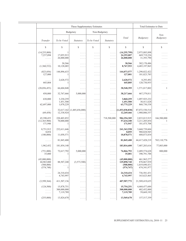|                                                                     | These Supplementary Estimates          |                                              |                                                                |                                                                       |                                                        | Total Estimates to Date                                    |                                               |
|---------------------------------------------------------------------|----------------------------------------|----------------------------------------------|----------------------------------------------------------------|-----------------------------------------------------------------------|--------------------------------------------------------|------------------------------------------------------------|-----------------------------------------------|
|                                                                     |                                        | Budgetary                                    | Non-Budgetary                                                  |                                                                       |                                                        |                                                            | $Non-$                                        |
| Transfer                                                            | To be Voted                            | Statutory                                    | To be Voted                                                    | Statutory                                                             | Total                                                  | Budgetary                                                  | Budgetary                                     |
| \$                                                                  | \$                                     | \$                                           | \$                                                             | \$                                                                    | \$                                                     | \$                                                         | \$                                            |
| (14,255,800)<br>7,237,094<br>$\ldots$                               | 17,055,913<br>26,000,000               | .<br>.<br>.                                  | .<br>.<br>.                                                    | .<br>.<br>.                                                           | (14, 255, 799)<br>24,293,007<br>26,000,000             | 2,975,885,898<br>669,719,226<br>31,393,790                 | .<br>.                                        |
| .<br>(1,360,532)                                                    | 30,566<br>10,128,085                   | .<br>.                                       | .<br>.                                                         | .<br>.                                                                | 30,566<br>8,767,553                                    | 382,170,486<br>4,485,197,965                               | .<br>.                                        |
| (823, 056)<br>127,000                                               | 144,896,633<br>1                       | .<br>.                                       | .<br>.                                                         | .<br>.                                                                | 144,073,577<br>127,001                                 | 1,290,022,422<br>181,823,785                               | .<br>$\ldots$ .                               |
| $\cdots$<br>445,804                                                 | 2,628,572<br>1                         | .<br>.                                       | .<br>.                                                         | .<br>.                                                                | 2,628,572<br>445,805                                   | 8,293,492<br>120,730,955                                   | .<br>.                                        |
| (28,056,453)                                                        | 66,604,848                             | .                                            | .                                                              | .                                                                     | 38,548,395                                             | 1,571,017,002                                              | $\mathbf{1}$                                  |
| 450,000                                                             | 32,767,666                             | 5,000,000                                    | .                                                              | .                                                                     | 38,217,666                                             | 467,379,811                                                | .                                             |
| 630,000<br>62,697,000                                               | 3,230,259<br>1,451,500<br>1,078,229    | .<br>.                                       | .<br>.<br>.                                                    | .<br>.<br>.                                                           | 3,860,259<br>1,451,500<br>63,775,229                   | 1,097,925,232<br>30,411,628<br>868,730,538                 | .<br>$\sim 1.1$ .<br>.                        |
| .<br>(69, 458)                                                      | 12,338,924                             | $32,617,162$ (1,485,656,000)<br>.            | .<br>$\cdots$                                                  | .<br>.                                                                | (1,453,038,838)<br>12,269,466                          | 87,072,530,514<br>1,980,006,557                            | $\mathbf{1}$<br>.                             |
| 45,390,453<br>(12,365,900)<br>171,946                               | 220,403,852<br>70,000,000              | .<br>.<br>.                                  | .<br>.<br>.                                                    | 718,500,000<br>$\ldots$<br>$\alpha$ is a second .                     | 984,294,305<br>57,634,100<br>171,947                   | 2,833,013,915<br>3,211,205,854<br>181,475,708              | 166,500,000<br>-1<br>.                        |
| 8,751,912<br>8,054<br>(180,000)                                     | 232,611,646<br>11,058,571              | .<br>.                                       | .<br>.<br>.                                                    | $\alpha$ is a second .<br>.<br>$\alpha$ is a second .                 | 241, 363, 558<br>8,055<br>10,878,571                   | 3,660,739,604<br>980,828,945<br>688, 873, 834              | .<br>.                                        |
| $\ldots$                                                            | 81,845,400                             | .                                            | $\cdots$                                                       | $\ldots$                                                              | 81,845,400                                             | 44,417,428,219                                             | 765,110,776                                   |
| 1,962,452                                                           | 181,854,148                            | .                                            | .                                                              | $\alpha$ is a second .                                                | 183,816,600                                            | 7,407,203,616                                              | 77,803,000                                    |
| (751,000)<br>35,000                                                 | 72,617,792<br>1                        | 5,000,000<br>.                               | .<br>.                                                         | .<br>.                                                                | 76,866,792<br>35,001                                   | 2,489,574,628<br>390,791,788                               | 800,000<br>.                                  |
| (45,000,000)<br>44,965,000<br>(508,000)<br>(574, 748)               | $\ldots$<br>88,507,240<br>.<br>1       | $\ldots$ . $\ldots$<br>(3,573,500)<br>.<br>. | .<br>$\cdots\cdots$<br>.<br>$\sim$ $\sim$ $\sim$ $\sim$ $\sim$ | $\ldots$<br>$\ldots$<br>$\ldots$<br>$\ldots$                          | (45,000,000)<br>129,898,740<br>(508,000)<br>(574, 747) | 461,965,277<br>878,867,939<br>1,019,690,431<br>674,341,977 | .<br>.<br>$\alpha$ , $\alpha$ , $\alpha$<br>. |
| $\ldots$<br>$\ldots$                                                | 24,310,434<br>4,743,997                | .<br>.                                       | .<br>.                                                         | .<br>.                                                                | 24,310,434<br>4,743,997                                | 736,581,431<br>163,623,465                                 | .<br>.                                        |
| (3,599,364)                                                         | 411,507,136                            | $\cdots\cdots$                               | .                                                              | $\ldots$                                                              | 407,907,772                                            | 21,509,419,655                                             | .                                             |
| (124,500)<br>$\mathbb{Z}^2$ . The set of $\mathbb{Z}^2$<br>$\ldots$ | 15,878,751<br>300,000,000<br>7,119,789 | .<br>.                                       | .<br>$\cdots$<br>.                                             | $\alpha$ is a second .<br>.<br>$\epsilon$ , $\epsilon$ , $\epsilon$ , | 15,754,251<br>300,000,000<br>7,119,789                 | 4,468,477,684<br>402,452,000<br>59,669,192                 | .<br>$\ldots$<br>.                            |
| (255,000)                                                           | 13,824,670                             | $\ldots$                                     | $\cdots$                                                       | $\ldots$                                                              | 13,569,670                                             | 157,517,359                                                | .                                             |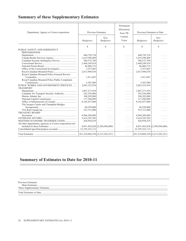### <span id="page-21-0"></span>**Summary of these Supplementary Estimates**

| Department, Agency or Crown corporation                   | Previous Estimates                    |                               | Permanent<br>Allocations<br>from TB | Previous Estimates to Date            |                               |
|-----------------------------------------------------------|---------------------------------------|-------------------------------|-------------------------------------|---------------------------------------|-------------------------------|
|                                                           | Budgetary                             | $Non-$<br>Budgetary           | Central<br>Votes                    | Budgetary                             | $Non-$<br>Budgetary           |
|                                                           | \$                                    | \$.                           | $\mathcal{S}$                       | \$.                                   | \$                            |
| PUBLIC SAFETY AND EMERGENCY<br><b>PREPAREDNESS</b>        |                                       |                               |                                     |                                       |                               |
|                                                           | 440,728,724                           | .                             | .                                   | 440,728,724                           | .                             |
|                                                           | 1,619,390,409                         | .                             | .                                   | 1,619,390,409                         | .                             |
|                                                           | 506,572,769                           | .                             | .                                   | 506, 572, 769                         | .                             |
|                                                           | 2,460,249,419                         | .                             | .                                   | 2,460,249,419                         | .                             |
|                                                           | 46,406,732                            | .                             | .                                   | 46,406,732                            |                               |
|                                                           | 3,557,065                             | .                             | .                                   | 3,557,065                             | .                             |
|                                                           | 2,813,949,670                         | .                             | .                                   | 2,813,949,670                         | .                             |
| Royal Canadian Mounted Police External Review             |                                       |                               |                                     |                                       |                               |
|                                                           | 1,811,047                             | .                             | .                                   | 1,811,047                             |                               |
| Royal Canadian Mounted Police Public Complaints           |                                       |                               |                                     |                                       |                               |
|                                                           | 5,387,680                             | .                             | .                                   | 5,387,680                             | .                             |
| PUBLIC WORKS AND GOVERNMENT SERVICES                      | 2,843,325,934                         | .                             | .                                   | 2,843,325,934                         | .                             |
| <b>TRANSPORT</b>                                          |                                       |                               |                                     |                                       |                               |
|                                                           | 1,867,271,934                         | .                             | .                                   | 1,867,271,934                         | .                             |
| Canadian Air Transport Security Authority                 | 243,556,000                           | .                             | .                                   | 243,556,000                           |                               |
|                                                           | 108,202,000                           | .                             | .                                   | 108,202,000                           | .                             |
|                                                           | 117,360,909                           | .                             | .                                   | 117,360,909                           | .                             |
|                                                           | 8,182,657,880                         | .                             | .                                   | 8,182,657,880                         | .                             |
| The Jacques Cartier and Champlain Bridges                 |                                       |                               |                                     |                                       |                               |
|                                                           | 60,558,000                            | .                             | .                                   | 60,558,000                            | .                             |
|                                                           | 523,721,000                           | .                             | .                                   | 523,721,000                           | .                             |
| <b>TREASURY BOARD</b>                                     |                                       |                               |                                     |                                       |                               |
|                                                           | 4,946,289,889                         | .                             | .                                   | 4,946,289,889                         |                               |
|                                                           | 3,414,105,302                         | .                             | .                                   | 3,414,105,302                         | .                             |
| WESTERN ECONOMIC DIVERSIFICATION                          | 428,958,419                           | .                             | .                                   | 428,958,419                           | .                             |
| All other departments, agencies or Crown corporations not |                                       |                               |                                     |                                       |                               |
|                                                           |                                       | 8,051,492,828 (2,504,996,000) | .                                   |                                       | 8,051,492,828 (2,504,996,000) |
|                                                           | 23, 195, 163, 112                     | .                             | .                                   | 23, 195, 163, 112                     | .                             |
|                                                           | 261, 234, 868, 350 (2, 213, 282, 221) |                               | .                                   | 261, 234, 868, 350 (2, 213, 282, 221) |                               |

### **Summary of Estimates to Date for 2010-11**

Previous Estimates: Main Estimates......................................................................................................................................................................................................................

<sup>-</sup>

These Supplementary Estimates..................................................................................................................................................................................................

Total Estimates to Date ...............................................................................................................................................................................................................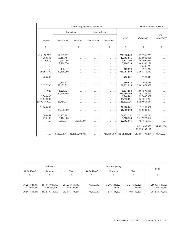|                                        | These Supplementary Estimates |                               |                                |                                           |                 |                                 | <b>Total Estimates to Date</b>         |
|----------------------------------------|-------------------------------|-------------------------------|--------------------------------|-------------------------------------------|-----------------|---------------------------------|----------------------------------------|
|                                        |                               | Budgetary                     | Non-Budgetary                  |                                           |                 |                                 |                                        |
| Transfer                               | To be Voted                   | Statutory                     | To be Voted                    | Statutory                                 | Total           | Budgetary                       | Non-<br>Budgetary                      |
| S                                      | \$                            | \$                            | \$                             | \$                                        | S               | \$                              | \$                                     |
| (35, 179, 720)                         | 267, 197, 729                 | .                             | .                              | $\cdots$                                  | 232,018,009     | 672,746,733                     | .                                      |
| 280,532                                | 12,411,484                    | .                             | .                              | .                                         | 12,692,016      | 1,632,082,425                   | .                                      |
| (835,000)                              | 2,162,296                     | .                             | .                              | .                                         | 1,327,296       | 507,900,065                     | .                                      |
| .                                      | 7,896,720                     | .                             | .                              | .                                         | 7,896,720       | 2,468,146,139                   | .                                      |
| .                                      |                               | .                             | .                              | .                                         | 1               | 46,406,733                      |                                        |
| .                                      | 400,874                       | .                             | .                              | .                                         | 400,874         | 3,957,939                       | .                                      |
| 30,393,100                             | 350, 368, 760                 | .                             | .                              | $\ldots$                                  | 380,761,860     | 3,194,711,530                   | .                                      |
| 480,000                                |                               | .                             | .                              | $\cdots$                                  | 480,001         | 2,291,048                       | $\cdots$                               |
| .                                      | 2,660,673                     | .                             | $\cdots$                       | .                                         | 2,660,673       | 8,048,353                       | .                                      |
| 2,177,706                              | 57,175,212                    | .                             | $\cdots$                       | $\cdots$                                  | 59,352,918      | 2,902,678,852                   | .                                      |
| 13,920                                 | 1,220,634                     |                               |                                |                                           | 1,234,554       | 1,868,506,488                   |                                        |
|                                        | 350,999,399                   | .                             | .                              | .                                         | 350,999,399     |                                 | .                                      |
| .<br>9,240,000                         |                               | .                             | .                              | .                                         |                 | 594,555,399                     |                                        |
|                                        |                               | .                             | .                              | .                                         | 9,240,001       | 117,442,001                     | .                                      |
| 45,650,000                             |                               | .                             | .                              | .                                         | 45,650,001      | 163,010,910                     | .                                      |
| (149, 387, 000)                        | 26,714,974                    | .                             | .                              | $\alpha$ , $\alpha$ , $\alpha$ , $\alpha$ | (122, 672, 026) | 8,059,985,854                   | $\mathbb{Z}^2$ . In the $\mathbb{Z}^2$ |
| 31,800,000                             |                               | .                             | .                              | $\alpha$ , $\alpha$ , $\alpha$ , $\alpha$ | 31,800,001      | 92,358,001                      | .                                      |
| .                                      | 26,800,000                    | .                             | .                              | .                                         | 26,800,000      | 550,521,000                     | .                                      |
| 144,458                                | 106,307,893                   |                               |                                |                                           | 106,452,351     | 5,052,742,240                   |                                        |
|                                        |                               | .                             |                                | .                                         |                 |                                 |                                        |
| 274,100                                | 3,414,000                     | .                             | .                              | .                                         | 3,688,100       | 3,417,793,402                   | .                                      |
| $\mathbb{Z}^n$ . In the $\mathbb{Z}^n$ | 9,193,971                     | 13,500,000                    | .                              | $\alpha$ , $\alpha$ , $\alpha$ , $\alpha$ | 22,693,971      | 451,652,390                     | 1.1.1.1                                |
| .                                      | .                             | .                             | .                              | $\cdots$                                  | .               |                                 | 8,051,492,828 (2,504,996,000)          |
| .                                      | .                             | $\ldots$                      | $\cdots$                       | .                                         | .               | 23, 195, 163, 112               |                                        |
| $\mathbb{Z}^n$ . In the $\mathbb{Z}^n$ |                               | 3,312,036,414 (1,465,729,500) | $\alpha$ , $\alpha$ , $\alpha$ | 718,500,000                               | 2,564,806,914   | 263,081,175,264 (1,494,782,221) |                                        |

|                                 | Budgetary                          |                                     |                 | Total                          |                                |                                  |
|---------------------------------|------------------------------------|-------------------------------------|-----------------|--------------------------------|--------------------------------|----------------------------------|
| To be Voted                     | Statutory                          | Total                               | To be Voted     | <i>Statutory</i>               | Total                          |                                  |
|                                 |                                    | Φ                                   |                 |                                |                                |                                  |
|                                 |                                    |                                     |                 |                                |                                |                                  |
| 96,251,825,047<br>3,312,036,414 | 164,983,043,303<br>(1,465,729,500) | 261, 234, 868, 350<br>1.846.306.914 | 78,603,002<br>. | (2,291,885,223)<br>718,500,000 | (2,213,282,221)<br>718,500,000 | 259,021,586,129<br>2,564,806,914 |
| 99, 563, 861, 461               | 163,517,313,803                    | 263,081,175,264                     | 78,603,002      | (1,573,385,223)                | (1,494,782,221)                | 261,586,392,043                  |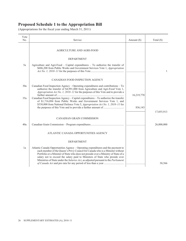<span id="page-23-0"></span>

| Vote |                                                                                                                                                                                                                                                                                                                                                                                                                               |             |              |
|------|-------------------------------------------------------------------------------------------------------------------------------------------------------------------------------------------------------------------------------------------------------------------------------------------------------------------------------------------------------------------------------------------------------------------------------|-------------|--------------|
| No.  | Service                                                                                                                                                                                                                                                                                                                                                                                                                       | Amount (\$) | Total $(\$)$ |
|      | AGRICULTURE AND AGRI-FOOD                                                                                                                                                                                                                                                                                                                                                                                                     |             |              |
|      | <b>DEPARTMENT</b>                                                                                                                                                                                                                                                                                                                                                                                                             |             |              |
| 5a   | Agriculture and Agri-Food - Capital expenditures - To authorize the transfer of<br>\$606,200 from Public Works and Government Services Vote 1, Appropriation                                                                                                                                                                                                                                                                  |             | $\mathbf{1}$ |
|      | CANADIAN FOOD INSPECTION AGENCY                                                                                                                                                                                                                                                                                                                                                                                               |             |              |
| 30a  | Canadian Food Inspection Agency - Operating expenditures and contributions - To<br>authorize the transfer of \$4,991,000 from Agriculture and Agri-Food Vote 1,<br>Appropriation Act No. 1, 2010-11 for the purposes of this Vote and to provide a                                                                                                                                                                            | 16,219,770  |              |
| 35a  | Canadian Food Inspection Agency - Capital expenditures - To authorize the transfer<br>of \$1,716,094 from Public Works and Government Services Vote 1, and<br>\$530,000 from National Defence Vote 5, Appropriation Act No. 1, 2010-11 for                                                                                                                                                                                    | 836,143     |              |
|      |                                                                                                                                                                                                                                                                                                                                                                                                                               |             | 17,055,913   |
|      | CANADIAN GRAIN COMMISSION                                                                                                                                                                                                                                                                                                                                                                                                     |             |              |
| 40a  |                                                                                                                                                                                                                                                                                                                                                                                                                               |             | 26,000,000   |
|      | ATLANTIC CANADA OPPORTUNITIES AGENCY                                                                                                                                                                                                                                                                                                                                                                                          |             |              |
|      | <b>DEPARTMENT</b>                                                                                                                                                                                                                                                                                                                                                                                                             |             |              |
| 1a   | Atlantic Canada Opportunities Agency - Operating expenditures and the payment to<br>each member of the Queen's Privy Council for Canada who is a Minister without<br>Portfolio or a Minister of State who does not preside over a Ministry of State of a<br>salary not to exceed the salary paid to Ministers of State who preside over<br>Ministries of State under the Salaries Act, as adjusted pursuant to the Parliament |             | 30,566       |
|      |                                                                                                                                                                                                                                                                                                                                                                                                                               |             |              |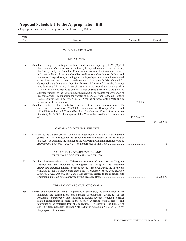| Vote<br>No. | Service                                                                                                                                                                                                                                                                                                                                                                                                                                                                                                                                                                                                                                                                            | Amount $(\$)$ | Total $(\$)$ |
|-------------|------------------------------------------------------------------------------------------------------------------------------------------------------------------------------------------------------------------------------------------------------------------------------------------------------------------------------------------------------------------------------------------------------------------------------------------------------------------------------------------------------------------------------------------------------------------------------------------------------------------------------------------------------------------------------------|---------------|--------------|
|             | <b>CANADIAN HERITAGE</b><br><b>DEPARTMENT</b>                                                                                                                                                                                                                                                                                                                                                                                                                                                                                                                                                                                                                                      |               |              |
|             |                                                                                                                                                                                                                                                                                                                                                                                                                                                                                                                                                                                                                                                                                    |               |              |
| 1a          | Canadian Heritage – Operating expenditures and, pursuant to paragraph $29.1(2)(a)$ of<br>the Financial Administration Act, authority to expend revenues received during<br>the fiscal year by the Canadian Conservation Institute, the Canadian Heritage<br>Information Network and the Canadian Audio-visual Certification Office, and<br>international expositions, including the catering of special events at international<br>expositions, and the payment to each member of the Queen's Privy Council for<br>Canada who is a Minister without Portfolio or a Minister of State who does not<br>preside over a Ministry of State of a salary not to exceed the salary paid to |               |              |
| 5a          | Ministers of State who preside over Ministries of State under the Salaries Act, as<br>adjusted pursuant to the Parliament of Canada Act and pro rata for any period of<br>less than a year - To authorize the transfer of \$335,320 from Canadian Heritage<br>Vote 5, Appropriation Act No. 1, 2010-11 for the purposes of this Vote and to<br>Canadian Heritage - The grants listed in the Estimates and contributions - To<br>authorize the transfer of \$2,650,000 from Canadian Heritage Vote 1, and<br>\$150,000 from Indian Affairs and Northern Development Vote 1, Appropriation                                                                                           | 8,850,426     |              |
|             | Act No. 1, 2010–11 for the purposes of this Vote and to provide a further amount                                                                                                                                                                                                                                                                                                                                                                                                                                                                                                                                                                                                   | 136,046,207   |              |
|             |                                                                                                                                                                                                                                                                                                                                                                                                                                                                                                                                                                                                                                                                                    |               | 144,896,633  |
|             | CANADA COUNCIL FOR THE ARTS                                                                                                                                                                                                                                                                                                                                                                                                                                                                                                                                                                                                                                                        |               |              |
| 10a         | Payments to the Canada Council for the Arts under section 18 of the Canada Council<br>for the Arts Act, to be used for the furtherance of the objects set out in section 8 of<br>that Act – To authorize the transfer of \$127,000 from Canadian Heritage Vote 5,                                                                                                                                                                                                                                                                                                                                                                                                                  |               | 1            |
|             | CANADIAN RADIO-TELEVISION AND<br>TELECOMMUNICATIONS COMMISSION                                                                                                                                                                                                                                                                                                                                                                                                                                                                                                                                                                                                                     |               |              |
| 50a         | Canadian Radio-television and Telecommunications Commission – Program<br>expenditures and, pursuant to paragraph $29.1(2)(a)$ of the <i>Financial</i><br>Administration Act, authority to expend revenues received during the fiscal year<br>pursuant to the Telecommunications Fees Regulations, 1995, Broadcasting<br>Licence Fee Regulations, 1997, and other activities related to the conduct of its                                                                                                                                                                                                                                                                          |               | 2,628,572    |
|             | LIBRARY AND ARCHIVES OF CANADA                                                                                                                                                                                                                                                                                                                                                                                                                                                                                                                                                                                                                                                     |               |              |
| 55a         | Library and Archives of Canada – Operating expenditures, the grants listed in the<br>Estimates and contributions and pursuant to paragraph $29.1(2)(a)$ of the<br>Financial Administration Act, authority to expend revenues received to offset<br>related expenditures incurred in the fiscal year arising from access to and<br>reproduction of materials from the collection $-$ To authorize the transfer of<br>\$445,804 from Canadian Heritage Vote 1, Appropriation Act No. 1, 2010-11 for                                                                                                                                                                                  |               | 1            |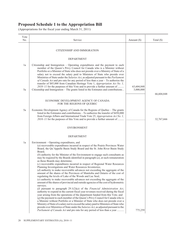| Vote<br>No. | Service                                                                                                                                                                                                                                                                                                                                                                                                                                                                                                                                                                                                                                                                                                                                                                                                                                                                                                                                                                                                                                                                                                                                                                                                                                                                                                                                                                                                                                                                                                                                                                                                                                                                                | Amount (\$) | Total $(\$)$ |
|-------------|----------------------------------------------------------------------------------------------------------------------------------------------------------------------------------------------------------------------------------------------------------------------------------------------------------------------------------------------------------------------------------------------------------------------------------------------------------------------------------------------------------------------------------------------------------------------------------------------------------------------------------------------------------------------------------------------------------------------------------------------------------------------------------------------------------------------------------------------------------------------------------------------------------------------------------------------------------------------------------------------------------------------------------------------------------------------------------------------------------------------------------------------------------------------------------------------------------------------------------------------------------------------------------------------------------------------------------------------------------------------------------------------------------------------------------------------------------------------------------------------------------------------------------------------------------------------------------------------------------------------------------------------------------------------------------------|-------------|--------------|
|             | CITIZENSHIP AND IMMIGRATION                                                                                                                                                                                                                                                                                                                                                                                                                                                                                                                                                                                                                                                                                                                                                                                                                                                                                                                                                                                                                                                                                                                                                                                                                                                                                                                                                                                                                                                                                                                                                                                                                                                            |             |              |
|             | <b>DEPARTMENT</b>                                                                                                                                                                                                                                                                                                                                                                                                                                                                                                                                                                                                                                                                                                                                                                                                                                                                                                                                                                                                                                                                                                                                                                                                                                                                                                                                                                                                                                                                                                                                                                                                                                                                      |             |              |
| 1a          | Citizenship and Immigration – Operating expenditures and the payment to each<br>member of the Queen's Privy Council for Canada who is a Minister without<br>Portfolio or a Minister of State who does not preside over a Ministry of State of a<br>salary not to exceed the salary paid to Ministers of State who preside over<br>Ministries of State under the Salaries Act, as adjusted pursuant to the Parliament<br>of Canada Act and pro rata for any period of less than a year $-$ To authorize the<br>transfer of \$85,000 from Canadian Heritage Vote 1, Appropriation Act No. 1,<br>2010–11 for the purposes of this Vote and to provide a further amount of                                                                                                                                                                                                                                                                                                                                                                                                                                                                                                                                                                                                                                                                                                                                                                                                                                                                                                                                                                                                                 | 63,604,848  |              |
| 5a          | Citizenship and Immigration – The grants listed in the Estimates and contributions                                                                                                                                                                                                                                                                                                                                                                                                                                                                                                                                                                                                                                                                                                                                                                                                                                                                                                                                                                                                                                                                                                                                                                                                                                                                                                                                                                                                                                                                                                                                                                                                     | 3,000,000   | 66,604,848   |
|             | ECONOMIC DEVELOPMENT AGENCY OF CANADA<br>FOR THE REGIONS OF QUEBEC                                                                                                                                                                                                                                                                                                                                                                                                                                                                                                                                                                                                                                                                                                                                                                                                                                                                                                                                                                                                                                                                                                                                                                                                                                                                                                                                                                                                                                                                                                                                                                                                                     |             |              |
| 5a          | Economic Development Agency of Canada for the Regions of Quebec – The grants<br>listed in the Estimates and contributions - To authorize the transfer of \$450,000<br>from Foreign Affairs and International Trade Vote 25, Appropriation Act No. 1,<br>2010–11 for the purposes of this Vote and to provide a further amount of                                                                                                                                                                                                                                                                                                                                                                                                                                                                                                                                                                                                                                                                                                                                                                                                                                                                                                                                                                                                                                                                                                                                                                                                                                                                                                                                                       |             | 32,767,666   |
|             | <b>ENVIRONMENT</b>                                                                                                                                                                                                                                                                                                                                                                                                                                                                                                                                                                                                                                                                                                                                                                                                                                                                                                                                                                                                                                                                                                                                                                                                                                                                                                                                                                                                                                                                                                                                                                                                                                                                     |             |              |
|             | <b>DEPARTMENT</b>                                                                                                                                                                                                                                                                                                                                                                                                                                                                                                                                                                                                                                                                                                                                                                                                                                                                                                                                                                                                                                                                                                                                                                                                                                                                                                                                                                                                                                                                                                                                                                                                                                                                      |             |              |
| 1a          | Environment – Operating expenditures, and<br>(a) recoverable expenditures incurred in respect of the Prairie Provinces Water<br>Board, the Qu'Appelle Basin Study Board and the St. John River Basin Study<br>Board:<br>$(b)$ authority for the Minister of the Environment to engage such consultants as<br>may be required by the Boards identified in paragraph $(a)$ , at such remuneration<br>as those Boards may determine;<br>(c) recoverable expenditures incurred in respect of Regional Water Resources<br>Planning Investigations and Water Resources Inventories;<br>$(d)$ authority to make recoverable advances not exceeding the aggregate of the<br>amount of the shares of the Provinces of Manitoba and Ontario of the cost of<br>regulating the levels of Lake of the Woods and Lac Seul;<br>(e) authority to make recoverable advances not exceeding the aggregate of the<br>amount of the shares of provincial and outside agencies of the cost of hydrometric<br>surveys;<br>(f) pursuant to paragraph $29.1(2)(a)$ of the Financial Administration Act,<br>authority to expend in the current fiscal year revenues received during the fiscal<br>year arising from the operations of the department funded from this Vote; and<br>(g) the payment to each member of the Queen's Privy Council for Canada who is<br>a Minister without Portfolio or a Minister of State who does not preside over a<br>Ministry of State of a salary not to exceed the salary paid to Ministers of State who<br>preside over Ministries of State under the Salaries Act, as adjusted pursuant to the<br>Parliament of Canada Act and pro rata for any period of less than a year | 775,259     |              |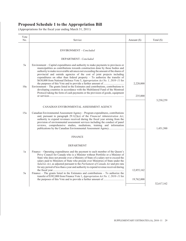| Vote<br>No. | Service                                                                                                                                                                                                                                                                                                                                                                                                                                                                                                           | Amount $(\$)$ | Total $(\$)$ |
|-------------|-------------------------------------------------------------------------------------------------------------------------------------------------------------------------------------------------------------------------------------------------------------------------------------------------------------------------------------------------------------------------------------------------------------------------------------------------------------------------------------------------------------------|---------------|--------------|
|             | ENVIRONMENT - Concluded                                                                                                                                                                                                                                                                                                                                                                                                                                                                                           |               |              |
|             | DEPARTMENT-Concluded                                                                                                                                                                                                                                                                                                                                                                                                                                                                                              |               |              |
| 5a          | Environment – Capital expenditures and authority to make payments to provinces or<br>municipalities as contributions towards construction done by those bodies and<br>authority to make recoverable advances not exceeding the amount of the shares of<br>provincial and outside agencies of the cost of joint projects including<br>expenditures on other than federal property $-$ To authorize the transfer of<br>\$630,000 from National Defence Vote 5, Appropriation Act No. 1, 2010-11 for                 |               |              |
| 10a         | Environment - The grants listed in the Estimates and contributions, contributions to<br>developing countries in accordance with the Multilateral Fund of the Montreal                                                                                                                                                                                                                                                                                                                                             | 2,220,000     |              |
|             | Protocol taking the form of cash payments or the provision of goods, equipment                                                                                                                                                                                                                                                                                                                                                                                                                                    | 235,000       | 3,230,259    |
|             | CANADIAN ENVIRONMENTAL ASSESSMENT AGENCY                                                                                                                                                                                                                                                                                                                                                                                                                                                                          |               |              |
| 15a         | Canadian Environmental Assessment Agency – Program expenditures, contributions<br>and, pursuant to paragraph $29.1(2)(a)$ of the <i>Financial Administration Act</i> ,<br>authority to expend revenues received during the fiscal year arising from the<br>provision of environmental assessment services including the conduct of panel<br>reviews, comprehensive studies, mediations, training and information                                                                                                  |               | 1,451,500    |
|             | <b>FINANCE</b>                                                                                                                                                                                                                                                                                                                                                                                                                                                                                                    |               |              |
|             | <b>DEPARTMENT</b>                                                                                                                                                                                                                                                                                                                                                                                                                                                                                                 |               |              |
| 1a          | Finance – Operating expenditures and the payment to each member of the Queen's<br>Privy Council for Canada who is a Minister without Portfolio or a Minister of<br>State who does not preside over a Ministry of State of a salary not to exceed the<br>salary paid to Ministers of State who preside over Ministries of State under the<br>Salaries Act, as adjusted pursuant to the Parliament of Canada Act and pro rata<br>for any period of less than a year and authority to expend revenue received during |               |              |
| 5a          | Finance – The grants listed in the Estimates and contributions – To authorize the<br>transfer of \$382,000 from Finance Vote 1, Appropriation Act No. 1, 2010-11 for                                                                                                                                                                                                                                                                                                                                              | 12,855,162    |              |
|             |                                                                                                                                                                                                                                                                                                                                                                                                                                                                                                                   | 19,762,000    | 32,617,162   |
|             |                                                                                                                                                                                                                                                                                                                                                                                                                                                                                                                   |               |              |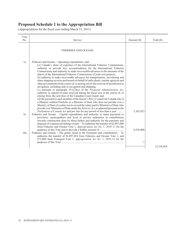| Vote<br>No. | Service                                                                                                                                                                                                                                                                                                                                                                                                                                                                                                                                                                                                                                                                                                                                                                                                                                                                                                                                                                                                                                                                                                                                                                                                                                                                                                                                                                                | Amount (\$)    | Total $(\$)$ |
|-------------|----------------------------------------------------------------------------------------------------------------------------------------------------------------------------------------------------------------------------------------------------------------------------------------------------------------------------------------------------------------------------------------------------------------------------------------------------------------------------------------------------------------------------------------------------------------------------------------------------------------------------------------------------------------------------------------------------------------------------------------------------------------------------------------------------------------------------------------------------------------------------------------------------------------------------------------------------------------------------------------------------------------------------------------------------------------------------------------------------------------------------------------------------------------------------------------------------------------------------------------------------------------------------------------------------------------------------------------------------------------------------------------|----------------|--------------|
|             | <b>FISHERIES AND OCEANS</b>                                                                                                                                                                                                                                                                                                                                                                                                                                                                                                                                                                                                                                                                                                                                                                                                                                                                                                                                                                                                                                                                                                                                                                                                                                                                                                                                                            |                |              |
| 1a          | Fisheries and Oceans – Operating expenditures, and<br>(a) Canada's share of expenses of the International Fisheries Commissions,<br>authority to provide free accommodation for the International Fisheries<br>Commissions and authority to make recoverable advances in the amounts of the<br>shares of the International Fisheries Commissions of joint cost projects;<br>(b) authority to make recoverable advances for transportation, stevedoring and<br>other shipping services performed on behalf of individuals, outside agencies and<br>other governments in the course of, or arising out of, the exercise of jurisdiction in<br>navigation, including aids to navigation and shipping;<br>(c) pursuant to paragraph $29.1(2)(a)$ of the <i>Financial Administration Act</i> ,<br>authority to expend revenue received during the fiscal year in the course of, or<br>arising from, the activities of the Canadian Coast Guard; and<br>(d) the payment to each member of the Queen's Privy Council for Canada who is<br>a Minister without Portfolio or a Minister of State who does not preside over a<br>Ministry of State of a salary not to exceed the salary paid to Ministers of State who<br>preside over Ministries of State under the Salaries Act, as adjusted pursuant to the<br><i>Parliament of Canada Act</i> and pro rata for any period of less than a year | 5,362,923      |              |
| 5a          | Fisheries and Oceans – Capital expenditures and authority to make payments to<br>provinces, municipalities and local or private authorities as contributions<br>towards construction done by those bodies and authority for the purchase and<br>disposal of commercial fishing vessels - To authorize the transfer of \$3,887,000<br>from Fisheries and Oceans Vote 1, Appropriation Act No. 1, 2010-11 for the                                                                                                                                                                                                                                                                                                                                                                                                                                                                                                                                                                                                                                                                                                                                                                                                                                                                                                                                                                        |                |              |
| 10a         | Fisheries and Oceans $-$ The grants listed in the Estimates and contributions $-$ To<br>authorize the transfer of \$1,897,034 from Fisheries and Oceans Vote 1, and<br>\$75,000 from Transport Vote 1, Appropriation Act No. 1, 2010–11 for the                                                                                                                                                                                                                                                                                                                                                                                                                                                                                                                                                                                                                                                                                                                                                                                                                                                                                                                                                                                                                                                                                                                                        | 6,976,000<br>1 | 12,338,924   |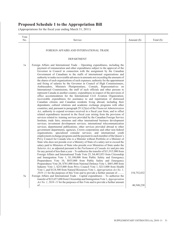| Vote<br>No. | Service                                                                                                                                                                                                                                                                                                                                                                                                                                                                                                                                                                                                                                                                                                                                                                                                                                                                                                                                                                                                                                                                                                                                                                                                                                                                                                                                                                                                                                                                                                                                                                                                                                                                                                                                                                                                                                                                                                                                                                                                                                                                                                                                                                                                                                                                                                                                                                                                                                                                                                                                                                                                                                                                                                                                                                                                     | Amount $(\$)$             | Total (\$) |
|-------------|-------------------------------------------------------------------------------------------------------------------------------------------------------------------------------------------------------------------------------------------------------------------------------------------------------------------------------------------------------------------------------------------------------------------------------------------------------------------------------------------------------------------------------------------------------------------------------------------------------------------------------------------------------------------------------------------------------------------------------------------------------------------------------------------------------------------------------------------------------------------------------------------------------------------------------------------------------------------------------------------------------------------------------------------------------------------------------------------------------------------------------------------------------------------------------------------------------------------------------------------------------------------------------------------------------------------------------------------------------------------------------------------------------------------------------------------------------------------------------------------------------------------------------------------------------------------------------------------------------------------------------------------------------------------------------------------------------------------------------------------------------------------------------------------------------------------------------------------------------------------------------------------------------------------------------------------------------------------------------------------------------------------------------------------------------------------------------------------------------------------------------------------------------------------------------------------------------------------------------------------------------------------------------------------------------------------------------------------------------------------------------------------------------------------------------------------------------------------------------------------------------------------------------------------------------------------------------------------------------------------------------------------------------------------------------------------------------------------------------------------------------------------------------------------------------------|---------------------------|------------|
|             | FOREIGN AFFAIRS AND INTERNATIONAL TRADE                                                                                                                                                                                                                                                                                                                                                                                                                                                                                                                                                                                                                                                                                                                                                                                                                                                                                                                                                                                                                                                                                                                                                                                                                                                                                                                                                                                                                                                                                                                                                                                                                                                                                                                                                                                                                                                                                                                                                                                                                                                                                                                                                                                                                                                                                                                                                                                                                                                                                                                                                                                                                                                                                                                                                                     |                           |            |
|             | <b>DEPARTMENT</b>                                                                                                                                                                                                                                                                                                                                                                                                                                                                                                                                                                                                                                                                                                                                                                                                                                                                                                                                                                                                                                                                                                                                                                                                                                                                                                                                                                                                                                                                                                                                                                                                                                                                                                                                                                                                                                                                                                                                                                                                                                                                                                                                                                                                                                                                                                                                                                                                                                                                                                                                                                                                                                                                                                                                                                                           |                           |            |
| 1a          | Foreign Affairs and International Trade – Operating expenditures, including the<br>payment of remuneration and other expenditures subject to the approval of the<br>Governor in Council in connection with the assignment by the Canadian<br>Government of Canadians to the staffs of international organizations and<br>authority to make recoverable advances in amounts not exceeding the amounts of<br>the shares of such organizations of such expenses; authority for the appointment<br>and fixing of salaries by the Governor in Council of High Commissioners,<br>Ambassadors, Ministers Plenipotentiary, Consuls, Representatives on<br>International Commissions, the staff of such officials and other persons to<br>represent Canada in another country; expenditures in respect of the provision of<br>office accommodation for the International Civil Aviation Organization;<br>recoverable expenditures for assistance to and repatriation of distressed<br>Canadian citizens and Canadian residents living abroad, including their<br>dependants; cultural relations and academic exchange programs with other<br>countries; and, pursuant to paragraph $29.1(2)(a)$ of the <i>Financial Administration</i><br>Act, authority to expend revenues received in a fiscal year from, and to offset<br>related expenditures incurred in the fiscal year arising from the provision of<br>services related to: training services provided by the Canadian Foreign Service<br>Institute; trade fairs, missions and other international business development<br>services; investment development services; international telecommunication<br>services; departmental publications; other services provided abroad to other<br>government departments, agencies, Crown corporations and other non-federal<br>organizations; specialized consular services; and international youth<br>employment exchange programs and the payment to each member of the Queen's<br>Privy Council for Canada who is a Minister without Portfolio or a Minister of<br>State who does not preside over a Ministry of State of a salary not to exceed the<br>salary paid to Ministers of State who preside over Ministries of State under the<br>Salaries Act, as adjusted pursuant to the Parliament of Canada Act and pro rata<br>for any period of less than a year $-$ To authorize the transfer of \$11,915,900 from<br>Foreign Affairs and International Trade Vote 25, \$4,483,853 from Citizenship<br>and Immigration Vote 1, \$1,100,000 from Public Safety and Emergency<br>Preparedness Vote 10, \$835,000 from Public Safety and Emergency<br>Preparedness Vote 20, \$781,000 from National Defence Vote 1, \$601,000 from<br>Industry Vote 1, \$255,000 from Privy Council Vote 1, \$213,000 from Health |                           |            |
| 5a          | Vote 1, and \$124,500 from Natural Resources Vote 1, Appropriation Act No. 1,<br>2010–11 for the purposes of this Vote and to provide a further amount of<br>Foreign Affairs and International Trade – Capital expenditures – To authorize the<br>transfer of \$23,657,600 from Citizenship and Immigration Vote 1, Appropriation<br>Act No. 1, 2010–11 for the purposes of this Vote and to provide a further amount                                                                                                                                                                                                                                                                                                                                                                                                                                                                                                                                                                                                                                                                                                                                                                                                                                                                                                                                                                                                                                                                                                                                                                                                                                                                                                                                                                                                                                                                                                                                                                                                                                                                                                                                                                                                                                                                                                                                                                                                                                                                                                                                                                                                                                                                                                                                                                                       | 154,752,832<br>40,548,238 |            |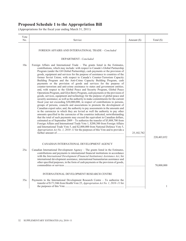| Vote<br>N <sub>0</sub> | Service                                                                                                                                                                                                                                                                                                                                                                                                                                                                                                                                                                                                                                                                                                                                                                                                                                                                                                                                                                                                                                                                                                                                                                                                                                                                                                                                                                                                                                                                                                                                                                                                                                                                                                                                                                                                                               | Amount (\$)  | Total $(\$)$ |
|------------------------|---------------------------------------------------------------------------------------------------------------------------------------------------------------------------------------------------------------------------------------------------------------------------------------------------------------------------------------------------------------------------------------------------------------------------------------------------------------------------------------------------------------------------------------------------------------------------------------------------------------------------------------------------------------------------------------------------------------------------------------------------------------------------------------------------------------------------------------------------------------------------------------------------------------------------------------------------------------------------------------------------------------------------------------------------------------------------------------------------------------------------------------------------------------------------------------------------------------------------------------------------------------------------------------------------------------------------------------------------------------------------------------------------------------------------------------------------------------------------------------------------------------------------------------------------------------------------------------------------------------------------------------------------------------------------------------------------------------------------------------------------------------------------------------------------------------------------------------|--------------|--------------|
|                        | FOREIGN AFFAIRS AND INTERNATIONAL TRADE – Concluded                                                                                                                                                                                                                                                                                                                                                                                                                                                                                                                                                                                                                                                                                                                                                                                                                                                                                                                                                                                                                                                                                                                                                                                                                                                                                                                                                                                                                                                                                                                                                                                                                                                                                                                                                                                   |              |              |
|                        | DEPARTMENT- Concluded                                                                                                                                                                                                                                                                                                                                                                                                                                                                                                                                                                                                                                                                                                                                                                                                                                                                                                                                                                                                                                                                                                                                                                                                                                                                                                                                                                                                                                                                                                                                                                                                                                                                                                                                                                                                                 |              |              |
| 10a                    | Foreign Affairs and International Trade $-$ The grants listed in the Estimates,<br>contributions, which may include: with respect to Canada's Global Partnership<br>Program (under the G8 Global Partnership), cash payments or the provision of<br>goods, equipment and services for the purpose of assistance to countries of the<br>former Soviet Union; with respect to Canada's Counter-Terrorism Capacity<br>Building Program and the Anti-Crime Capacity Building Program, cash<br>payments or the provision of goods and services for the purpose of<br>counter-terrorism and anti-crime assistance to states and government entities;<br>and, with respect to the Global Peace and Security Program, Global Peace<br>Operations Program, and Glyn Berry Program, cash payments or the provision of<br>goods, services, equipment and technology for the purpose of global peace and<br>security assistance; as well as the authority to make commitments for the current<br>fiscal year not exceeding \$30,000,000, in respect of contributions to persons,<br>groups of persons, councils and associations to promote the development of<br>Canadian export sales; and, the authority to pay assessments in the amounts and<br>in the currencies in which they are levied as well the authority to pay other<br>amounts specified in the currencies of the countries indicated, notwithstanding<br>that the total of such payments may exceed the equivalent in Canadian dollars,<br>estimated as of September $2009 - To$ authorize the transfer of \$5,808,700 from<br>Foreign Affairs and International Trade Vote 1, \$200,300 from Foreign Affairs<br>and International Trade Vote 5, and \$2,000,000 from National Defence Vote 5,<br>Appropriation Act No. 1, 2010-11 for the purposes of this Vote and to provide a | 25, 102, 782 |              |
|                        |                                                                                                                                                                                                                                                                                                                                                                                                                                                                                                                                                                                                                                                                                                                                                                                                                                                                                                                                                                                                                                                                                                                                                                                                                                                                                                                                                                                                                                                                                                                                                                                                                                                                                                                                                                                                                                       |              | 220,403,852  |
|                        | CANADIAN INTERNATIONAL DEVELOPMENT AGENCY                                                                                                                                                                                                                                                                                                                                                                                                                                                                                                                                                                                                                                                                                                                                                                                                                                                                                                                                                                                                                                                                                                                                                                                                                                                                                                                                                                                                                                                                                                                                                                                                                                                                                                                                                                                             |              |              |
| 25a                    | Canadian International Development Agency – The grants listed in the Estimates,<br>contributions and payments to international financial institutions in accordance<br>with the International Development (Financial Institutions) Assistance Act, for<br>international development assistance, international humanitarian assistance and<br>other specified purposes, in the form of cash payments or the provision of goods,                                                                                                                                                                                                                                                                                                                                                                                                                                                                                                                                                                                                                                                                                                                                                                                                                                                                                                                                                                                                                                                                                                                                                                                                                                                                                                                                                                                                        |              | 70,000,000   |
|                        | INTERNATIONAL DEVELOPMENT RESEARCH CENTRE                                                                                                                                                                                                                                                                                                                                                                                                                                                                                                                                                                                                                                                                                                                                                                                                                                                                                                                                                                                                                                                                                                                                                                                                                                                                                                                                                                                                                                                                                                                                                                                                                                                                                                                                                                                             |              |              |
| 35a                    | Payments to the International Development Research Centre $-$ To authorize the<br>transfer of \$171,946 from Health Vote 25, Appropriation Act No. 1, 2010-11 for                                                                                                                                                                                                                                                                                                                                                                                                                                                                                                                                                                                                                                                                                                                                                                                                                                                                                                                                                                                                                                                                                                                                                                                                                                                                                                                                                                                                                                                                                                                                                                                                                                                                     |              | $\mathbf{1}$ |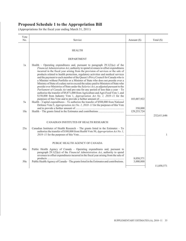| Vote<br>No. | Service                                                                                                                                                                                                                                                                                                                                                                                                                                                                                                                                                                                                                                                                                                                                                                                                                                                                                                                                                                                                                                                                                                                             | Amount (\$)            | Total $(\$)$ |
|-------------|-------------------------------------------------------------------------------------------------------------------------------------------------------------------------------------------------------------------------------------------------------------------------------------------------------------------------------------------------------------------------------------------------------------------------------------------------------------------------------------------------------------------------------------------------------------------------------------------------------------------------------------------------------------------------------------------------------------------------------------------------------------------------------------------------------------------------------------------------------------------------------------------------------------------------------------------------------------------------------------------------------------------------------------------------------------------------------------------------------------------------------------|------------------------|--------------|
|             | <b>HEALTH</b>                                                                                                                                                                                                                                                                                                                                                                                                                                                                                                                                                                                                                                                                                                                                                                                                                                                                                                                                                                                                                                                                                                                       |                        |              |
|             | <b>DEPARTMENT</b>                                                                                                                                                                                                                                                                                                                                                                                                                                                                                                                                                                                                                                                                                                                                                                                                                                                                                                                                                                                                                                                                                                                   |                        |              |
| 1a<br>5a    | Health – Operating expenditures and, pursuant to paragraph $29.1(2)(a)$ of the<br>Financial Administration Act, authority to spend revenues to offset expenditures<br>incurred in the fiscal year arising from the provision of services or the sale of<br>products related to health protection, regulatory activities and medical services<br>and the payment to each member of the Queen's Privy Council for Canada who is<br>a Minister without Portfolio or a Minister of State who does not preside over a<br>Ministry of State of a salary not to exceed the salary paid to Ministers of State who<br>preside over Ministries of State under the Salaries Act, as adjusted pursuant to the<br>Parliament of Canada Act and pro rata for any period of less than a year - To<br>authorize the transfer of \$9,871,000 from Agriculture and Agri-Food Vote 1, and<br>\$150,000 from Industry Vote 1, Appropriation Act No. 1, 2010-11 for the<br>Health – Capital expenditures – To authorize the transfer of \$508,000 from National<br>Defence Vote 5, <i>Appropriation Act No. 1, 2010–11</i> for the purposes of this Vote | 103,007,922<br>350,000 |              |
| 10a         |                                                                                                                                                                                                                                                                                                                                                                                                                                                                                                                                                                                                                                                                                                                                                                                                                                                                                                                                                                                                                                                                                                                                     | 129,253,724            | 232,611,646  |
| 25a         | CANADIAN INSTITUTES OF HEALTH RESEARCH<br>Canadian Institutes of Health Research $-$ The grants listed in the Estimates $-$ To<br>authorize the transfer of \$180,000 from Health Vote 50, Appropriation Act No. 1,                                                                                                                                                                                                                                                                                                                                                                                                                                                                                                                                                                                                                                                                                                                                                                                                                                                                                                                 | .                      | 1            |
|             | PUBLIC HEALTH AGENCY OF CANADA                                                                                                                                                                                                                                                                                                                                                                                                                                                                                                                                                                                                                                                                                                                                                                                                                                                                                                                                                                                                                                                                                                      |                        |              |
| 40a         | Public Health Agency of Canada - Operating expenditures and, pursuant to<br>paragraph $29.1(2)(a)$ of the <i>Financial Administration Act</i> , authority to spend<br>revenues to offset expenditures incurred in the fiscal year arising from the sale of                                                                                                                                                                                                                                                                                                                                                                                                                                                                                                                                                                                                                                                                                                                                                                                                                                                                          | 8,058,571              |              |
| 50a         | Public Health Agency of Canada - The grants listed in the Estimates and contributions.                                                                                                                                                                                                                                                                                                                                                                                                                                                                                                                                                                                                                                                                                                                                                                                                                                                                                                                                                                                                                                              | 3,000,000              | 11,058,571   |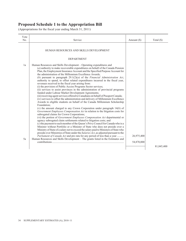| Vote<br>No. | Service                                                                                                                                                                                                                                                                                                                                                                                                                                                                                                                                                                                                                                                                                                                                                                                                                                                                                                                                                                                                                                                                                                                                                                                                                                                                                                                                                                                                                                                                                                                                                                                                                                                                                                                                                                                                                                                                                                      | Amount (\$)              | Total $(\$)$ |
|-------------|--------------------------------------------------------------------------------------------------------------------------------------------------------------------------------------------------------------------------------------------------------------------------------------------------------------------------------------------------------------------------------------------------------------------------------------------------------------------------------------------------------------------------------------------------------------------------------------------------------------------------------------------------------------------------------------------------------------------------------------------------------------------------------------------------------------------------------------------------------------------------------------------------------------------------------------------------------------------------------------------------------------------------------------------------------------------------------------------------------------------------------------------------------------------------------------------------------------------------------------------------------------------------------------------------------------------------------------------------------------------------------------------------------------------------------------------------------------------------------------------------------------------------------------------------------------------------------------------------------------------------------------------------------------------------------------------------------------------------------------------------------------------------------------------------------------------------------------------------------------------------------------------------------------|--------------------------|--------------|
|             | HUMAN RESOURCES AND SKILLS DEVELOPMENT                                                                                                                                                                                                                                                                                                                                                                                                                                                                                                                                                                                                                                                                                                                                                                                                                                                                                                                                                                                                                                                                                                                                                                                                                                                                                                                                                                                                                                                                                                                                                                                                                                                                                                                                                                                                                                                                       |                          |              |
|             | <b>DEPARTMENT</b>                                                                                                                                                                                                                                                                                                                                                                                                                                                                                                                                                                                                                                                                                                                                                                                                                                                                                                                                                                                                                                                                                                                                                                                                                                                                                                                                                                                                                                                                                                                                                                                                                                                                                                                                                                                                                                                                                            |                          |              |
| 1a<br>5a    | Human Resources and Skills Development – Operating expenditures and<br>(a) authority to make recoverable expenditures on behalf of the Canada Pension<br>Plan, the Employment Insurance Account and the Specified Purpose Account for<br>the administration of the Millennium Excellence Awards;<br>(b) pursuant to paragraph $29.1(2)(a)$ of the <i>Financial Administration Act</i> ,<br>authority to spend, to offset related expenditures incurred in the fiscal year,<br>revenues received in the fiscal year arising from:<br>(i) the provision of Public Access Programs Sector services;<br>(ii) services to assist provinces in the administration of provincial programs<br>funded under Labour Market Development Agreements;<br>(iii) receiving agent services offered to Canadians on behalf of Passport Canada;<br>(iv) services to offset the administration and delivery of Millennium Excellence<br>Awards to eligible students on behalf of the Canada Millennium Scholarship<br>Foundation;<br>(v) the amount charged to any Crown Corporation under paragraph $14(b)$ of<br>Government Employees Compensation Act in relation to the litigation costs for<br>subrogated claims for Crown Corporations;<br>(vi) the portion of Government Employees Compensation Act departmental or<br>agency subrogated claim settlements related to litigation costs; and<br>$(c)$ the payment to each member of the Queen's Privy Council for Canada who is a<br>Minister without Portfolio or a Minister of State who does not preside over a<br>Ministry of State of a salary not to exceed the salary paid to Ministers of State who<br>preside over Ministries of State under the Salaries Act, as adjusted pursuant to the<br><i>Parliament of Canada Act</i> and pro rata for any period of less than a year<br>Human Resources and Skills Development - The grants listed in the Estimates and | 26,975,400<br>54,870,000 |              |
|             |                                                                                                                                                                                                                                                                                                                                                                                                                                                                                                                                                                                                                                                                                                                                                                                                                                                                                                                                                                                                                                                                                                                                                                                                                                                                                                                                                                                                                                                                                                                                                                                                                                                                                                                                                                                                                                                                                                              |                          | 81,845,400   |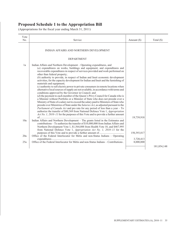| Vote<br>No. | Service                                                                                                                                                                                                                                                                                                                                                                                                                                                                                                                                                                                                                                                                                                                                                                                                                                                                                                                                                                                                                                                                                                                                                                                                                                 | Amount $(\$)$ | Total $(\$)$ |
|-------------|-----------------------------------------------------------------------------------------------------------------------------------------------------------------------------------------------------------------------------------------------------------------------------------------------------------------------------------------------------------------------------------------------------------------------------------------------------------------------------------------------------------------------------------------------------------------------------------------------------------------------------------------------------------------------------------------------------------------------------------------------------------------------------------------------------------------------------------------------------------------------------------------------------------------------------------------------------------------------------------------------------------------------------------------------------------------------------------------------------------------------------------------------------------------------------------------------------------------------------------------|---------------|--------------|
|             | INDIAN AFFAIRS AND NORTHERN DEVELOPMENT                                                                                                                                                                                                                                                                                                                                                                                                                                                                                                                                                                                                                                                                                                                                                                                                                                                                                                                                                                                                                                                                                                                                                                                                 |               |              |
|             | <b>DEPARTMENT</b>                                                                                                                                                                                                                                                                                                                                                                                                                                                                                                                                                                                                                                                                                                                                                                                                                                                                                                                                                                                                                                                                                                                                                                                                                       |               |              |
| 1a          | Indian Affairs and Northern Development – Operating expenditures, and<br>(a) expenditures on works, buildings and equipment; and expenditures and<br>recoverable expenditures in respect of services provided and work performed on<br>other than federal property;<br>(b) authority to provide, in respect of Indian and Inuit economic development<br>activities, for the capacity development for Indian and Inuit and the furnishing of<br>materials and equipment;<br>$(c)$ authority to sell electric power to private consumers in remote locations when<br>alternative local sources of supply are not available, in accordance with terms and<br>conditions approved by the Governor in Council; and<br>$(d)$ the payment to each member of the Queen's Privy Council for Canada who is<br>a Minister without Portfolio or a Minister of State who does not preside over a<br>Ministry of State of a salary not to exceed the salary paid to Ministers of State who<br>preside over Ministries of State under the Salaries Act, as adjusted pursuant to the<br>Parliament of Canada Act and pro rata for any period of less than a year - To<br>authorize the transfer of \$80,369 from National Defence Vote 1, Appropriation |               |              |
| 10a         | Act No. 1, 2010–11 for the purposes of this Vote and to provide a further amount<br>Indian Affairs and Northern Development - The grants listed in the Estimates and<br>contributions – To authorize the transfer of \$10,000,000 from Indian Affairs and                                                                                                                                                                                                                                                                                                                                                                                                                                                                                                                                                                                                                                                                                                                                                                                                                                                                                                                                                                               | 19,739,918    |              |
|             | Northern Development Vote 1, \$1,564,088 from Health Vote 10, and \$467,995<br>from National Defence Vote 1, Appropriation Act No. 1, 2010–11 for the                                                                                                                                                                                                                                                                                                                                                                                                                                                                                                                                                                                                                                                                                                                                                                                                                                                                                                                                                                                                                                                                                   | 150,393,817   |              |
| 20a         | Office of the Federal Interlocutor for Métis and non-Status Indians - Operating                                                                                                                                                                                                                                                                                                                                                                                                                                                                                                                                                                                                                                                                                                                                                                                                                                                                                                                                                                                                                                                                                                                                                         | 3,720,413     |              |
| 25a         | Office of the Federal Interlocutor for Métis and non-Status Indians – Contributions.                                                                                                                                                                                                                                                                                                                                                                                                                                                                                                                                                                                                                                                                                                                                                                                                                                                                                                                                                                                                                                                                                                                                                    | 8,000,000     | 181,854,148  |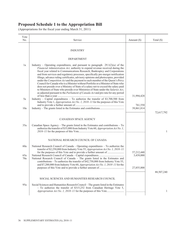| Vote<br>No.       | Service                                                                                                                                                                                                                                                                                                                                                                                                                                                                                                                                                                                                                                                                                                                                                                                                                                                                 | Amount $(\$)$           | Total $(\$)$ |
|-------------------|-------------------------------------------------------------------------------------------------------------------------------------------------------------------------------------------------------------------------------------------------------------------------------------------------------------------------------------------------------------------------------------------------------------------------------------------------------------------------------------------------------------------------------------------------------------------------------------------------------------------------------------------------------------------------------------------------------------------------------------------------------------------------------------------------------------------------------------------------------------------------|-------------------------|--------------|
|                   | <b>INDUSTRY</b>                                                                                                                                                                                                                                                                                                                                                                                                                                                                                                                                                                                                                                                                                                                                                                                                                                                         |                         |              |
|                   | <b>DEPARTMENT</b>                                                                                                                                                                                                                                                                                                                                                                                                                                                                                                                                                                                                                                                                                                                                                                                                                                                       |                         |              |
| 1a                | Industry – Operating expenditures, and pursuant to paragraph $29.1(2)(a)$ of the<br>Financial Administration Act, authority to expend revenue received during the<br>fiscal year related to Communications Research, Bankruptcy and Corporations<br>and from services and regulatory processes, specifically pre-merger notification<br>filings, advance ruling certificates, advisory opinions and photocopies, provided<br>under the Competition Act and the payment to each member of the Queen's Privy<br>Council for Canada who is a Minister without Portfolio or a Minister of State who<br>does not preside over a Ministry of State of a salary not to exceed the salary paid<br>to Ministers of State who preside over Ministries of State under the Salaries Act,<br>as adjusted pursuant to the <i>Parliament of Canada Act</i> and pro rata for any period |                         |              |
| 5a                | Industry – Capital expenditures – To authorize the transfer of $$3,700,500$ from<br>Industry Vote 1, Appropriation Act No. 1, 2010-11 for the purposes of this Vote                                                                                                                                                                                                                                                                                                                                                                                                                                                                                                                                                                                                                                                                                                     | 31,994,428              |              |
| 10a               |                                                                                                                                                                                                                                                                                                                                                                                                                                                                                                                                                                                                                                                                                                                                                                                                                                                                         | 761,550<br>39,861,814   |              |
|                   | CANADIAN SPACE AGENCY                                                                                                                                                                                                                                                                                                                                                                                                                                                                                                                                                                                                                                                                                                                                                                                                                                                   |                         | 72,617,792   |
| 35a               | Canadian Space Agency – The grants listed in the Estimates and contributions – To<br>authorize the transfer of \$35,000 from Industry Vote 60, Appropriation Act No. 1,                                                                                                                                                                                                                                                                                                                                                                                                                                                                                                                                                                                                                                                                                                 |                         | 1            |
|                   | NATIONAL RESEARCH COUNCIL OF CANADA                                                                                                                                                                                                                                                                                                                                                                                                                                                                                                                                                                                                                                                                                                                                                                                                                                     |                         |              |
| 60a<br>65a<br>70a | National Research Council of Canada - Operating expenditures - To authorize the<br>transfer of \$2,250,000 from Industry Vote 55, Appropriation Act No. 1, 2010-11<br>National Research Council of Canada - The grants listed in the Estimates and<br>contributions - To authorize the transfer of \$42,750,000 from Industry Vote 55,                                                                                                                                                                                                                                                                                                                                                                                                                                                                                                                                  | 57,212,440<br>3,439,000 |              |
|                   | and \$7,200,000 from Industry Vote 60, Appropriation Act No. 1, 2010-11 for the                                                                                                                                                                                                                                                                                                                                                                                                                                                                                                                                                                                                                                                                                                                                                                                         | 27,855,800              | 88,507,240   |
|                   | SOCIAL SCIENCES AND HUMANITIES RESEARCH COUNCIL                                                                                                                                                                                                                                                                                                                                                                                                                                                                                                                                                                                                                                                                                                                                                                                                                         |                         |              |
| 95a               | Social Sciences and Humanities Research Council – The grants listed in the Estimates<br>- To authorize the transfer of \$315,252 from Canadian Heritage Vote 5,                                                                                                                                                                                                                                                                                                                                                                                                                                                                                                                                                                                                                                                                                                         |                         | 1            |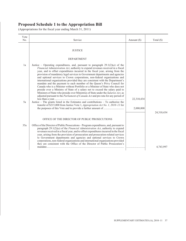| Vote<br>No. | Service                                                                                                                                                                                                                                                                                                                                                                                                                                                                                                                                                                                                                                                                                                                                                                                                                                                                                                                                                                                                                                                                                                      | Amount (\$) | Total $(\$)$ |
|-------------|--------------------------------------------------------------------------------------------------------------------------------------------------------------------------------------------------------------------------------------------------------------------------------------------------------------------------------------------------------------------------------------------------------------------------------------------------------------------------------------------------------------------------------------------------------------------------------------------------------------------------------------------------------------------------------------------------------------------------------------------------------------------------------------------------------------------------------------------------------------------------------------------------------------------------------------------------------------------------------------------------------------------------------------------------------------------------------------------------------------|-------------|--------------|
|             | <b>JUSTICE</b>                                                                                                                                                                                                                                                                                                                                                                                                                                                                                                                                                                                                                                                                                                                                                                                                                                                                                                                                                                                                                                                                                               |             |              |
|             | <b>DEPARTMENT</b>                                                                                                                                                                                                                                                                                                                                                                                                                                                                                                                                                                                                                                                                                                                                                                                                                                                                                                                                                                                                                                                                                            |             |              |
| 1a<br>5a    | Justice – Operating expenditures, and, pursuant to paragraph $29.1(2)(a)$ of the<br>Financial Administration Act, authority to expend revenues received in a fiscal<br>year, and to offset expenditures incurred in the fiscal year, arising from the<br>provision of mandatory legal services to Government departments and agencies<br>and optional services to Crown corporations, non-federal organizations and<br>international organizations provided they are consistent with the Department's<br>mandate and the payment to each member of the Queen's Privy Council for<br>Canada who is a Minister without Portfolio or a Minister of State who does not<br>preside over a Ministry of State of a salary not to exceed the salary paid to<br>Ministers of State who preside over Ministries of State under the Salaries Act, as<br>adjusted pursuant to the <i>Parliament of Canada Act</i> and pro rata for any period of<br>Justice – The grants listed in the Estimates and contributions – To authorize the<br>transfer of \$215,000 from Justice Vote 1, Appropriation Act No. 1, 2010-11 for | 22,310,434  |              |
|             |                                                                                                                                                                                                                                                                                                                                                                                                                                                                                                                                                                                                                                                                                                                                                                                                                                                                                                                                                                                                                                                                                                              | 2,000,000   | 24,310,434   |
|             | OFFICE OF THE DIRECTOR OF PUBLIC PROSECUTIONS                                                                                                                                                                                                                                                                                                                                                                                                                                                                                                                                                                                                                                                                                                                                                                                                                                                                                                                                                                                                                                                                |             |              |
| 35a         | Office of the Director of Public Prosecutions - Program expenditures, and, pursuant to<br>paragraph $29.1(2)(a)$ of the <i>Financial Administration Act</i> , authority to expend<br>revenues received in a fiscal year, and to offset expenditures incurred in the fiscal<br>year, arising from the provision of prosecution and prosecution-related services<br>to Government departments and agencies and optional services to Crown<br>corporations, non-federal organizations and international organizations provided<br>they are consistent with the Office of the Director of Public Prosecution's                                                                                                                                                                                                                                                                                                                                                                                                                                                                                                   |             |              |
|             |                                                                                                                                                                                                                                                                                                                                                                                                                                                                                                                                                                                                                                                                                                                                                                                                                                                                                                                                                                                                                                                                                                              |             | 4,743,997    |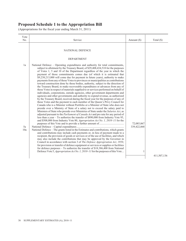| Vote<br>No.     | Service                                                                                                                                                                                                                                                                                                                                                                                                                                                                                                                                                                                                                                                                                                                                                                                                                                                                                                                                                                                                                                                                                                                                                                                                                                                                                                                                                                                                                                                                                                                                                                                                                                                                                                                                                                                   | Amount $(\$)$             | Total $(\$)$ |
|-----------------|-------------------------------------------------------------------------------------------------------------------------------------------------------------------------------------------------------------------------------------------------------------------------------------------------------------------------------------------------------------------------------------------------------------------------------------------------------------------------------------------------------------------------------------------------------------------------------------------------------------------------------------------------------------------------------------------------------------------------------------------------------------------------------------------------------------------------------------------------------------------------------------------------------------------------------------------------------------------------------------------------------------------------------------------------------------------------------------------------------------------------------------------------------------------------------------------------------------------------------------------------------------------------------------------------------------------------------------------------------------------------------------------------------------------------------------------------------------------------------------------------------------------------------------------------------------------------------------------------------------------------------------------------------------------------------------------------------------------------------------------------------------------------------------------|---------------------------|--------------|
|                 | NATIONAL DEFENCE                                                                                                                                                                                                                                                                                                                                                                                                                                                                                                                                                                                                                                                                                                                                                                                                                                                                                                                                                                                                                                                                                                                                                                                                                                                                                                                                                                                                                                                                                                                                                                                                                                                                                                                                                                          |                           |              |
|                 | <b>DEPARTMENT</b>                                                                                                                                                                                                                                                                                                                                                                                                                                                                                                                                                                                                                                                                                                                                                                                                                                                                                                                                                                                                                                                                                                                                                                                                                                                                                                                                                                                                                                                                                                                                                                                                                                                                                                                                                                         |                           |              |
| 1a<br>5a<br>10a | National Defence – Operating expenditures and authority for total commitments,<br>subject to allotment by the Treasury Board, of \$29,408,434,518 for the purposes<br>of Votes 1, 5 and 10 of the Department regardless of the year in which the<br>payment of those commitments comes due (of which it is estimated that<br>\$9,238,213,000 will come due for payment in future years), authority to make<br>payments from any of those Votes to provinces or municipalities as contributions<br>toward construction done by those bodies, authority, subject to the direction of<br>the Treasury Board, to make recoverable expenditures or advances from any of<br>those Votes in respect of materials supplied to or services performed on behalf of<br>individuals, corporations, outside agencies, other government departments and<br>agencies and other governments and authority to expend revenue, as authorized<br>by the Treasury Board, received during the fiscal year for the purposes of any of<br>those Votes and the payment to each member of the Queen's Privy Council for<br>Canada who is a Minister without Portfolio or a Minister of State who does not<br>preside over a Ministry of State of a salary not to exceed the salary paid to<br>Ministers of State who preside over Ministries of State under the Salaries Act, as<br>adjusted pursuant to the Parliament of Canada Act and pro rata for any period of<br>less than a year - To authorize the transfer of \$890,000 from Industry Vote 95,<br>and \$508,000 from Industry Vote 80, Appropriation Act No. 1, 2010–11 for the<br>National Defence - The grants listed in the Estimates and contributions, which grants<br>and contributions may include cash payments or, in lieu of payment made to a | 72,085,067<br>339,422,068 |              |
|                 | recipient, the provision of goods or services or of the use of facilities, and which<br>may also include the contributions that may be approved by the Governor in<br>Council in accordance with section 3 of The Defence Appropriation Act, 1950,<br>for provision or transfer of defence equipment or services or supplies or facilities<br>for defence purposes $-$ To authorize the transfer of \$18,386,400 from National<br>Defence Vote 5, <i>Appropriation Act No. 1, 2010–11</i> for the purposes of this Vote                                                                                                                                                                                                                                                                                                                                                                                                                                                                                                                                                                                                                                                                                                                                                                                                                                                                                                                                                                                                                                                                                                                                                                                                                                                                   | 1                         | 411,507,136  |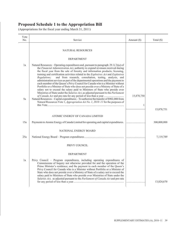| Vote<br>No. | Service                                                                                                                                                                                                                                                                                                                                                                                                                                                                                                                                                                                                                                                                                                                                                                       | Amount $(\$)$   | Total $(\$)$ |
|-------------|-------------------------------------------------------------------------------------------------------------------------------------------------------------------------------------------------------------------------------------------------------------------------------------------------------------------------------------------------------------------------------------------------------------------------------------------------------------------------------------------------------------------------------------------------------------------------------------------------------------------------------------------------------------------------------------------------------------------------------------------------------------------------------|-----------------|--------------|
|             | NATURAL RESOURCES                                                                                                                                                                                                                                                                                                                                                                                                                                                                                                                                                                                                                                                                                                                                                             |                 |              |
|             | <b>DEPARTMENT</b>                                                                                                                                                                                                                                                                                                                                                                                                                                                                                                                                                                                                                                                                                                                                                             |                 |              |
| 1a          | Natural Resources – Operating expenditures and, pursuant to paragraph 29.1(2)( <i>a</i> ) of<br>the Financial Administration Act, authority to expend revenues received during<br>the fiscal year from the sale of forestry and information products; licensing,<br>training and certification activities related to the Explosives Act and Explosives<br>and from research, consultation, testing, analysis, and<br>Regulations;<br>administration services as part of the departmental operations and the payment to<br>each member of the Queen's Privy Council for Canada who is a Minister without<br>Portfolio or a Minister of State who does not preside over a Ministry of State of a<br>salary not to exceed the salary paid to Ministers of State who preside over |                 |              |
| 5a          | Ministries of State under the <i>Salaries Act</i> , as adjusted pursuant to the <i>Parliament</i><br>Natural Resources - Capital expenditures - To authorize the transfer of \$902,000 from<br>Natural Resources Vote 1, <i>Appropriation Act No. 1, 2010–11</i> for the purposes of                                                                                                                                                                                                                                                                                                                                                                                                                                                                                          | 15,878,750<br>1 |              |
|             |                                                                                                                                                                                                                                                                                                                                                                                                                                                                                                                                                                                                                                                                                                                                                                               |                 | 15,878,751   |
|             | ATOMIC ENERGY OF CANADA LIMITED                                                                                                                                                                                                                                                                                                                                                                                                                                                                                                                                                                                                                                                                                                                                               |                 |              |
| 15a         | Payments to Atomic Energy of Canada Limited for operating and capital expenditures.                                                                                                                                                                                                                                                                                                                                                                                                                                                                                                                                                                                                                                                                                           |                 | 300,000,000  |
|             | NATIONAL ENERGY BOARD                                                                                                                                                                                                                                                                                                                                                                                                                                                                                                                                                                                                                                                                                                                                                         |                 |              |
| 25a         |                                                                                                                                                                                                                                                                                                                                                                                                                                                                                                                                                                                                                                                                                                                                                                               |                 | 7,119,789    |
|             | PRIVY COUNCIL                                                                                                                                                                                                                                                                                                                                                                                                                                                                                                                                                                                                                                                                                                                                                                 |                 |              |
|             | <b>DEPARTMENT</b>                                                                                                                                                                                                                                                                                                                                                                                                                                                                                                                                                                                                                                                                                                                                                             |                 |              |
| 1a          | Privy Council - Program expenditures, including operating expenditures of<br>Commissions of Inquiry not otherwise provided for and the operation of the<br>Prime Minister's residence; and the payment to each member of the Queen's<br>Privy Council for Canada who is a Minister without Portfolio or a Minister of<br>State who does not preside over a Ministry of State of a salary not to exceed the<br>salary paid to Ministers of State who preside over Ministries of State under the<br><i>Salaries Act</i> , as adjusted pursuant to the <i>Parliament of Canada Act</i> and pro rata                                                                                                                                                                              |                 | 13,824,670   |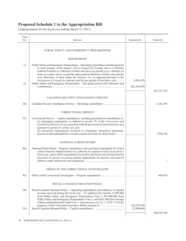| Vote<br>No. | Service                                                                                                                                                                                                                                                                                                                                                                                                                                                                                            | Amount $(\$)$ | Total (\$)    |
|-------------|----------------------------------------------------------------------------------------------------------------------------------------------------------------------------------------------------------------------------------------------------------------------------------------------------------------------------------------------------------------------------------------------------------------------------------------------------------------------------------------------------|---------------|---------------|
|             | PUBLIC SAFETY AND EMERGENCY PREPAREDNESS                                                                                                                                                                                                                                                                                                                                                                                                                                                           |               |               |
|             | <b>DEPARTMENT</b>                                                                                                                                                                                                                                                                                                                                                                                                                                                                                  |               |               |
| 1a          | Public Safety and Emergency Preparedness – Operating expenditures and the payment<br>to each member of the Queen's Privy Council for Canada who is a Minister<br>without Portfolio or a Minister of State who does not preside over a Ministry of<br>State of a salary not to exceed the salary paid to Ministers of State who preside<br>over Ministries of State under the Salaries Act, as adjusted pursuant to the<br>Parliament of Canada Act and pro rata for any period of less than a year | 2,092,670     |               |
| 5a          | Public Safety and Emergency Preparedness - The grants listed in the Estimates and                                                                                                                                                                                                                                                                                                                                                                                                                  | 265,105,059   |               |
|             |                                                                                                                                                                                                                                                                                                                                                                                                                                                                                                    |               | 267, 197, 729 |
|             | CANADIAN SECURITY INTELLIGENCE SERVICE                                                                                                                                                                                                                                                                                                                                                                                                                                                             |               |               |
| 20a         |                                                                                                                                                                                                                                                                                                                                                                                                                                                                                                    |               | 2,162,296     |
|             | <b>CORRECTIONAL SERVICE</b>                                                                                                                                                                                                                                                                                                                                                                                                                                                                        |               |               |
| 35a         | Correctional Service - Capital expenditures, including payments as contributions to<br>$(a)$ aboriginal communities as defined in section 79 of the Corrections and<br>Conditional Release Act in connection with the provision of correctional services<br>pursuant to section 81 of that Act; and<br>(b) non-profit organizations involved in community corrections operations,<br>provinces and municipalities towards construction done by those bodies                                        |               | 7,896,720     |
|             | NATIONAL PAROLE BOARD                                                                                                                                                                                                                                                                                                                                                                                                                                                                              |               |               |
| 40a         | National Parole Board – Program expenditures and, pursuant to paragraph 29.1(2)(a)<br>of the Financial Administration Act, authority to expend revenues received in a<br>fiscal year, and to offset expenditures incurred in the fiscal year arising from the<br>provision of services to process pardon applications for persons convicted of                                                                                                                                                     |               | 1             |
|             | OFFICE OF THE CORRECTIONAL INVESTIGATOR                                                                                                                                                                                                                                                                                                                                                                                                                                                            |               |               |
| 45a         |                                                                                                                                                                                                                                                                                                                                                                                                                                                                                                    |               | 400,874       |
|             | ROYAL CANADIAN MOUNTED POLICE                                                                                                                                                                                                                                                                                                                                                                                                                                                                      |               |               |
| 50a         | Royal Canadian Mounted Police – Operating expenditures and authority to expend<br>revenue received during the fiscal year $-$ To authorize the transfer of \$90,800<br>from Public Safety and Emergency Preparedness Vote 1, \$35,000,000 from<br>Public Safety and Emergency Preparedness Vote 5, and \$282,300 from Foreign<br>Affairs and International Trade Vote 1, Appropriation Act No. 1, 2010-11 for the                                                                                  | 328, 278, 760 |               |
| 55a         |                                                                                                                                                                                                                                                                                                                                                                                                                                                                                                    | 22,090,000    |               |
|             |                                                                                                                                                                                                                                                                                                                                                                                                                                                                                                    |               | 350, 368, 760 |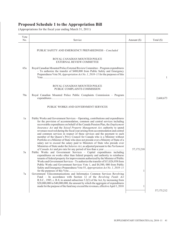| Vote |                                                                                                                                                                                                                                                                                                                                                                                                                                                                                                                                                                                                                                                                                                                                                                                                                                   |               |              |
|------|-----------------------------------------------------------------------------------------------------------------------------------------------------------------------------------------------------------------------------------------------------------------------------------------------------------------------------------------------------------------------------------------------------------------------------------------------------------------------------------------------------------------------------------------------------------------------------------------------------------------------------------------------------------------------------------------------------------------------------------------------------------------------------------------------------------------------------------|---------------|--------------|
| No.  | Service                                                                                                                                                                                                                                                                                                                                                                                                                                                                                                                                                                                                                                                                                                                                                                                                                           | Amount $(\$)$ | Total $(\$)$ |
|      | PUBLIC SAFETY AND EMERGENCY PREPAREDNESS - Concluded                                                                                                                                                                                                                                                                                                                                                                                                                                                                                                                                                                                                                                                                                                                                                                              |               |              |
|      | ROYAL CANADIAN MOUNTED POLICE<br>EXTERNAL REVIEW COMMITTEE                                                                                                                                                                                                                                                                                                                                                                                                                                                                                                                                                                                                                                                                                                                                                                        |               |              |
| 65a  | Royal Canadian Mounted Police External Review Committee – Program expenditures<br>- To authorize the transfer of \$480,000 from Public Safety and Emergency<br>Preparedness Vote 50, <i>Appropriation Act No. 1, 2010–11</i> for the purposes of this                                                                                                                                                                                                                                                                                                                                                                                                                                                                                                                                                                             |               | $\mathbf{1}$ |
|      | ROYAL CANADIAN MOUNTED POLICE<br>PUBLIC COMPLAINTS COMMISSION                                                                                                                                                                                                                                                                                                                                                                                                                                                                                                                                                                                                                                                                                                                                                                     |               |              |
| 70a  | Royal Canadian Mounted Police Public Complaints Commission - Program                                                                                                                                                                                                                                                                                                                                                                                                                                                                                                                                                                                                                                                                                                                                                              |               | 2,660,673    |
|      | PUBLIC WORKS AND GOVERNMENT SERVICES                                                                                                                                                                                                                                                                                                                                                                                                                                                                                                                                                                                                                                                                                                                                                                                              |               |              |
| 1a   | Public Works and Government Services – Operating, contributions and expenditures<br>for the provision of accommodation, common and central services including<br>recoverable expenditures on behalf of the Canada Pension Plan, the Employment<br>Insurance Act and the Seized Property Management Act; authority to spend<br>revenues received during the fiscal year arising from accommodation and central<br>and common services in respect of these services and the payment to each<br>member of the Queen's Privy Council for Canada who is a Minister without<br>Portfolio or a Minister of State who does not preside over a Ministry of State of a<br>salary not to exceed the salary paid to Ministers of State who preside over<br>Ministries of State under the Salaries Act, as adjusted pursuant to the Parliament | 57,175,210    |              |
| 5a   | Public Works and Government Services - Capital expenditures including<br>expenditures on works other than federal property and authority to reimburse<br>tenants of federal property for improvements authorized by the Minister of Public<br>Works and Government Services - To authorize the transfer of \$13,826,958 from<br>Public Works and Government Services Vote 1, and \$4,500, 000 from Public<br>Safety and Emergency Preparedness Vote 55, Appropriation Act No. 1, 2010–11                                                                                                                                                                                                                                                                                                                                          | $\mathbf{1}$  |              |
| 7a   | Government Telecommunications and Informatics Common Services Revolving<br>Fund - In accordance with Section 12 of the Revolving Funds Act<br>R.S.C., 1985, c. R-8, to amend subsection 5.2(3) of the Act, by increasing from<br>\$20,000,000 to \$40,000,000, the amount by which the aggregate of expenditures                                                                                                                                                                                                                                                                                                                                                                                                                                                                                                                  |               |              |
|      | made for the purpose of the fund may exceed the revenues, effective April 1, 2010                                                                                                                                                                                                                                                                                                                                                                                                                                                                                                                                                                                                                                                                                                                                                 | $\mathbf{1}$  | 57, 175, 212 |
|      |                                                                                                                                                                                                                                                                                                                                                                                                                                                                                                                                                                                                                                                                                                                                                                                                                                   |               |              |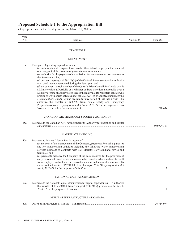| Vote<br>No. | Service                                                                                                                                                                                                                                                                                                                                                                                                                                                                                                                                                                                                                                                                                                                                                                                                                                                                                                                                                                                                                                                       | Amount (\$) | Total $(\$)$ |
|-------------|---------------------------------------------------------------------------------------------------------------------------------------------------------------------------------------------------------------------------------------------------------------------------------------------------------------------------------------------------------------------------------------------------------------------------------------------------------------------------------------------------------------------------------------------------------------------------------------------------------------------------------------------------------------------------------------------------------------------------------------------------------------------------------------------------------------------------------------------------------------------------------------------------------------------------------------------------------------------------------------------------------------------------------------------------------------|-------------|--------------|
|             | <b>TRANSPORT</b>                                                                                                                                                                                                                                                                                                                                                                                                                                                                                                                                                                                                                                                                                                                                                                                                                                                                                                                                                                                                                                              |             |              |
|             | DEPARTMENT                                                                                                                                                                                                                                                                                                                                                                                                                                                                                                                                                                                                                                                                                                                                                                                                                                                                                                                                                                                                                                                    |             |              |
| 1a          | Transport – Operating expenditures, and<br>(a) authority to make expenditures on other than federal property in the course of<br>or arising out of the exercise of jurisdiction in aeronautics;<br>$(b)$ authority for the payment of commissions for revenue collection pursuant to<br>the Aeronautics Act;<br>(c) pursuant to paragraph 29.1(2)(a) of the Federal Administration Act, authority<br>to expend revenue recovered during the fiscal year; and<br>$(d)$ the payment to each member of the Queen's Privy Council for Canada who is<br>a Minister without Portfolio or a Minister of State who does not preside over a<br>Ministry of State of a salary not to exceed the salary paid to Ministers of State who<br>preside over Ministries of State under the Salaries Act, as adjusted pursuant to the<br>Parliament of Canada Act and pro rata for any period of less than a year - To<br>authorize the transfer of \$88,920 from Public Safety and Emergency<br>Preparedness Vote 1, Appropriation Act No. 1, 2010-11 for the purposes of this |             | 1,220,634    |
|             |                                                                                                                                                                                                                                                                                                                                                                                                                                                                                                                                                                                                                                                                                                                                                                                                                                                                                                                                                                                                                                                               |             |              |
|             | CANADIAN AIR TRANSPORT SECURITY AUTHORITY                                                                                                                                                                                                                                                                                                                                                                                                                                                                                                                                                                                                                                                                                                                                                                                                                                                                                                                                                                                                                     |             |              |
| 25a         | Payments to the Canadian Air Transport Security Authority for operating and capital                                                                                                                                                                                                                                                                                                                                                                                                                                                                                                                                                                                                                                                                                                                                                                                                                                                                                                                                                                           |             | 350,999,399  |
|             | MARINE ATLANTIC INC.                                                                                                                                                                                                                                                                                                                                                                                                                                                                                                                                                                                                                                                                                                                                                                                                                                                                                                                                                                                                                                          |             |              |
| 40a         | Payments to Marine Atlantic Inc. in respect of<br>$(a)$ the costs of the management of the Company, payments for capital purposes<br>and for transportation activities including the following water transportation<br>services pursuant to contracts with Her Majesty: Newfoundland ferries and<br>terminals; and<br>$(b)$ payments made by the Company of the costs incurred for the provision of<br>early retirement benefits, severance and other benefits where such costs result<br>from employee cutbacks or the discontinuance or reduction of a service $-$ To<br>authorize the transfer of \$9,240,000 from Transport Vote 60, Appropriation Act                                                                                                                                                                                                                                                                                                                                                                                                    |             |              |
|             |                                                                                                                                                                                                                                                                                                                                                                                                                                                                                                                                                                                                                                                                                                                                                                                                                                                                                                                                                                                                                                                               |             |              |
|             | NATIONAL CAPITAL COMMISSION                                                                                                                                                                                                                                                                                                                                                                                                                                                                                                                                                                                                                                                                                                                                                                                                                                                                                                                                                                                                                                   |             |              |
| 50a         | Payments to the National Capital Commission for capital expenditures – To authorize<br>the transfer of \$45,650,000 from Transport Vote 60, Appropriation Act No. 1,                                                                                                                                                                                                                                                                                                                                                                                                                                                                                                                                                                                                                                                                                                                                                                                                                                                                                          |             | 1            |
|             | OFFICE OF INFRASTRUCTURE OF CANADA                                                                                                                                                                                                                                                                                                                                                                                                                                                                                                                                                                                                                                                                                                                                                                                                                                                                                                                                                                                                                            |             |              |
| 60a         |                                                                                                                                                                                                                                                                                                                                                                                                                                                                                                                                                                                                                                                                                                                                                                                                                                                                                                                                                                                                                                                               |             | 26,714,974   |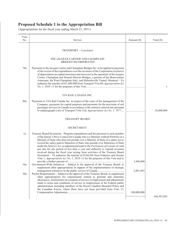| Vote |                                                                                                                                                                                                                                                                                                                                                                                                                                                                                                                                                                                                                                                                                                                                                                                |             |               |
|------|--------------------------------------------------------------------------------------------------------------------------------------------------------------------------------------------------------------------------------------------------------------------------------------------------------------------------------------------------------------------------------------------------------------------------------------------------------------------------------------------------------------------------------------------------------------------------------------------------------------------------------------------------------------------------------------------------------------------------------------------------------------------------------|-------------|---------------|
| No.  | Service                                                                                                                                                                                                                                                                                                                                                                                                                                                                                                                                                                                                                                                                                                                                                                        | Amount (\$) | Total $(\$)$  |
|      | TRANSPORT - Concluded                                                                                                                                                                                                                                                                                                                                                                                                                                                                                                                                                                                                                                                                                                                                                          |             |               |
|      | THE JACQUES CARTIER AND CHAMPLAIN<br><b>BRIDGES INCORPORATED</b>                                                                                                                                                                                                                                                                                                                                                                                                                                                                                                                                                                                                                                                                                                               |             |               |
| 70a  | Payments to the Jacques Cartier and Champlain Bridges Inc. to be applied in payment<br>of the excess of the expenditures over the revenues of the Corporation (exclusive<br>of depreciation on capital structures and reserves) in the operation of the Jacques<br>Cartier, Champlain and Honoré Mercier Bridges, a portion of the Bonaventure<br>Autoroute, the Pont-Champlain Jetty, and Melocheville Tunnel, Montreal - To<br>authorize the transfer of \$31,800,000 from Transport Vote 60, Appropriation Act                                                                                                                                                                                                                                                              |             | 1             |
|      | VIA RAIL CANADA INC.                                                                                                                                                                                                                                                                                                                                                                                                                                                                                                                                                                                                                                                                                                                                                           |             |               |
| 80a  | Payments to VIA Rail Canada Inc. in respect of the costs of the management of the<br>Company, payments for capital purposes and payments for the provision of rail<br>passenger services in Canada in accordance with contracts entered into pursuant<br>to subparagraph (c)(i) of Transport Vote 52d, Appropriation Act No. 1, 1977                                                                                                                                                                                                                                                                                                                                                                                                                                           |             | 26,800,000    |
|      | <b>TREASURY BOARD</b>                                                                                                                                                                                                                                                                                                                                                                                                                                                                                                                                                                                                                                                                                                                                                          |             |               |
|      | <b>SECRETARIAT</b>                                                                                                                                                                                                                                                                                                                                                                                                                                                                                                                                                                                                                                                                                                                                                             |             |               |
| 1a   | Treasury Board Secretariat – Program expenditures and the payment to each member<br>of the Queen's Privy Council for Canada who is a Minister without Portfolio or a<br>Minister of State who does not preside over a Ministry of State of a salary not to<br>exceed the salary paid to Ministers of State who preside over Ministries of State<br>under the Salaries Act, as adjusted pursuant to the Parliament of Canada Act and<br>pro rata for any period of less than a year and authority to expend revenues<br>received during the fiscal year arising from activities of the Treasury Board<br>Secretariat - To authorize the transfer of \$144,458 from Fisheries and Oceans<br>Vote 1, <i>Appropriation Act No. 1, 2010–11</i> for the purposes of this Vote and to |             |               |
| 10a  | Government-Wide Initiatives – Subject to the approval of the Treasury Board, to                                                                                                                                                                                                                                                                                                                                                                                                                                                                                                                                                                                                                                                                                                | 3,440,000   |               |
|      | supplement other appropriations in support of the implementation of strategic                                                                                                                                                                                                                                                                                                                                                                                                                                                                                                                                                                                                                                                                                                  | 2,867,893   |               |
| 30a  | Paylist Requirements – Subject to the approval of the Treasury Board, to supplement<br>other appropriations for requirements related to parental and maternity<br>allowances, entitlements on cessation of service or employment and adjustments<br>made to terms and conditions of service or employment of the Federal public<br>administration including members of the Royal Canadian Mounted Police and<br>the Canadian Forces, where these have not been provided from Vote 15,                                                                                                                                                                                                                                                                                          | 100,000,000 |               |
|      |                                                                                                                                                                                                                                                                                                                                                                                                                                                                                                                                                                                                                                                                                                                                                                                |             | 106, 307, 893 |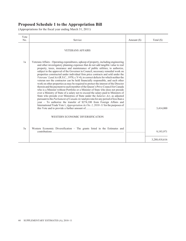| Vote<br>No. | Service                                                                                                                                                                                                                                                                                                                                                                                                                                                                                                                                                                                                                                                                                                                                                                                                                                                                                                                                                                                                                                                                                                                                                                                                                                                                                                | Amount $(\$)$ | Total $(\$)$  |
|-------------|--------------------------------------------------------------------------------------------------------------------------------------------------------------------------------------------------------------------------------------------------------------------------------------------------------------------------------------------------------------------------------------------------------------------------------------------------------------------------------------------------------------------------------------------------------------------------------------------------------------------------------------------------------------------------------------------------------------------------------------------------------------------------------------------------------------------------------------------------------------------------------------------------------------------------------------------------------------------------------------------------------------------------------------------------------------------------------------------------------------------------------------------------------------------------------------------------------------------------------------------------------------------------------------------------------|---------------|---------------|
|             | <b>VETERANS AFFAIRS</b>                                                                                                                                                                                                                                                                                                                                                                                                                                                                                                                                                                                                                                                                                                                                                                                                                                                                                                                                                                                                                                                                                                                                                                                                                                                                                |               |               |
| 1a          | Veterans Affairs – Operating expenditures, upkeep of property, including engineering<br>and other investigatory planning expenses that do not add tangible value to real<br>property, taxes, insurance and maintenance of public utilities; to authorize,<br>subject to the approval of the Governor in Council, necessary remedial work on<br>properties constructed under individual firm price contracts and sold under the<br>Veterans' Land Act (R.S.C., 1970, c.V-4), to correct defects for which neither the<br>veteran nor the contractor can be held financially responsible, and such other<br>work on other properties as may be required to protect the interest of the Director<br>therein and the payment to each member of the Queen's Privy Council for Canada<br>who is a Minister without Portfolio or a Minister of State who does not preside<br>over a Ministry of State of a salary not to exceed the salary paid to Ministers of<br>State who preside over Ministries of State under the Salaries Act, as adjusted<br>pursuant to the <i>Parliament of Canada Act</i> and pro rata for any period of less than a<br>year - To authorize the transfer of \$274,100 from Foreign Affairs and<br>International Trade Vote 1, Appropriation Act No. 1, 2010-11 for the purposes of |               | 3,414,000     |
|             | WESTERN ECONOMIC DIVERSIFICATION                                                                                                                                                                                                                                                                                                                                                                                                                                                                                                                                                                                                                                                                                                                                                                                                                                                                                                                                                                                                                                                                                                                                                                                                                                                                       |               |               |
| 5a          | Western Economic Diversification $-$ The grants listed in the Estimates and                                                                                                                                                                                                                                                                                                                                                                                                                                                                                                                                                                                                                                                                                                                                                                                                                                                                                                                                                                                                                                                                                                                                                                                                                            |               | 9,193,971     |
|             |                                                                                                                                                                                                                                                                                                                                                                                                                                                                                                                                                                                                                                                                                                                                                                                                                                                                                                                                                                                                                                                                                                                                                                                                                                                                                                        |               | 3,288,418,616 |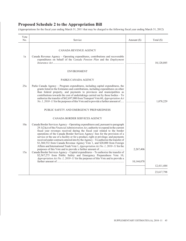(Appropriations for the fiscal year ending March 31, 2011 that may be charged to the following fiscal year ending March 31, 2012)

| Vote<br>No. | Service                                                                                                                                                                                                                                                                                                                                                                                                                                                                                                                                                                                                                                                                                                                                                                                                                                                                                                                                                                       | Amount (\$)             | Total $(\$)$ |
|-------------|-------------------------------------------------------------------------------------------------------------------------------------------------------------------------------------------------------------------------------------------------------------------------------------------------------------------------------------------------------------------------------------------------------------------------------------------------------------------------------------------------------------------------------------------------------------------------------------------------------------------------------------------------------------------------------------------------------------------------------------------------------------------------------------------------------------------------------------------------------------------------------------------------------------------------------------------------------------------------------|-------------------------|--------------|
| 1a          | <b>CANADA REVENUE AGENCY</b><br>Canada Revenue Agency - Operating expenditures, contributions and recoverable<br>expenditures on behalf of the Canada Pension Plan and the Employment<br><b>ENVIRONMENT</b><br>PARKS CANADA AGENCY                                                                                                                                                                                                                                                                                                                                                                                                                                                                                                                                                                                                                                                                                                                                            |                         | 10,128,085   |
| 25a         | Parks Canada Agency - Program expenditures, including capital expenditures, the<br>grants listed in the Estimates and contributions, including expenditures on other<br>than federal property, and payments to provinces and municipalities as<br>contributions towards the cost of undertakings carried out by those bodies - To<br>authorize the transfer of \$62,697,000 from Transport Vote 60, Appropriation Act<br>No. 1, 2010–11 for the purposes of this Vote and to provide a further amount of<br>PUBLIC SAFETY AND EMERGENCY PREPAREDNESS                                                                                                                                                                                                                                                                                                                                                                                                                          |                         | 1,078,229    |
| 10a<br>15a  | CANADA BORDER SERVICES AGENCY<br>Canada Border Services Agency – Operating expenditures and, pursuant to paragraph<br>$29.1(2)(a)$ of the <i>Financial Administration Act</i> , authority to expend in the current<br>fiscal year revenues received during the fiscal year related to the border<br>operations of the Canada Border Services Agency: fees for the provision of a<br>service or the use of a facility or for a product, right or privilege; and payments<br>received under contracts entered into by the Agency - To authorize the transfer of<br>\$1,360,532 from Canada Revenue Agency Vote 1, and \$20,000 from Foreign<br>Affairs and International Trade Vote 1, Appropriation Act No. 1, 2010-11 for the<br>Canada Border Services Agency - Capital expenditures - To authorize the transfer of<br>\$2,567,275 from Public Safety and Emergency Preparedness Vote 10,<br>Appropriation Act No. 1, 2010-11 for the purposes of this Vote and to provide a | 2,267,406<br>10,144,078 | 12,411,484   |
|             |                                                                                                                                                                                                                                                                                                                                                                                                                                                                                                                                                                                                                                                                                                                                                                                                                                                                                                                                                                               |                         | 23,617,798   |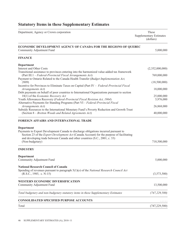# **Statutory Items in these Supplementary Estimates**

| Department, Agency or Crown corporation                                                                                                                                                                                                                                                                        | These<br><b>Supplementary Estimates</b><br>(dollars) |
|----------------------------------------------------------------------------------------------------------------------------------------------------------------------------------------------------------------------------------------------------------------------------------------------------------------|------------------------------------------------------|
| ECONOMIC DEVELOPMENT AGENCY OF CANADA FOR THE REGIONS OF QUEBEC<br>Community Adjustment Fund                                                                                                                                                                                                                   | 5,000,000                                            |
| <b>FINANCE</b>                                                                                                                                                                                                                                                                                                 |                                                      |
| <b>Department</b>                                                                                                                                                                                                                                                                                              |                                                      |
| Interest and Other Costs                                                                                                                                                                                                                                                                                       | (2,352,000,000)                                      |
| Transitional assistance to provinces entering into the harmonized value-added tax framework<br>(Part III.1 - Federal-Provincial Fiscal Arrangements Act)                                                                                                                                                       | 769,000,000                                          |
| Payment to Ontario Related to the Canada Health Transfer (Budget Implementation Act,                                                                                                                                                                                                                           |                                                      |
| 2009)                                                                                                                                                                                                                                                                                                          | (18,500,000)                                         |
| Incentive for Provinces to Eliminate Taxes on Capital (Part IV - Federal-Provincial Fiscal                                                                                                                                                                                                                     |                                                      |
| Arrangements Act)                                                                                                                                                                                                                                                                                              | 18,000,000                                           |
| Debt payments on behalf of poor countries to International Organizations pursuant to section<br>18(1) of the Economic Recovery Act                                                                                                                                                                             | 25,000,000                                           |
| Youth Allowances Recovery (Federal-Provincial Fiscal Revision Act, 1964)                                                                                                                                                                                                                                       | 5,976,000                                            |
| Alternative Payments for Standing Programs (Part VI - Federal-Provincial Fiscal                                                                                                                                                                                                                                |                                                      |
| Arrangements Act)                                                                                                                                                                                                                                                                                              | 26,868,000                                           |
| Subsidy Resources to the International Monetary Fund's Poverty Reduction and Growth Trust<br>(Section 8 – Bretton Woods and Related Agreements Act)                                                                                                                                                            | 40,000,000                                           |
| FOREIGN AFFAIRS AND INTERNATIONAL TRADE                                                                                                                                                                                                                                                                        |                                                      |
| <b>Department</b><br>Payments to Export Development Canada to discharge obligations incurred pursuant to<br>Section 23 of the <i>Export Development Act</i> (Canada Account) for the purpose of facilitating<br>and developing trade between Canada and other countries (S.C., 2001, c. 33)<br>(Non-budgetary) | 718,500,000                                          |
| <b>INDUSTRY</b>                                                                                                                                                                                                                                                                                                |                                                      |
| <b>Department</b>                                                                                                                                                                                                                                                                                              |                                                      |
| Community Adjustment Fund                                                                                                                                                                                                                                                                                      | 5,000,000                                            |
| <b>National Research Council of Canada</b>                                                                                                                                                                                                                                                                     |                                                      |
| Spending of revenues pursuant to paragraph $5(1)(e)$ of the National Research Council Act                                                                                                                                                                                                                      |                                                      |
| $(R.S.C., 1985, c. N-15)$                                                                                                                                                                                                                                                                                      | (3,573,500)                                          |
| <b>WESTERN ECONOMIC DIVERSIFICATION</b>                                                                                                                                                                                                                                                                        |                                                      |
| Community Adjustment Fund                                                                                                                                                                                                                                                                                      | 13,500,000                                           |
| Total budgetary and non-budgetary statutory items in these Supplementary Estimates                                                                                                                                                                                                                             | (747, 229, 500)                                      |
| <b>CONSOLIDATED SPECIFIED PURPOSE ACCOUNTS</b>                                                                                                                                                                                                                                                                 | .                                                    |
| Total                                                                                                                                                                                                                                                                                                          | (747, 229, 500)                                      |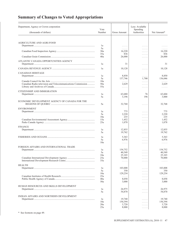| <b>Summary of Changes to Voted Appropriations</b> |  |
|---------------------------------------------------|--|
|---------------------------------------------------|--|

| Department, Agency or Crown corporation                     | Vote     |                                             | Less: Available<br>Spending                                                            |               |
|-------------------------------------------------------------|----------|---------------------------------------------|----------------------------------------------------------------------------------------|---------------|
| (thousands of dollars)                                      | Number   | <b>Gross Amount</b>                         | Authorities                                                                            | Net Amount*   |
|                                                             |          |                                             |                                                                                        |               |
| <b>AGRICULTURE AND AGRI-FOOD</b>                            | 1a       |                                             |                                                                                        |               |
|                                                             | 5a       | $\mathbb{Z}^n$ . In the $\mathbb{Z}^n$<br>. | $\alpha$ , $\alpha$ , $\alpha$ , $\alpha$<br>$\alpha$ , $\alpha$ , $\alpha$ , $\alpha$ | $\cdots$<br>. |
|                                                             | 30a      | 16,220                                      | .                                                                                      | 16,220        |
|                                                             | 35a      | 836                                         | .                                                                                      | 836           |
|                                                             | 40a      | 26,000                                      | .                                                                                      | 26,000        |
| ATLANTIC CANADA OPPORTUNITIES AGENCY                        | 1a       | 31                                          | $\alpha$ , $\alpha$ , $\alpha$ , $\alpha$                                              | 31            |
|                                                             | 1a       | 10,128                                      | $\sim$ $\sim$ $\sim$ $\sim$ $\sim$                                                     | 10,128        |
|                                                             |          |                                             |                                                                                        |               |
| <b>CANADIAN HERITAGE</b>                                    |          |                                             |                                                                                        | 8,850         |
|                                                             | 1a<br>5a | 8,850<br>137,746                            | $\alpha$ , $\alpha$ , $\alpha$ , $\alpha$<br>1,700                                     | 136,046       |
|                                                             | 10a      | .                                           | .                                                                                      | .             |
| Canadian Radio-television and Telecommunications Commission | 50a      | 2,629                                       | .                                                                                      | 2,629         |
|                                                             | 55a      | .                                           | $\alpha$ , $\alpha$ , $\alpha$ , $\alpha$                                              | .             |
| CITIZENSHIP AND IMMIGRATION                                 |          |                                             |                                                                                        |               |
|                                                             | 1a       | 63,680                                      | 76                                                                                     | 63.604        |
|                                                             | 5a       | 3,196                                       | 196                                                                                    | 3,000         |
|                                                             |          |                                             |                                                                                        |               |
| ECONOMIC DEVELOPMENT AGENCY OF CANADA FOR THE               | 5a       | 32,768                                      | $\sim$ $\sim$ $\sim$ $\sim$ $\sim$                                                     | 32,768        |
| <b>ENVIRONMENT</b>                                          |          |                                             |                                                                                        |               |
|                                                             | 1a       | 775                                         | $\alpha$ , $\alpha$ , $\alpha$ , $\alpha$                                              | 775           |
|                                                             | 5a       | 2,220                                       | .                                                                                      | 2,220         |
|                                                             | 10a      | 235                                         | .                                                                                      | 235           |
|                                                             | 15a      | 1,452                                       | $\alpha$ , $\alpha$ , $\alpha$ , $\alpha$                                              | 1,452         |
|                                                             | 25a      | 1,078                                       | .                                                                                      | 1,078         |
| <b>FINANCE</b>                                              |          |                                             |                                                                                        |               |
|                                                             | 1a       | 12,855                                      | .                                                                                      | 12,855        |
|                                                             | 5a       | 19,762                                      | $\alpha$ , $\alpha$ , $\alpha$ , $\alpha$                                              | 19,762        |
|                                                             | 1a       | 5,363                                       | .                                                                                      | 5,363         |
|                                                             | 5a       | 6,976                                       | .                                                                                      | 6,976         |
|                                                             | 10a      | .                                           | $\alpha$ , $\alpha$ , $\alpha$ , $\alpha$                                              | .             |
| FOREIGN AFFAIRS AND INTERNATIONAL TRADE                     |          |                                             |                                                                                        |               |
|                                                             | 1a       | 154,752                                     | .                                                                                      | 154,752       |
|                                                             | 5a       | 40,549                                      | $\mathbb{R}^n$ . In the $\mathbb{R}^n$                                                 | 40.549        |
|                                                             | 10a      | 25,103                                      | $\alpha$ , $\alpha$ , $\alpha$ , $\alpha$                                              | 25,103        |
|                                                             | 25a      | 70,000                                      | $\Box$                                                                                 | 70,000        |
|                                                             | 35a      | .                                           | $\sim$ $\sim$ $\sim$ $\sim$ $\sim$                                                     | .             |
| <b>HEALTH</b>                                               |          |                                             |                                                                                        |               |
|                                                             | 1a       | 103,008                                     | $\ldots$                                                                               | 103,008       |
|                                                             | 5a       | 350                                         | .                                                                                      | 350           |
|                                                             | 10a      | 129,254                                     | .                                                                                      | 129,254       |
|                                                             | 25a      | .                                           | .                                                                                      | .             |
|                                                             | 40a      | 8,058                                       | $\sim$ $\sim$ $\sim$ $\sim$ $\sim$                                                     | 8,058         |
|                                                             | 50a      | 3,000                                       | $\alpha$ , $\alpha$ , $\alpha$ , $\alpha$                                              | 3,000         |
| HUMAN RESOURCES AND SKILLS DEVELOPMENT                      |          |                                             |                                                                                        |               |
|                                                             | 1a       | 26,975                                      | .                                                                                      | 26,975        |
|                                                             | 5a       | 54,870                                      | $\sim$ $\sim$ $\sim$ $\sim$ $\sim$                                                     | 54,870        |
| INDIAN AFFAIRS AND NORTHERN DEVELOPMENT                     |          |                                             |                                                                                        |               |
|                                                             | 1a       | 19,740                                      | .                                                                                      | 19,740        |
|                                                             | 10a      | 150,394                                     | .                                                                                      | 150,394       |
|                                                             | 20a      | 3,720                                       | $\mathbb{R}^n$ . In the $\mathbb{R}^n$                                                 | 3,720         |
|                                                             | 25a      | 8,000                                       | $\ldots$                                                                               | 8,000         |
|                                                             |          |                                             |                                                                                        |               |

\* See footnote on page 49.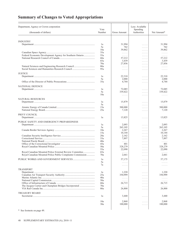# **Summary of Changes to Voted Appropriations**

| <b>INDUSTRY</b><br>31,994<br>31,994<br>1a<br>$\alpha$ , $\alpha$ , $\alpha$ , $\alpha$<br>5a<br>762<br>762<br>$\alpha$ , $\alpha$ , $\alpha$ , $\alpha$<br>10a<br>39,862<br>$\ldots \ldots$<br>35a<br>$\mathbb{R}^n$ . In the $\mathbb{R}^n$<br>$\alpha$ , $\alpha$ , $\alpha$<br>Federal Economic Development Agency for Southern Ontario<br>55a<br>$\ldots$<br>$\ldots \ldots$<br>60a<br>57,212<br>$\ldots \ldots$<br>65a<br>3,439<br>$\ldots \ldots$<br>70a<br>27,856<br>$\alpha$ , $\alpha$ , $\alpha$<br>80a<br>$\mathbb{R}^n$ . In the $\mathbb{R}^n$<br>$\ldots \ldots$<br>95a<br>$\ldots$<br>$\alpha$ , $\alpha$ , $\alpha$ , $\alpha$<br><b>JUSTICE</b><br>1a<br>22,310<br>$\alpha$ , $\alpha$ , $\alpha$ , $\alpha$<br>5a<br>2,000<br>.<br>35a<br>4,744<br>$\alpha$ , $\alpha$ , $\alpha$ , $\alpha$<br><b>NATIONAL DEFENCE</b><br>72,085<br>72,085<br>1a<br>$\alpha$ , $\alpha$ , $\alpha$ , $\alpha$<br>5a<br>339,422<br>339,422<br>.<br>10a<br>.<br>.<br>$\alpha$ , $\alpha$ , $\alpha$ , $\alpha$<br><b>NATURAL RESOURCES</b><br>15,879<br>1a<br>$\alpha$ , $\alpha$ , $\alpha$ , $\alpha$<br>5a<br>.<br>.<br>.<br>15a<br>300,000<br>$\ldots \ldots$<br>25a<br>7,120<br>$\ldots$<br>PRIVY COUNCIL<br>1a<br>13,825<br>13,825<br>$\sim$ $\sim$ $\sim$ $\sim$ $\sim$<br>PUBLIC SAFETY AND EMERGENCY PREPAREDNESS<br>2,093<br>2,093<br>1a<br>$\alpha$ , $\alpha$ , $\alpha$ , $\alpha$<br>5a<br>265,105<br>265,105<br>.<br>2,267<br>2,267<br>10a<br>$\ldots \ldots$<br>15a<br>10,144<br>10,144<br>$\ldots \ldots$<br>20a<br>2,162<br>2,162<br>$\ldots \ldots$<br>35a<br>7,897<br>7,897<br>$\ldots \ldots$<br>40a<br>.<br>$\ldots \ldots$<br>.<br>45a<br>401<br>401<br>$\alpha$ , $\alpha$ , $\alpha$ , $\alpha$<br>50a<br>328,279<br>328,279<br>$\ldots \ldots$<br>55a<br>22,090<br>22,090<br>$\mathbb{R}^n$ . In the $\mathbb{R}^n$<br>Royal Canadian Mounted Police External Review Committee<br>65a<br>.<br>$\alpha$ , $\alpha$ , $\alpha$ , $\alpha$<br>.<br>Royal Canadian Mounted Police Public Complaints Commission<br>70a<br>2,661<br>$\alpha$ , $\alpha$ , $\alpha$ , $\alpha$<br>57,175<br>57,175<br>1a<br>5a<br>.<br>1.1.1.1<br>.<br>7a<br>1.1.1.1<br>$\alpha$ , $\alpha$ , $\alpha$ , $\alpha$<br>.<br><b>TRANSPORT</b><br>1,220<br>1a<br>$\ldots$<br>25a<br>350,999<br>$\alpha$ , $\alpha$ , $\alpha$ , $\alpha$<br>40a<br>$\ldots$<br>.<br>50a<br>$\ldots$<br>$\alpha$ , $\alpha$ , $\alpha$ , $\alpha$<br>60a<br>26,715<br>26,715<br>.<br>70a<br>$\ldots$<br>$\ldots$<br>$\alpha$ , $\alpha$ , $\alpha$ , $\alpha$<br>80a<br>26,800<br>26,800<br>$\ldots$<br><b>TREASURY BOARD</b><br>3,440<br>1a<br>$\ldots$<br>10a<br>2,868<br>$\alpha$ , $\alpha$ , $\alpha$ , $\alpha$<br>30a<br>100,000<br>$\alpha$ , $\alpha$ , $\alpha$ , $\alpha$<br>$\frac{*}{ }$ See footnote on page 49 | Department, Agency or Crown corporation<br>(thousands of dollars) | Vote<br>Number | Gross Amount | Less: Available<br>Spending<br>Authorities | Net Amount*                                                       |
|--------------------------------------------------------------------------------------------------------------------------------------------------------------------------------------------------------------------------------------------------------------------------------------------------------------------------------------------------------------------------------------------------------------------------------------------------------------------------------------------------------------------------------------------------------------------------------------------------------------------------------------------------------------------------------------------------------------------------------------------------------------------------------------------------------------------------------------------------------------------------------------------------------------------------------------------------------------------------------------------------------------------------------------------------------------------------------------------------------------------------------------------------------------------------------------------------------------------------------------------------------------------------------------------------------------------------------------------------------------------------------------------------------------------------------------------------------------------------------------------------------------------------------------------------------------------------------------------------------------------------------------------------------------------------------------------------------------------------------------------------------------------------------------------------------------------------------------------------------------------------------------------------------------------------------------------------------------------------------------------------------------------------------------------------------------------------------------------------------------------------------------------------------------------------------------------------------------------------------------------------------------------------------------------------------------------------------------------------------------------------------------------------------------------------------------------------------------------------------------------------------------------------------------------------------------------------------------------------------------------------------------------------------------------------------------------------------------------------------------------------------------------------------------------------------------|-------------------------------------------------------------------|----------------|--------------|--------------------------------------------|-------------------------------------------------------------------|
|                                                                                                                                                                                                                                                                                                                                                                                                                                                                                                                                                                                                                                                                                                                                                                                                                                                                                                                                                                                                                                                                                                                                                                                                                                                                                                                                                                                                                                                                                                                                                                                                                                                                                                                                                                                                                                                                                                                                                                                                                                                                                                                                                                                                                                                                                                                                                                                                                                                                                                                                                                                                                                                                                                                                                                                                              |                                                                   |                |              |                                            |                                                                   |
|                                                                                                                                                                                                                                                                                                                                                                                                                                                                                                                                                                                                                                                                                                                                                                                                                                                                                                                                                                                                                                                                                                                                                                                                                                                                                                                                                                                                                                                                                                                                                                                                                                                                                                                                                                                                                                                                                                                                                                                                                                                                                                                                                                                                                                                                                                                                                                                                                                                                                                                                                                                                                                                                                                                                                                                                              |                                                                   |                |              |                                            |                                                                   |
|                                                                                                                                                                                                                                                                                                                                                                                                                                                                                                                                                                                                                                                                                                                                                                                                                                                                                                                                                                                                                                                                                                                                                                                                                                                                                                                                                                                                                                                                                                                                                                                                                                                                                                                                                                                                                                                                                                                                                                                                                                                                                                                                                                                                                                                                                                                                                                                                                                                                                                                                                                                                                                                                                                                                                                                                              |                                                                   |                |              |                                            |                                                                   |
|                                                                                                                                                                                                                                                                                                                                                                                                                                                                                                                                                                                                                                                                                                                                                                                                                                                                                                                                                                                                                                                                                                                                                                                                                                                                                                                                                                                                                                                                                                                                                                                                                                                                                                                                                                                                                                                                                                                                                                                                                                                                                                                                                                                                                                                                                                                                                                                                                                                                                                                                                                                                                                                                                                                                                                                                              |                                                                   |                |              |                                            |                                                                   |
|                                                                                                                                                                                                                                                                                                                                                                                                                                                                                                                                                                                                                                                                                                                                                                                                                                                                                                                                                                                                                                                                                                                                                                                                                                                                                                                                                                                                                                                                                                                                                                                                                                                                                                                                                                                                                                                                                                                                                                                                                                                                                                                                                                                                                                                                                                                                                                                                                                                                                                                                                                                                                                                                                                                                                                                                              |                                                                   |                |              |                                            | 39,862                                                            |
|                                                                                                                                                                                                                                                                                                                                                                                                                                                                                                                                                                                                                                                                                                                                                                                                                                                                                                                                                                                                                                                                                                                                                                                                                                                                                                                                                                                                                                                                                                                                                                                                                                                                                                                                                                                                                                                                                                                                                                                                                                                                                                                                                                                                                                                                                                                                                                                                                                                                                                                                                                                                                                                                                                                                                                                                              |                                                                   |                |              |                                            | .                                                                 |
|                                                                                                                                                                                                                                                                                                                                                                                                                                                                                                                                                                                                                                                                                                                                                                                                                                                                                                                                                                                                                                                                                                                                                                                                                                                                                                                                                                                                                                                                                                                                                                                                                                                                                                                                                                                                                                                                                                                                                                                                                                                                                                                                                                                                                                                                                                                                                                                                                                                                                                                                                                                                                                                                                                                                                                                                              |                                                                   |                |              |                                            | .                                                                 |
|                                                                                                                                                                                                                                                                                                                                                                                                                                                                                                                                                                                                                                                                                                                                                                                                                                                                                                                                                                                                                                                                                                                                                                                                                                                                                                                                                                                                                                                                                                                                                                                                                                                                                                                                                                                                                                                                                                                                                                                                                                                                                                                                                                                                                                                                                                                                                                                                                                                                                                                                                                                                                                                                                                                                                                                                              |                                                                   |                |              |                                            | 57,212                                                            |
|                                                                                                                                                                                                                                                                                                                                                                                                                                                                                                                                                                                                                                                                                                                                                                                                                                                                                                                                                                                                                                                                                                                                                                                                                                                                                                                                                                                                                                                                                                                                                                                                                                                                                                                                                                                                                                                                                                                                                                                                                                                                                                                                                                                                                                                                                                                                                                                                                                                                                                                                                                                                                                                                                                                                                                                                              |                                                                   |                |              |                                            | 3,439                                                             |
|                                                                                                                                                                                                                                                                                                                                                                                                                                                                                                                                                                                                                                                                                                                                                                                                                                                                                                                                                                                                                                                                                                                                                                                                                                                                                                                                                                                                                                                                                                                                                                                                                                                                                                                                                                                                                                                                                                                                                                                                                                                                                                                                                                                                                                                                                                                                                                                                                                                                                                                                                                                                                                                                                                                                                                                                              |                                                                   |                |              |                                            | 27,856                                                            |
|                                                                                                                                                                                                                                                                                                                                                                                                                                                                                                                                                                                                                                                                                                                                                                                                                                                                                                                                                                                                                                                                                                                                                                                                                                                                                                                                                                                                                                                                                                                                                                                                                                                                                                                                                                                                                                                                                                                                                                                                                                                                                                                                                                                                                                                                                                                                                                                                                                                                                                                                                                                                                                                                                                                                                                                                              |                                                                   |                |              |                                            | .                                                                 |
|                                                                                                                                                                                                                                                                                                                                                                                                                                                                                                                                                                                                                                                                                                                                                                                                                                                                                                                                                                                                                                                                                                                                                                                                                                                                                                                                                                                                                                                                                                                                                                                                                                                                                                                                                                                                                                                                                                                                                                                                                                                                                                                                                                                                                                                                                                                                                                                                                                                                                                                                                                                                                                                                                                                                                                                                              |                                                                   |                |              |                                            | $\cdots$                                                          |
|                                                                                                                                                                                                                                                                                                                                                                                                                                                                                                                                                                                                                                                                                                                                                                                                                                                                                                                                                                                                                                                                                                                                                                                                                                                                                                                                                                                                                                                                                                                                                                                                                                                                                                                                                                                                                                                                                                                                                                                                                                                                                                                                                                                                                                                                                                                                                                                                                                                                                                                                                                                                                                                                                                                                                                                                              |                                                                   |                |              |                                            |                                                                   |
|                                                                                                                                                                                                                                                                                                                                                                                                                                                                                                                                                                                                                                                                                                                                                                                                                                                                                                                                                                                                                                                                                                                                                                                                                                                                                                                                                                                                                                                                                                                                                                                                                                                                                                                                                                                                                                                                                                                                                                                                                                                                                                                                                                                                                                                                                                                                                                                                                                                                                                                                                                                                                                                                                                                                                                                                              |                                                                   |                |              |                                            | 22,310                                                            |
|                                                                                                                                                                                                                                                                                                                                                                                                                                                                                                                                                                                                                                                                                                                                                                                                                                                                                                                                                                                                                                                                                                                                                                                                                                                                                                                                                                                                                                                                                                                                                                                                                                                                                                                                                                                                                                                                                                                                                                                                                                                                                                                                                                                                                                                                                                                                                                                                                                                                                                                                                                                                                                                                                                                                                                                                              |                                                                   |                |              |                                            | 2,000                                                             |
|                                                                                                                                                                                                                                                                                                                                                                                                                                                                                                                                                                                                                                                                                                                                                                                                                                                                                                                                                                                                                                                                                                                                                                                                                                                                                                                                                                                                                                                                                                                                                                                                                                                                                                                                                                                                                                                                                                                                                                                                                                                                                                                                                                                                                                                                                                                                                                                                                                                                                                                                                                                                                                                                                                                                                                                                              |                                                                   |                |              |                                            | 4,744                                                             |
|                                                                                                                                                                                                                                                                                                                                                                                                                                                                                                                                                                                                                                                                                                                                                                                                                                                                                                                                                                                                                                                                                                                                                                                                                                                                                                                                                                                                                                                                                                                                                                                                                                                                                                                                                                                                                                                                                                                                                                                                                                                                                                                                                                                                                                                                                                                                                                                                                                                                                                                                                                                                                                                                                                                                                                                                              |                                                                   |                |              |                                            |                                                                   |
|                                                                                                                                                                                                                                                                                                                                                                                                                                                                                                                                                                                                                                                                                                                                                                                                                                                                                                                                                                                                                                                                                                                                                                                                                                                                                                                                                                                                                                                                                                                                                                                                                                                                                                                                                                                                                                                                                                                                                                                                                                                                                                                                                                                                                                                                                                                                                                                                                                                                                                                                                                                                                                                                                                                                                                                                              |                                                                   |                |              |                                            |                                                                   |
|                                                                                                                                                                                                                                                                                                                                                                                                                                                                                                                                                                                                                                                                                                                                                                                                                                                                                                                                                                                                                                                                                                                                                                                                                                                                                                                                                                                                                                                                                                                                                                                                                                                                                                                                                                                                                                                                                                                                                                                                                                                                                                                                                                                                                                                                                                                                                                                                                                                                                                                                                                                                                                                                                                                                                                                                              |                                                                   |                |              |                                            |                                                                   |
|                                                                                                                                                                                                                                                                                                                                                                                                                                                                                                                                                                                                                                                                                                                                                                                                                                                                                                                                                                                                                                                                                                                                                                                                                                                                                                                                                                                                                                                                                                                                                                                                                                                                                                                                                                                                                                                                                                                                                                                                                                                                                                                                                                                                                                                                                                                                                                                                                                                                                                                                                                                                                                                                                                                                                                                                              |                                                                   |                |              |                                            |                                                                   |
|                                                                                                                                                                                                                                                                                                                                                                                                                                                                                                                                                                                                                                                                                                                                                                                                                                                                                                                                                                                                                                                                                                                                                                                                                                                                                                                                                                                                                                                                                                                                                                                                                                                                                                                                                                                                                                                                                                                                                                                                                                                                                                                                                                                                                                                                                                                                                                                                                                                                                                                                                                                                                                                                                                                                                                                                              |                                                                   |                |              |                                            |                                                                   |
|                                                                                                                                                                                                                                                                                                                                                                                                                                                                                                                                                                                                                                                                                                                                                                                                                                                                                                                                                                                                                                                                                                                                                                                                                                                                                                                                                                                                                                                                                                                                                                                                                                                                                                                                                                                                                                                                                                                                                                                                                                                                                                                                                                                                                                                                                                                                                                                                                                                                                                                                                                                                                                                                                                                                                                                                              |                                                                   |                |              |                                            |                                                                   |
|                                                                                                                                                                                                                                                                                                                                                                                                                                                                                                                                                                                                                                                                                                                                                                                                                                                                                                                                                                                                                                                                                                                                                                                                                                                                                                                                                                                                                                                                                                                                                                                                                                                                                                                                                                                                                                                                                                                                                                                                                                                                                                                                                                                                                                                                                                                                                                                                                                                                                                                                                                                                                                                                                                                                                                                                              |                                                                   |                |              |                                            | 15,879                                                            |
|                                                                                                                                                                                                                                                                                                                                                                                                                                                                                                                                                                                                                                                                                                                                                                                                                                                                                                                                                                                                                                                                                                                                                                                                                                                                                                                                                                                                                                                                                                                                                                                                                                                                                                                                                                                                                                                                                                                                                                                                                                                                                                                                                                                                                                                                                                                                                                                                                                                                                                                                                                                                                                                                                                                                                                                                              |                                                                   |                |              |                                            |                                                                   |
|                                                                                                                                                                                                                                                                                                                                                                                                                                                                                                                                                                                                                                                                                                                                                                                                                                                                                                                                                                                                                                                                                                                                                                                                                                                                                                                                                                                                                                                                                                                                                                                                                                                                                                                                                                                                                                                                                                                                                                                                                                                                                                                                                                                                                                                                                                                                                                                                                                                                                                                                                                                                                                                                                                                                                                                                              |                                                                   |                |              |                                            | 300,000                                                           |
|                                                                                                                                                                                                                                                                                                                                                                                                                                                                                                                                                                                                                                                                                                                                                                                                                                                                                                                                                                                                                                                                                                                                                                                                                                                                                                                                                                                                                                                                                                                                                                                                                                                                                                                                                                                                                                                                                                                                                                                                                                                                                                                                                                                                                                                                                                                                                                                                                                                                                                                                                                                                                                                                                                                                                                                                              |                                                                   |                |              |                                            | 7,120                                                             |
|                                                                                                                                                                                                                                                                                                                                                                                                                                                                                                                                                                                                                                                                                                                                                                                                                                                                                                                                                                                                                                                                                                                                                                                                                                                                                                                                                                                                                                                                                                                                                                                                                                                                                                                                                                                                                                                                                                                                                                                                                                                                                                                                                                                                                                                                                                                                                                                                                                                                                                                                                                                                                                                                                                                                                                                                              |                                                                   |                |              |                                            |                                                                   |
|                                                                                                                                                                                                                                                                                                                                                                                                                                                                                                                                                                                                                                                                                                                                                                                                                                                                                                                                                                                                                                                                                                                                                                                                                                                                                                                                                                                                                                                                                                                                                                                                                                                                                                                                                                                                                                                                                                                                                                                                                                                                                                                                                                                                                                                                                                                                                                                                                                                                                                                                                                                                                                                                                                                                                                                                              |                                                                   |                |              |                                            |                                                                   |
|                                                                                                                                                                                                                                                                                                                                                                                                                                                                                                                                                                                                                                                                                                                                                                                                                                                                                                                                                                                                                                                                                                                                                                                                                                                                                                                                                                                                                                                                                                                                                                                                                                                                                                                                                                                                                                                                                                                                                                                                                                                                                                                                                                                                                                                                                                                                                                                                                                                                                                                                                                                                                                                                                                                                                                                                              |                                                                   |                |              |                                            |                                                                   |
|                                                                                                                                                                                                                                                                                                                                                                                                                                                                                                                                                                                                                                                                                                                                                                                                                                                                                                                                                                                                                                                                                                                                                                                                                                                                                                                                                                                                                                                                                                                                                                                                                                                                                                                                                                                                                                                                                                                                                                                                                                                                                                                                                                                                                                                                                                                                                                                                                                                                                                                                                                                                                                                                                                                                                                                                              |                                                                   |                |              |                                            |                                                                   |
|                                                                                                                                                                                                                                                                                                                                                                                                                                                                                                                                                                                                                                                                                                                                                                                                                                                                                                                                                                                                                                                                                                                                                                                                                                                                                                                                                                                                                                                                                                                                                                                                                                                                                                                                                                                                                                                                                                                                                                                                                                                                                                                                                                                                                                                                                                                                                                                                                                                                                                                                                                                                                                                                                                                                                                                                              |                                                                   |                |              |                                            |                                                                   |
|                                                                                                                                                                                                                                                                                                                                                                                                                                                                                                                                                                                                                                                                                                                                                                                                                                                                                                                                                                                                                                                                                                                                                                                                                                                                                                                                                                                                                                                                                                                                                                                                                                                                                                                                                                                                                                                                                                                                                                                                                                                                                                                                                                                                                                                                                                                                                                                                                                                                                                                                                                                                                                                                                                                                                                                                              |                                                                   |                |              |                                            |                                                                   |
|                                                                                                                                                                                                                                                                                                                                                                                                                                                                                                                                                                                                                                                                                                                                                                                                                                                                                                                                                                                                                                                                                                                                                                                                                                                                                                                                                                                                                                                                                                                                                                                                                                                                                                                                                                                                                                                                                                                                                                                                                                                                                                                                                                                                                                                                                                                                                                                                                                                                                                                                                                                                                                                                                                                                                                                                              |                                                                   |                |              |                                            |                                                                   |
|                                                                                                                                                                                                                                                                                                                                                                                                                                                                                                                                                                                                                                                                                                                                                                                                                                                                                                                                                                                                                                                                                                                                                                                                                                                                                                                                                                                                                                                                                                                                                                                                                                                                                                                                                                                                                                                                                                                                                                                                                                                                                                                                                                                                                                                                                                                                                                                                                                                                                                                                                                                                                                                                                                                                                                                                              |                                                                   |                |              |                                            |                                                                   |
|                                                                                                                                                                                                                                                                                                                                                                                                                                                                                                                                                                                                                                                                                                                                                                                                                                                                                                                                                                                                                                                                                                                                                                                                                                                                                                                                                                                                                                                                                                                                                                                                                                                                                                                                                                                                                                                                                                                                                                                                                                                                                                                                                                                                                                                                                                                                                                                                                                                                                                                                                                                                                                                                                                                                                                                                              |                                                                   |                |              |                                            |                                                                   |
|                                                                                                                                                                                                                                                                                                                                                                                                                                                                                                                                                                                                                                                                                                                                                                                                                                                                                                                                                                                                                                                                                                                                                                                                                                                                                                                                                                                                                                                                                                                                                                                                                                                                                                                                                                                                                                                                                                                                                                                                                                                                                                                                                                                                                                                                                                                                                                                                                                                                                                                                                                                                                                                                                                                                                                                                              |                                                                   |                |              |                                            |                                                                   |
|                                                                                                                                                                                                                                                                                                                                                                                                                                                                                                                                                                                                                                                                                                                                                                                                                                                                                                                                                                                                                                                                                                                                                                                                                                                                                                                                                                                                                                                                                                                                                                                                                                                                                                                                                                                                                                                                                                                                                                                                                                                                                                                                                                                                                                                                                                                                                                                                                                                                                                                                                                                                                                                                                                                                                                                                              |                                                                   |                |              |                                            |                                                                   |
|                                                                                                                                                                                                                                                                                                                                                                                                                                                                                                                                                                                                                                                                                                                                                                                                                                                                                                                                                                                                                                                                                                                                                                                                                                                                                                                                                                                                                                                                                                                                                                                                                                                                                                                                                                                                                                                                                                                                                                                                                                                                                                                                                                                                                                                                                                                                                                                                                                                                                                                                                                                                                                                                                                                                                                                                              |                                                                   |                |              |                                            |                                                                   |
|                                                                                                                                                                                                                                                                                                                                                                                                                                                                                                                                                                                                                                                                                                                                                                                                                                                                                                                                                                                                                                                                                                                                                                                                                                                                                                                                                                                                                                                                                                                                                                                                                                                                                                                                                                                                                                                                                                                                                                                                                                                                                                                                                                                                                                                                                                                                                                                                                                                                                                                                                                                                                                                                                                                                                                                                              |                                                                   |                |              |                                            |                                                                   |
|                                                                                                                                                                                                                                                                                                                                                                                                                                                                                                                                                                                                                                                                                                                                                                                                                                                                                                                                                                                                                                                                                                                                                                                                                                                                                                                                                                                                                                                                                                                                                                                                                                                                                                                                                                                                                                                                                                                                                                                                                                                                                                                                                                                                                                                                                                                                                                                                                                                                                                                                                                                                                                                                                                                                                                                                              |                                                                   |                |              |                                            |                                                                   |
|                                                                                                                                                                                                                                                                                                                                                                                                                                                                                                                                                                                                                                                                                                                                                                                                                                                                                                                                                                                                                                                                                                                                                                                                                                                                                                                                                                                                                                                                                                                                                                                                                                                                                                                                                                                                                                                                                                                                                                                                                                                                                                                                                                                                                                                                                                                                                                                                                                                                                                                                                                                                                                                                                                                                                                                                              |                                                                   |                |              |                                            | 2,661                                                             |
|                                                                                                                                                                                                                                                                                                                                                                                                                                                                                                                                                                                                                                                                                                                                                                                                                                                                                                                                                                                                                                                                                                                                                                                                                                                                                                                                                                                                                                                                                                                                                                                                                                                                                                                                                                                                                                                                                                                                                                                                                                                                                                                                                                                                                                                                                                                                                                                                                                                                                                                                                                                                                                                                                                                                                                                                              |                                                                   |                |              |                                            |                                                                   |
|                                                                                                                                                                                                                                                                                                                                                                                                                                                                                                                                                                                                                                                                                                                                                                                                                                                                                                                                                                                                                                                                                                                                                                                                                                                                                                                                                                                                                                                                                                                                                                                                                                                                                                                                                                                                                                                                                                                                                                                                                                                                                                                                                                                                                                                                                                                                                                                                                                                                                                                                                                                                                                                                                                                                                                                                              |                                                                   |                |              |                                            |                                                                   |
|                                                                                                                                                                                                                                                                                                                                                                                                                                                                                                                                                                                                                                                                                                                                                                                                                                                                                                                                                                                                                                                                                                                                                                                                                                                                                                                                                                                                                                                                                                                                                                                                                                                                                                                                                                                                                                                                                                                                                                                                                                                                                                                                                                                                                                                                                                                                                                                                                                                                                                                                                                                                                                                                                                                                                                                                              |                                                                   |                |              |                                            |                                                                   |
|                                                                                                                                                                                                                                                                                                                                                                                                                                                                                                                                                                                                                                                                                                                                                                                                                                                                                                                                                                                                                                                                                                                                                                                                                                                                                                                                                                                                                                                                                                                                                                                                                                                                                                                                                                                                                                                                                                                                                                                                                                                                                                                                                                                                                                                                                                                                                                                                                                                                                                                                                                                                                                                                                                                                                                                                              |                                                                   |                |              |                                            |                                                                   |
|                                                                                                                                                                                                                                                                                                                                                                                                                                                                                                                                                                                                                                                                                                                                                                                                                                                                                                                                                                                                                                                                                                                                                                                                                                                                                                                                                                                                                                                                                                                                                                                                                                                                                                                                                                                                                                                                                                                                                                                                                                                                                                                                                                                                                                                                                                                                                                                                                                                                                                                                                                                                                                                                                                                                                                                                              |                                                                   |                |              |                                            |                                                                   |
|                                                                                                                                                                                                                                                                                                                                                                                                                                                                                                                                                                                                                                                                                                                                                                                                                                                                                                                                                                                                                                                                                                                                                                                                                                                                                                                                                                                                                                                                                                                                                                                                                                                                                                                                                                                                                                                                                                                                                                                                                                                                                                                                                                                                                                                                                                                                                                                                                                                                                                                                                                                                                                                                                                                                                                                                              |                                                                   |                |              |                                            | 1,220                                                             |
|                                                                                                                                                                                                                                                                                                                                                                                                                                                                                                                                                                                                                                                                                                                                                                                                                                                                                                                                                                                                                                                                                                                                                                                                                                                                                                                                                                                                                                                                                                                                                                                                                                                                                                                                                                                                                                                                                                                                                                                                                                                                                                                                                                                                                                                                                                                                                                                                                                                                                                                                                                                                                                                                                                                                                                                                              |                                                                   |                |              |                                            | 350,999                                                           |
|                                                                                                                                                                                                                                                                                                                                                                                                                                                                                                                                                                                                                                                                                                                                                                                                                                                                                                                                                                                                                                                                                                                                                                                                                                                                                                                                                                                                                                                                                                                                                                                                                                                                                                                                                                                                                                                                                                                                                                                                                                                                                                                                                                                                                                                                                                                                                                                                                                                                                                                                                                                                                                                                                                                                                                                                              |                                                                   |                |              |                                            | $\mathbb{Z}^2$ . $\mathbb{Z}^2$ , $\mathbb{Z}^2$ , $\mathbb{Z}^2$ |
|                                                                                                                                                                                                                                                                                                                                                                                                                                                                                                                                                                                                                                                                                                                                                                                                                                                                                                                                                                                                                                                                                                                                                                                                                                                                                                                                                                                                                                                                                                                                                                                                                                                                                                                                                                                                                                                                                                                                                                                                                                                                                                                                                                                                                                                                                                                                                                                                                                                                                                                                                                                                                                                                                                                                                                                                              |                                                                   |                |              |                                            | $\cdots$                                                          |
|                                                                                                                                                                                                                                                                                                                                                                                                                                                                                                                                                                                                                                                                                                                                                                                                                                                                                                                                                                                                                                                                                                                                                                                                                                                                                                                                                                                                                                                                                                                                                                                                                                                                                                                                                                                                                                                                                                                                                                                                                                                                                                                                                                                                                                                                                                                                                                                                                                                                                                                                                                                                                                                                                                                                                                                                              |                                                                   |                |              |                                            |                                                                   |
|                                                                                                                                                                                                                                                                                                                                                                                                                                                                                                                                                                                                                                                                                                                                                                                                                                                                                                                                                                                                                                                                                                                                                                                                                                                                                                                                                                                                                                                                                                                                                                                                                                                                                                                                                                                                                                                                                                                                                                                                                                                                                                                                                                                                                                                                                                                                                                                                                                                                                                                                                                                                                                                                                                                                                                                                              |                                                                   |                |              |                                            |                                                                   |
|                                                                                                                                                                                                                                                                                                                                                                                                                                                                                                                                                                                                                                                                                                                                                                                                                                                                                                                                                                                                                                                                                                                                                                                                                                                                                                                                                                                                                                                                                                                                                                                                                                                                                                                                                                                                                                                                                                                                                                                                                                                                                                                                                                                                                                                                                                                                                                                                                                                                                                                                                                                                                                                                                                                                                                                                              |                                                                   |                |              |                                            |                                                                   |
|                                                                                                                                                                                                                                                                                                                                                                                                                                                                                                                                                                                                                                                                                                                                                                                                                                                                                                                                                                                                                                                                                                                                                                                                                                                                                                                                                                                                                                                                                                                                                                                                                                                                                                                                                                                                                                                                                                                                                                                                                                                                                                                                                                                                                                                                                                                                                                                                                                                                                                                                                                                                                                                                                                                                                                                                              |                                                                   |                |              |                                            |                                                                   |
|                                                                                                                                                                                                                                                                                                                                                                                                                                                                                                                                                                                                                                                                                                                                                                                                                                                                                                                                                                                                                                                                                                                                                                                                                                                                                                                                                                                                                                                                                                                                                                                                                                                                                                                                                                                                                                                                                                                                                                                                                                                                                                                                                                                                                                                                                                                                                                                                                                                                                                                                                                                                                                                                                                                                                                                                              |                                                                   |                |              |                                            | 3,440                                                             |
|                                                                                                                                                                                                                                                                                                                                                                                                                                                                                                                                                                                                                                                                                                                                                                                                                                                                                                                                                                                                                                                                                                                                                                                                                                                                                                                                                                                                                                                                                                                                                                                                                                                                                                                                                                                                                                                                                                                                                                                                                                                                                                                                                                                                                                                                                                                                                                                                                                                                                                                                                                                                                                                                                                                                                                                                              |                                                                   |                |              |                                            |                                                                   |
|                                                                                                                                                                                                                                                                                                                                                                                                                                                                                                                                                                                                                                                                                                                                                                                                                                                                                                                                                                                                                                                                                                                                                                                                                                                                                                                                                                                                                                                                                                                                                                                                                                                                                                                                                                                                                                                                                                                                                                                                                                                                                                                                                                                                                                                                                                                                                                                                                                                                                                                                                                                                                                                                                                                                                                                                              |                                                                   |                |              |                                            | 2,868                                                             |
|                                                                                                                                                                                                                                                                                                                                                                                                                                                                                                                                                                                                                                                                                                                                                                                                                                                                                                                                                                                                                                                                                                                                                                                                                                                                                                                                                                                                                                                                                                                                                                                                                                                                                                                                                                                                                                                                                                                                                                                                                                                                                                                                                                                                                                                                                                                                                                                                                                                                                                                                                                                                                                                                                                                                                                                                              |                                                                   |                |              |                                            | 100,000                                                           |
|                                                                                                                                                                                                                                                                                                                                                                                                                                                                                                                                                                                                                                                                                                                                                                                                                                                                                                                                                                                                                                                                                                                                                                                                                                                                                                                                                                                                                                                                                                                                                                                                                                                                                                                                                                                                                                                                                                                                                                                                                                                                                                                                                                                                                                                                                                                                                                                                                                                                                                                                                                                                                                                                                                                                                                                                              |                                                                   |                |              |                                            |                                                                   |

\* See footnote on page 49.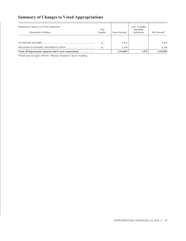# **Summary of Changes to Voted Appropriations**

| Department, Agency or Crown corporation<br>(thousands of dollars) | Vote<br>Number | Gross Amount       | Less: Available<br>Spending<br>Authorities | Net Amount*        |
|-------------------------------------------------------------------|----------------|--------------------|--------------------------------------------|--------------------|
|                                                                   |                |                    |                                            |                    |
|                                                                   | l a            | 3,414              | .                                          | 3,414              |
| Total, all departments, agencies and Crown corporations           | 5a             | 9.194<br>3,314,007 | .<br>1.972                                 | 9.194<br>3,312,035 |

\*Totals may not agree with the "Ministry Summary" due to rounding.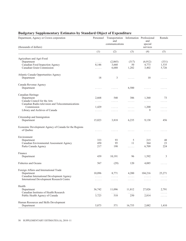| Department, Agency or Crown corporation                        | Personnel                          | Transportation Information Professional<br>and<br>communications |                                                                   | and<br>special                                     | Rentals                            |  |
|----------------------------------------------------------------|------------------------------------|------------------------------------------------------------------|-------------------------------------------------------------------|----------------------------------------------------|------------------------------------|--|
| (thousands of dollars)                                         |                                    |                                                                  |                                                                   | services                                           |                                    |  |
|                                                                | (1)                                | (2)                                                              | (3)                                                               | (4)                                                | (5)                                |  |
| Agriculture and Agri-Food                                      |                                    |                                                                  |                                                                   |                                                    |                                    |  |
| Department                                                     | .                                  | (2,065)                                                          | (317)                                                             | (6,912)                                            | (331)                              |  |
| Canadian Food Inspection Agency                                | 8,146                              | 3,660                                                            | 50                                                                | 4,773                                              | 1,535                              |  |
| Canadian Grain Commission                                      | .                                  | 6,688                                                            | 1,282                                                             | 3,402                                              | 5,726                              |  |
| Atlantic Canada Opportunities Agency                           |                                    |                                                                  |                                                                   |                                                    |                                    |  |
| Department                                                     | 18                                 | 3                                                                | $\mathbb{Z}^2$ . $\mathbb{Z}^2$ , $\mathbb{Z}^2$ , $\mathbb{Z}^2$ | 10                                                 | 1.1.1.1                            |  |
| Canada Revenue Agency                                          |                                    |                                                                  |                                                                   |                                                    |                                    |  |
| Department                                                     | .                                  | $\sim$ $\sim$ $\sim$ $\sim$ $\sim$                               | 6,500                                                             | $\mathbb{Z}^n$ . $\mathbb{Z}^n$ , $\mathbb{Z}^n$ , | .                                  |  |
| Canadian Heritage                                              |                                    |                                                                  |                                                                   |                                                    |                                    |  |
| Department                                                     | 2,668                              | 540                                                              | 386                                                               | 1,360                                              | 73                                 |  |
| Canada Council for the Arts                                    | .                                  | $\cdots$                                                         | $\sim$ $\sim$ $\sim$ $\sim$ $\sim$                                | $\ldots$                                           | 1.1.1.1                            |  |
| Canadian Radio-television and Telecommunications<br>Commission |                                    |                                                                  |                                                                   |                                                    |                                    |  |
| Library and Archives of Canada                                 | 1,429                              | .                                                                | $\ldots$                                                          | 1,200<br>9                                         | .                                  |  |
|                                                                | 1.1.1.1                            | .                                                                | .                                                                 |                                                    | .                                  |  |
| Citizenship and Immigration                                    |                                    |                                                                  |                                                                   |                                                    |                                    |  |
| Department                                                     | 15,023                             | 3,818                                                            | 6,235                                                             | 9,138                                              | 456                                |  |
| Economic Development Agency of Canada for the Regions          |                                    |                                                                  |                                                                   |                                                    |                                    |  |
| of Quebec                                                      | .                                  | .                                                                | .                                                                 | .                                                  | .                                  |  |
| Environment                                                    |                                    |                                                                  |                                                                   |                                                    |                                    |  |
| Department                                                     | 333                                | 93                                                               | 5                                                                 | 215                                                | 48                                 |  |
| Canadian Environmental Assessment Agency                       | 450                                | 95                                                               | 11                                                                | 364                                                | 23                                 |  |
| Parks Canada Agency                                            | 217                                | 198                                                              | $\ldots$                                                          | 6,709                                              | 224                                |  |
| Finance                                                        |                                    |                                                                  |                                                                   |                                                    |                                    |  |
| Department                                                     | 439                                | 10,191                                                           | 96                                                                | 1,592                                              | 3                                  |  |
| <b>Fisheries and Oceans</b>                                    | 567                                | (29)                                                             | 120                                                               | 4,085                                              | .                                  |  |
| Foreign Affairs and International Trade                        |                                    |                                                                  |                                                                   |                                                    |                                    |  |
| Department                                                     | 10,096                             | 8,771                                                            | 4,200                                                             | 104,216                                            | 25,271                             |  |
| Canadian International Development Agency                      | $\sim$ $\sim$ $\sim$ $\sim$ $\sim$ | $\cdots$                                                         | $\sim$ $\sim$ $\sim$ $\sim$ $\sim$                                | $\ldots$                                           | $\sim$ $\sim$ $\sim$ $\sim$ $\sim$ |  |
| International Development Research Centre                      | .                                  | $\alpha$ , $\alpha$ , $\alpha$                                   | $\alpha$ , $\alpha$ , $\alpha$                                    | $\ldots$                                           | .                                  |  |
| Health                                                         |                                    |                                                                  |                                                                   |                                                    |                                    |  |
| Department                                                     | 36,742                             | 11,096                                                           | 11,812                                                            | 27,026                                             | 2,791                              |  |
| Canadian Institutes of Health Research                         | .                                  | $\ldots$                                                         | $\sim$ $\sim$ $\sim$ $\sim$ $\sim$                                | .                                                  | .                                  |  |
| Public Health Agency of Canada                                 | 3,723                              | 518                                                              | 250                                                               | 2,814                                              | $\sim$ $\sim$ $\sim$ $\sim$ $\sim$ |  |
| Human Resources and Skills Development                         |                                    |                                                                  |                                                                   |                                                    |                                    |  |
| Department                                                     | 5,873                              | 571                                                              | 16,755                                                            | 2,082                                              | 1,410                              |  |

# **Budgetary Supplementary Estimates by Standard Object of Expenditure**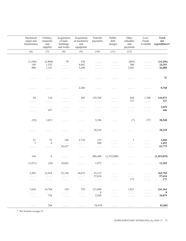| Purchased<br>repair and<br>maintenance | Utilities,<br>materials<br>and<br>supplies | Acquisition<br>of land,<br>buildings<br>and works | Acquisition<br>of machinery<br>and<br>equipment    | Transfer<br>payments               | Public<br>debt<br>charges                               | Other<br>subsidies<br>and<br>payments | Less:<br>Funds<br>Available                      | <b>Total</b><br>net<br>expenditures* |
|----------------------------------------|--------------------------------------------|---------------------------------------------------|----------------------------------------------------|------------------------------------|---------------------------------------------------------|---------------------------------------|--------------------------------------------------|--------------------------------------|
| (6)                                    | (7)                                        | (8)                                               | (9)                                                | (10)                               | (11)                                                    | (12)                                  |                                                  |                                      |
|                                        |                                            |                                                   |                                                    |                                    |                                                         |                                       |                                                  |                                      |
| (1, 548)                               | (2,804)                                    | 70                                                | 536                                                | $\sim$ $\sim$ $\sim$ $\sim$ $\sim$ | $\ldots$                                                | (885)                                 | $\ldots$                                         | (14,256)                             |
| 189                                    | 1,552                                      | $\ldots$                                          | 4,082                                              | $\sim$ $\sim$ $\sim$ $\sim$ $\sim$ | $\sim$ $\sim$ $\sim$ $\sim$ $\sim$                      | 306                                   | $\ldots$                                         | 24,293                               |
| 880                                    | 1,141                                      | $\ldots$                                          | 3,200                                              | $\ldots$                           | $\sim$ $\sim$ $\sim$ $\sim$ $\sim$                      | 3,681                                 | $\ldots$                                         | 26,000                               |
|                                        |                                            |                                                   |                                                    |                                    |                                                         |                                       |                                                  |                                      |
| $\sim$ $\sim$ $\sim$ $\sim$ $\sim$     | .                                          | .                                                 | $\cdots$                                           | .                                  | .                                                       | .                                     | $\ldots$                                         | 31                                   |
|                                        |                                            |                                                   | 2,268                                              |                                    |                                                         |                                       |                                                  | 8,768                                |
| $\ldots$                               | $\cdots$                                   | $\cdots$                                          |                                                    | $\ldots$                           | $\cdots$                                                | .                                     | $\sim$ $\sim$ $\sim$ $\sim$ $\sim$               |                                      |
| 94                                     | 134                                        | $\ldots$                                          | 285                                                | 139,769                            | $\cdots$                                                | 464                                   | 1,700                                            | 144,073                              |
| $\ldots$                               | $\alpha$ is a set of                       | $\ldots$                                          | $\sim$ $\sim$ $\sim$ $\sim$ $\sim$                 | $\sim$ $\sim$ $\sim$ $\sim$ $\sim$ | $\ldots$                                                | 127                                   | $\ldots$                                         | 127                                  |
| $\cdots$                               | $\cdots$                                   | $\cdots$                                          | $\cdots$                                           | $\cdots$                           | .                                                       | .                                     | 1.1.1.1                                          | 2,629                                |
| $\ldots$                               | 437                                        | $\sim$ $\sim$ $\sim$ $\sim$ $\sim$                | $\cdots$                                           | $\sim$ $\sim$ $\sim$ $\sim$ $\sim$ | .                                                       | .                                     | $\cdots$                                         | 446                                  |
|                                        |                                            |                                                   |                                                    |                                    |                                                         |                                       |                                                  |                                      |
| (52)                                   | 1,013                                      | $\ldots$                                          | $\ldots$                                           | 3,196                              | $\ldots$                                                | (7)                                   | 272                                              | 38,548                               |
| .                                      | .                                          | .                                                 | $\ldots$                                           | 38,218                             | $\ldots$                                                | .                                     | $\ldots$                                         | 38,218                               |
|                                        |                                            |                                                   |                                                    |                                    |                                                         |                                       |                                                  |                                      |
| 21                                     | 53                                         | 140                                               | 2,710                                              | 235                                | $\cdots$                                                | 7                                     | $\mathbb{Z}^n$ . In the $\mathbb{Z}^n$           | 3,860                                |
| 3                                      | 6                                          | $\ldots$                                          | $\mathbb{Z}^2$ . $\mathbb{Z}^2$ , $\mathbb{Z}^2$   | 500                                | $\sim$ $\sim$ $\sim$ $\sim$ $\sim$                      | $\cdots$                              | $\ldots$                                         | 1,452                                |
| $\sim$ $\sim$ $\sim$ $\sim$ $\sim$     | .                                          | 56,427                                            | $\sim$ $\sim$ $\sim$ $\sim$ $\sim$                 | $\dots$                            | $\ldots$                                                | $\cdots$                              | $\sim$ $\sim$ $\sim$ $\sim$ $\sim$               | 63,775                               |
| 144                                    | $8\,$                                      |                                                   | $\ldots$                                           | 886,488                            | (2,352,000)                                             | .                                     | $\ldots$                                         | (1,453,039)                          |
|                                        |                                            | $\sim$ $\sim$ $\sim$ $\sim$ $\sim$                |                                                    |                                    |                                                         |                                       |                                                  |                                      |
| (5,251)                                | (58)                                       | 10,863                                            | $\sim$ $\sim$ $\sim$ $\sim$ $\sim$                 | 1,972                              | $\sim$ $\sim$ $\sim$ $\sim$ $\sim$                      | .                                     | $\ldots$                                         | 12,269                               |
| 3,205                                  | 12,918                                     | 53,330                                            | 10,675                                             | 33,112                             |                                                         |                                       |                                                  | 265,794                              |
| $\alpha$ is a set of                   | $\alpha$ is a set of                       | $\alpha$ is a set of                              | $\ldots$                                           | 57,634                             | $\ldots$<br>.                                           | $\ldots$<br>$\alpha$ is a set of      | $\ldots$<br>.                                    | 57,634                               |
| $\sim$ $\sim$ $\sim$ $\sim$ $\sim$     | $\ldots$                                   | $\ldots$                                          | $\ldots$                                           | $\alpha$ , $\alpha$ , $\alpha$     | $\sim$ $\sim$ $\sim$ $\sim$ $\sim$                      | 172                                   | $\ldots$                                         | 172                                  |
|                                        |                                            |                                                   |                                                    |                                    |                                                         |                                       |                                                  |                                      |
| 7,624                                  | 14,704                                     | 129                                               | 729                                                | 127,690<br>8                       | $\cdots$                                                | 1,021                                 | 1.1.1.1                                          | 241,364<br>8                         |
| $\ldots$<br>$\ldots$                   | $\dots$<br>754                             | $\ldots$<br>$\ldots$                              | $\epsilon$ , $\epsilon$ , $\epsilon$ ,<br>$\cdots$ | 2,820                              | .<br>$\mathbb{Z}^n$ . $\mathbb{Z}^n$ , $\mathbb{Z}^n$ , | .<br>$\ldots$                         | .<br>.                                           | 10,879                               |
|                                        |                                            |                                                   |                                                    |                                    |                                                         |                                       |                                                  |                                      |
| $\sim$ $\sim$ $\sim$ $\sim$ $\sim$     | 284                                        | $\sim$ $\sim$ $\sim$ $\sim$ $\sim$                | $\sim$ $\sim$ $\sim$ $\sim$ $\sim$                 | 54,870                             | $\sim$ $\sim$ $\sim$ $\sim$ $\sim$                      | $\sim$ $\sim$ $\sim$ $\sim$ $\sim$    | $\mathbb{Z}^2$ . $\mathbb{Z}^2$ , $\mathbb{Z}^2$ | 81,845                               |

\* See footnote on page 55.

### SUPPLEMENTARY ESTIMATES (A), 2010–11 51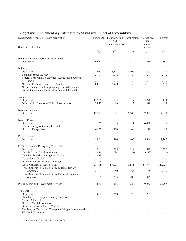| Department, Agency or Crown corporation<br>(thousands of dollars)         | Personnel                               | Transportation Information Professional<br>and<br>communications                           |                                                                          | and<br>special<br>services              | Rentals                                                                  |
|---------------------------------------------------------------------------|-----------------------------------------|--------------------------------------------------------------------------------------------|--------------------------------------------------------------------------|-----------------------------------------|--------------------------------------------------------------------------|
|                                                                           | (1)                                     | (2)                                                                                        | (3)                                                                      | (4)                                     | (5)                                                                      |
|                                                                           |                                         |                                                                                            |                                                                          |                                         |                                                                          |
| Indian Affairs and Northern Development<br>Department                     | 6,670                                   | 898                                                                                        | 349                                                                      | 5,039                                   | 193                                                                      |
| Industry                                                                  |                                         |                                                                                            |                                                                          |                                         |                                                                          |
| Department                                                                | 1,055                                   | 8,427                                                                                      | 1,006                                                                    | 13,863                                  | 510                                                                      |
| Canadian Space Agency<br>Federal Economic Development Agency for Southern | .                                       | $\alpha$ , $\alpha$ , $\alpha$                                                             | $\alpha$ is a set of                                                     | $\sim$ $\sim$ $\sim$ $\sim$ $\sim$      | $\ldots$                                                                 |
| Ontario<br>National Research Council of Canada                            | $\ldots$<br>28,079                      | .<br>2,910                                                                                 | $\ldots$<br>452                                                          | $\cdots$<br>5,164                       | .<br>437                                                                 |
| Natural Sciences and Engineering Research Council                         |                                         |                                                                                            |                                                                          |                                         |                                                                          |
| Social Sciences and Humanities Research Council                           | $\sim$ $\sim$ $\sim$ $\sim$ $\sim$<br>. | $\sim$ $\sim$ $\sim$ $\sim$ $\sim$<br>$\ldots$                                             | $\sim$ $\sim$ $\sim$ $\sim$ $\sim$<br>$\cdots$                           | $\cdots$<br>$\cdots\cdots\cdots$        | $\sim$ $\sim$ $\sim$ $\sim$ $\sim$<br>$\ldots$                           |
|                                                                           |                                         |                                                                                            |                                                                          |                                         |                                                                          |
| Justice                                                                   |                                         |                                                                                            |                                                                          |                                         |                                                                          |
| Department                                                                | 14,956                                  | 1,574                                                                                      | 317                                                                      | 3,278                                   | 144                                                                      |
| Office of the Director of Public Prosecutions                             | 3,840                                   | 96                                                                                         | 12                                                                       | 640                                     | 28                                                                       |
| National Defence                                                          |                                         |                                                                                            |                                                                          |                                         |                                                                          |
| Department                                                                | 13,781                                  | 11,111                                                                                     | 6,500                                                                    | 7,852                                   | 7,950                                                                    |
|                                                                           |                                         |                                                                                            |                                                                          |                                         |                                                                          |
| <b>Natural Resources</b>                                                  |                                         |                                                                                            |                                                                          |                                         |                                                                          |
| Department                                                                | 1,125                                   | 35                                                                                         | 1                                                                        | 14,460                                  | 5                                                                        |
| Atomic Energy of Canada Limited                                           | .                                       | .                                                                                          | .                                                                        | .                                       | .                                                                        |
| National Energy Board                                                     | 4,120                                   | 810                                                                                        | 60                                                                       | 1,110                                   | 90                                                                       |
| Privy Council                                                             |                                         |                                                                                            |                                                                          |                                         |                                                                          |
| Department                                                                | 1,866                                   | 390                                                                                        | 606                                                                      | 5,906                                   | 1,107                                                                    |
|                                                                           |                                         |                                                                                            |                                                                          |                                         |                                                                          |
| Public Safety and Emergency Preparedness                                  |                                         |                                                                                            |                                                                          |                                         |                                                                          |
| Department                                                                | 216                                     | 288                                                                                        | 129                                                                      | 843                                     | 272                                                                      |
| Canada Border Services Agency<br>Canadian Security Intelligence Service   | 2,984<br>1,433                          | (99)                                                                                       | (3)                                                                      | (358)                                   | (8)                                                                      |
| Correctional Service                                                      | .                                       | $\mathbb{Z}^2$ . $\mathbb{Z}^2$ , $\mathbb{Z}^2$<br>$\mathbb{Z}^n$ . In the $\mathbb{Z}^n$ | $\sim$ $\sim$ $\sim$ $\sim$ $\sim$<br>$\sim$ $\sim$ $\sim$ $\sim$ $\sim$ | .<br>$\sim$ $\sim$ $\sim$ $\sim$ $\sim$ | $\sim$ $\sim$ $\sim$ $\sim$ $\sim$<br>$\sim$ $\sim$ $\sim$ $\sim$ $\sim$ |
| Office of the Correctional Investigator                                   | 298                                     | 8                                                                                          | .                                                                        | 65                                      | $\sim$ $\sim$ $\sim$ $\sim$ $\sim$                                       |
| Royal Canadian Mounted Police                                             | 121,455                                 | 57,606                                                                                     | 1,541                                                                    | 84,974                                  | 20,625                                                                   |
| Royal Canadian Mounted Police External Review                             |                                         |                                                                                            |                                                                          |                                         |                                                                          |
| Committee                                                                 | $\cdots\cdots\cdots$                    | 50                                                                                         | 65                                                                       | 135                                     | $\sim$ $\sim$ $\sim$ $\sim$ $\sim$                                       |
| Royal Canadian Mounted Police Public Complaints                           |                                         |                                                                                            |                                                                          |                                         |                                                                          |
| Commission                                                                | 1,465                                   | 283                                                                                        | 200                                                                      | 345                                     | .                                                                        |
| <b>Public Works and Government Services</b>                               | 872                                     | 365                                                                                        | 224                                                                      | 9,232                                   | 30,907                                                                   |
| Transport                                                                 |                                         |                                                                                            |                                                                          |                                         |                                                                          |
| Department                                                                | 670                                     | 268                                                                                        | 70                                                                       | 201                                     | $\sim$ $\sim$ $\sim$ $\sim$ $\sim$                                       |
| Canadian Air Transport Security Authority                                 | .                                       | $\mathbb{Z}^2$ . $\mathbb{Z}^2$ , $\mathbb{Z}^2$ , $\mathbb{Z}^2$                          | $\ldots$                                                                 | .                                       | $\cdots$                                                                 |
| Marine Atlantic Inc.                                                      | .                                       | 1.1.1.1                                                                                    | $\cdots$                                                                 | .                                       | .                                                                        |
| National Capital Commission                                               | .                                       | .                                                                                          | $\cdots$                                                                 | .                                       | .                                                                        |
| Office of Infrastructure of Canada                                        | .                                       | .                                                                                          | $\cdots$                                                                 | .                                       | $\cdots\cdots\cdots$                                                     |
| The Jacques Cartier and Champlain Bridges Incorporated                    | .                                       | .                                                                                          | .                                                                        | .                                       | .                                                                        |
| VIA Rail Canada Inc.                                                      | .                                       | .                                                                                          | .                                                                        | .                                       | .                                                                        |

# **Budgetary Supplementary Estimates by Standard Object of Expenditure**

52 SUPPLEMENTARY ESTIMATES (A), 2010–11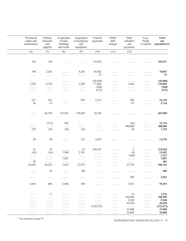| Purchased<br>repair and<br>maintenance      | Utilities,<br>materials<br>and<br>supplies       | Acquisition<br>of land,<br>buildings<br>and works               | Acquisition<br>of machinery<br>and<br>equipment  | Transfer<br>payments                                       | Public<br>debt<br>charges                                                | Other<br>subsidies<br>and<br>payments            | Less:<br>Funds<br>Available                      | <b>Total</b><br>net<br>expenditures* |
|---------------------------------------------|--------------------------------------------------|-----------------------------------------------------------------|--------------------------------------------------|------------------------------------------------------------|--------------------------------------------------------------------------|--------------------------------------------------|--------------------------------------------------|--------------------------------------|
| (6)                                         | (7)                                              | (8)                                                             | (9)                                              | (10)                                                       | (11)                                                                     | (12)                                             |                                                  |                                      |
|                                             |                                                  |                                                                 |                                                  |                                                            |                                                                          |                                                  |                                                  |                                      |
| 102                                         | 140                                              | .                                                               | .                                                | 170,426                                                    | $\sim$ $\sim$ $\sim$ $\sim$ $\sim$                                       | .                                                | $\ldots$                                         | 183,817                              |
| 700                                         | 2,182                                            | .                                                               | 4,262                                            | 44,862                                                     | $\sim$ $\sim$ $\sim$ $\sim$ $\sim$                                       | .                                                | $\sim$ $\sim$ $\sim$ $\sim$ $\sim$               | 76,867                               |
| $\sim$ $\sim$ $\sim$ $\sim$ $\sim$          | $\sim$ $\sim$ $\sim$ $\sim$ $\sim$               | $\sim$ $\sim$ $\sim$ $\sim$ $\sim$                              | $\sim$ $\sim$ $\sim$ $\sim$ $\sim$               | 35                                                         | $\sim$ $\sim$ $\sim$ $\sim$ $\sim$                                       | $\ldots$                                         | $\sim$ $\sim$ $\sim$ $\sim$ $\sim$               | 35                                   |
| $\sim$ $\sim$ $\sim$ $\sim$ $\sim$<br>1,785 | $\sim$ $\sim$ $\sim$ $\sim$ $\sim$<br>8,158      | $\cdots$<br>$\cdots$                                            | $\ldots$<br>3,439                                | (45,000)<br>77,806                                         | $\sim$ $\sim$ $\sim$ $\sim$ $\sim$<br>$\sim$ $\sim$ $\sim$ $\sim$ $\sim$ | $\ldots$<br>1,669                                | $\ldots$<br>$\ldots$                             | (45,000)<br>129,899                  |
| $\sim$ $\sim$ $\sim$ $\sim$ $\sim$          | $\sim$ $\sim$ $\sim$ $\sim$ $\sim$               | $\sim$ $\sim$ $\sim$ $\sim$ $\sim$                              | $\sim$ $\sim$ $\sim$ $\sim$ $\sim$               | (508)                                                      | $\sim$ $\sim$ $\sim$ $\sim$ $\sim$                                       | $\alpha$ , $\alpha$ , $\alpha$                   | $\ldots$                                         | (508)                                |
| $\sim$ $\sim$ $\sim$ $\sim$ $\sim$          | $\sim$ $\sim$ $\sim$ $\sim$ $\sim$               | $\sim$ $\sim$ $\sim$ $\sim$ $\sim$                              | $\ldots$                                         | (575)                                                      | $\sim$ $\sim$ $\sim$ $\sim$ $\sim$                                       | $\ldots$                                         | $\ldots$                                         | (575)                                |
| 227                                         | 412                                              | $\mathbb{Z}^2$ . The set of $\mathbb{Z}^2$                      | 907                                              | 2,215                                                      | .                                                                        | 280                                              | $\ldots$                                         | 24,310                               |
| 26                                          | 15                                               | $\sim$ $\sim$ $\sim$ $\sim$                                     | $\sim$ $\sim$ $\sim$ $\sim$ $\sim$               | $\alpha$ , $\alpha$ , $\alpha$                             | $\sim$ $\sim$ $\sim$ $\sim$ $\sim$                                       | 87                                               | $\ldots$                                         | 4,744                                |
| $\alpha$ is a set of                        | 26,538                                           | 176,941                                                         | 138,849                                          | 18,386                                                     | $\ldots$                                                                 | .                                                | $\ldots$                                         | 407,908                              |
| .                                           | (712)                                            | 902                                                             | $\mathbb{Z}^2$ . $\mathbb{Z}^2$ , $\mathbb{Z}^2$ | $\sim$ $\sim$ $\sim$ $\sim$ $\sim$                         | $\sim$ $\sim$ $\sim$ $\sim$ $\sim$                                       | (62)                                             | $\ldots$                                         | 15,754                               |
| $\sim$ $\sim$ $\sim$ $\sim$ $\sim$          | $\ldots$                                         | $\ldots$                                                        | $\sim$ $\sim$ $\sim$ $\sim$ $\sim$               | .                                                          | $\alpha$ is a set of                                                     | 300,000                                          | $\ldots$                                         | 300,000                              |
| 270                                         | 120                                              | 180                                                             | 330                                              | $\alpha$ , $\alpha$ , $\alpha$                             | $\sim$ $\sim$ $\sim$ $\sim$ $\sim$                                       | 30                                               | $\alpha$ is a set of                             | 7,120                                |
| 30                                          | $30\,$                                           | .                                                               | 212                                              | 3,423                                                      | .                                                                        | .                                                | $\sim$ $\sim$ $\sim$ $\sim$ $\sim$               | 13,570                               |
| 41                                          | 39                                               | .                                                               | 83                                               | 230,105                                                    | $\ldots$                                                                 | 2                                                | $\ldots$                                         | 232,018                              |
| (43)                                        | (36)                                             | 7,500                                                           | 2,763                                            | $\sim$ $\sim$ $\sim$ $\sim$ $\sim$                         | $\alpha$ , $\alpha$ , $\alpha$ , $\alpha$                                | (8)                                              | $\mathbb{Z}^2$ . $\mathbb{Z}^2$ , $\mathbb{Z}^2$ | 12,692                               |
| $\sim$ $\sim$ $\sim$ $\sim$ $\sim$          | $\mathbb{Z}^n$ . In the $\mathbb{Z}^n$           | $\mathcal{L}(\mathcal{L}(\mathcal{L},\mathcal{L},\mathcal{L}))$ | $\sim$ $\sim$ $\sim$ $\sim$ $\sim$               | $\sim$ $\sim$ $\sim$ $\sim$ $\sim$                         | $\sim$ $\sim$ $\sim$ $\sim$ $\sim$                                       | (106)                                            | $\sim$ $\sim$ $\sim$ $\sim$ $\sim$               | 1,327                                |
| $\ldots$<br>30                              | $\mathbb{Z}^2$ . $\mathbb{Z}^2$ , $\mathbb{Z}^2$ | 7,897                                                           | $\alpha$ , $\alpha$ , $\alpha$                   | $\sim$ $\sim$ $\sim$ $\sim$ $\sim$                         | $\sim$ $\sim$ $\sim$ $\sim$ $\sim$                                       | $\mathbb{Z}^2$ . $\mathbb{Z}^2$ , $\mathbb{Z}^2$ | $\ldots$                                         | 7,897<br>401                         |
| 24,992                                      | $\alpha$ , $\alpha$ , $\alpha$<br>30,225         | .<br>3,615                                                      | $\alpha$ , $\alpha$ , $\alpha$<br>13,975         | $\sim$ $\sim$ $\sim$ $\sim$ $\sim$<br>$\alpha$ is a set of | $\sim$ $\sim$ $\sim$ $\sim$ $\sim$<br>$\ldots$                           | $\ldots$<br>21,754                               | $\sim$ $\sim$ $\sim$ $\sim$ $\sim$<br>$\ldots$   | 380,762                              |
| .                                           | 50                                               | $\cdots$                                                        | $180\,$                                          |                                                            |                                                                          |                                                  |                                                  | 480                                  |
| $\cdots$                                    | $\cdots$                                         | .                                                               | .                                                | .                                                          | $\ldots$                                                                 | 368                                              | $\ldots$                                         | 2,661                                |
|                                             |                                                  |                                                                 |                                                  |                                                            |                                                                          |                                                  |                                                  |                                      |
| 9,693                                       | 494                                              | 3,046                                                           | 589                                              | .                                                          | $\ldots$                                                                 | 3,931                                            | $\cdots$                                         | 59,353                               |
| .                                           | 11                                               | .                                                               | .                                                | .                                                          | .                                                                        | 14                                               | .                                                | 1,234                                |
| $\cdots\cdots\cdots$                        | $\cdots\cdots\cdots$                             | $\cdots\cdots\cdots$                                            | .                                                | .                                                          | $\sim$ $\sim$ $\sim$ $\sim$ $\sim$                                       | 350,999                                          | $\alpha$ is a set of                             | 350,999                              |
| $\sim$ $\sim$ $\sim$ $\sim$ $\sim$          | $\sim$ $\sim$ $\sim$ $\sim$ $\sim$               | $\sim$ $\sim$ $\sim$ $\sim$ $\sim$                              | $\cdots\cdots\cdots$                             | $\sim$ $\sim$ $\sim$ $\sim$ $\sim$                         | $\sim$ $\sim$ $\sim$ $\sim$ $\sim$                                       | 9,240                                            | $\ldots$                                         | 9,240                                |
| $\cdots\cdots\cdots$                        | $\cdots$<br>.                                    | .<br>.                                                          | .<br>.                                           | $\sim$ $\sim$ $\sim$ $\sim$ $\sim$<br>(122, 672)           | $\ldots$<br>$\mathbb{Z}^n$ . $\mathbb{Z}^n$ , $\mathbb{Z}^n$ ,           | 45,650<br>$\alpha$ , $\alpha$ , $\alpha$         | $\ldots$<br>$\ldots$                             | 45,650<br>(122, 672)                 |
| .<br>$\sim$ $\sim$ $\sim$ $\sim$ $\sim$     | $\sim$ $\sim$ $\sim$ $\sim$ $\sim$               | $\cdots\cdots\cdots$                                            | $\sim$ $\sim$ $\sim$ $\sim$ $\sim$               | $\sim$ $\sim$ $\sim$ $\sim$ $\sim$                         | $\ldots$                                                                 | 31,800                                           | $\sim$ $\sim$ $\sim$ $\sim$ $\sim$               | 31,800                               |
| $\sim$ $\sim$ $\sim$ $\sim$ $\sim$          | $\sim$ $\sim$ $\sim$ $\sim$ $\sim$               | $\sim$ $\sim$ $\sim$ $\sim$ $\sim$                              | $\sim$ $\sim$ $\sim$ $\sim$ $\sim$               | $\sim$ $\sim$ $\sim$ $\sim$ $\sim$                         | $\sim$ $\sim$ $\sim$ $\sim$ $\sim$                                       | 26,800                                           | $\ldots$                                         | 26,800                               |

\* See footnote on page 55. SUPPLEMENTARY ESTIMATES (A), 2010–11 53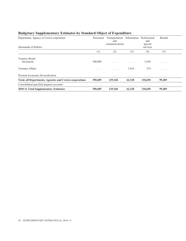| Department, Agency or Crown corporation<br>(thousands of dollars) | Personnel | Transportation<br>and<br>communications | Information | Professional<br>and<br>special<br>services | Rentals |
|-------------------------------------------------------------------|-----------|-----------------------------------------|-------------|--------------------------------------------|---------|
|                                                                   | (1)       | (2)                                     | (3)         | (4)                                        | (5)     |
| Treasury Board<br>Secretariat                                     | 100,000   | .                                       | .           | 3,544                                      | .       |
| Veterans Affairs                                                  | .         | .                                       | 3,414       | 274                                        | .       |
| Western Economic Diversification                                  | .         | .                                       | .           | .                                          | .       |
| <b>Total, all Departments, Agencies and Crown corporations</b>    | 390,609   | 129,168                                 | 62,328      | 318,650                                    | 99,489  |
| Consolidated specified purpose accounts                           | .         | .                                       | .           | .                                          | .       |
| 2010-11 Total Supplementary Estimates                             | 390,609   | 129,168                                 | 62,328      | 318,650                                    | 99,489  |

# **Budgetary Supplementary Estimates by Standard Object of Expenditure**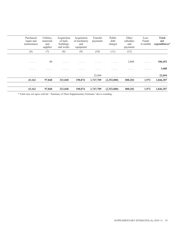| Purchased<br>repair and<br>maintenance | Utilities,<br>materials<br>and<br>supplies | Acquisition<br>of land,<br>buildings<br>and works | Acquisition<br>of machinery<br>and<br>equipment | Transfer<br>payments | Public<br>debt<br>charges | Other<br>subsidies<br>and<br>payments | Less:<br>Funds<br>Available | <b>Total</b><br>net<br>expenditures* |
|----------------------------------------|--------------------------------------------|---------------------------------------------------|-------------------------------------------------|----------------------|---------------------------|---------------------------------------|-----------------------------|--------------------------------------|
| (6)                                    | (7)                                        | (8)                                               | (9)                                             | (10)                 | (11)                      | (12)                                  |                             |                                      |
| .                                      | 40                                         | .                                                 | .                                               | .                    | .                         | 2,868                                 | $\ldots$                    | 106,452                              |
| .                                      | .                                          | .                                                 | .                                               | .                    | .                         | .                                     | .                           | 3,688                                |
| .                                      | .                                          | .                                                 | .                                               | 22,694               | .                         | .                                     | .                           | 22,694                               |
| 43,162                                 | 97,848                                     | 321,040                                           | 190,074                                         | 1,747,709            | (2,352,000)               | 800,202                               | 1,972                       | 1,846,307                            |
| .                                      | .                                          | .                                                 | .                                               | .                    | .                         | .                                     | .                           | .                                    |
| 43,162                                 | 97,848                                     | 321,040                                           | 190,074                                         | 1,747,709            | (2,352,000)               | 800,202                               | 1,972                       | 1,846,307                            |

\* Totals may not agree with the " Summary of These Supplementary Estimates" due to rounding.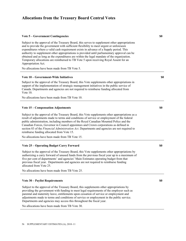## **Allocations from the Treasury Board Central Votes**

#### **Vote 5 – Government Contingencies \$0**

Subject to the approval of the Treasury Board, this serves to supplement other appropriations and to provide the government with sufficient flexibility to meet urgent or unforeseen expenditures where a valid cash requirement exists in advance of a Supply period. This authority to supplement other appropriations is provided until parliamentary approval can be obtained and as long as the expenditures are within the legal mandate of the organization. Temporary allocations are reimbursed to TB Vote 5 upon receiving Royal Assent for an Appropriation Act.

No allocations have been made from TB Vote 5.

#### **Vote 10 – Government-Wide Initiatives \$0**

Subject to the approval of the Treasury Board, this Vote supplements other appropriations in support of the implementation of strategic management initiatives in the public service of Canada. Departments and agencies are not required to reimburse funding allocated from Vote 10.

No allocations have been made from TB Vote 10.

#### **Vote 15 – Compensation Adjustments**  $\qquad$  **80**

Subject to the approval of the Treasury Board, this Vote supplements other appropriations as a result of adjustments made to terms and conditions of service or employment of the federal public administration, including members of the Royal Canadian Mounted Police and the Canadian Forces, Governor in Council appointees and Crown corporations as defined in section 83 of the *Financial Administration Act*. Departments and agencies are not required to reimburse funding allocated from Vote 15.

No allocations have been made from TB Vote 15.

### **Vote 25 – Operating Budget Carry Forward**  $\bullet$  **80**  $\bullet$  **80**  $\bullet$  **80**  $\bullet$  **80**  $\bullet$  **80**  $\bullet$  **80**  $\bullet$  **80**  $\bullet$  **80**  $\bullet$  **80**  $\bullet$  **80**  $\bullet$  **80**  $\bullet$  **80**  $\bullet$  **80**  $\bullet$  **80**  $\bullet$  **80**  $\bullet$  **80**  $\bullet$  **80**  $\bullet$  **80**  $\bullet$  **80**  $\bullet$  **80**  $\bullet$  **80**  $\bullet$  **80**  $\bullet$

Subject to the approval of the Treasury Board, this Vote supplements other appropriations by authorizing a carry forward of unused funds from the previous fiscal year up to a maximum of five per cent of departments' and agencies' Main Estimates operating budget from that previous fiscal year. Departments and agencies are not required to reimburse funding allocated from Vote 25.

No allocations have been made from TB Vote 25.

#### **Vote 30 – Paylist Requirements**  $\qquad$  **80**

Subject to the approval of the Treasury Board, this supplements other appropriations by providing the government with funding to meet legal requirements of the employer such as parental and maternity leave, entitlements upon cessation of service or employment and adjustments made to terms and conditions of service or employment in the public service. Departments and agencies may access this throughout the fiscal year.

No allocations have been made from TB Vote 30.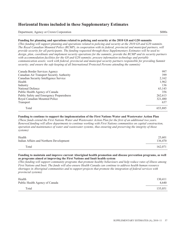Department, Agency or Crown Corporation \$000s

### **Funding for planning and operations related to policing and security at the 2010 G8 and G20 summits**

*(This funding will support planning and operations related to policing and security at the 2010 G8 and G20 summits. The Royal Canadian Mounted Police (RCMP), in cooperation with its federal, provincial and municipal partners, will provide security for all participants. The funding requested through these Supplementary Estimates will be used to: design, plan, coordinate and implement security operations for the summits; provide the RCMP and its security partners with accommodation facilities for the G8 and G20 summits; procure information technology and portable communication assets; work with federal, provincial and municipal security partners responsible for providing Summit security; and ensure the safe keeping of all International Protected Persons attending the summits)*

| Canada Border Services Agency             | 997     |
|-------------------------------------------|---------|
| Canadian Air Transport Security Authority | 399     |
| Canadian Security Intelligence Service    | 2,162   |
| Health                                    | 1,962   |
| Industry                                  | 136     |
| National Defence                          | 63,143  |
| Public Health Agency of Canada            | 356     |
| Public Safety and Emergency Preparedness  | 262.613 |
| Royal Canadian Mounted Police             | 321,480 |
| Transport                                 | 637     |
| Total                                     | 653,885 |

### **Funding to continue to support the implementation of the First Nations Water and Wastewater Action Plan**

*(These funds extend the First Nations Water and Wastewater Action Plan for the first of an additional two years. Renewed funding will allow departments to continue working with First Nations communities on capital construction, operation and maintenance of water and wastewater systems, thus ensuring and preserving the integrity of those systems)*

| Health                                  | 25,601  |
|-----------------------------------------|---------|
| Indian Affairs and Northern Development | 136,470 |
| Total                                   | 162,071 |

### **Funding to maintain and improve current Aboriginal health promotion and disease prevention programs, as well as programs aimed at improving the First Nations and Inuit health system**

*(This funding will support community programs that promote healthy behaviours and help reduce rates of illness among First Nations and Inuit. The funds will also ensure Health Canada can continue to address health human resource shortages in Aboriginal communities and to support projects that promote the integration of federal services with provincial systems)*

| Health                         | 130,411 |
|--------------------------------|---------|
| Public Health Agency of Canada | 4.640   |
| Total                          | 135,051 |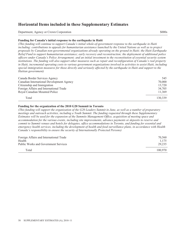Department, Agency or Crown Corporation \$000s

#### **Funding for Canada's initial response to the earthquake in Haiti**

*(This funding will continue to support Canada's initial whole-of-government response to the earthquake in Haiti including: contributions to appeals for humanitarian assistance launched by the United Nations as well as to project proposals by Canadian non-governmental organizations already operating on the ground in Haiti; the Haiti Earthquake Relief Fund to support humanitarian assistance; early recovery and reconstruction; the deployment of additional police officers under Canada's Police Arrangement; and an initial investment to the reconstitution of essential security system institutions. The funding will also support other measures such as repair and reconfiguration of Canada's real property in Haiti, incremental operating costs to various government organizations involved in activities to assist Haiti, including special immigration measures for those directly and seriously affected by the earthquake in Haiti and support to the Haitian government)*

| Canada Border Services Agency             | 545     |
|-------------------------------------------|---------|
| Canadian International Development Agency | 70,000  |
| Citizenship and Immigration               | 13.720  |
| Foreign Affairs and International Trade   | 34.705  |
| Royal Canadian Mounted Police             | 11,369  |
| Total                                     | 130.339 |

### **Funding for the organization of the 2010 G20 Summit in Toronto**

*(This funding will support the organization of the G20 Leaders Summit in June, as well as a number of preparatory meetings and outreach activities, including a Youth Summit. The funding requested through these Supplementary Estimates will be used for the expansion of the Summits Management Office, acquisition of meeting space and accommodation for the various events, including site improvements, advance payments or deposits to reserve and commit to Summit venues and hotels for delegates, office accommodations in Toronto, and funding for essential and emergency health services, including the development of health and food surveillance plans, in accordance with Health Canada's responsibility to ensure the security of Internationally Protected Persons)*

| Foreign Affairs and International Trade     | 70.560  |
|---------------------------------------------|---------|
| Health                                      | 1.175   |
| <b>Public Works and Government Services</b> | 29.235  |
| Total                                       | 100.970 |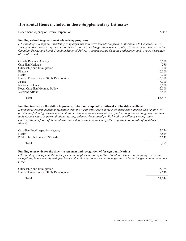Department, Agency or Crown Corporation \$000s

### **Funding related to government advertising programs**

*(This funding will support advertising campaigns and initiatives intended to provide information to Canadians on a variety of government programs and services as well as on changes to income tax policy, to recruit new members to the Canadian Forces and Royal Canadian Mounted Police, to commemorate Canadian milestones, and to raise awareness of social issues)*

| Canada Revenue Agency                  | 6,500  |
|----------------------------------------|--------|
| Canadian Heritage                      | 250    |
| Citizenship and Immigration            | 6,000  |
| Finance                                | 10,000 |
| Health                                 | 8,000  |
| Human Resources and Skills Development | 16,750 |
| Justice                                | 6,000  |
| National Defence                       | 6,500  |
| Royal Canadian Mounted Police          | 2,000  |
| Veterans Affairs                       | 3,414  |
| Total                                  | 65.414 |

### **Funding to enhance the ability to prevent, detect and respond to outbreaks of food-borne illness**

*(Pursuant to recommendations stemming from the Weatherill Report of the 2008 listeriosis outbreak, this funding will provide the federal government with additional capacity to hire more meat inspectors, improve training programs and tools for inspectors, support additional testing, enhance the national public health surveillance system, allow modernization of food safety standards, and enhance capacity to manage the response to outbreaks of food-borne illness)*

| Canadian Food Inspection Agency<br>Health | 17.056<br>3.854 |
|-------------------------------------------|-----------------|
| Public Health Agency of Canada            | 6.045           |
| Total                                     | 26,955          |

### **Funding to provide for the timely assessment and recognition of foreign qualifications**

*(This funding will support the development and implementation of a Pan-Canadian Framework on foreign credential recognition, in partnership with provinces and territories, to ensure that immigrants are better integrated into the labour force)*

| Citizenship and Immigration            | 5.774  |
|----------------------------------------|--------|
| Human Resources and Skills Development | 18,270 |
| Total                                  | 24.044 |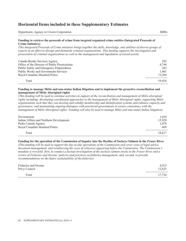Department, Agency or Crown Corporation \$000s

### **Funding to retrieve the proceeds of crime from targeted organized crime entities (Integrated Proceeds of Crime Initiative)**

*(The Integrated Proceeds of Crime initiative brings together the skills, knowledge, and abilities of diverse groups of experts in an effort to disrupt and dismantle criminal organizations. This funding supports the investigation and prosecution of criminal organizations as well as the management and liquidation of seized assets)*

| Canada Border Services Agency                 | 292    |
|-----------------------------------------------|--------|
| Office of the Director of Public Prosecutions | 4.744  |
| Public Safety and Emergency Preparedness      | 283    |
| <b>Public Works and Government Services</b>   | 1.401  |
| Royal Canadian Mounted Police                 | 13.204 |
| Total                                         | 19.924 |

#### **Funding to manage Métis and non-status Indian litigation and to implement the proactive reconciliation and management of Métis Aboriginal rights**

*(This funding will be used to continue activities in support of the reconciliation and management of Métis aboriginal rights including: developing coordinated approaches to the management of Métis Aboriginal rights; supporting Métis organizations such that they can develop and solidify membership and identification systems and enhance capacity and governance; and maintaining ongoing dialogues with provincial governments to ensure consistency with the management of Métis Aboriginal rights. Funding will also be used to manage Métis and non-status Indian litigation)*

| Environment                             | 1.010  |
|-----------------------------------------|--------|
| Indian Affairs and Northern Development | 15.920 |
| Parks Canada Agency                     | 1.078  |
| Royal Canadian Mounted Police           | 609    |
| Total                                   | 18.617 |

## **Funding for the operation of the Commission of Inquiry into the Decline of Sockeye Salmon in the Fraser River**

*(This funding will be used to support the day-to-day operations of the Commission and cover costs of legal advice, document management, and reimbursing the costs of witnesses appearing before the Commission. The Commission's mandate is two-fold: first, to conduct a factual investigation of the sockeye salmon stocks in the Fraser River and a review of Fisheries and Oceans' policies and practices on fisheries management; and, second, to provide recommendations on the future sustainability of the fisheries)*

| Fisheries and Oceans | 4.913  |
|----------------------|--------|
| Privy Council        | 12,823 |
| Total                | 17,736 |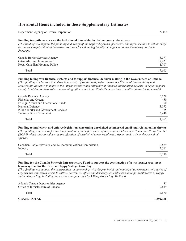Department, Agency or Crown Corporation \$000s

#### **Funding to continue work on the inclusion of biometrics in the temporary visa stream**

*(This funding will support the planning and design of the required systems, processes, and infrastructure to set the stage for the successful rollout of biometrics as a tool for enhancing identity management in the Temporary Resident Program)*

| Canada Border Services Agency | 3.077  |
|-------------------------------|--------|
| Citizenship and Immigration   | 12.821 |
| Royal Canadian Mounted Police | 1.707  |
| Total                         | 17.605 |

#### **Funding to improve financial systems and to support financial decision-making in the Government of Canada**

*(This funding will be used to undertake a variety of studies and projects under the Financial Interopability and Stewardship Initiative to improve the interoperablility and efficiency of financial information systems, to better support Deputy Ministers in their role as accounting officers and to facilitate the move toward audited financial statements)*

| Canada Revenue Agency                       | 3,628  |
|---------------------------------------------|--------|
| <b>Fisheries and Oceans</b>                 | 450    |
| Foreign Affairs and International Trade     | 350    |
| National Defence                            | 3,072  |
| <b>Public Works and Government Services</b> | 925    |
| <b>Treasury Board Secretariat</b>           | 3,440  |
| Total                                       | 11.865 |

#### **Funding to implement and enforce legislation concerning unsolicited commercial email and related online threats**

*(This funding will provide for the implementation and enforcement of the proposed Electronic Commerce Protection Act (ECPA) which aims to reduce the proliferation of unsolicited commercial email (spam) and to deter the spread of spyware)*

| Canadian Radio-television and Telecommunications Commission | 2.629 |
|-------------------------------------------------------------|-------|
| Industry                                                    | 2.561 |
| Total                                                       | 5.190 |

#### **Funding for the Canada Strategic Infrastructure Fund to support the construction of a wastewater treatment lagoon system for the Town of Happy Valley-Goose Bay**

*(This funding will support the construction, in partnership with the provincial and municipal governments, of a series of lagoons and associated works to collect, convey, disinfect, and discharge all collected municipal wastewater in Happy Valley-Goose Bay, including the wastewater generated by 5 Wing Goose Bay Air Base)*

| <b>GRAND TOTAL</b>                                                         | 1,392,336 |
|----------------------------------------------------------------------------|-----------|
| Total                                                                      | 2.670     |
| Atlantic Canada Opportunities Agency<br>Office of Infrastructure of Canada | 2.639     |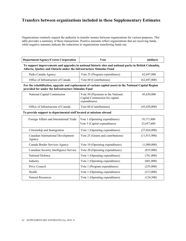Organizations routinely request the authority to transfer monies between organizations for various purposes. This table provides a summary of these transactions. Positive amounts reflect organizations that are receiving funds, while negative amounts indicate the reductions to organizations transferring funds out.

| Department/Agency/Crown Corporation | √ote | (dollars) |
|-------------------------------------|------|-----------|
|-------------------------------------|------|-----------|

#### **To support improvements and upgrades in national historic sites and national parks in British Columbia, Alberta, Quebec and Ontario under the Infrastructure Stimulus Fund**

| Parks Canada Agency                | Vote 25 (Program expenditures) | 62,697,000   |
|------------------------------------|--------------------------------|--------------|
| Office of Infrastructure of Canada | Vote 60 (Contributions)        | (62,697,000) |

### **For the rehabilitation, upgrade and replacement of various capital assets in the National Capital Region provided for under the Infrastructure Stimulus Fund**

| National Capital Commission        | Vote 50 (Payments to the National<br>Capital Commission for capital<br>expenditures) | 45,650,000   |
|------------------------------------|--------------------------------------------------------------------------------------|--------------|
| Office of Infrastructure of Canada | Vote 60 (Contributions)                                                              | (45,650,000) |

#### **To provide support to departmental staff located at missions abroad**

| Foreign Affairs and International Trade      | Vote 1 (Operating expenditures)<br>Vote 5 (Capital expenditures) | 19,171,800<br>23,657,600 |
|----------------------------------------------|------------------------------------------------------------------|--------------------------|
| Citizenship and Immigration                  | Vote 1 (Operating expenditures)                                  | (27,024,000)             |
| Canadian International Development<br>Agency | Vote 25 (Grants and contributions)                               | (11, 915, 900)           |
| Canada Border Services Agency                | Vote 10 (Operating expenditures)                                 | (1,080,000)              |
| Canadian Security Intelligence Service       | Vote 20 (Operating expenditures)                                 | (835,000)                |
| National Defence                             | Vote 1 (Operating expenditures)                                  | (781,000)                |
| Industry                                     | Vote 1 (Operating expenditures)                                  | (601,000)                |
| Privy Council                                | Vote 1 (Program expenditures)                                    | (255,000)                |
| Health                                       | Vote 1 (Operating expenditures)                                  | (213,000)                |
| <b>Natural Resources</b>                     | Vote 1 (Operating expenditures)                                  | (124, 500)               |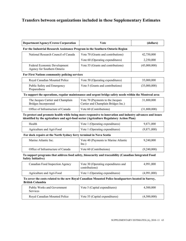| Department/Agency/Crown Corporation                         | <b>Vote</b>                                                                   | (dollars)    |  |
|-------------------------------------------------------------|-------------------------------------------------------------------------------|--------------|--|
|                                                             | For the Industrial Research Assistance Program in the Southern Ontario Region |              |  |
| National Research Council of Canada                         | Vote 70 (Grants and contributions)                                            | 42,750,000   |  |
|                                                             | Vote 60 (Operating expenditures)                                              | 2,250,000    |  |
| Federal Economic Development<br>Agency for Southern Ontario | Vote 55 (Grants and contributions)                                            | (45,000,000) |  |
| For First Nations community policing services               |                                                                               |              |  |
| Royal Canadian Mounted Police                               | Vote 50 (Operating expenditures)                                              | 35,000,000   |  |
| Public Safety and Emergency<br>Preparedness                 | Vote 5 (Grants and contributions)                                             | (35,000,000) |  |

### **To support the operations, regular maintenance and urgent bridge safety needs within the Montreal area**

| The Jacques Cartier and Champlain<br>Bridges Incorporated | Vote 70 (Payments to the Jacques<br>Cartier and Champlain Bridges Inc.) | 31,800,000   |
|-----------------------------------------------------------|-------------------------------------------------------------------------|--------------|
| Office of Infrastructure of Canada                        | Vote 60 (Contributions)                                                 | (31,800,000) |

#### **To protect and promote health while being more responsive to innovation and industry advances and issues identified by the agriculture and agri-food sector (Agriculture Regulatory Action Plan)**

| Health                    | Vote 1 (Operating expenditures) | 9,871,000   |
|---------------------------|---------------------------------|-------------|
| Agriculture and Agri-Food | Vote 1 (Operating expenditures) | (9,871,000) |

## **For dock repairs at the North Sydney ferry terminal in Nova Scotia**

| Marine Atlantic Inc.               | Vote 40 (Payments to Marine Atlantic<br>Inc. | 9,240,000   |
|------------------------------------|----------------------------------------------|-------------|
| Office of Infrastructure of Canada | Vote 60 (Contributions)                      | (9,240,000) |

### **To support programs that address food safety, biosecurity and traceability (Canadian Integrated Food Safety Initiative)**

| Canadian Food Inspection Agency | Vote 30 (Operating expenditures and<br>contributions) | 4,991,000   |
|---------------------------------|-------------------------------------------------------|-------------|
| Agriculture and Agri-Food       | Vote 1 (Operating expenditures)                       | (4,991,000) |

### **To cover the costs related to the new Royal Canadian Mounted Police headquarters located in Surrey, British Columbia**

| <b>Public Works and Government</b><br><b>Services</b> | Vote 5 (Capital expenditures)  | 4,500,000   |
|-------------------------------------------------------|--------------------------------|-------------|
| Royal Canadian Mounted Police                         | Vote 55 (Capital expenditures) | (4,500,000) |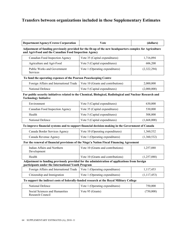| Department/Agency/Crown Corporation | V ote | (dollars) |
|-------------------------------------|-------|-----------|
|-------------------------------------|-------|-----------|

**Adjustment of funding previously provided for the fit-up of the new headquarters complex for Agriculture and Agri-Food and the Canadian Food Inspection Agency** 

| Canadian Food Inspection Agency                | Vote 35 (Capital expenditures)  | 1,716,094   |
|------------------------------------------------|---------------------------------|-------------|
| Agriculture and Agri-Food                      | Vote 5 (Capital expenditures)   | 606,200     |
| Public Works and Government<br><b>Services</b> | Vote 1 (Operating expenditures) | (2,322,294) |

### **To fund the operating expenses of the Pearson Peacekeeping Centre**

| Foreign Affairs and International Trade   Vote 10 (Grants and contributions) |                               | 2,000,000   |
|------------------------------------------------------------------------------|-------------------------------|-------------|
| National Defence                                                             | Vote 5 (Capital expenditures) | (2,000,000) |

### **For public security initiatives related to the Chemical, Biological, Radiological and Nuclear Research and Technology Initiative**

| Environment                     | Vote 5 (Capital expenditures)  | 630,000     |
|---------------------------------|--------------------------------|-------------|
| Canadian Food Inspection Agency | Vote 35 (Capital expenditures) | 530,000     |
| Health                          | Vote 5 (Capital expenditures)  | 508,000     |
| National Defence                | Vote 5 (Capital expenditures)  | (1,668,000) |

### **To improve financial systems and to support financial decision-making in the Government of Canada**

| Canada Border Services Agency | Vote 10 (Operating expenditures) | 1,360,532   |
|-------------------------------|----------------------------------|-------------|
| Canada Revenue Agency         | Vote 1 (Operating expenditures)  | (1,360,532) |

### **For the renewal of financial provisions of the Nisga'a Nation Fiscal Financing Agreement**

| Indian Affairs and Northern<br>Development | Vote 10 (Grants and contributions) | 1,257,088   |
|--------------------------------------------|------------------------------------|-------------|
| Health                                     | Vote 10 (Grants and contributions) | (1,257,088) |

#### **Adjustment to funding previously provided for the administration of applications from foreign participants under the International Youth Program**

| Foreign Affairs and International Trade   Vote 1 (Operating expenditures) |                                 | 1,117,453   |
|---------------------------------------------------------------------------|---------------------------------|-------------|
| Citizenship and Immigration                                               | Vote 1 (Operating expenditures) | (1,117,453) |

### **To support the indirect costs of federally-funded research at the Royal Military College**

| National Defence                                   | Vote 1 (Operating expenditures) | 750,000   |
|----------------------------------------------------|---------------------------------|-----------|
| Social Sciences and Humanities<br>Research Council | Vote 95 (Grants)                | (750,000) |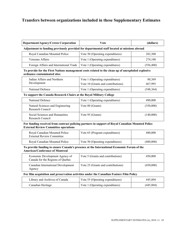| Department/Agency/Crown Corporation                                                         | Vote                             | (dollars)  |
|---------------------------------------------------------------------------------------------|----------------------------------|------------|
| Adjustment to funding previously provided for departmental staff located at missions abroad |                                  |            |
| Royal Canadian Mounted Police                                                               | Vote 50 (Operating expenditures) | 282,300    |
| <b>Veterans Affairs</b>                                                                     | Vote 1 (Operating expenditures)  | 274,100    |
| Foreign Affairs and International Trade   Vote 1 (Operating expenditures)                   |                                  | (556, 400) |

**To provide for the First Nations management costs related to the clean up of unexploded explosive ordnance contaminated sites** 

| Indian Affairs and Northern | Vote 1 (Operating expenditures)    | 80.369     |
|-----------------------------|------------------------------------|------------|
| Development                 | Vote 10 (Grants and contributions) | 467.995    |
| National Defence            | Vote 1 (Operating expenditures)    | (548, 364) |

### **To support the Canada Research Chairs at the Royal Military College**

| National Defence                                     | Vote 1 (Operating expenditures) | 490,000   |
|------------------------------------------------------|---------------------------------|-----------|
| Natural Sciences and Engineering<br>Research Council | Vote 80 (Grants)                | (350,000) |
| Social Sciences and Humanities<br>Research Council   | Vote 95 (Grants)                | (140,000) |

### **For funding received from contract policing partners in support of Royal Canadian Mounted Police External Review Committee operations**

| Royal Canadian Mounted Police<br><b>External Review Committee</b> | Vote 65 (Program expenditures)   | 480,000   |
|-------------------------------------------------------------------|----------------------------------|-----------|
| Royal Canadian Mounted Police                                     | Vote 50 (Operating expenditures) | (480,000) |

## **To provide funding to ensure Canada's presence at the International Economic Forum of the Americas/Conference of Montreal**

| Economic Development Agency of<br>Canada for the Regions of Quebec | Vote 5 (Grants and contributions)  | 450,000   |
|--------------------------------------------------------------------|------------------------------------|-----------|
| <b>Canadian International Development</b><br>Agency                | Vote 25 (Grants and contributions) | (450,000) |

## **For film acquisition and preservation activities under the Canadian Feature Film Policy**

| Library and Archives of Canada | Vote 55 (Operating expenditures) | 445,804    |
|--------------------------------|----------------------------------|------------|
| Canadian Heritage              | Vote 1 (Operating expenditures)  | (445, 804) |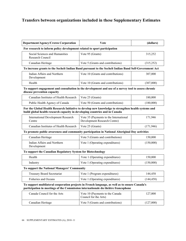| <b>Department/Agency/Crown Corporation</b>                                                                                                                                          | Vote<br>(dollars)                                                      |            |
|-------------------------------------------------------------------------------------------------------------------------------------------------------------------------------------|------------------------------------------------------------------------|------------|
| For research to inform policy development related to sport participation                                                                                                            |                                                                        |            |
| Social Sciences and Humanities<br>Research Council                                                                                                                                  | Vote 95 (Grants)                                                       | 315,252    |
| Canadian Heritage                                                                                                                                                                   | Vote 5 (Grants and contributions)                                      | (315,252)  |
| To increase grants to the Sechelt Indian Band pursuant to the Sechelt Indian Band Self-Government Act                                                                               |                                                                        |            |
| Indian Affairs and Northern<br>Development                                                                                                                                          | Vote 10 (Grants and contributions)                                     | 307,000    |
| Health                                                                                                                                                                              | Vote 10 (Grants and contributions)                                     | (307,000)  |
| To support engagement and consultation in the development and use of a survey tool to assess chronic<br>disease prevention capacity                                                 |                                                                        |            |
| Canadian Institutes of Health Research                                                                                                                                              | Vote 25 (Grants)                                                       | 180,000    |
| Public Health Agency of Canada                                                                                                                                                      | Vote 50 (Grants and contributions)                                     | (180,000)  |
| For the Global Health Research Initiative to develop new knowledge to strengthen health systems and<br>build global health research capacity in developing countries and in Canada  |                                                                        |            |
| <b>International Development Research</b><br>Centre                                                                                                                                 | Vote 35 (Payments to the International<br>Development Research Centre) | 171,946    |
| Canadian Institutes of Health Research                                                                                                                                              | Vote 25 (Grants)                                                       | (171, 946) |
| To promote public awareness and community participation in National Aboriginal Day activities                                                                                       |                                                                        |            |
| Canadian Heritage                                                                                                                                                                   | Vote 5 (Grants and contributions)                                      | 150,000    |
| Indian Affairs and Northern<br>Development                                                                                                                                          | Vote 1 (Operating expenditures)                                        | (150,000)  |
| To support the Canadian Regulatory System for Biotechnology                                                                                                                         |                                                                        |            |
| Health                                                                                                                                                                              | Vote 1 (Operating expenditures)                                        | 150,000    |
| Industry                                                                                                                                                                            | Vote 1 (Operating expenditures)                                        | (150,000)  |
| To support the National Managers' Community                                                                                                                                         |                                                                        |            |
| <b>Treasury Board Secretariat</b>                                                                                                                                                   | Vote 1 (Program expenditures)                                          | 144,458    |
| Fisheries and Oceans                                                                                                                                                                | Vote 1 (Operating expenditures)                                        | (144, 458) |
| To support multilateral cooperation projects in French language, as well as to ensure Canada's<br>participation in meetings of the Commission internationale du théâtre francophone |                                                                        |            |
| Canada Council for the Arts                                                                                                                                                         | Vote 10 (Payments to the Canada<br>Council for the Arts)               | 127,000    |
| Canadian Heritage                                                                                                                                                                   | Vote 5 (Grants and contributions)                                      | (127,000)  |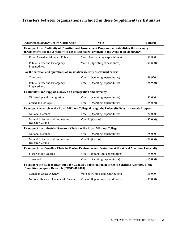| Department/Agency/Crown Corporation                                                                                                                                                        | <b>V</b> ote                                 | (dollars) |
|--------------------------------------------------------------------------------------------------------------------------------------------------------------------------------------------|----------------------------------------------|-----------|
| To support the Continuity of Constitutional Government Program that establishes the necessary<br>arrangements for the continuity of constitutional government in the event of an emergency |                                              |           |
| Royal Canadian Mounted Police                                                                                                                                                              | Vote 50 (Operating expenditures)             | 90,800    |
| Public Safety and Emergency<br>Preparedness                                                                                                                                                | Vote 1 (Operating expenditures)<br>(90, 800) |           |
| For the creation and operations of an aviation security assessment course                                                                                                                  |                                              |           |
| Transport                                                                                                                                                                                  | Vote 1 (Operating expenditures)              | 88,920    |
| Public Safety and Emergency<br>Preparedness                                                                                                                                                | Vote 1 (Operating expenditures)              | (88,920)  |
| To stimulate and support research on immigration and diversity                                                                                                                             |                                              |           |
| Citizenship and Immigration                                                                                                                                                                | Vote 1 (Operating expenditures)              | 85,000    |
| Canadian Heritage                                                                                                                                                                          | Vote 1 (Operating expenditures)              | (85,000)  |
| To support research at the Royal Military College through the University Faculty Awards Program                                                                                            |                                              |           |
| National Defence                                                                                                                                                                           | Vote 1 (Operating expenditures)              | 80,000    |
| Natural Sciences and Engineering<br>Research Council                                                                                                                                       | Vote 80 (Grants)<br>(80,000)                 |           |
| To support the Industrial Research Chairs at the Royal Military College                                                                                                                    |                                              |           |
| National Defence                                                                                                                                                                           | Vote 1 (Operating expenditures)              | 78,000    |
| Natural Sciences and Engineering<br>Research Council                                                                                                                                       | Vote 80 (Grants)                             | (78,000)  |
| To support the Canadian Chair in Marine Environmental Protection at the World Maritime University                                                                                          |                                              |           |
| <b>Fisheries and Oceans</b>                                                                                                                                                                | Vote 10 (Grants and contributions)           | 75,000    |
| Transport                                                                                                                                                                                  | Vote 1 (Operating expenditures)              | (75,000)  |
| To support the student travel fund for Canada's participation at the 38th Scientific Assembly of the<br><b>Committee on Space Research (COSPAR 2010)</b>                                   |                                              |           |
| Canadian Space Agency                                                                                                                                                                      | Vote 35 (Grants and contributions)           | 35,000    |
| National Research Council of Canada                                                                                                                                                        | Vote 60 (Operating expenditures)             | (35,000)  |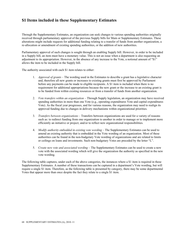Through the Supplementary Estimates, an organization can seek changes to various spending authorities originally received through parliamentary approval of the previous Supply bills for Main or Supplementary Estimates. These alterations might include requests for additional funding relating to a transfer of funds from another organization, a re-allocation or amendment of existing spending authorities, or the addition of new authorities.

Parliamentary approval of such changes is sought through an enabling Supply bill. However, in order to be included in a Supply bill, an item must have a monetary value. This is not an issue when a department is also requesting an adjustment to its appropriation. However, in the absence of any increase to the Vote, a notional amount of "\$1" allows the item to be included in the Supply bill.

The authority associated with each \$1 item relates to either:

- 1. *Approval of grants* The wording used in the Estimates to describe a grant has a legislative character and, therefore all new grants or increases to existing grants must first be approved by Parliament before any payments can be made to eligible recipients. A \$1 item is included when there is no requirement for additional appropriations because the new grant or the increase to an existing grant is to be funded from within existing resources or from a transfer of funds from another organization.
- 2. *Vote transfers within an organization* Through Supply legislation, an organization may have received spending authorities in more than one Vote (e.g., operating expenditures Vote and capital expenditures Vote). As the fiscal year progresses, and for various reasons, the organization may need to realign its approved funding due to changes in delivery mechanisms within organizational priorities.
- 3. *Transfers between organizations* Transfers between organizations are used for a variety of reasons such as: to redirect funding from one organization to another in order to manage or to implement more efficiently an initiative or project; and/or to reflect new organizational responsibilities.
- 4. *Modify authority embedded in existing vote wording* The Supplementary Estimates can be used to amend an existing authority that is embedded in the Vote wording of an organization. Most of these authorities can be found in the non-budgetary Vote wording of organizations and are related to limits or ceilings on loans and investments. Such non-budgetary Votes are preceded by the letter "L".
- 5. *Create new vote and associated wording* The Supplementary Estimates can be used to create a new vote with the associated wording which will give the organization the authority as specified in the new vote wording.

The following table captures, under each of the above categories, the instances where a \$1 item is required in these Supplementary Estimates. A number of these transactions can be captured in a department's Vote wording, but will require a single \$1 item. Therefore, as the following table is presented by category, there may be some departmental Votes that appear more than once despite the fact they relate to a single \$1 item.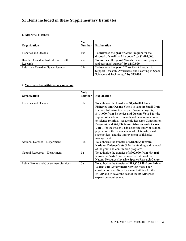## **1. Approval of grants**

| Organization                                       | <b>V</b> ote<br><b>Number</b> | <b>Explanation</b>                                                                                                                          |
|----------------------------------------------------|-------------------------------|---------------------------------------------------------------------------------------------------------------------------------------------|
| <b>Fisheries and Oceans</b>                        | 10a                           | To <b>increase the grant</b> "Grant Program for the<br>disposal of small craft harbours" by \$1,414,000.                                    |
| Health – Canadian Institutes of Health<br>Research | 25a                           | To increase the grant "Grants for research projects<br>and personnel support" by \$180,000.                                                 |
| Industry – Canadian Space Agency                   | 35a                           | To increase the grant "Class Grant Program to<br>Support Research, Awareness, and Learning in Space<br>Science and Technology" by \$35,000. |

## **2. Vote transfers within an organization**

| Organization                                | <b>Vote</b><br><b>Number</b> | <b>Explanation</b>                                                                                                                                                                                                                                                                                                                                                                                                                                                                                                                                                    |
|---------------------------------------------|------------------------------|-----------------------------------------------------------------------------------------------------------------------------------------------------------------------------------------------------------------------------------------------------------------------------------------------------------------------------------------------------------------------------------------------------------------------------------------------------------------------------------------------------------------------------------------------------------------------|
| Fisheries and Oceans                        | 10a                          | To authorize the transfer of \$1,414,000 from<br>Fisheries and Oceans Vote 1 to support Small Craft<br>Harbour Infrastructure Repair Program projects; of<br>\$414,000 from Fisheries and Oceans Vote 1 for the<br>support of academic research and development related<br>to science priorities (Academic Research Contribution<br>Program); and \$69,034 from Fisheries and Oceans<br>Vote 1 for the Fraser Basin scientific study of salmon<br>populations; the enhancement of relationships with<br>stakeholders; and the improvement of fisheries<br>management. |
| National Defence - Department               | 10a                          | To authorize the transfer of \$18,386,400 from<br>National Defence Vote 5 for the funding and renewal<br>of the grant and contribution programs.                                                                                                                                                                                                                                                                                                                                                                                                                      |
| Natural Resources - Department              | 5a                           | To authorize the transfer of \$902,000 from Natural<br><b>Resources Vote 1</b> for the modernization of the<br>Natural Resources Invasive Species Research Centre.                                                                                                                                                                                                                                                                                                                                                                                                    |
| <b>Public Works and Government Services</b> | 5a                           | To authorize the transfer of \$13,826,958 from Public<br><b>Works and Government Services Vote 1 for</b><br>construction and fit-up for a new building for the<br>RCMP and to cover the cost of the RCMP space<br>expansion requirement.                                                                                                                                                                                                                                                                                                                              |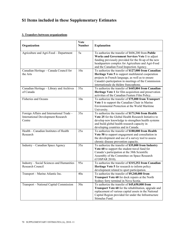## **3. Transfers between organizations**

| Organization                                                                                     | Vote<br><b>Number</b> | <b>Explanation</b>                                                                                                                                                                                                                                                 |
|--------------------------------------------------------------------------------------------------|-----------------------|--------------------------------------------------------------------------------------------------------------------------------------------------------------------------------------------------------------------------------------------------------------------|
| Agriculture and Agri-Food - Department                                                           | 5a                    | To authorize the transfer of \$606,200 from Public<br>Works and Government Services Vote 1 to adjust<br>funding previously provided for the fit-up of the new<br>headquarters complex for Agriculture and Agri-Food<br>and the Canadian Food Inspection Agency.    |
| Canadian Heritage - Canada Council for<br>the Arts                                               | 10a                   | To authorize the transfer of \$127,000 from Canadian<br>Heritage Vote 5 to support multilateral cooperation<br>projects in French language, as well as to ensure<br>Canada's participation in meetings of the Commission<br>internationale du théâtre francophone. |
| Canadian Heritage - Library and Archives<br>of Canada                                            | 55a                   | To authorize the transfer of \$445,804 from Canadian<br>Heritage Vote 1 for film acquisition and preservation<br>activities of the Canadian Feature Film Policy.                                                                                                   |
| Fisheries and Oceans                                                                             | 10a                   | To authorize the transfer of \$75,000 from Transport<br>Vote 1 to support the Canadian Chair in Marine<br>Environmental Protection at the World Maritime<br>University.                                                                                            |
| Foreign Affairs and International Trade -<br><b>International Development Research</b><br>Centre | 35a                   | To authorize the transfer of \$171,946 from Health<br>Vote 25 for the Global Health Research Initiative to<br>develop new knowledge to strengthen health systems<br>and build global health research capacity in<br>developing countries and in Canada.            |
| Health - Canadian Institutes of Health<br>Research                                               | 25a                   | To authorize the transfer of \$180,000 from Health<br>Vote 50 to support engagement and consultation in<br>the development and use of a survey tool to assess<br>chronic disease prevention capacity.                                                              |
| Industry - Canadian Space Agency                                                                 | 35a                   | To authorize the transfer of \$35,000 from Industry<br>Vote 60 to support the student travel fund for<br>Canada's participation at the 38th Scientific<br>Assembly of the Committee on Space Research<br>(COSPAR 2010).                                            |
| Industry - Social Sciences and Humanities<br>Research Council                                    | 95a                   | To authorize the transfer of \$315,252 from Canadian<br>Heritage Vote 5 for research to inform policy<br>development related to sport participation.                                                                                                               |
| Transport - Marine Atlantic Inc.                                                                 | 40a                   | To authorize the transfer of \$9,240,000 from<br>Transport Vote 60 for dock repairs at the North<br>Sydney ferry terminal in Nova Scotia.                                                                                                                          |
| Transport - National Capital Commission                                                          | 50a                   | To authorize the transfer of \$45,650,000 from<br><b>Transport Vote 60</b> for the rehabilitation, upgrade and<br>replacement of various capital assets in the National<br>Capital Region provided for under the Infrastructure<br>Stimulus Fund.                  |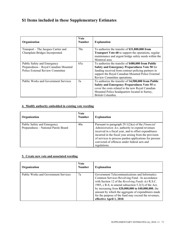| Organization                                | <b>V</b> ote<br><b>Number</b> | <b>Explanation</b>                                                                                                                     |
|---------------------------------------------|-------------------------------|----------------------------------------------------------------------------------------------------------------------------------------|
| Transport – The Jacques Cartier and         | 70a                           | To authorize the transfer of \$31,800,000 from                                                                                         |
| Champlain Bridges Incorporated              |                               | <b>Transport Vote 60 to support the operations, regular</b><br>maintenance and urgent bridge safety needs within the<br>Montreal area. |
| Public Safety and Emergency                 | 65a                           | To authorize the transfer of \$480,000 from Public                                                                                     |
| Preparedness - Royal Canadian Mounted       |                               | Safety and Emergency Preparedness Vote 50 for                                                                                          |
| Police External Review Committee            |                               | funding received from contract policing partners in                                                                                    |
|                                             |                               | support the Royal Canadian Mounted Police External                                                                                     |
|                                             |                               | Review Committee operations.                                                                                                           |
| <b>Public Works and Government Services</b> | 5a                            | To authorize the transfer of \$4,500,000 from Public                                                                                   |
|                                             |                               | Safety and Emergency Preparedness Vote 55 to                                                                                           |
|                                             |                               | cover the costs related to the new Royal Canadian                                                                                      |
|                                             |                               | Mounted Police headquarters located in Surrey,                                                                                         |
|                                             |                               | British Columbia.                                                                                                                      |

## **4. Modify authority embedded in existing vote wording**

| Organization                                                        | <b>Vote</b><br><b>Number</b> | <b>Explanation</b>                                                                                                                                                                                                                                                                                                                                                 |
|---------------------------------------------------------------------|------------------------------|--------------------------------------------------------------------------------------------------------------------------------------------------------------------------------------------------------------------------------------------------------------------------------------------------------------------------------------------------------------------|
| Public Safety and Emergency<br>Preparedness - National Parole Board | 40a                          | Pursuant to paragraph 29.1(2)( <i>a</i> ) of the <i>Financial</i><br>Administration Act, authority to expend revenues<br>received in a fiscal year, and to offset expenditures<br>incurred in the fiscal year arising from the provision<br>of services to process pardon applications for persons<br>convicted of offences under federal acts and<br>regulations. |

## **5. Create new vote and associated wording**

| Organization                                | <b>Vote</b><br><b>Number</b> | <b>Explanation</b>                                                                                                                                                                                                                                                                                                                                                                                              |
|---------------------------------------------|------------------------------|-----------------------------------------------------------------------------------------------------------------------------------------------------------------------------------------------------------------------------------------------------------------------------------------------------------------------------------------------------------------------------------------------------------------|
| <b>Public Works and Government Services</b> | 7a                           | Government Telecommunications and Informatics<br>Common Services Revolving Fund - In accordance<br>with Section 12 of the Revolving Funds Act R.S.C.<br>1985, c R-8, to amend subsection $5.2(3)$ of the Act,<br>by increasing from \$20,000,000 to \$40,000,000, the<br>amount by which the aggregate of expenditures made<br>for the purpose of the fund may exceed the revenues,<br>effective April 1, 2010. |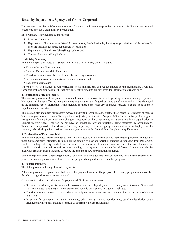### **Detail by Department, Agency and Crown Corporation**

Departments, agencies and Crown corporations for which a Minister is responsible, or reports to Parliament, are grouped together to provide a total ministry presentation.

Each Ministry is divided into four sections:

- 1. Ministry Summary;
- 2. Explanation of Requirements (Voted Appropriations, Funds Available, Statutory Appropriations and Transfers) for each organization requiring supplementary estimates;
- 3. Explanation of Funds Available (if applicable); and
- 4. Transfer Payments (if applicable).

#### **1. Ministry Summary**

This table displays all Voted and Statutory information in Ministry order, including:

- Vote number and Vote wording;
- **Previous Estimates Main Estimates;**
- Transfers between Votes both within and between organizations;
- Adjustments to Appropriations (new funding requests); and
- Total Estimates to date.

Where a Vote's "Adjustment to Appropriations" result in a net zero or negative amount for an organization, it will not form part of the Appropriation Bill. Net zero or negative amounts are displayed for information purposes only.

#### **2. Explanation of Requirements**

This section provides a description of individual items or initiatives for which spending authority is being requested. Horizontal initiatives affecting more than one organization are flagged as (*horizontal item*) and will be displayed in the summary table "Horizontal Items included in these Supplementary Estimates" presented at the front of these Supplementary Estimates.

This section also identifies all transfers between and within organizations, whether they relate to: a transfer of monies between organizations to accomplish a particular objective; the transfer of responsibility for the delivery of a program; realignments flowing from machinery changes announced by the government; or transfers within an organization to support program needs. Transfers do not have an impact on new appropriations being requested by organizations. Transfers are displayed in the Ministry Summary separately from new appropriations and are also displayed in the summary table dealing with transfers between organizations at the front of these Supplementary Estimates.

#### **3. Explanation of Funds Available**

This section provides information about funds that are used to offset or reduce new spending requirements included in these Supplementary Estimates. To minimize the amount of new appropriation authorities requested from Parliament, surplus spending authority available in one Vote can be redirected to another Vote to reduce the overall amount of spending authority required. As well, surplus spending authority available in a number of frozen allotments can also be used with Treasury Board authority to reduce the amount of new appropriations required.

Some examples of surplus spending authority used for offsets include: funds moved from one fiscal year to another fiscal year in the same organization; or funds from one program being redirected to another program.

#### **4. Transfer Payments**

This table provides a listing of transfer payments.

A transfer payment is a grant, contribution or other payment made for the purpose of furthering program objectives but for which no goods or services are received.

Grants, contributions and other transfer payments differ in several respects:

- Grants are transfer payments made on the basis of established eligibility and not normally subject to audit. Grants and their total values have a legislative character and specific descriptions that govern their use;
- Contributions are transfer payments where the recipients must meet performance conditions and may be subject to audit; and
- Other transfer payments are transfer payments, other than grants and contributions, based on legislation or an arrangement which may include a formula to determine the annual amounts.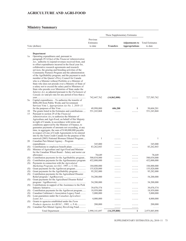## **AGRICULTURE AND AGRI-FOOD**

# **Ministry Summary**

|            | Vote (dollars)                                                                                                                                                                                                                                                                                                                                                                                                                                                                                                                                                                                                                                                                                                                                                                                                                                                       | Previous<br>Estimates<br>to date | <b>Transfers</b> | <b>Adjustments to</b><br><b>Appropriations</b> | <b>Total Estimates</b><br>to date |
|------------|----------------------------------------------------------------------------------------------------------------------------------------------------------------------------------------------------------------------------------------------------------------------------------------------------------------------------------------------------------------------------------------------------------------------------------------------------------------------------------------------------------------------------------------------------------------------------------------------------------------------------------------------------------------------------------------------------------------------------------------------------------------------------------------------------------------------------------------------------------------------|----------------------------------|------------------|------------------------------------------------|-----------------------------------|
|            |                                                                                                                                                                                                                                                                                                                                                                                                                                                                                                                                                                                                                                                                                                                                                                                                                                                                      |                                  |                  |                                                |                                   |
| 1a         | Department<br>Operating expenditures and, pursuant to<br>paragraph $29.1(2)(a)$ of the Financial Administration<br>Act, authority to expend revenues received from, and<br>to offset expenditures incurred in the fiscal year for,<br>collaborative research agreements and research<br>services, the grazing and breeding activities of the<br>Community Pastures Program and the administration<br>of the AgriStability program; and the payment to each<br>member of the Queen's Privy Council for Canada<br>who is a Minister without Portfolio or a Minister of<br>State who does not preside over a Ministry of State of<br>a salary not to exceed the salary paid to Ministers of<br>State who preside over Ministries of State under the<br>Salaries Act, as adjusted pursuant to the Parliament of<br>Canada Act and pro rata for any period of less than a |                                  |                  |                                                |                                   |
| 5a         | Capital expenditures - To authorize the transfer of<br>\$606,200 from Public Works and Government<br>Services Vote 1, <i>Appropriation Act No. 1, 2010–11</i>                                                                                                                                                                                                                                                                                                                                                                                                                                                                                                                                                                                                                                                                                                        | 742,447,762                      | (14, 862, 000)   |                                                | 727,585,762                       |
|            |                                                                                                                                                                                                                                                                                                                                                                                                                                                                                                                                                                                                                                                                                                                                                                                                                                                                      | 49,998,000                       | 606,200          | 1                                              | 50,604,201                        |
| 10<br>15   | The grants listed in the Estimates and contributions<br>Pursuant to section 29 of the <i>Financial</i><br>Administration Act, to authorize the Minister of<br>Agriculture and Agri-Food, on behalf of Her Majesty<br>in right of Canada, in accordance with terms and<br>conditions approved by the Minister of Finance, to<br>guarantee payments of amounts not exceeding, at any<br>time, in aggregate, the sum of \$140,000,000 payable<br>in respect of Line of Credit Agreements to be entered<br>into by the Farm Credit Canada for the purpose of the<br>renewed (2003) National Biomass Ethanol Program                                                                                                                                                                                                                                                      | 551,243,868<br>1                 | .                |                                                | 551,243,868<br>1                  |
| 20         | Canadian Pari-Mutuel Agency - Program                                                                                                                                                                                                                                                                                                                                                                                                                                                                                                                                                                                                                                                                                                                                                                                                                                |                                  |                  |                                                |                                   |
| (S)<br>(S) | Minister of Agriculture and Agri-Food and Minister<br>for the Canadian Wheat Board - Salary and motor car                                                                                                                                                                                                                                                                                                                                                                                                                                                                                                                                                                                                                                                                                                                                                            | 345,000<br>83, 262, 843          | .                | .                                              | 345,000<br>83,262,843             |
| (S)        | Contribution payments for the AgriStability program                                                                                                                                                                                                                                                                                                                                                                                                                                                                                                                                                                                                                                                                                                                                                                                                                  | 78,649<br>500,034,000            |                  |                                                | 78,649<br>500,034,000             |
| (S)<br>(S) | Contribution payments for the Agril nsurance program<br>Payments in connection with the <i>Agriculutral</i>                                                                                                                                                                                                                                                                                                                                                                                                                                                                                                                                                                                                                                                                                                                                                          | 452,000,000                      |                  | $\cdots$                                       | 452,000,000                       |
|            | Marketing Programs Act (S.C. 1997, c. C-34)                                                                                                                                                                                                                                                                                                                                                                                                                                                                                                                                                                                                                                                                                                                                                                                                                          | 184,000,000                      | .                | .                                              | 184,000,000                       |
| (S)<br>(S) | Grant payments for the AgriInvest program<br>Grant payments for the AgriStability program                                                                                                                                                                                                                                                                                                                                                                                                                                                                                                                                                                                                                                                                                                                                                                            | 155,820,000<br>95,282,000        |                  |                                                | 155,820,000<br>95,282,000         |
| (S)        | Contribution payments for the Agricultural Disaster                                                                                                                                                                                                                                                                                                                                                                                                                                                                                                                                                                                                                                                                                                                                                                                                                  |                                  |                  |                                                |                                   |
| (S)        | Grant payments for the Agricultural Disaster Relief                                                                                                                                                                                                                                                                                                                                                                                                                                                                                                                                                                                                                                                                                                                                                                                                                  | 54,200,000                       | .                | .                                              | 54,200,000                        |
| (S)        | Contributions in support of the Assistance to the Pork                                                                                                                                                                                                                                                                                                                                                                                                                                                                                                                                                                                                                                                                                                                                                                                                               | 54,200,000                       |                  |                                                | 54,200,000                        |
| (S)        | Contribution payments for the AgriInvest program                                                                                                                                                                                                                                                                                                                                                                                                                                                                                                                                                                                                                                                                                                                                                                                                                     | 39,070,574<br>18,959,000         |                  |                                                | 39,070,574<br>18,959,000          |
| (S)        | Canadian Cattlemen's Association Legacy Fund                                                                                                                                                                                                                                                                                                                                                                                                                                                                                                                                                                                                                                                                                                                                                                                                                         | 5,000,000                        |                  |                                                | 5,000,000                         |
| (S)        | Loan guarantees under the Canadian Agriculture                                                                                                                                                                                                                                                                                                                                                                                                                                                                                                                                                                                                                                                                                                                                                                                                                       | 4,000,000                        |                  | $\cdots$                                       | 4,000,000                         |
| (S)        | Grants to agencies established under the Farm<br>Products Agencies Act (R.S.C., 1985, c. F-4)                                                                                                                                                                                                                                                                                                                                                                                                                                                                                                                                                                                                                                                                                                                                                                        | 200,000                          |                  |                                                | 200,000                           |
| (S)        | Canadian Pari-Mutuel Agency Revolving Fund                                                                                                                                                                                                                                                                                                                                                                                                                                                                                                                                                                                                                                                                                                                                                                                                                           |                                  | .                | .                                              |                                   |
|            |                                                                                                                                                                                                                                                                                                                                                                                                                                                                                                                                                                                                                                                                                                                                                                                                                                                                      | 2,990,141,697                    | (14, 255, 800)   | 1                                              | 2,975,885,898                     |

SUPPLEMENTARY ESTIMATES (A), 2010–11 73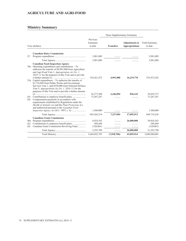## **AGRICULTURE AND AGRI-FOOD**

## **Ministry Summary**

|                   |                                                                                                                                                                                                                                                                                     |                                                | These Supplementary Estimates |                                                |                                                  |
|-------------------|-------------------------------------------------------------------------------------------------------------------------------------------------------------------------------------------------------------------------------------------------------------------------------------|------------------------------------------------|-------------------------------|------------------------------------------------|--------------------------------------------------|
| Vote (dollars)    |                                                                                                                                                                                                                                                                                     | Previous<br>Estimates<br>to date               | <b>Transfers</b>              | <b>Adjustments to</b><br><b>Appropriations</b> | <b>Total Estimates</b><br>to date                |
| 25                | <b>Canadian Dairy Commission</b>                                                                                                                                                                                                                                                    | 3,981,089                                      |                               |                                                | 3,981,089                                        |
|                   |                                                                                                                                                                                                                                                                                     | 3,981,089                                      |                               |                                                | 3,981,089                                        |
|                   | <b>Canadian Food Inspection Agency</b><br>$30a$ Operating expenditures and contributions – To<br>authorize the transfer of \$4,991,000 from Agriculture<br>and Agri-Food Vote 1, Appropriation Act No. 1,<br>$2010 - 11$ for the purposes of this Vote and to provide               | 534, 261, 472                                  | 4,991,000                     | 16,219,770                                     | 555,472,242                                      |
|                   | 35a Capital expenditures – To authorize the transfer of<br>\$1,716,094 from Public Works and Government<br>Services Vote 1, and \$530,000 from National Defence<br>Vote 5, <i>Appropriation Act No. 1, 2010–11</i> for the<br>purposes of this Vote and to provide a further amount |                                                |                               |                                                |                                                  |
| (S)<br>(S)        | Compensation payments in accordance with<br>requirements established by Regulations under the<br>Health of Animals Act and the Plant Protection Act,<br>and authorized pursuant to the Canadian Food                                                                                | 36, 377, 500<br>73,287,247                     | 2,246,094                     | 836,143                                        | 39,459,737<br>73,287,247                         |
|                   |                                                                                                                                                                                                                                                                                     | 1,500,000                                      | .                             |                                                | 1,500,000                                        |
|                   |                                                                                                                                                                                                                                                                                     | 645, 426, 219                                  | 7.237.094                     | 17,055,913                                     | 669,719,226                                      |
| 40a<br>(S)<br>(S) | <b>Canadian Grain Commission</b><br>Contributions to employee benefit plans<br>Canadian Grain Commission Revolving Fund                                                                                                                                                             | 4,924,343<br>589,448<br>(120,001)<br>5,393,790 | .                             | 26,000,000<br>.<br>26,000,000                  | 30,924,343<br>589,448<br>(120,001)<br>31,393,790 |
|                   |                                                                                                                                                                                                                                                                                     | 3,644,942,795                                  | (7,018,706)                   | 43,055,914                                     | 3,680,980,003                                    |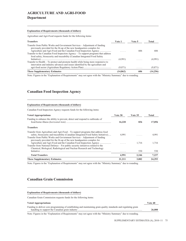# **AGRICULTURE AND AGRI-FOOD Department**

### **Explanation of Requirements (thousands of dollars)**

Agriculture and Agri-Food requests funds for the following items:

| <b>Transfers</b>                                                                                                                                                   | Vote 1    | Vote 5 | Total    |
|--------------------------------------------------------------------------------------------------------------------------------------------------------------------|-----------|--------|----------|
| Transfer from Public Works and Government Services – Adjustment of funding<br>previously provided for the fit-up of the new headquarters complex for               |           | 606    | 606      |
| Transfer to the Canadian Food Inspection Agency – To support programs that address<br>food safety, biosecurity and traceability (Canadian Integrated Food Safety   | (4,991)   |        | (4,991)  |
| Transfer to Health – To protect and promote health while being more responsive to<br>innovation and industry advances and issues identified by the agriculture and | (9,871)   | .      | (9,871)  |
| <b>These Supplementary Estimates</b>                                                                                                                               | (14, 862) | 606    | (14,256) |

Note: Figures in the "Explanation of Requirements" may not agree with the "Ministry Summary" due to rounding.

## **Canadian Food Inspection Agency**

#### **Explanation of Requirements (thousands of dollars)**

Canadian Food Inspection Agency requests funds for the following items:

| <b>Voted Appropriations</b>                                                                                                                                                                                                                                                                                                  | Vote 30 | Vote 35 | Total  |
|------------------------------------------------------------------------------------------------------------------------------------------------------------------------------------------------------------------------------------------------------------------------------------------------------------------------------|---------|---------|--------|
| Funding to enhance the ability to prevent, detect and respond to outbreaks of                                                                                                                                                                                                                                                | 16,220  | 836     | 17,056 |
| <b>Transfers</b>                                                                                                                                                                                                                                                                                                             |         |         |        |
| Transfer from Agriculture and Agri-Food – To support programs that address food<br>safety, biosecurity and traceability (Canadian Integrated Food Safety Initiative)<br>Transfer from Public Works and Government Services – Adjustment of funding<br>previously provided for the fit-up of the new headquarters complex for | 4.991   |         | 4.991  |
| Agriculture and Agri-Food and the Canadian Food Inspection Agency<br>Transfer from National Defence – For public security initiatives related to the<br>Chemical, Biological, Radiological and Nuclear Research and Technology                                                                                               | 1.1.1.1 | 1.716   | 1.716  |
|                                                                                                                                                                                                                                                                                                                              | .       | 530     | 530    |
| <b>Total Transfers</b>                                                                                                                                                                                                                                                                                                       | 4,991   | 2,246   | 7,237  |
| <b>These Supplementary Estimates</b>                                                                                                                                                                                                                                                                                         | 21,211  | 3.082   | 24,293 |

Note: Figures in the "Explanation of Requirements" may not agree with the "Ministry Summary" due to rounding.

## **Canadian Grain Commission**

## **Explanation of Requirements (thousands of dollars)**

Canadian Grain Commission requests funds for the following items:

| <b>Voted Appropriations</b>                                                                                      | Vote 40 |
|------------------------------------------------------------------------------------------------------------------|---------|
| Funding to deliver core programming of establishing and maintaining grain quality standards and regulating grain |         |
|                                                                                                                  | 26,000  |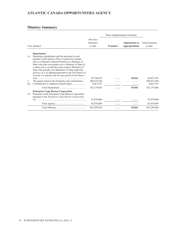# **ATLANTIC CANADA OPPORTUNITIES AGENCY**

|         |                                                                                                                                                                                                                                                                                                                                                                                                                                                                                                                                 |                                  | These Supplementary Estimates |                                                |                                   |
|---------|---------------------------------------------------------------------------------------------------------------------------------------------------------------------------------------------------------------------------------------------------------------------------------------------------------------------------------------------------------------------------------------------------------------------------------------------------------------------------------------------------------------------------------|----------------------------------|-------------------------------|------------------------------------------------|-----------------------------------|
|         | Vote (dollars)                                                                                                                                                                                                                                                                                                                                                                                                                                                                                                                  | Previous<br>Estimates<br>to date | <b>Transfers</b>              | <b>Adjustments to</b><br><b>Appropriations</b> | <b>Total Estimates</b><br>to date |
|         | Department                                                                                                                                                                                                                                                                                                                                                                                                                                                                                                                      |                                  |                               |                                                |                                   |
| 1a<br>5 | Operating expenditures and the payment to each<br>member of the Queen's Privy Council for Canada<br>who is a Minister without Portfolio or a Minister of<br>State who does not preside over a Ministry of State of<br>a salary not to exceed the salary paid to Ministers of<br>State who preside over Ministries of State under the<br><i>Salaries Act</i> , as adjusted pursuant to the <i>Parliament of</i><br>Canada Act and pro rata for any period of less than a<br>The grants listed in the Estimates and contributions | 84,796,819<br>288,875,548        |                               | 30,566                                         | 84, 827, 385<br>288, 875, 548     |
| (S)     |                                                                                                                                                                                                                                                                                                                                                                                                                                                                                                                                 | 8,467,553                        |                               | .                                              | 8,467,553                         |
|         |                                                                                                                                                                                                                                                                                                                                                                                                                                                                                                                                 | 382,139,920                      | .                             | 30,566                                         | 382,170,486                       |
| 10      | <b>Enterprise Cape Breton Corporation</b><br>Payments to the Enterprise Cape Breton Corporation<br>pursuant to the Enterprise Cape Breton Corporation                                                                                                                                                                                                                                                                                                                                                                           |                                  |                               |                                                |                                   |
|         |                                                                                                                                                                                                                                                                                                                                                                                                                                                                                                                                 | 83,070,000                       |                               |                                                | 83,070,000                        |
|         |                                                                                                                                                                                                                                                                                                                                                                                                                                                                                                                                 | 83,070,000                       |                               |                                                | 83,070,000                        |
|         |                                                                                                                                                                                                                                                                                                                                                                                                                                                                                                                                 | 465,209,920                      |                               | 30,566                                         | 465,240,486                       |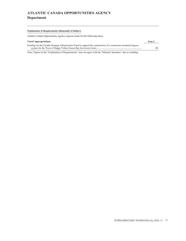# **ATLANTIC CANADA OPPORTUNITIES AGENCY Department**

## **Explanation of Requirements (thousands of dollars)**

Atlantic Canada Opportunities Agency requests funds for the following items:

| <b>Voted Appropriations</b>                                                                                       | Vote 1 |
|-------------------------------------------------------------------------------------------------------------------|--------|
| Funding for the Canada Strategic Infrastructure Fund to support the construction of a wastewater treatment lagoon |        |
|                                                                                                                   |        |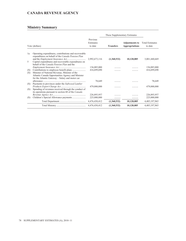## **CANADA REVENUE AGENCY**

|            | These Supplementary Estimates                                                                                                                         |                                  |                  |                                                |                                   |
|------------|-------------------------------------------------------------------------------------------------------------------------------------------------------|----------------------------------|------------------|------------------------------------------------|-----------------------------------|
|            | Vote (dollars)                                                                                                                                        | Previous<br>Estimates<br>to date | <b>Transfers</b> | <b>Adjustments to</b><br><b>Appropriations</b> | <b>Total Estimates</b><br>to date |
| 1a         | Operating expenditures, contributions and recoverable<br>expenditures on behalf of the Canada Pension Plan                                            |                                  |                  |                                                |                                   |
| .5         | and the <i>Employment Insurance Act</i><br>Capital expenditures and recoverable expenditures on<br>behalf of the <i>Canada Pension Plan</i> and the   | 2,992,673,116                    | (1,360,532)      | 10,128,085                                     | 3,001,440,669                     |
|            |                                                                                                                                                       | 136,085,000                      |                  |                                                | 136,085,000                       |
| (S)<br>(S) | Minister of National Revenue, Minister of the<br>Atlantic Canada Opportunities Agency and Minister<br>for the Atlantic Gateway – Salary and motor car | 416,699,690                      |                  |                                                | 416,699,690                       |
| (S)        | Payments to provinces under the Softwood Lumber                                                                                                       | 78,649                           |                  |                                                | 78,649                            |
| (S)        | Spending of revenues received through the conduct of<br>its operations pursuant to section 60 of the Canada                                           | 479,000,000                      | .                | .                                              | 479,000,000                       |
|            |                                                                                                                                                       | 226,893,957                      |                  |                                                | 226,893,957                       |
| (S)        |                                                                                                                                                       | 225,000,000                      |                  |                                                | 225,000,000                       |
|            |                                                                                                                                                       | 4,476,430,412                    | (1,360,532)      | 10,128,085                                     | 4,485,197,965                     |
|            |                                                                                                                                                       | 4,476,430,412                    | (1,360,532)      | 10,128,085                                     | 4,485,197,965                     |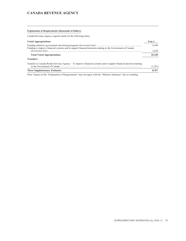## **CANADA REVENUE AGENCY**

## **Explanation of Requirements (thousands of dollars)**

Canada Revenue Agency requests funds for the following items:

| <b>Voted Appropriations</b>                                                                                                                      | Vote 1  |
|--------------------------------------------------------------------------------------------------------------------------------------------------|---------|
| Funding to improve financial systems and to support financial decision-making in the Government of Canada                                        | 6.500   |
|                                                                                                                                                  | 3.628   |
| <b>Total Voted Appropriations</b>                                                                                                                | 10.128  |
| <b>Transfers</b>                                                                                                                                 |         |
| Transfer to Canada Border Services Agency – To improve financial systems and to support financial decision-making<br>in the Government of Canada | (1.361) |

## **These Supplementary Estimates 8,767**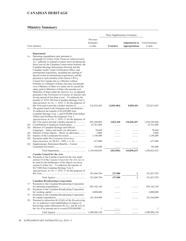|            |                                                                                                                                                                                                                                                                         |                                  | These Supplementary Estimates |                                                |                                   |  |
|------------|-------------------------------------------------------------------------------------------------------------------------------------------------------------------------------------------------------------------------------------------------------------------------|----------------------------------|-------------------------------|------------------------------------------------|-----------------------------------|--|
|            | Vote (dollars)                                                                                                                                                                                                                                                          | Previous<br>Estimates<br>to date | <b>Transfers</b>              | <b>Adjustments to</b><br><b>Appropriations</b> | <b>Total Estimates</b><br>to date |  |
|            |                                                                                                                                                                                                                                                                         |                                  |                               |                                                |                                   |  |
| 1a         | Department<br>Operating expenditures and, pursuant to<br>paragraph $29.1(2)(a)$ of the <i>Financial Administration</i><br>Act, authority to expend revenues received during the                                                                                         |                                  |                               |                                                |                                   |  |
|            | fiscal year by the Canadian Conservation Institute, the<br>Canadian Heritage Information Network and the<br>Canadian Audio-visual Certification Office, and<br>international expositions, including the catering of                                                     |                                  |                               |                                                |                                   |  |
|            | special events at international expositions, and the<br>payment to each member of the Queen's Privy<br>Council for Canada who is a Minister without<br>Portfolio or a Minister of State who does not preside                                                            |                                  |                               |                                                |                                   |  |
|            | over a Ministry of State of a salary not to exceed the<br>salary paid to Ministers of State who preside over<br>Ministries of State under the Salaries Act, as adjusted<br>pursuant to the Parliament of Canada Act and pro rata                                        |                                  |                               |                                                |                                   |  |
|            | for any period of less than a year $-$ To authorize the<br>transfer of \$335,320 from Canadian Heritage Vote 5,<br>Appropriation Act No. 1, 2010–11 for the purposes of                                                                                                 |                                  |                               |                                                |                                   |  |
| 5a         | this Vote and to provide a further amount of<br>The grants listed in the Estimates and contributions –<br>To authorize the transfer of \$2,650,000 from                                                                                                                 | 216,810,505                      | (2,845,484)                   | 8,850,426                                      | 222,815,447                       |  |
|            | Canadian Heritage Vote 1, and \$150,000 from Indian<br>Affairs and Northern Development Vote 1,<br>Appropriation Act No. 1, 2010–11 for the purposes of                                                                                                                 |                                  |                               |                                                |                                   |  |
| (S)        | this Vote and to provide a further amount of<br>Minister of Canadian Heritage and Official                                                                                                                                                                              | 901,280,805<br>25,761,886        | 2,022,428<br>.                | 136,046,207<br>.                               | 1,039,349,440<br>25,761,886       |  |
| (S)        | Languages – Salary and motor car allowance                                                                                                                                                                                                                              | 78,649                           |                               |                                                | 78,649                            |  |
| (S)        | Minister of State (Sport) – Motor car allowance                                                                                                                                                                                                                         | 2,000                            |                               |                                                | 2,000                             |  |
| (S)<br>(S) | Payments under the Lieutenant-Governors                                                                                                                                                                                                                                 | 1,196,000                        | .                             | .                                              | 1,196,000                         |  |
| (S)        | Supplementary Retirement Benefits – Former                                                                                                                                                                                                                              | 637,000                          | .                             | .                                              | 637,000                           |  |
|            |                                                                                                                                                                                                                                                                         | 182,000                          |                               |                                                | 182,000                           |  |
|            |                                                                                                                                                                                                                                                                         | 1,145,948,845                    | (823, 056)                    | 144,896,633                                    | 1,290,022,422                     |  |
|            | <b>Canada Council for the Arts</b><br>10a Payments to the Canada Council for the Arts under<br>section 18 of the Canada Council for the Arts Act, to<br>be used for the furtherance of the objects set out in<br>section 8 of that $Act - To$ authorize the transfer of |                                  |                               |                                                |                                   |  |
|            | \$127,000 from Canadian Heritage Vote 5,                                                                                                                                                                                                                                |                                  |                               |                                                |                                   |  |
|            | Appropriation Act No. 1, 2010–11 for the purposes of                                                                                                                                                                                                                    | 181,696,784                      | 127,000                       | $\mathbf{1}$                                   | 181,823,785                       |  |
|            |                                                                                                                                                                                                                                                                         | 181,696,784                      | 127,000                       | 1                                              | 181,823,785                       |  |
|            | <b>Canadian Broadcasting Corporation</b>                                                                                                                                                                                                                                |                                  |                               |                                                |                                   |  |
| 15         | Payments to the Canadian Broadcasting Corporation                                                                                                                                                                                                                       |                                  |                               |                                                |                                   |  |
| 20         | Payments to the Canadian Broadcasting Corporation                                                                                                                                                                                                                       | 985, 342, 149                    |                               |                                                | 985, 342, 149                     |  |
| 25         | Payments to the Canadian Broadcasting Corporation                                                                                                                                                                                                                       | 4,000,000                        |                               |                                                | 4,000,000                         |  |
|            | Pursuant to subsection $46.1(3)(b)$ of the <i>Broadcasting</i>                                                                                                                                                                                                          | 101,564,000                      |                               |                                                | 101,564,000                       |  |
| 30         | Act, to authorize a total indebtedness in respect of<br>borrowings under subsections $46.1(1)$ and $46.1(2)$ of                                                                                                                                                         |                                  |                               |                                                |                                   |  |
|            | the Act of an amount not to exceed \$220,000,000                                                                                                                                                                                                                        | 1                                |                               |                                                | 1                                 |  |
|            |                                                                                                                                                                                                                                                                         | 1,090,906,150                    | .                             | .                                              | 1,090,906,150                     |  |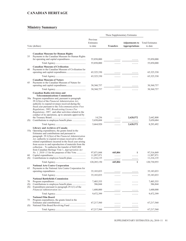# **Ministry Summary**

|     |                                                                                                                                                                                                                                                                                                                                                                                                                                                                                                                                                    |                                  | These Supplementary Estimates |                                                |                                   |
|-----|----------------------------------------------------------------------------------------------------------------------------------------------------------------------------------------------------------------------------------------------------------------------------------------------------------------------------------------------------------------------------------------------------------------------------------------------------------------------------------------------------------------------------------------------------|----------------------------------|-------------------------------|------------------------------------------------|-----------------------------------|
|     | Vote (dollars)                                                                                                                                                                                                                                                                                                                                                                                                                                                                                                                                     | Previous<br>Estimates<br>to date | <b>Transfers</b>              | <b>Adjustments to</b><br><b>Appropriations</b> | <b>Total Estimates</b><br>to date |
|     | <b>Canadian Museum for Human Rights</b>                                                                                                                                                                                                                                                                                                                                                                                                                                                                                                            |                                  |                               |                                                |                                   |
| 35  | Payments to the Canadian Museum for Human Rights                                                                                                                                                                                                                                                                                                                                                                                                                                                                                                   |                                  |                               |                                                |                                   |
|     |                                                                                                                                                                                                                                                                                                                                                                                                                                                                                                                                                    | 55,850,000                       |                               | .                                              | 55,850,000                        |
|     |                                                                                                                                                                                                                                                                                                                                                                                                                                                                                                                                                    | 55,850,000                       | .                             | .                                              | 55,850,000                        |
|     | <b>Canadian Museum of Civilization</b>                                                                                                                                                                                                                                                                                                                                                                                                                                                                                                             |                                  |                               |                                                |                                   |
| 40  | Payments to the Canadian Museum of Civilization for                                                                                                                                                                                                                                                                                                                                                                                                                                                                                                |                                  |                               |                                                |                                   |
|     |                                                                                                                                                                                                                                                                                                                                                                                                                                                                                                                                                    | 65,325,330                       | .                             |                                                | 65, 325, 330                      |
|     |                                                                                                                                                                                                                                                                                                                                                                                                                                                                                                                                                    | 65,325,330                       |                               | .                                              | 65, 325, 330                      |
| 45  | <b>Canadian Museum of Nature</b><br>Payments to the Canadian Museum of Nature for                                                                                                                                                                                                                                                                                                                                                                                                                                                                  |                                  |                               |                                                |                                   |
|     |                                                                                                                                                                                                                                                                                                                                                                                                                                                                                                                                                    | 30, 360, 757                     |                               |                                                | 30,360,757                        |
|     |                                                                                                                                                                                                                                                                                                                                                                                                                                                                                                                                                    | 30,360,757                       | .                             | .                                              | 30,360,757                        |
|     | <b>Canadian Radio-television and</b>                                                                                                                                                                                                                                                                                                                                                                                                                                                                                                               |                                  |                               |                                                |                                   |
|     | <b>Telecommunications Commission</b><br>50a Program expenditures and, pursuant to paragraph<br>$29.1(2)(a)$ of the Financial Administration Act,<br>authority to expend revenues received during the<br>fiscal year pursuant to the Telecommunications Fees<br>Regulations, 1995, Broadcasting Licence Fee<br>Regulations, 1997, and other activities related to the<br>conduct of its operations, up to amounts approved by                                                                                                                       | 14,236                           | .                             | 2,628,572                                      | 2,642,808                         |
| (S) | Contributions to employee benefit plans                                                                                                                                                                                                                                                                                                                                                                                                                                                                                                            | 5,650,684                        |                               | .                                              | 5,650,684                         |
|     |                                                                                                                                                                                                                                                                                                                                                                                                                                                                                                                                                    | 5,664,920                        | .                             | 2,628,572                                      | 8,293,492                         |
|     | <b>Library and Archives of Canada</b><br>55a Operating expenditures, the grants listed in the<br>Estimates and contributions and pursuant to<br>paragraph $29.1(2)(a)$ of the Financial Administration<br>Act, authority to expend revenues received to offset<br>related expenditures incurred in the fiscal year arising<br>from access to and reproduction of materials from the<br>collection $-$ To authorize the transfer of \$445,804<br>from Canadian Heritage Vote 1, Appropriation Act<br>$No. 1, 2010-11$ for the purposes of this Vote | 97,071,044                       | 445,804                       | 1                                              | 97,516,849                        |
| 60  |                                                                                                                                                                                                                                                                                                                                                                                                                                                                                                                                                    | 11,997,971                       | .                             | .                                              | 11,997,971<br>11,216,135          |
| (S) |                                                                                                                                                                                                                                                                                                                                                                                                                                                                                                                                                    | 11,216,135                       | .                             | .                                              |                                   |
|     |                                                                                                                                                                                                                                                                                                                                                                                                                                                                                                                                                    | 120,285,150                      | 445,804                       | 1                                              | 120,730,955                       |
| 65  | <b>National Arts Centre Corporation</b><br>Payments to the National Arts Centre Corporation for                                                                                                                                                                                                                                                                                                                                                                                                                                                    |                                  |                               |                                                |                                   |
|     |                                                                                                                                                                                                                                                                                                                                                                                                                                                                                                                                                    | 35,183,033                       | .                             |                                                | 35,183,033                        |
|     |                                                                                                                                                                                                                                                                                                                                                                                                                                                                                                                                                    | 35,183,033                       | .                             | .                                              | 35,183,033                        |
|     | <b>National Battlefields Commission</b>                                                                                                                                                                                                                                                                                                                                                                                                                                                                                                            |                                  |                               |                                                |                                   |
| 70  |                                                                                                                                                                                                                                                                                                                                                                                                                                                                                                                                                    | 7,485,555                        | .                             |                                                | 7,485,555                         |
| (S) |                                                                                                                                                                                                                                                                                                                                                                                                                                                                                                                                                    | 386,844                          |                               |                                                | 386,844                           |
| (S) | Expenditures pursuant to paragraph $29.1(1)$ of the                                                                                                                                                                                                                                                                                                                                                                                                                                                                                                | 1,600,000                        |                               |                                                | 1,600,000                         |
|     |                                                                                                                                                                                                                                                                                                                                                                                                                                                                                                                                                    |                                  | .                             | .                                              |                                   |
|     |                                                                                                                                                                                                                                                                                                                                                                                                                                                                                                                                                    | 9,472,399                        | .                             | .                                              | 9,472,399                         |
| 75  | National Film Board<br>Program expenditures, the grants listed in the                                                                                                                                                                                                                                                                                                                                                                                                                                                                              |                                  |                               |                                                |                                   |
|     |                                                                                                                                                                                                                                                                                                                                                                                                                                                                                                                                                    | 67,217,560                       | .                             |                                                | 67,217,560                        |
| (S) |                                                                                                                                                                                                                                                                                                                                                                                                                                                                                                                                                    | .                                | .                             |                                                | .                                 |
|     |                                                                                                                                                                                                                                                                                                                                                                                                                                                                                                                                                    | 67,217,560                       | .                             | .                                              | 67,217,560                        |

SUPPLEMENTARY ESTIMATES (A), 2010–11 81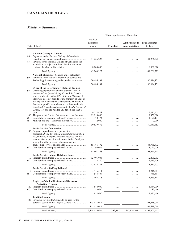| These Supplementary Estimates |                                                                                                                                                                                                                                                                                                                                                                                                                                                                                                      |                                  |                  |                                                |                                   |
|-------------------------------|------------------------------------------------------------------------------------------------------------------------------------------------------------------------------------------------------------------------------------------------------------------------------------------------------------------------------------------------------------------------------------------------------------------------------------------------------------------------------------------------------|----------------------------------|------------------|------------------------------------------------|-----------------------------------|
|                               | Vote (dollars)                                                                                                                                                                                                                                                                                                                                                                                                                                                                                       | Previous<br>Estimates<br>to date | <b>Transfers</b> | <b>Adjustments to</b><br><b>Appropriations</b> | <b>Total Estimates</b><br>to date |
|                               |                                                                                                                                                                                                                                                                                                                                                                                                                                                                                                      |                                  |                  |                                                |                                   |
| 80<br>85                      | <b>National Gallery of Canada</b><br>Payments to the National Gallery of Canada for<br>Payment to the National Gallery of Canada for the                                                                                                                                                                                                                                                                                                                                                             | 41,266,222                       |                  |                                                | 41,266,222                        |
|                               | acquisition of objects for the Collection and other                                                                                                                                                                                                                                                                                                                                                                                                                                                  | 8,000,000                        |                  |                                                | 8,000,000                         |
|                               |                                                                                                                                                                                                                                                                                                                                                                                                                                                                                                      | 49,266,222                       | .                | .                                              | 49,266,222                        |
| 90                            | <b>National Museum of Science and Technology</b><br>Payments to the National Museum of Science and<br>Technology for operating and capital expenditures                                                                                                                                                                                                                                                                                                                                              | 30,684,131                       |                  | .                                              | 30,684,131                        |
|                               |                                                                                                                                                                                                                                                                                                                                                                                                                                                                                                      | 30,684,131                       | .                | .                                              | 30,684,131                        |
| 95                            | Office of the Co-ordinator, Status of Women<br>Operating expenditures and the payment to each<br>member of the Queen's Privy Council for Canada<br>who is a Minister without Portfolio or a Minister of<br>State who does not preside over a Ministry of State of<br>a salary not to exceed the salary paid to Ministers of<br>State who preside over Ministries of State under the<br>Salaries Act, as adjusted pursuant to the Parliament of<br>Canada Act and pro rata for any period less than a |                                  |                  |                                                |                                   |
|                               |                                                                                                                                                                                                                                                                                                                                                                                                                                                                                                      | 9,717,478                        |                  |                                                | 9,717,478                         |
| 100<br>(S)                    | The grants listed in the Estimates and contributions<br>Contributions to employee benefit plans                                                                                                                                                                                                                                                                                                                                                                                                      | 19,950,000<br>1,170,174          |                  |                                                | 19,950,000<br>1,170,174           |
| (S)                           |                                                                                                                                                                                                                                                                                                                                                                                                                                                                                                      | 2,000                            | .<br>.           |                                                | 2,000                             |
|                               |                                                                                                                                                                                                                                                                                                                                                                                                                                                                                                      | 30,839,652                       | .                | .                                              | 30,839,652                        |
| (S)                           | <b>Public Service Commission</b><br>105 Program expenditures and, pursuant to<br>paragraph $29.1(2)(a)$ of the Financial Administration<br>Act, authority to expend revenues received in a fiscal<br>year to offset expenditures incurred in that fiscal year<br>arising from the provision of assessment and                                                                                                                                                                                        | 85,766,472<br>13,195,076         | .<br>.           | .                                              | 85,766,472<br>13,195,076          |
|                               |                                                                                                                                                                                                                                                                                                                                                                                                                                                                                                      | 98,961,548                       | .                | .                                              | 98,961,548                        |
|                               | <b>Public Service Labour Relations Board</b>                                                                                                                                                                                                                                                                                                                                                                                                                                                         |                                  |                  |                                                |                                   |
|                               |                                                                                                                                                                                                                                                                                                                                                                                                                                                                                                      | 12,401,003                       | .                |                                                | 12,401,003                        |
| (S)                           |                                                                                                                                                                                                                                                                                                                                                                                                                                                                                                      | 1,253,270                        | .                | .                                              | 1,253,270                         |
|                               | <b>Public Service Staffing Tribunal</b>                                                                                                                                                                                                                                                                                                                                                                                                                                                              | 13,654,273                       | .                | .                                              | 13,654,273                        |
|                               |                                                                                                                                                                                                                                                                                                                                                                                                                                                                                                      | 4,916,511                        |                  |                                                | 4,916,511                         |
| (S)                           |                                                                                                                                                                                                                                                                                                                                                                                                                                                                                                      | 546,807                          |                  |                                                | 546,807                           |
|                               |                                                                                                                                                                                                                                                                                                                                                                                                                                                                                                      | 5,463,318                        | .                | .                                              | 5,463,318                         |
|                               | <b>Registry of the Public Servants Disclosure</b><br><b>Protection Tribunal</b>                                                                                                                                                                                                                                                                                                                                                                                                                      |                                  |                  |                                                |                                   |
| (S)                           |                                                                                                                                                                                                                                                                                                                                                                                                                                                                                                      | 1,644,000<br>183,600             | .                |                                                | 1,644,000<br>183,600              |
|                               |                                                                                                                                                                                                                                                                                                                                                                                                                                                                                                      | 1,827,600                        | .                | .<br>.                                         | 1,827,600                         |
|                               | Telefilm Canada                                                                                                                                                                                                                                                                                                                                                                                                                                                                                      |                                  | .                |                                                |                                   |
|                               | 125 Payments to Telefilm Canada to be used for the                                                                                                                                                                                                                                                                                                                                                                                                                                                   |                                  |                  |                                                |                                   |
|                               | purposes set out in the <i>Telefilm Canada Act</i>                                                                                                                                                                                                                                                                                                                                                                                                                                                   | 105,418,014                      | .                | .                                              | 105,418,014                       |
|                               |                                                                                                                                                                                                                                                                                                                                                                                                                                                                                                      | 105,418,014                      | .                | .                                              | 105,418,014                       |
|                               |                                                                                                                                                                                                                                                                                                                                                                                                                                                                                                      | 3,144,025,686                    | (250, 252)       | 147,525,207                                    | 3,291,300,641                     |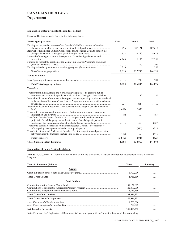## **Department**

## **Explanation of Requirements (thousands of dollars)**

Canadian Heritage requests funds for the following items:

| <b>Voted Appropriations</b>                                                                                                                                                                                                                                                                                                           | Vote 1   | Vote 5     | Total        |
|---------------------------------------------------------------------------------------------------------------------------------------------------------------------------------------------------------------------------------------------------------------------------------------------------------------------------------------|----------|------------|--------------|
| Funding to support the creation of the Canada Media Fund to ensure Canadian<br>Renewal of funding for Cultural Connections for Aboriginal Youth to support the                                                                                                                                                                        | 496      | 107,121    | 107,617      |
| Renewal of funding to continue the support of Canadian digital content and                                                                                                                                                                                                                                                            | 1,938    | 22,740     | 24,678       |
| Funding to support the creation of the Youth Take Charge Program to strengthen                                                                                                                                                                                                                                                        | 6,166    | 6,185      | 12,351       |
| Funding related to government advertising programs (horizontal item)                                                                                                                                                                                                                                                                  | .<br>250 | 1,700<br>. | 1,700<br>250 |
| Gross Voted Appropriations                                                                                                                                                                                                                                                                                                            | 8,850    | 137,746    | 146,596      |
| <b>Funds Available</b>                                                                                                                                                                                                                                                                                                                |          |            |              |
|                                                                                                                                                                                                                                                                                                                                       | .        | 1,700      | 1,700        |
| <b>Total Voted Appropriations</b>                                                                                                                                                                                                                                                                                                     | 8,850    | 136,046    | 144,896      |
| <b>Transfers</b>                                                                                                                                                                                                                                                                                                                      |          |            |              |
| Transfer from Indian Affairs and Northern Development – To promote public<br>awareness and community participation in National Aboriginal Day activities<br>Internal reallocation of resources – To support the new operating requirements related<br>to the creation of the Youth Take Charge Program to strengthen youth attachment |          | 150        | 150          |
| Internal reallocation of resources - For contributions to support Canada Interactive                                                                                                                                                                                                                                                  | 335      | (335)      |              |
| Transfer to Citizenship and Immigration – To stimulate and support research on                                                                                                                                                                                                                                                        | (2,650)  | 2,650      |              |
| Transfer to Canada Council for the Arts – To support multilateral cooperation                                                                                                                                                                                                                                                         | (85)     | .          | (85)         |
| projects in French language, as well as to ensure Canada's participation in                                                                                                                                                                                                                                                           |          | (127)      | (127)        |
| Transfer to Social Sciences and Humanities Research Council – For research to<br>Transfer to Library and Archives of Canada – For film acquisition and preservation                                                                                                                                                                   | .        | (315)      | (315)        |
|                                                                                                                                                                                                                                                                                                                                       | (446)    | .          | (446)        |
| <b>Total Transfers</b>                                                                                                                                                                                                                                                                                                                | (2,846)  | 2,023      | (823)        |
| <b>These Supplementary Estimates</b>                                                                                                                                                                                                                                                                                                  | 6,004    | 138,069    | 144,073      |

## **Explanation of Funds Available (dollars)**

Vote 5: \$1,700,000 in total authorities is available within the Vote due to a reduced contribution requirement for the Katimavik Program.

| <b>Transfer Payments (dollars)</b>   | <b>Voted</b>                             | <b>Statutory</b> |
|--------------------------------------|------------------------------------------|------------------|
| Grants                               |                                          |                  |
|                                      | 1,700,000                                | .                |
| <b>Total Gross Grants</b>            | 1,700,000                                |                  |
| <b>Contributions</b>                 |                                          |                  |
|                                      | 107, 121, 077<br>22,890,000<br>8,835,130 | .<br>.<br>.      |
| <b>Total Gross Contributions</b>     | 138,846,207                              | .                |
| <b>Total Gross Transfer Payments</b> | 140,546,207                              | .                |
|                                      | 1,700,000<br>777,572                     | .<br>.           |
| <b>Net Transfer Payments</b>         | 138,068,635                              | .                |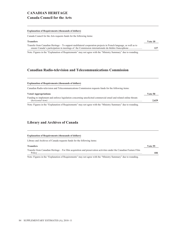# **CANADIAN HERITAGE Canada Council for the Arts**

#### **Explanation of Requirements (thousands of dollars)**

Canada Council for the Arts requests funds for the following items:

| <b>Transfers</b>                                                                                                 | Vote 10 |
|------------------------------------------------------------------------------------------------------------------|---------|
| Transfer from Canadian Heritage – To support multilateral cooperation projects in French language, as well as to |         |
|                                                                                                                  | 127     |
| ा अन्तरीय साथ से अन्य प्राप्त करते हैं। अन्य प्राप्त का प्राप्त करते हैं। अन्य प्राप्त का अन्य प्राप्त करते है   |         |

Note: Figures in the "Explanation of Requirements" may not agree with the "Ministry Summary" due to rounding.

## **Canadian Radio-television and Telecommunications Commission**

#### **Explanation of Requirements (thousands of dollars)**

Canadian Radio-television and Telecommunications Commission requests funds for the following items:

| <b>Voted Appropriations</b>                                                                                     | Vote 50 |
|-----------------------------------------------------------------------------------------------------------------|---------|
| Funding to implement and enforce legislation concerning unsolicited commercial email and related online threats | 2.629   |
| Note: Figures in the "Explanation of Requirements" may not agree with the "Ministry Summary" due to rounding.   |         |

## **Library and Archives of Canada**

### **Explanation of Requirements (thousands of dollars)**

Library and Archives of Canada requests funds for the following items:

**Transfers Vote 55** Transfer from Canadian Heritage – For film acquisition and preservation activities under the Canadian Feature Film Policy ............................................................................................................................................................................ **446**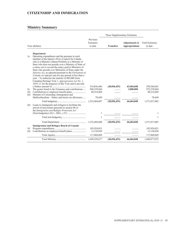# **CITIZENSHIP AND IMMIGRATION**

|            |                                                                                                                                                                                                                                                                                                                                                                                                                                                                                                                     |                                  | These Supplementary Estimates |                                                |                                   |
|------------|---------------------------------------------------------------------------------------------------------------------------------------------------------------------------------------------------------------------------------------------------------------------------------------------------------------------------------------------------------------------------------------------------------------------------------------------------------------------------------------------------------------------|----------------------------------|-------------------------------|------------------------------------------------|-----------------------------------|
|            | Vote (dollars)                                                                                                                                                                                                                                                                                                                                                                                                                                                                                                      | Previous<br>Estimates<br>to date | <b>Transfers</b>              | <b>Adjustments to</b><br><b>Appropriations</b> | <b>Total Estimates</b><br>to date |
| 1a         | Department<br>Operating expenditures and the payment to each                                                                                                                                                                                                                                                                                                                                                                                                                                                        |                                  |                               |                                                |                                   |
|            | member of the Queen's Privy Council for Canada<br>who is a Minister without Portfolio or a Minister of<br>State who does not preside over a Ministry of State of<br>a salary not to exceed the salary paid to Ministers of<br>State who preside over Ministries of State under the<br>Salaries Act, as adjusted pursuant to the Parliament of<br>Canada Act and pro rata for any period of less than a<br>year $-$ To authorize the transfer of \$85,000 from<br>Canadian Heritage Vote 1, Appropriation Act No. 1, |                                  |                               |                                                |                                   |
|            | $2010 - 11$ for the purposes of this Vote and to provide                                                                                                                                                                                                                                                                                                                                                                                                                                                            |                                  |                               |                                                |                                   |
| 5a         | The grants listed in the Estimates and contributions                                                                                                                                                                                                                                                                                                                                                                                                                                                                | 514,836,446<br>969,339,044       | (28, 056, 453)                | 63,604,848<br>3,000,000                        | 550,384,841<br>972,339,044        |
| (S)<br>(S) | Minister of Citizenship, Immigration and                                                                                                                                                                                                                                                                                                                                                                                                                                                                            | 48,214,468                       |                               |                                                | 48,214,468                        |
|            | Multiculturalism - Salary and motor car allowance                                                                                                                                                                                                                                                                                                                                                                                                                                                                   | 78,649                           |                               |                                                | 78,649                            |
|            |                                                                                                                                                                                                                                                                                                                                                                                                                                                                                                                     | 1,532,468,607                    | (28,056,453)                  | 66,604,848                                     | 1,571,017,002                     |
| (S)        | Loans to immigrants and refugees to facilitate the<br>arrival of newcomers pursuant to section 88 of<br>the Immigration and Refugee Protection Act                                                                                                                                                                                                                                                                                                                                                                  |                                  |                               |                                                |                                   |
|            |                                                                                                                                                                                                                                                                                                                                                                                                                                                                                                                     | 1                                |                               |                                                | 1                                 |
|            |                                                                                                                                                                                                                                                                                                                                                                                                                                                                                                                     | $\mathbf{1}$                     | .                             |                                                | $\mathbf{1}$                      |
|            |                                                                                                                                                                                                                                                                                                                                                                                                                                                                                                                     | 1,532,468,608                    | (28,056,453)                  | 66,604,848                                     | 1,571,017,003                     |
|            | <b>Immigration and Refugee Board of Canada</b>                                                                                                                                                                                                                                                                                                                                                                                                                                                                      |                                  |                               |                                                |                                   |
| 10         |                                                                                                                                                                                                                                                                                                                                                                                                                                                                                                                     | 103,924,031                      |                               |                                                | 103,924,031                       |
| (S)        |                                                                                                                                                                                                                                                                                                                                                                                                                                                                                                                     | 13,136,038                       |                               |                                                | 13,136,038                        |
|            |                                                                                                                                                                                                                                                                                                                                                                                                                                                                                                                     | 117,060,069                      | .                             | .                                              | 117,060,069                       |
|            |                                                                                                                                                                                                                                                                                                                                                                                                                                                                                                                     | 1,649,528,677                    | (28, 056, 453)                | 66,604,848                                     | 1,688,077,072                     |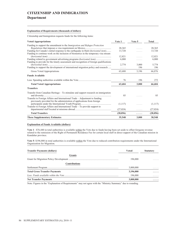# **CITIZENSHIP AND IMMIGRATION Department**

### **Explanation of Requirements (thousands of dollars)**

Citizenship and Immigration requests funds for the following items:

| <b>Voted Appropriations</b>                                                            | Vote 1    | Vote 5  | Total     |
|----------------------------------------------------------------------------------------|-----------|---------|-----------|
| Funding to support the amendment to the <i>Immigration and Refugee Protection</i>      |           |         |           |
|                                                                                        | 28,365    | 1.1.1.1 | 28,365    |
| Funding for Canada's initial response to the earthquake in Haiti (horizontal item)     | 13,720    |         | 13,720    |
| Funding to continue work on the inclusion of biometrics in the temporary visa stream   |           |         |           |
|                                                                                        | 12,821    | .       | 12,821    |
| Funding related to government advertising programs (horizontal item)                   | 6.000     | .       | 6,000     |
| Funding to provide for the timely assessment and recognition of foreign qualifications |           |         |           |
|                                                                                        | 2,774     | 3.000   | 5.774     |
| Funding to support the development of international migration policy and research      | .         | 196     | 196       |
| Gross Voted Appropriations                                                             | 63,680    | 3,196   | 66,876    |
| <b>Funds Available</b>                                                                 |           |         |           |
|                                                                                        | 76        | 196     | 272       |
| <b>Total Voted Appropriations</b>                                                      | 63,604    | 3,000   | 66,604    |
| <b>Transfers</b>                                                                       |           |         |           |
| Transfer from Canadian Heritage – To stimulate and support research on immigration     |           |         |           |
|                                                                                        | 85        |         | 85        |
| Transfer to Foreign Affairs and International Trade – Adjustment to funding            |           |         |           |
| previously provided for the administration of applications from foreign                |           |         |           |
|                                                                                        | (1,117)   | .       | (1,117)   |
| Transfer to Foreign Affairs and International Trade – To provide support to            |           |         |           |
|                                                                                        | (27, 024) | .       | (27, 024) |
| <b>Total Transfers</b>                                                                 | (28, 056) | .       | (28,056)  |
| <b>These Supplementary Estimates</b>                                                   | 35,548    | 3,000   | 38,548    |

## **Explanation of Funds Available (dollars)**

**Vote 1** : \$76,440 in total authorities is available within the Vote due to funds having been set aside to offset foregone revenue related to the remission of the Right of Permanent Residence Fee for certain local staff in direct support of the Canadian mission in Kandahar province.

**Vote 5**: \$196,000 in total authorities is available within the Vote due to reduced contribution requirements under the International Organization for Migration.

| <b>Transfer Payments (dollars)</b>   | Voted     | <b>Statutory</b> |
|--------------------------------------|-----------|------------------|
| Grants                               | 196,000   | .                |
| <b>Contributions</b>                 |           |                  |
|                                      | 3,000,000 | .                |
| <b>Total Gross Transfer Payments</b> | 3,196,000 | .                |
|                                      | 196,000   | .                |
| <b>Net Transfer Payments</b>         | 3,000,000 | .                |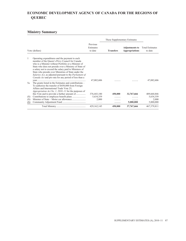# **ECONOMIC DEVELOPMENT AGENCY OF CANADA FOR THE REGIONS OF QUEBEC**

|     |                                                                                                                                                                                                                                                                                                                                                                                                                                                          |                                  | These Supplementary Estimates |                                                |                                   |
|-----|----------------------------------------------------------------------------------------------------------------------------------------------------------------------------------------------------------------------------------------------------------------------------------------------------------------------------------------------------------------------------------------------------------------------------------------------------------|----------------------------------|-------------------------------|------------------------------------------------|-----------------------------------|
|     | Vote (dollars)                                                                                                                                                                                                                                                                                                                                                                                                                                           | Previous<br>Estimates<br>to date | <b>Transfers</b>              | <b>Adjustments to</b><br><b>Appropriations</b> | <b>Total Estimates</b><br>to date |
| 1   | Operating expenditures and the payment to each<br>member of the Queen's Privy Council for Canada<br>who is a Minister without Portfolio or a Minister of<br>State who does not preside over a Ministry of State of<br>a salary not to exceed the salary paid to Ministers of<br>State who preside over Ministries of State under the<br>Salaries Act, as adjusted pursuant to the Parliament of<br>Canada Act and pro rata for any period of less than a | 47,082,606                       |                               |                                                | 47,082,606                        |
| 5a  | The grants listed in the Estimates and contributions –<br>To authorize the transfer of \$450,000 from Foreign<br>Affairs and International Trade Vote 25,<br><i>Appropriation Act No. 1, 2010–11</i> for the purposes of                                                                                                                                                                                                                                 |                                  |                               |                                                |                                   |
|     |                                                                                                                                                                                                                                                                                                                                                                                                                                                          | 376, 443, 180                    | 450,000                       | 32,767,666                                     | 409,660,846                       |
| (S) |                                                                                                                                                                                                                                                                                                                                                                                                                                                          | 5,634,359                        |                               |                                                | 5,634,359                         |
| (S) |                                                                                                                                                                                                                                                                                                                                                                                                                                                          | 2,000                            |                               | .                                              | 2,000                             |
| (S) |                                                                                                                                                                                                                                                                                                                                                                                                                                                          | .                                | .                             | 5,000,000                                      | 5,000,000                         |
|     |                                                                                                                                                                                                                                                                                                                                                                                                                                                          | 429, 162, 145                    | 450,000                       | 37,767,666                                     | 467, 379, 811                     |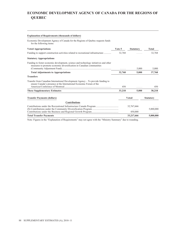# **ECONOMIC DEVELOPMENT AGENCY OF CANADA FOR THE REGIONS OF QUEBEC**

## **Explanation of Requirements (thousands of dollars)**

Economic Development Agency of Canada for the Regions of Quebec requests funds for the following items:

| <b>Voted Appropriations</b>                                                                                                                                  | Vote 5 | <b>Statutory</b>      | Total            |
|--------------------------------------------------------------------------------------------------------------------------------------------------------------|--------|-----------------------|------------------|
| Funding to support construction activities related to recreational infrastructure                                                                            | 32,768 |                       | 32,768           |
| <b>Statutory Appropriations</b>                                                                                                                              |        |                       |                  |
| Funding to foster economic development, science and technology initiatives and other<br>measures to promote economic diversification in Canadian communities | .      | 5,000                 | 5,000            |
| <b>Total Adjustments to Appropriations</b>                                                                                                                   | 32,768 | 5,000                 | 37,768           |
| <b>Transfers</b>                                                                                                                                             |        |                       |                  |
| Transfer from Canadian International Development Agency – To provide funding to<br>ensure Canada's presence at the International Economic Forum of the       | 450    | .                     | 450              |
| <b>These Supplementary Estimates</b>                                                                                                                         | 33,218 | 5,000                 | 38,218           |
| <b>Transfer Payments (dollars)</b>                                                                                                                           |        | Voted                 | <b>Statutory</b> |
| <b>Contributions</b>                                                                                                                                         |        |                       |                  |
|                                                                                                                                                              |        | 32,767,666<br>.       | 5,000,000        |
| <b>Total Transfer Payments</b>                                                                                                                               |        | 450,000<br>33,217,666 | 5,000,000        |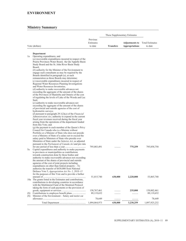| These Supplementary Estimates |                                                                                                                                                                                                                                                                                                                                                                                                                                                                                                                                                                                                                                                                                                                                                                   |                                  |                  |                                                |                                   |
|-------------------------------|-------------------------------------------------------------------------------------------------------------------------------------------------------------------------------------------------------------------------------------------------------------------------------------------------------------------------------------------------------------------------------------------------------------------------------------------------------------------------------------------------------------------------------------------------------------------------------------------------------------------------------------------------------------------------------------------------------------------------------------------------------------------|----------------------------------|------------------|------------------------------------------------|-----------------------------------|
|                               | Vote (dollars)                                                                                                                                                                                                                                                                                                                                                                                                                                                                                                                                                                                                                                                                                                                                                    | Previous<br>Estimates<br>to date | <b>Transfers</b> | <b>Adjustments to</b><br><b>Appropriations</b> | <b>Total Estimates</b><br>to date |
|                               |                                                                                                                                                                                                                                                                                                                                                                                                                                                                                                                                                                                                                                                                                                                                                                   |                                  |                  |                                                |                                   |
| 1a                            | Department<br>Operating expenditures, and<br>(a) recoverable expenditures incurred in respect of the<br>Prairie Provinces Water Board, the Qu'Appelle Basin<br>Study Board and the St. John River Basin Study<br>Board:<br>$(b)$ authority for the Minister of the Environment to<br>engage such consultants as may be required by the<br>Boards identified in paragraph $(a)$ , at such<br>remuneration as those Boards may determine;<br>$(c)$ recoverable expenditures incurred in respect of<br>Regional Water Resources Planning Investigations<br>and Water Resources Inventories;<br>$(d)$ authority to make recoverable advances not<br>exceeding the aggregate of the amount of the shares                                                               |                                  |                  |                                                |                                   |
|                               | of the Provinces of Manitoba and Ontario of the cost<br>of regulating the levels of Lake of the Woods and Lac<br>Seul:<br>(e) authority to make recoverable advances not<br>exceeding the aggregate of the amount of the shares<br>of provincial and outside agencies of the cost of<br>hydrometric surveys;<br>( <i>f</i> ) pursuant to paragraph 29.1(2)( <i>a</i> ) of the <i>Financial</i><br>Administration Act, authority to expend in the current<br>fiscal year revenues received during the fiscal year<br>arising from the operations of the department funded<br>from this Vote; and<br>$(g)$ the payment to each member of the Queen's Privy<br>Council for Canada who is a Minister without<br>Portfolio or a Minister of State who does not preside |                                  |                  |                                                |                                   |
| 5a                            | over a Ministry of State of a salary not to exceed the<br>salary paid to Ministers of State who preside over<br>Ministries of State under the Salaries Act, as adjusted<br>pursuant to the Parliament of Canada Act and pro rata<br>Capital expenditures and authority to make payments<br>to provinces or municipalities as contributions<br>towards construction done by those bodies and<br>authority to make recoverable advances not exceeding<br>the amount of the shares of provincial and outside<br>agencies of the cost of joint projects including<br>expenditures on other than federal property $-$ To                                                                                                                                               | 795,083,491                      |                  | 775,259                                        | 795,858,750                       |
|                               | authorize the transfer of \$630,000 from National<br>Defence Vote 5, Appropriation Act No. 1, 2010-11<br>for the purposes of this Vote and to provide a further<br>10a The grants listed in the Estimates and contributions,<br>contributions to developing countries in accordance<br>with the Multilateral Fund of the Montreal Protocol<br>taking the form of cash payments or the provision of                                                                                                                                                                                                                                                                                                                                                                | 51,015,740                       | 630,000          | 2,220,000                                      | 53,865,740                        |
| (S)                           |                                                                                                                                                                                                                                                                                                                                                                                                                                                                                                                                                                                                                                                                                                                                                                   | 158,767,461<br>89,119,632        |                  | 235,000<br>.                                   | 159,002,461<br>89,119,632         |
| (S)                           | Minister of the Environment - Salary and motor car                                                                                                                                                                                                                                                                                                                                                                                                                                                                                                                                                                                                                                                                                                                | 78,649                           | .                | .                                              | 78,649                            |
|                               |                                                                                                                                                                                                                                                                                                                                                                                                                                                                                                                                                                                                                                                                                                                                                                   | 1,094,064,973                    | 630,000          | 3,230,259                                      | 1,097,925,232                     |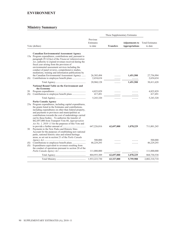## **ENVIRONMENT**

|            |                                                                                                                                                                                                                                                                                                                                                                                                                                                                                                                                      |                                      | These Supplementary Estimates |                                                |                                      |
|------------|--------------------------------------------------------------------------------------------------------------------------------------------------------------------------------------------------------------------------------------------------------------------------------------------------------------------------------------------------------------------------------------------------------------------------------------------------------------------------------------------------------------------------------------|--------------------------------------|-------------------------------|------------------------------------------------|--------------------------------------|
|            | Vote (dollars)                                                                                                                                                                                                                                                                                                                                                                                                                                                                                                                       | Previous<br>Estimates<br>to date     | <b>Transfers</b>              | <b>Adjustments to</b><br><b>Appropriations</b> | <b>Total Estimates</b><br>to date    |
| (S)        | <b>Canadian Environmental Assessment Agency</b><br>15a Program expenditures, contributions and, pursuant to<br>paragraph $29.1(2)(a)$ of the <i>Financial Administration</i><br>Act, authority to expend revenues received during the<br>fiscal year arising from the provision of<br>environmental assessment services including the<br>conduct of panel reviews, comprehensive studies,<br>mediations, training and information publications by<br>the Canadian Environmental Assessment Agency                                    | 26, 305, 494<br>2,654,634            | .                             | 1,451,500<br>.                                 | 27,756,994<br>2,654,634              |
|            |                                                                                                                                                                                                                                                                                                                                                                                                                                                                                                                                      | 28,960,128                           | .                             | 1,451,500                                      | 30,411,628                           |
| 20<br>(S)  | <b>National Round Table on the Environment and</b><br>the Economy                                                                                                                                                                                                                                                                                                                                                                                                                                                                    | 4,825,829<br>417,491                 |                               |                                                | 4,825,829<br>417,491                 |
|            |                                                                                                                                                                                                                                                                                                                                                                                                                                                                                                                                      | 5,243,320                            | .                             | .                                              | 5,243,320                            |
| 30         | Parks Canada Agency<br>25a Program expenditures, including capital expenditures,<br>the grants listed in the Estimates and contributions,<br>including expenditures on other than federal property,<br>and payments to provinces and municipalities as<br>contributions towards the cost of undertakings carried<br>out by those bodies - To authorize the transfer of<br>\$62,697,000 from Transport Vote 60, Appropriation<br>Act No. 1, 2010–11 for the purposes of this Vote and<br>Payments to the New Parks and Historic Sites | 647,226,016                          | 62,697,000                    | 1,078,229                                      | 711,001,245                          |
| (S)<br>(S) | Account for the purposes of establishing new national<br>parks, national historic sites and related heritage<br>areas, as set out in section 21 of the Parks Canada<br>Expenditures equivalent to revenues resulting from<br>the conduct of operations pursuant to section 20 of the                                                                                                                                                                                                                                                 | 500,000<br>46,229,293<br>111,000,000 | .                             | .                                              | 500,000<br>46,229,293<br>111,000,000 |
|            |                                                                                                                                                                                                                                                                                                                                                                                                                                                                                                                                      | 804,955,309                          | 62,697,000                    | 1,078,229                                      | 868,730,538                          |
|            |                                                                                                                                                                                                                                                                                                                                                                                                                                                                                                                                      | 1,933,223,730                        | 63,327,000                    | 5,759,988                                      | 2,002,310,718                        |
|            |                                                                                                                                                                                                                                                                                                                                                                                                                                                                                                                                      |                                      |                               |                                                |                                      |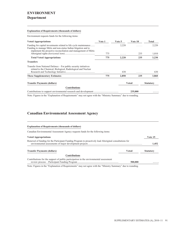# **ENVIRONMENT**

## **Department**

## **Explanation of Requirements (thousands of dollars)**

Environment requests funds for the following items:

| <b>Voted Appropriations</b>                                                                                                                                                                            | Vote 1 | Vote 5 | Vote 10      | Total            |
|--------------------------------------------------------------------------------------------------------------------------------------------------------------------------------------------------------|--------|--------|--------------|------------------|
| Funding for capital investments related to life cycle maintenance<br>Funding to manage Métis and non-status Indian litigation and to<br>implement the proactive reconciliation and management of Métis |        | 2,220  | .            | 2,220            |
|                                                                                                                                                                                                        | 775    | .      | 235          | 1.010            |
| <b>Total Voted Appropriations</b>                                                                                                                                                                      | 775    | 2,220  | 235          | 3,230            |
| <b>Transfers</b>                                                                                                                                                                                       |        |        |              |                  |
| Transfer from National Defence – For public security initiatives<br>related to the Chemical, Biological, Radiological and Nuclear                                                                      | .      | 630    | .            | 630              |
| <b>These Supplementary Estimates</b>                                                                                                                                                                   | 775    | 2,850  | 235          | 3,860            |
| <b>Transfer Payments (dollars)</b>                                                                                                                                                                     |        |        | <b>Voted</b> | <b>Statutory</b> |
| Contributions                                                                                                                                                                                          |        |        |              |                  |
|                                                                                                                                                                                                        |        |        | 235,000      | .                |

Note: Figures in the "Explanation of Requirements" may not agree with the "Ministry Summary" due to rounding.

# **Canadian Environmental Assessment Agency**

| <b>Explanation of Requirements (thousands of dollars)</b>                                               |              |                  |
|---------------------------------------------------------------------------------------------------------|--------------|------------------|
| Canadian Environmental Assessment Agency requests funds for the following items:                        |              |                  |
| <b>Voted Appropriations</b>                                                                             |              | Vote 15          |
| Renewal of funding for the Participant Funding Program to proactively lead Aboriginal consultations for |              | 1.452            |
| <b>Transfer Payments (dollars)</b>                                                                      | <b>Voted</b> | <b>Statutory</b> |
| <b>Contributions</b>                                                                                    |              |                  |
| Contributions for the support of public participation in the environmental assessment                   | 500,000      | .                |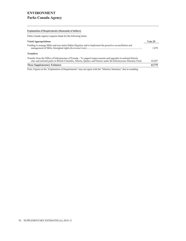## **Explanation of Requirements (thousands of dollars)**

Parks Canada Agency requests funds for the following items:

| <b>Voted Appropriations</b>                                                                                                                                                                                                           | Vote 25 |
|---------------------------------------------------------------------------------------------------------------------------------------------------------------------------------------------------------------------------------------|---------|
| Funding to manage Métis and non-status Indian litigation and to implement the proactive reconciliation and                                                                                                                            | 1.078   |
| <b>Transfers</b>                                                                                                                                                                                                                      |         |
| Transfer from the Office of Infrastructure of Canada – To support improvements and upgrades in national historic<br>sites and national parks in British Columbia, Alberta, Quebec and Ontario under the Infrastructure Stimulus Fund. | 62,697  |
| <b>These Supplementary Estimates</b>                                                                                                                                                                                                  | 63,775  |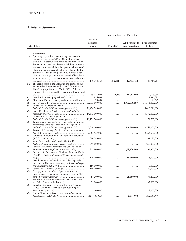| These Supplementary Estimates |                                                                                                                |                      |                  |                       |                        |
|-------------------------------|----------------------------------------------------------------------------------------------------------------|----------------------|------------------|-----------------------|------------------------|
|                               |                                                                                                                | Previous             |                  |                       |                        |
|                               |                                                                                                                | Estimates            |                  | <b>Adjustments to</b> | <b>Total Estimates</b> |
|                               | Vote (dollars)                                                                                                 | to date              | <b>Transfers</b> | <b>Appropriations</b> | to date                |
|                               |                                                                                                                |                      |                  |                       |                        |
|                               | Department                                                                                                     |                      |                  |                       |                        |
| 1a                            | Operating expenditures and the payment to each                                                                 |                      |                  |                       |                        |
|                               | member of the Queen's Privy Council for Canada                                                                 |                      |                  |                       |                        |
|                               | who is a Minister without Portfolio or a Minister of                                                           |                      |                  |                       |                        |
|                               | State who does not preside over a Ministry of State of                                                         |                      |                  |                       |                        |
|                               | a salary not to exceed the salary paid to Ministers of<br>State who preside over Ministries of State under the |                      |                  |                       |                        |
|                               | Salaries Act, as adjusted pursuant to the Parliament of                                                        |                      |                  |                       |                        |
|                               | Canada Act and pro rata for any period of less than a                                                          |                      |                  |                       |                        |
|                               | year and authority to expend revenue received during                                                           |                      |                  |                       |                        |
|                               |                                                                                                                | 110,272,552          | (382,000)        | 12,855,162            | 122,745,714            |
| 5a                            | The grants listed in the Estimates and contributions $-$                                                       |                      |                  |                       |                        |
|                               | To authorize the transfer of \$382,000 from Finance                                                            |                      |                  |                       |                        |
|                               | Vote 1, <i>Appropriation Act No. 1, 2010–11</i> for the                                                        |                      |                  |                       |                        |
|                               | purposes of this Vote and to provide a further amount                                                          |                      |                  |                       |                        |
|                               |                                                                                                                | 299,051,054          | 382,000          | 19,762,000            | 319,195,054            |
| (S)<br>(S)                    | Minister of Finance - Salary and motor car allowance                                                           | 12,836,097<br>78,649 | .<br>.           | .<br>.                | 12,836,097<br>78,649   |
| (S)                           |                                                                                                                |                      | .                | (2,352,000,000)       | 31,341,000,000         |
| (S)                           | Canada Health Transfer (Part V.1 -                                                                             |                      |                  |                       |                        |
|                               | Federal-Provincial Fiscal Arrangements Act)  25,426,286,000                                                    |                      | .                | .                     | 25,426,286,000         |
| (S)                           | Fiscal Equalization (Part I – Federal-Provincial                                                               |                      |                  |                       |                        |
|                               |                                                                                                                |                      |                  |                       | 14,372,000,000         |
| (S)                           | Canada Social Transfer (Part V.1 -                                                                             |                      |                  |                       |                        |
|                               | Federal-Provincial Fiscal Arrangements Act)  11,178,703,000                                                    |                      |                  | .                     | 11,178,703,000         |
| (S)                           | Transitional assistance to provinces entering into the                                                         |                      |                  |                       |                        |
|                               | harmonized value-added tax framework (Part III.1 -<br>Federal-Provincial Fiscal Arrangements Act)              | 3,000,000,000        |                  | 769,000,000           | 3,769,000,000          |
| (S)                           | Territorial Financing (Part I.1 - Federal-Provincial                                                           |                      |                  |                       |                        |
|                               |                                                                                                                | 2,663,567,000        |                  |                       | 2,663,567,000          |
| (S)                           | Payments to International Development Association                                                              |                      |                  |                       |                        |
|                               |                                                                                                                | 384,280,000          |                  |                       | 384,280,000            |
| (S)                           | Wait Times Reduction Transfer (Part V.1)                                                                       |                      |                  |                       |                        |
|                               | Federal-Provincial Fiscal Arrangements Act)                                                                    | 250,000,000          |                  |                       | 250,000,000            |
| (S)                           | Payment to Ontario Related to the Canada Health                                                                |                      |                  |                       |                        |
|                               | Transfer (Budget Implementation Act, 2009)                                                                     | 213,800,000          |                  | (18,500,000)          | 195,300,000            |
| (S)                           | Incentive for Provinces to Eliminate Taxes on Capital<br>(Part IV - Federal-Provincial Fiscal Arrangements     |                      |                  |                       |                        |
|                               |                                                                                                                | 170,000,000          |                  | 18,000,000            | 188,000,000            |
| (S)                           | Establishment of a Canadian Securities Regulation                                                              |                      |                  |                       |                        |
|                               | Regime and Canadian Regulatory Authority (Budget)                                                              |                      |                  |                       |                        |
|                               |                                                                                                                | 150,000,000          | .                | .                     | 150,000,000            |
| (S)                           |                                                                                                                | 140,000,000          | .                |                       | 140,000,000            |
| (S)                           | Debt payments on behalf of poor countries to                                                                   |                      |                  |                       |                        |
|                               | International Organizations pursuant to section 18(1)                                                          |                      |                  |                       |                        |
|                               | Statutory Subsidies (Constitution Acts, 1867-1982,                                                             | 51,200,000           |                  | 25,000,000            | 76,200,000             |
| (S)                           |                                                                                                                | 32,000,000           |                  |                       | 32,000,000             |
| (S)                           | Canadian Securities Regulation Regime Transition                                                               |                      |                  | .                     |                        |
|                               | Office (Canadian Securities Regulation Regime                                                                  |                      |                  |                       |                        |
|                               |                                                                                                                | 11,000,000           |                  |                       | 11,000,000             |
| (S)                           | Youth Allowances Recovery (Federal-Provincial                                                                  |                      |                  |                       |                        |
|                               |                                                                                                                | (655,786,000)        | .                | 5,976,000             | (649, 810, 000)        |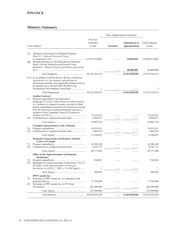## **FINANCE**

|           |                                                                                                                                                                                                                                                                                                                                                                |                                  |                  | These Supplementary Estimates                  |                                   |  |
|-----------|----------------------------------------------------------------------------------------------------------------------------------------------------------------------------------------------------------------------------------------------------------------------------------------------------------------------------------------------------------------|----------------------------------|------------------|------------------------------------------------|-----------------------------------|--|
|           | Vote (dollars)                                                                                                                                                                                                                                                                                                                                                 | Previous<br>Estimates<br>to date | <b>Transfers</b> | <b>Adjustments to</b><br><b>Appropriations</b> | <b>Total Estimates</b><br>to date |  |
| (S)       | Alternative Payments for Standing Programs<br>(Part VI – Federal-Provincial Fiscal                                                                                                                                                                                                                                                                             |                                  |                  | 26,868,000                                     | (2,949,851,000)                   |  |
| (S)       | Subsidy Resources to the International Monetary<br>Fund's Poverty Reduction and Growth Trust<br>(Section 8 – Bretton Woods and Related Agreements                                                                                                                                                                                                              |                                  |                  |                                                |                                   |  |
|           |                                                                                                                                                                                                                                                                                                                                                                |                                  |                  | 40,000,000                                     | 40,000,000                        |  |
|           |                                                                                                                                                                                                                                                                                                                                                                |                                  | .                | (1,453,038,838)                                | 87,072,530,514                    |  |
|           | L10 In accordance with the Bretton Woods and Related<br><i>Agreements Act</i> , the issuance and payment of<br>non-interest bearing, non-negotiable demand notes in<br>an amount not to exceed \$384,280,000 to the                                                                                                                                            | 1                                | .                |                                                | 1                                 |  |
|           |                                                                                                                                                                                                                                                                                                                                                                |                                  | .                | (1,453,038,838)                                | 87,072,530,515                    |  |
| 15<br>(S) | <b>Auditor General</b><br>Program expenditures and, pursuant to<br>paragraph $29.1(2)(a)$ of the <i>Financial Administration</i><br>Act, authority to expend revenues received to offset<br>related expenditures incurred in the fiscal year arising<br>from the provision of audit professional services to<br>members of the Canadian Council of Legislative | 75,103,833<br>9,960,917          |                  |                                                | 75,103,833<br>9,960,917           |  |
|           |                                                                                                                                                                                                                                                                                                                                                                |                                  | .                | .                                              |                                   |  |
|           |                                                                                                                                                                                                                                                                                                                                                                | 85,064,750                       | .                | .                                              | 85,064,750                        |  |
| 20        | <b>Canadian International Trade Tribunal</b>                                                                                                                                                                                                                                                                                                                   | 10,474,261                       | .                | .                                              | 10,474,261                        |  |
| (S)       | Contributions to employee benefit plans                                                                                                                                                                                                                                                                                                                        | 1,466,634                        | .                |                                                | 1,466,634                         |  |
|           |                                                                                                                                                                                                                                                                                                                                                                | 11,940,895                       | .                | .                                              | 11,940,895                        |  |
|           | <b>Financial Transactions and Reports Analysis</b><br><b>Centre of Canada</b>                                                                                                                                                                                                                                                                                  |                                  |                  |                                                |                                   |  |
| 25        |                                                                                                                                                                                                                                                                                                                                                                | 45,380,108                       |                  |                                                | 45,380,108                        |  |
| (S)       |                                                                                                                                                                                                                                                                                                                                                                | 4,393,772                        | .                | .                                              | 4,393,772                         |  |
|           |                                                                                                                                                                                                                                                                                                                                                                | 49,773,880                       | .                | .                                              | 49,773,880                        |  |
| 30<br>(S) | Office of the Superintendent of Financial<br><b>Institutions</b><br>Spending of revenues pursuant to subsection $17(2)$ of<br>the Office of the Superintendent of Financial                                                                                                                                                                                    | 946,801                          |                  | .                                              | 946,801                           |  |
|           | Institutions Act (R.S.C., 1985, c. 18 (3rd Supp.))                                                                                                                                                                                                                                                                                                             | -1                               |                  |                                                |                                   |  |
|           |                                                                                                                                                                                                                                                                                                                                                                | 946,802                          | .                | .                                              | 946,802                           |  |
|           | PPP Canada Inc.                                                                                                                                                                                                                                                                                                                                                |                                  |                  |                                                |                                   |  |
| 35<br>40  | Payments to PPP Canada Inc. for operations and<br>Payments to PPP Canada Inc. for P3 Fund                                                                                                                                                                                                                                                                      | 12,700,000                       | .                | .                                              | 12,700,000                        |  |
|           |                                                                                                                                                                                                                                                                                                                                                                | 242,500,000                      | .                | .                                              | 242,500,000                       |  |
|           |                                                                                                                                                                                                                                                                                                                                                                | 255,200,000                      | .                | .                                              | 255,200,000                       |  |
|           |                                                                                                                                                                                                                                                                                                                                                                |                                  | .                | (1,453,038,838)                                | 87,475,456,842                    |  |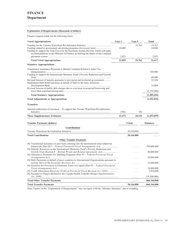## **Explanation of Requirements (thousands of dollars)**

Finance requests funds for the following items:

| <b>Voted Appropriations</b>                                                                                                                                                                                                                    | Vote 1            | Vote 5 | Total            |
|------------------------------------------------------------------------------------------------------------------------------------------------------------------------------------------------------------------------------------------------|-------------------|--------|------------------|
| Funding related to government advertising programs (horizontal item)<br>Funding to support the Task Force for the Payments System Review, which will make<br>recommendations to the Minister of Finance in charting the future of the Canadian | 1.1.1.1<br>10,000 | 19,762 | 19,762<br>10,000 |
|                                                                                                                                                                                                                                                | 2,855             | .      | 2,855            |
| <b>Total Voted Appropriations</b>                                                                                                                                                                                                              | 12,855            | 19,762 | 32,617           |
| <b>Statutory Appropriations</b>                                                                                                                                                                                                                |                   |        |                  |
| Transitional Assistance Payments to British Columbia Related to Sales Tax                                                                                                                                                                      |                   |        | 769,000          |
| Funding to support the International Monetary Fund's Poverty Reduction and Growth                                                                                                                                                              |                   |        | 40,000           |
| Revised forecast of transfer payments to provincial and territorial governments<br>Multilateral Debt Relief payment on behalf of Haiti to the Inter-American                                                                                   |                   |        | 32,344           |
|                                                                                                                                                                                                                                                |                   |        | 25,000           |
| Revised forecast of public debt charges due to a revision in projected borrowing and                                                                                                                                                           |                   |        | (2,352,000)      |
| <b>Total Statutory Appropriations</b>                                                                                                                                                                                                          |                   |        | (1,485,656)      |
| <b>Total Adjustments to Appropriations</b>                                                                                                                                                                                                     |                   |        | (1,453,039)      |
| <b>Transfers</b>                                                                                                                                                                                                                               |                   |        |                  |

Internal reallocation of resources – To support the Toronto Waterfront Revitalization

|                                                                                                                                                                                     | (382)  | 382          | .                |
|-------------------------------------------------------------------------------------------------------------------------------------------------------------------------------------|--------|--------------|------------------|
| <b>These Supplementary Estimates</b>                                                                                                                                                | 12,473 | 20,144       | (1,453,039)      |
| <b>Transfer Payments (dollars)</b>                                                                                                                                                  |        | <b>Voted</b> | <b>Statutory</b> |
| <b>Contributions</b>                                                                                                                                                                |        |              |                  |
|                                                                                                                                                                                     |        | 20,144,000   |                  |
| <b>Total Contributions</b>                                                                                                                                                          |        | 20,144,000   |                  |
| <b>Other Transfer Payments</b>                                                                                                                                                      |        |              |                  |
| (S) Transitional assistance to provinces entering into the harmonized value-added tax<br>(S) Subsidy Resources to the International Monetary Fund's Poverty Reduction and           |        |              | 769,000,000      |
| Growth Trust (Section 8 – Bretton Woods and Related Agreements Act)<br>(S) Alternative Payments for Standing Programs (Part VI - Federal-Provincial Fiscal                          |        |              | 40,000,000       |
|                                                                                                                                                                                     |        |              | 26,868,000       |
| (S) Debt Payments on behalf of poor countries to International Organizations pursuant to<br>(S) Incentive for Provinces to Eliminate Taxes on Capital (Part IV – Federal-Provincial |        |              | 25,000,000       |
|                                                                                                                                                                                     |        |              | 18,000,000       |
|                                                                                                                                                                                     |        |              | 5,976,000        |
| (S) Payment to Ontario Related to the Canada Health Transfer (Budget Implementation                                                                                                 |        | .            | (18,500,000)     |
| <b>Total Other Transfer Payments</b>                                                                                                                                                |        | .            | 866,344,000      |
| <b>Total Transfer Payments</b>                                                                                                                                                      |        | 20,144,000   | 866,344,000      |
|                                                                                                                                                                                     |        |              |                  |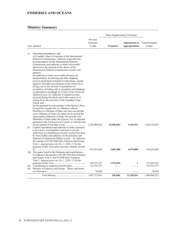## **FISHERIES AND OCEANS**

|     |                                                                                                                                                                                                                                                                                                                                                                                                                                                                                                                                                                                                                                                                                                                                                                                                                                                                                                                                                                                                                                                                                                                                                                                                                                                                                                                                                              |                                  | These Supplementary Estimates |                                                |                                   |
|-----|--------------------------------------------------------------------------------------------------------------------------------------------------------------------------------------------------------------------------------------------------------------------------------------------------------------------------------------------------------------------------------------------------------------------------------------------------------------------------------------------------------------------------------------------------------------------------------------------------------------------------------------------------------------------------------------------------------------------------------------------------------------------------------------------------------------------------------------------------------------------------------------------------------------------------------------------------------------------------------------------------------------------------------------------------------------------------------------------------------------------------------------------------------------------------------------------------------------------------------------------------------------------------------------------------------------------------------------------------------------|----------------------------------|-------------------------------|------------------------------------------------|-----------------------------------|
|     | Vote (dollars)                                                                                                                                                                                                                                                                                                                                                                                                                                                                                                                                                                                                                                                                                                                                                                                                                                                                                                                                                                                                                                                                                                                                                                                                                                                                                                                                               | Previous<br>Estimates<br>to date | <b>Transfers</b>              | <b>Adjustments to</b><br><b>Appropriations</b> | <b>Total Estimates</b><br>to date |
| 1a  | Operating expenditures, and<br>$(a)$ Canada's share of expenses of the International<br>Fisheries Commissions, authority to provide free<br>accommodation for the International Fisheries<br>Commissions and authority to make recoverable<br>advances in the amounts of the shares of the<br>International Fisheries Commissions of joint cost<br>projects:<br>$(b)$ authority to make recoverable advances for<br>transportation, stevedoring and other shipping<br>services performed on behalf of individuals, outside<br>agencies and other governments in the course of, or<br>arising out of, the exercise of jurisdiction in<br>navigation, including aids to navigation and shipping;<br>(c) pursuant to paragraph $29.1(2)(a)$ of the <i>Financial</i><br>Administration Act, authority to expend revenue<br>received during the fiscal year in the course of, or<br>arising from, the activities of the Canadian Coast<br>Guard; and<br>$(d)$ the payment to each member of the Queen's Privy<br>Council for Canada who is a Minister without<br>Portfolio or a Minister of State who does not preside<br>over a Ministry of State of a salary not to exceed the<br>salary paid to Ministers of State who preside over<br>Ministries of State under the Salaries Act, as adjusted<br>pursuant to the <i>Parliament of Canada Act</i> and pro rata |                                  |                               |                                                |                                   |
| 5a  | Capital expenditures and authority to make payments<br>to provinces, municipalities and local or private<br>authorities as contributions towards construction done<br>by those bodies and authority for the purchase and<br>disposal of commercial fishing vessels – To authorize<br>the transfer of \$3,887,000 from Fisheries and Oceans<br>Vote 1, <i>Appropriation Act No. 1, 2010–11</i> for the<br>purposes of this Vote and to provide a further amount                                                                                                                                                                                                                                                                                                                                                                                                                                                                                                                                                                                                                                                                                                                                                                                                                                                                                               | 1,283,084,028                    | (5,928,492)                   | 5,362,923                                      | 1,282,518,459                     |
|     | 10a The grants listed in the Estimates and contributions –<br>To authorize the transfer of \$1,897,034 from Fisheries<br>and Oceans Vote 1, and \$75,000 from Transport<br>Vote 1, Appropriation Act No. 1, 2010-11 for the                                                                                                                                                                                                                                                                                                                                                                                                                                                                                                                                                                                                                                                                                                                                                                                                                                                                                                                                                                                                                                                                                                                                  | 427,591,260                      | 3,887,000                     | 6,976,000                                      | 438,454,260                       |
|     |                                                                                                                                                                                                                                                                                                                                                                                                                                                                                                                                                                                                                                                                                                                                                                                                                                                                                                                                                                                                                                                                                                                                                                                                                                                                                                                                                              | 129, 231, 417                    | 1,972,034                     | 1                                              | 131,203,452                       |
| (S) |                                                                                                                                                                                                                                                                                                                                                                                                                                                                                                                                                                                                                                                                                                                                                                                                                                                                                                                                                                                                                                                                                                                                                                                                                                                                                                                                                              | 127,751,737                      | .                             | .                                              | 127,751,737                       |
| (S) | Minister of Fisheries and Oceans – Salary and motor                                                                                                                                                                                                                                                                                                                                                                                                                                                                                                                                                                                                                                                                                                                                                                                                                                                                                                                                                                                                                                                                                                                                                                                                                                                                                                          | 78,649                           | .                             |                                                | 78,649                            |
|     |                                                                                                                                                                                                                                                                                                                                                                                                                                                                                                                                                                                                                                                                                                                                                                                                                                                                                                                                                                                                                                                                                                                                                                                                                                                                                                                                                              | 1,967,737,091                    | (69, 458)                     | 12,338,924                                     | 1,980,006,557                     |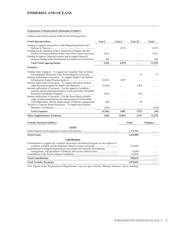## **FISHERIES AND OCEANS**

## **Explanation of Requirements (thousands of dollars)**

Fisheries and Oceans requests funds for the following items:

| <b>Voted Appropriations</b>                                                                                                                                                                           | Vote 1   | Vote 5  | Vote 10          | Total            |
|-------------------------------------------------------------------------------------------------------------------------------------------------------------------------------------------------------|----------|---------|------------------|------------------|
| Funding to support construction of the Pangnirtung Small Craft                                                                                                                                        |          | 6,976   | .                | 6,976            |
| Funding for the operation of the Commission of Inquiry into the<br>Decline of Sockeye Salmon in the Fraser River (horizontal item).<br>Funding to improve financial systems and to support financial  | 4,913    | .       | .                | 4,913            |
| decision-making in the Government of Canada (horizontal item)                                                                                                                                         | 450      | .       | .                | 450              |
| <b>Total Voted Appropriations</b>                                                                                                                                                                     | 5,363    | 6,976   | .                | 12,339           |
| <b>Transfers</b>                                                                                                                                                                                      |          |         |                  |                  |
| Transfer from Transport - To support the Canadian Chair in Marine<br>Environmental Protection at the World Maritime University<br>Internal reallocation of resources - To support Small Craft Harbour |          |         | 75               | 75               |
| Internal reallocation of resources – To support divestiture projects                                                                                                                                  | (3,887)  | 3,887   | .                |                  |
| Internal reallocation of resources – For the support of academic                                                                                                                                      | (1, 414) | .       | 1,414            |                  |
| research and development related to science priorities (Academic<br>Internal reallocation of resources - For the Fraser Basin scientific                                                              | (414)    | .       | 414              |                  |
| study of salmon populations; the enhancement of relationships<br>with stakeholders; and the improvement of fisheries management<br>Transfer to Treasury Board Secretariat - To support the National   | (69)     | .       | 69               |                  |
|                                                                                                                                                                                                       | (144)    | .       | $\cdots$         | (144)            |
| <b>Total Transfers</b>                                                                                                                                                                                | (5,928)  | 3,887   | 1,972            | (69)             |
| <b>These Supplementary Estimates</b>                                                                                                                                                                  | (565)    | 10,863  | 1,972            | 12,270           |
| <b>Transfer Payments (dollars)</b>                                                                                                                                                                    |          |         | <b>Voted</b>     | <b>Statutory</b> |
| Grants                                                                                                                                                                                                |          |         |                  |                  |
|                                                                                                                                                                                                       |          |         | 1,414,000        |                  |
| <b>Total Grants</b>                                                                                                                                                                                   |          |         | 1,414,000        | .                |
| <b>Contributions</b>                                                                                                                                                                                  |          |         |                  |                  |
| Contributions to support the Academic Research Contribution Program for the support of<br>Contributions to support organizations associated with research, development,                               |          | 414,000 |                  |                  |
|                                                                                                                                                                                                       |          |         | 75,000<br>69,034 |                  |
| <b>Total Contributions</b>                                                                                                                                                                            |          |         | 558,034          | .                |
| <b>Total Transfer Payments</b>                                                                                                                                                                        |          |         | 1,972,034        | .                |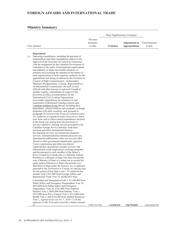## **Ministry Summary**

|                |           |                  | These Supplementary Estimates         |         |
|----------------|-----------|------------------|---------------------------------------|---------|
|                | Previous  |                  |                                       |         |
|                | Estimates |                  | <b>Adjustments to</b> Total Estimates |         |
| Vote (dollars) | to date   | <b>Transfers</b> | Appropriations                        | to date |

## **Department**

| 1a | Operating expenditures, including the payment of<br>remuneration and other expenditures subject to the<br>approval of the Governor in Council in connection<br>with the assignment by the Canadian Government of<br>Canadians to the staffs of international organizations<br>and authority to make recoverable advances in<br>amounts not exceeding the amounts of the shares of<br>such organizations of such expenses; authority for the<br>appointment and fixing of salaries by the Governor in<br>Council of High Commissioners, Ambassadors,<br>Ministers Plenipotentiary, Consuls, Representatives<br>on International Commissions, the staff of such<br>officials and other persons to represent Canada in<br>another country; expenditures in respect of the<br>provision of office accommodation for the<br>International Civil Aviation Organization; |               |            |             |                      |
|----|-------------------------------------------------------------------------------------------------------------------------------------------------------------------------------------------------------------------------------------------------------------------------------------------------------------------------------------------------------------------------------------------------------------------------------------------------------------------------------------------------------------------------------------------------------------------------------------------------------------------------------------------------------------------------------------------------------------------------------------------------------------------------------------------------------------------------------------------------------------------|---------------|------------|-------------|----------------------|
|    | recoverable expenditures for assistance to and                                                                                                                                                                                                                                                                                                                                                                                                                                                                                                                                                                                                                                                                                                                                                                                                                    |               |            |             |                      |
|    | repatriation of distressed Canadian citizens and                                                                                                                                                                                                                                                                                                                                                                                                                                                                                                                                                                                                                                                                                                                                                                                                                  |               |            |             |                      |
|    | Canadian residents living abroad, including their                                                                                                                                                                                                                                                                                                                                                                                                                                                                                                                                                                                                                                                                                                                                                                                                                 |               |            |             |                      |
|    | dependants; cultural relations and academic exchange                                                                                                                                                                                                                                                                                                                                                                                                                                                                                                                                                                                                                                                                                                                                                                                                              |               |            |             |                      |
|    | programs with other countries; and, pursuant to                                                                                                                                                                                                                                                                                                                                                                                                                                                                                                                                                                                                                                                                                                                                                                                                                   |               |            |             |                      |
|    | paragraph $29.1(2)(a)$ of the <i>Financial Administration</i>                                                                                                                                                                                                                                                                                                                                                                                                                                                                                                                                                                                                                                                                                                                                                                                                     |               |            |             |                      |
|    | Act, authority to expend revenues received in a fiscal                                                                                                                                                                                                                                                                                                                                                                                                                                                                                                                                                                                                                                                                                                                                                                                                            |               |            |             |                      |
|    | year from, and to offset related expenditures incurred                                                                                                                                                                                                                                                                                                                                                                                                                                                                                                                                                                                                                                                                                                                                                                                                            |               |            |             |                      |
|    | in the fiscal year arising from the provision of<br>services related to: training services provided by the                                                                                                                                                                                                                                                                                                                                                                                                                                                                                                                                                                                                                                                                                                                                                        |               |            |             |                      |
|    | Canadian Foreign Service Institute; trade fairs,                                                                                                                                                                                                                                                                                                                                                                                                                                                                                                                                                                                                                                                                                                                                                                                                                  |               |            |             |                      |
|    | missions and other international business                                                                                                                                                                                                                                                                                                                                                                                                                                                                                                                                                                                                                                                                                                                                                                                                                         |               |            |             |                      |
|    | development services; investment development                                                                                                                                                                                                                                                                                                                                                                                                                                                                                                                                                                                                                                                                                                                                                                                                                      |               |            |             |                      |
|    | services; international telecommunication services;                                                                                                                                                                                                                                                                                                                                                                                                                                                                                                                                                                                                                                                                                                                                                                                                               |               |            |             |                      |
|    | departmental publications; other services provided                                                                                                                                                                                                                                                                                                                                                                                                                                                                                                                                                                                                                                                                                                                                                                                                                |               |            |             |                      |
|    | abroad to other government departments, agencies,                                                                                                                                                                                                                                                                                                                                                                                                                                                                                                                                                                                                                                                                                                                                                                                                                 |               |            |             |                      |
|    | Crown corporations and other non-federal                                                                                                                                                                                                                                                                                                                                                                                                                                                                                                                                                                                                                                                                                                                                                                                                                          |               |            |             |                      |
|    | organizations; specialized consular services; and                                                                                                                                                                                                                                                                                                                                                                                                                                                                                                                                                                                                                                                                                                                                                                                                                 |               |            |             |                      |
|    | international youth employment exchange programs                                                                                                                                                                                                                                                                                                                                                                                                                                                                                                                                                                                                                                                                                                                                                                                                                  |               |            |             |                      |
|    | and the payment to each member of the Queen's                                                                                                                                                                                                                                                                                                                                                                                                                                                                                                                                                                                                                                                                                                                                                                                                                     |               |            |             |                      |
|    | Privy Council for Canada who is a Minister without                                                                                                                                                                                                                                                                                                                                                                                                                                                                                                                                                                                                                                                                                                                                                                                                                |               |            |             |                      |
|    | Portfolio or a Minister of State who does not preside                                                                                                                                                                                                                                                                                                                                                                                                                                                                                                                                                                                                                                                                                                                                                                                                             |               |            |             |                      |
|    | over a Ministry of State of a salary not to exceed the                                                                                                                                                                                                                                                                                                                                                                                                                                                                                                                                                                                                                                                                                                                                                                                                            |               |            |             |                      |
|    | salary paid to Ministers of State who preside over                                                                                                                                                                                                                                                                                                                                                                                                                                                                                                                                                                                                                                                                                                                                                                                                                |               |            |             |                      |
|    | Ministries of State under the Salaries Act, as adjusted                                                                                                                                                                                                                                                                                                                                                                                                                                                                                                                                                                                                                                                                                                                                                                                                           |               |            |             |                      |
|    | pursuant to the <i>Parliament of Canada Act</i> and pro rata<br>for any period of less than a year $-$ To authorize the                                                                                                                                                                                                                                                                                                                                                                                                                                                                                                                                                                                                                                                                                                                                           |               |            |             |                      |
|    | transfer of \$11,915,900 from Foreign Affairs and                                                                                                                                                                                                                                                                                                                                                                                                                                                                                                                                                                                                                                                                                                                                                                                                                 |               |            |             |                      |
|    | International Trade Vote 25, \$4,483,853 from                                                                                                                                                                                                                                                                                                                                                                                                                                                                                                                                                                                                                                                                                                                                                                                                                     |               |            |             |                      |
|    | Citizenship and Immigration Vote 1, \$1,100,000 from                                                                                                                                                                                                                                                                                                                                                                                                                                                                                                                                                                                                                                                                                                                                                                                                              |               |            |             |                      |
|    | Public Safety and Emergency Preparedness Vote 10,                                                                                                                                                                                                                                                                                                                                                                                                                                                                                                                                                                                                                                                                                                                                                                                                                 |               |            |             |                      |
|    | \$835,000 from Public Safety and Emergency                                                                                                                                                                                                                                                                                                                                                                                                                                                                                                                                                                                                                                                                                                                                                                                                                        |               |            |             |                      |
|    | Preparedness Vote 20, \$781,000 from National                                                                                                                                                                                                                                                                                                                                                                                                                                                                                                                                                                                                                                                                                                                                                                                                                     |               |            |             |                      |
|    | Defence Vote 1, \$601,000 from Industry Vote 1,                                                                                                                                                                                                                                                                                                                                                                                                                                                                                                                                                                                                                                                                                                                                                                                                                   |               |            |             |                      |
|    | \$255,000 from Privy Council Vote 1, \$213,000 from                                                                                                                                                                                                                                                                                                                                                                                                                                                                                                                                                                                                                                                                                                                                                                                                               |               |            |             |                      |
|    | Health Vote 1, and \$124,500 from Natural Resources                                                                                                                                                                                                                                                                                                                                                                                                                                                                                                                                                                                                                                                                                                                                                                                                               |               |            |             |                      |
|    | Vote 1, <i>Appropriation Act No. 1, 2010–11</i> for the                                                                                                                                                                                                                                                                                                                                                                                                                                                                                                                                                                                                                                                                                                                                                                                                           |               |            |             |                      |
|    | purposes of this Vote and to provide a further amount                                                                                                                                                                                                                                                                                                                                                                                                                                                                                                                                                                                                                                                                                                                                                                                                             |               |            |             |                      |
|    | of.                                                                                                                                                                                                                                                                                                                                                                                                                                                                                                                                                                                                                                                                                                                                                                                                                                                               | 1,397,151,743 | 13,924,153 | 154,752,832 | <u>1,565,828,728</u> |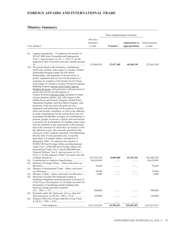## **Ministry Summary**

|            | Vote (dollars)                                                                                                                                                                                                                                                                                                                                                                                                                                                                                                                                                                                                                                                                                                                                                                                                                                                                                                                                                                                                                                                                                                                                                                                                                                                                                                                                                                                                                                                                                                                                                                                                                                                                                                                                                     | Previous<br>Estimates<br>to date | <b>Transfers</b> | <b>Adjustments to</b><br><b>Appropriations</b> | <b>Total Estimates</b><br>to date |
|------------|--------------------------------------------------------------------------------------------------------------------------------------------------------------------------------------------------------------------------------------------------------------------------------------------------------------------------------------------------------------------------------------------------------------------------------------------------------------------------------------------------------------------------------------------------------------------------------------------------------------------------------------------------------------------------------------------------------------------------------------------------------------------------------------------------------------------------------------------------------------------------------------------------------------------------------------------------------------------------------------------------------------------------------------------------------------------------------------------------------------------------------------------------------------------------------------------------------------------------------------------------------------------------------------------------------------------------------------------------------------------------------------------------------------------------------------------------------------------------------------------------------------------------------------------------------------------------------------------------------------------------------------------------------------------------------------------------------------------------------------------------------------------|----------------------------------|------------------|------------------------------------------------|-----------------------------------|
| 5a         | Capital expenditures – To authorize the transfer of<br>\$23,657,600 from Citizenship and Immigration<br>Vote 1, <i>Appropriation Act No. 1, 2010–11</i> for the<br>purposes of this Vote and to provide a further amount                                                                                                                                                                                                                                                                                                                                                                                                                                                                                                                                                                                                                                                                                                                                                                                                                                                                                                                                                                                                                                                                                                                                                                                                                                                                                                                                                                                                                                                                                                                                           | 159,060,010                      | 23,457,300       | 40,548,238                                     | 223,065,548                       |
|            | 10a The grants listed in the Estimates, contributions,<br>which may include: with respect to Canada's Global<br>Partnership Program (under the G8 Global<br>Partnership), cash payments or the provision of<br>goods, equipment and services for the purpose of<br>assistance to countries of the former Soviet Union;<br>with respect to Canada's Counter-Terrorism Capacity<br>Building Program and the Anti-Crime Capacity<br>Building Program, cash payments or the provision of<br>goods and services for the purpose of<br>counter-terrorism and anti-crime assistance to states<br>and government entities; and, with respect to the<br>Global Peace and Security Program, Global Peace<br>Operations Program, and Glyn Berry Program, cash<br>payments or the provision of goods, services,<br>equipment and technology for the purpose of global<br>peace and security assistance; as well as the authority<br>to make commitments for the current fiscal year not<br>exceeding \$30,000,000, in respect of contributions to<br>persons, groups of persons, councils and associations<br>to promote the development of Canadian export sales;<br>and, the authority to pay assessments in the amounts<br>and in the currencies in which they are levied as well<br>the authority to pay other amounts specified in the<br>currencies of the countries indicated, notwithstanding<br>that the total of such payments may exceed the<br>equivalent in Canadian dollars, estimated as of<br>September 2009 – To authorize the transfer of<br>\$5,808,700 from Foreign Affairs and International<br>Trade Vote 1, \$200,300 from Foreign Affairs and<br>International Trade Vote 5, and \$2,000,000 from<br>National Defence Vote 5, Appropriation Act No. 1, |                                  |                  |                                                |                                   |
|            | 2010-11 for the purposes of this Vote and to provide                                                                                                                                                                                                                                                                                                                                                                                                                                                                                                                                                                                                                                                                                                                                                                                                                                                                                                                                                                                                                                                                                                                                                                                                                                                                                                                                                                                                                                                                                                                                                                                                                                                                                                               | 923,474,510                      | 8,009,000        | 25, 102, 782                                   | 956,586,292                       |
| (S)<br>(S) | Minister of Foreign Affairs – Salary and motor car                                                                                                                                                                                                                                                                                                                                                                                                                                                                                                                                                                                                                                                                                                                                                                                                                                                                                                                                                                                                                                                                                                                                                                                                                                                                                                                                                                                                                                                                                                                                                                                                                                                                                                                 | 86,624,049                       | .                | .                                              | 86,624,049                        |
| (S)        | Minister of International Trade - Salary and motor                                                                                                                                                                                                                                                                                                                                                                                                                                                                                                                                                                                                                                                                                                                                                                                                                                                                                                                                                                                                                                                                                                                                                                                                                                                                                                                                                                                                                                                                                                                                                                                                                                                                                                                 | 78,649                           | .                | .                                              | 78,649                            |
|            | Minister of State - Salary and motor car allowance                                                                                                                                                                                                                                                                                                                                                                                                                                                                                                                                                                                                                                                                                                                                                                                                                                                                                                                                                                                                                                                                                                                                                                                                                                                                                                                                                                                                                                                                                                                                                                                                                                                                                                                 | 78,649<br>2,000                  |                  |                                                | 78,649<br>2,000                   |
| (S)<br>(S) | Payments to Export Development Canada to<br>discharge obligations incurred pursuant to Section 23<br>of the Export Development Act (Canada Account) for<br>the purpose of facilitating and developing trade<br>between Canada and other countries                                                                                                                                                                                                                                                                                                                                                                                                                                                                                                                                                                                                                                                                                                                                                                                                                                                                                                                                                                                                                                                                                                                                                                                                                                                                                                                                                                                                                                                                                                                  |                                  |                  |                                                |                                   |
| (S)        | Payments under the Diplomatic Service (Special)                                                                                                                                                                                                                                                                                                                                                                                                                                                                                                                                                                                                                                                                                                                                                                                                                                                                                                                                                                                                                                                                                                                                                                                                                                                                                                                                                                                                                                                                                                                                                                                                                                                                                                                    | 500,000                          |                  |                                                | 500,000                           |
| (S)        | Superannuation Act (R.S.C, 1985, c. D-2)<br>Passport Office Revolving Fund (Revolving Funds                                                                                                                                                                                                                                                                                                                                                                                                                                                                                                                                                                                                                                                                                                                                                                                                                                                                                                                                                                                                                                                                                                                                                                                                                                                                                                                                                                                                                                                                                                                                                                                                                                                                        | 250,000                          |                  |                                                | 250,000                           |
|            |                                                                                                                                                                                                                                                                                                                                                                                                                                                                                                                                                                                                                                                                                                                                                                                                                                                                                                                                                                                                                                                                                                                                                                                                                                                                                                                                                                                                                                                                                                                                                                                                                                                                                                                                                                    |                                  |                  |                                                |                                   |
|            |                                                                                                                                                                                                                                                                                                                                                                                                                                                                                                                                                                                                                                                                                                                                                                                                                                                                                                                                                                                                                                                                                                                                                                                                                                                                                                                                                                                                                                                                                                                                                                                                                                                                                                                                                                    | 2,567,219,610                    | 45,390,453       | 220,403,852                                    | 2,833,013,915                     |

<u> 1989 - Johann Barn, mars ann an t-Amhain Aonaich an t-Aonaich an t-Aonaich ann an t-Aonaich ann an t-Aonaich</u>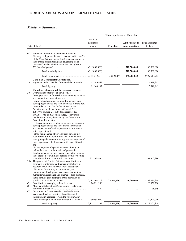## **Ministry Summary**

| These Supplementary Estimates |                                                                                                                                                                                                                                                                                                                                                                                                                                                                                                                                                                                                                                                                                                                                                                                                                                                                                                                                                                                                                                                                                                                                                                                                                                                                   |                                  |                  |                                                |                                   |
|-------------------------------|-------------------------------------------------------------------------------------------------------------------------------------------------------------------------------------------------------------------------------------------------------------------------------------------------------------------------------------------------------------------------------------------------------------------------------------------------------------------------------------------------------------------------------------------------------------------------------------------------------------------------------------------------------------------------------------------------------------------------------------------------------------------------------------------------------------------------------------------------------------------------------------------------------------------------------------------------------------------------------------------------------------------------------------------------------------------------------------------------------------------------------------------------------------------------------------------------------------------------------------------------------------------|----------------------------------|------------------|------------------------------------------------|-----------------------------------|
|                               | Vote (dollars)                                                                                                                                                                                                                                                                                                                                                                                                                                                                                                                                                                                                                                                                                                                                                                                                                                                                                                                                                                                                                                                                                                                                                                                                                                                    | Previous<br>Estimates<br>to date | <b>Transfers</b> | <b>Adjustments to</b><br><b>Appropriations</b> | <b>Total Estimates</b><br>to date |
| (S)                           | Payments to Export Development Canada to<br>discharge obligations incurred pursuant to Section 23<br>of the Export Development Act (Canada Account) for<br>the purpose of facilitating and developing trade<br>between Canada and other countries (S.C. (2001), c.                                                                                                                                                                                                                                                                                                                                                                                                                                                                                                                                                                                                                                                                                                                                                                                                                                                                                                                                                                                                |                                  |                  |                                                |                                   |
|                               |                                                                                                                                                                                                                                                                                                                                                                                                                                                                                                                                                                                                                                                                                                                                                                                                                                                                                                                                                                                                                                                                                                                                                                                                                                                                   | (552,000,000)                    | .                | 718,500,000                                    | 166,500,000                       |
|                               |                                                                                                                                                                                                                                                                                                                                                                                                                                                                                                                                                                                                                                                                                                                                                                                                                                                                                                                                                                                                                                                                                                                                                                                                                                                                   | (552,000,000)                    | .                | 718,500,000                                    | 166,500,000                       |
|                               |                                                                                                                                                                                                                                                                                                                                                                                                                                                                                                                                                                                                                                                                                                                                                                                                                                                                                                                                                                                                                                                                                                                                                                                                                                                                   | 2,015,219,610                    | 45,390,453       | 938,903,852                                    | 2,999,513,915                     |
|                               | <b>Canadian Commercial Corporation</b>                                                                                                                                                                                                                                                                                                                                                                                                                                                                                                                                                                                                                                                                                                                                                                                                                                                                                                                                                                                                                                                                                                                                                                                                                            |                                  |                  |                                                |                                   |
| 15                            | Payments to the Canadian Commercial Corporation                                                                                                                                                                                                                                                                                                                                                                                                                                                                                                                                                                                                                                                                                                                                                                                                                                                                                                                                                                                                                                                                                                                                                                                                                   | 15,549,962<br>15,549,962         |                  |                                                | 15,549,962<br>15,549,962          |
| 20                            | <b>Canadian International Development Agency</b><br>Operating expenditures and authority to<br>$(a)$ engage persons for service in developing countries<br>and in countries in transition; and<br>$(b)$ provide education or training for persons from<br>developing countries and from countries in transition,<br>in accordance with the Technical Assistance<br><i>Regulations</i> , made by Order in Council P.C.<br>1986-993 of April 24, 1986 (and registered as<br>SOR/86-475), as may be amended, or any other<br>regulations that may be made by the Governor in<br>Council with respect to:<br>(i) the remuneration payable to persons for service in<br>developing countries and in countries in transition,<br>and the payment of their expenses or of allowances<br>with respect thereto,<br>(ii) the maintenance of persons from developing<br>countries and from countries in transition who are<br>undergoing education or training, and the payment of<br>their expenses or of allowances with respect thereto,<br>and<br>(iii) the payment of special expenses directly or<br>indirectly related to the service of persons in<br>developing countries and in countries in transition or<br>the education or training of persons from developing |                                  | .                |                                                |                                   |
|                               | 25a The grants listed in the Estimates, contributions and<br>payments to international financial institutions in<br>accordance with the <i>International Development</i><br>(Financial Institutions) Assistance Act, for<br>international development assistance, international<br>humanitarian assistance and other specified purposes,<br>in the form of cash payments or the provision of                                                                                                                                                                                                                                                                                                                                                                                                                                                                                                                                                                                                                                                                                                                                                                                                                                                                      | 203, 362, 996                    |                  |                                                | 203,362,996                       |
|                               |                                                                                                                                                                                                                                                                                                                                                                                                                                                                                                                                                                                                                                                                                                                                                                                                                                                                                                                                                                                                                                                                                                                                                                                                                                                                   | 2,693,407,819                    | (12,365,900)     | 70,000,000                                     | 2,751,041,919                     |
| (S)<br>(S)                    | Minister of International Cooperation - Salary and                                                                                                                                                                                                                                                                                                                                                                                                                                                                                                                                                                                                                                                                                                                                                                                                                                                                                                                                                                                                                                                                                                                                                                                                                | 26,031,290                       |                  |                                                | 26,031,290                        |
| (S)                           | Encashment of notes issued to the development<br>assistance funds of the international financial<br>institutions in accordance with the <i>International</i>                                                                                                                                                                                                                                                                                                                                                                                                                                                                                                                                                                                                                                                                                                                                                                                                                                                                                                                                                                                                                                                                                                      | 78,649                           |                  | .                                              | 78,649                            |
|                               | Development (Financial Institutions) Assistance Act                                                                                                                                                                                                                                                                                                                                                                                                                                                                                                                                                                                                                                                                                                                                                                                                                                                                                                                                                                                                                                                                                                                                                                                                               | 230,691,000                      | .                | .                                              | 230,691,000                       |
|                               |                                                                                                                                                                                                                                                                                                                                                                                                                                                                                                                                                                                                                                                                                                                                                                                                                                                                                                                                                                                                                                                                                                                                                                                                                                                                   | 3, 153, 571, 754                 | (12, 365, 900)   | 70,000,000                                     | 3,211,205,854                     |

<u> 1989 - Johann Barbara, martxa alemaniar a</u>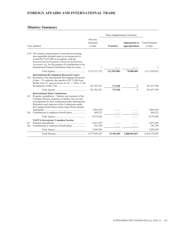## **Ministry Summary**

|           |                                                                                                                                                                                                                                                                                                                               |                                  | These Supplementary Estimates |                                                |                                   |
|-----------|-------------------------------------------------------------------------------------------------------------------------------------------------------------------------------------------------------------------------------------------------------------------------------------------------------------------------------|----------------------------------|-------------------------------|------------------------------------------------|-----------------------------------|
|           | Vote (dollars)                                                                                                                                                                                                                                                                                                                | Previous<br>Estimates<br>to date | <b>Transfers</b>              | <b>Adjustments to</b><br><b>Appropriations</b> | <b>Total Estimates</b><br>to date |
|           | L30 The issuance and payment of non-interest bearing,<br>non-negotiable demand notes in an amount not to<br>exceed \$227,032,000 in accordance with the<br>International Development (Financial Institutions)<br>Assistance Act, for the purpose of contributions to the<br>International Financial Institution Fund Accounts | 1                                |                               |                                                | 1                                 |
|           |                                                                                                                                                                                                                                                                                                                               | 3,153,571,755                    | (12,365,900)                  | 70,000,000                                     | 3,211,205,855                     |
|           | <b>International Development Research Centre</b><br>35a Payments to the International Development Research<br>Centre – To authorize the transfer of \$171,946 from<br>Health Vote 25, Appropriation Act No. 1, 2010–11 for                                                                                                    | 181, 303, 761                    | 171,946                       | 1                                              | 181,475,708                       |
|           |                                                                                                                                                                                                                                                                                                                               | 181, 303, 761                    | 171,946                       | $\mathbf{1}$                                   | 181,475,708                       |
| 40        | <b>International Joint Commission</b><br>Program expenditures – Salaries and expenses of the<br>Canadian Section, expenses of studies, surveys and<br>investigations by the Commission under International<br>References and expenses of the Commission under<br>the Canada/United States Great Lakes Water Quality           |                                  |                               |                                                |                                   |
|           |                                                                                                                                                                                                                                                                                                                               | 7,805,364                        |                               |                                                | 7,805,364                         |
| (S)       |                                                                                                                                                                                                                                                                                                                               | 569,222                          |                               |                                                | 569,222                           |
|           |                                                                                                                                                                                                                                                                                                                               | 8,374,586                        |                               |                                                | 8,374,586                         |
| 45<br>(S) | <b>NAFTA Secretariat, Canadian Section</b>                                                                                                                                                                                                                                                                                    | 2,857,820<br>192,749             |                               |                                                | 2,857,820<br>192,749              |
|           |                                                                                                                                                                                                                                                                                                                               | 3,050,569                        | .                             |                                                | 3,050,569                         |
|           |                                                                                                                                                                                                                                                                                                                               | 5,377,070,243                    | 33,196,499                    | 1,008,903,853                                  | 6,419,170,595                     |

<u> 1989 - Johann Barn, mars eta bainar eta baina eta baina eta baina eta baina eta baina eta baina eta baina e</u>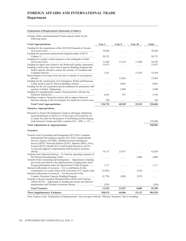# **FOREIGN AFFAIRS AND INTERNATIONAL TRADE Department**

## **Explanation of Requirements (thousands of dollars)**

Foreign Affairs and International Trade requests funds for the following items:

| <b>Voted Appropriations</b>                                                                                                                                                                                                                                                                                                                                                                        | Vote 1  | Vote 5 | Vote 10 | <b>Total</b> |
|----------------------------------------------------------------------------------------------------------------------------------------------------------------------------------------------------------------------------------------------------------------------------------------------------------------------------------------------------------------------------------------------------|---------|--------|---------|--------------|
| Funding for the organization of the 2010 G20 Summit in Toronto                                                                                                                                                                                                                                                                                                                                     |         |        |         |              |
|                                                                                                                                                                                                                                                                                                                                                                                                    | 70,560  | .      | .       | 70,560       |
| Funding for assessment and potential litigation under NAFTA                                                                                                                                                                                                                                                                                                                                        |         |        |         |              |
| Funding for Canada's initial response to the earthquake in Haiti                                                                                                                                                                                                                                                                                                                                   | 50,723  | .      | .       | 50,723       |
|                                                                                                                                                                                                                                                                                                                                                                                                    | 11,650  | 11,155 | 11,900  | 34,705       |
| Funding for legal costs related to the Softwood Lumber Agreement                                                                                                                                                                                                                                                                                                                                   | 15,473  | .      | .       | 15,473       |
| Funding to deliver the Anti-Crime Capacity Building Program that                                                                                                                                                                                                                                                                                                                                   |         |        |         |              |
| builds capacity abroad to ensure the security of Canadians and                                                                                                                                                                                                                                                                                                                                     |         |        |         |              |
|                                                                                                                                                                                                                                                                                                                                                                                                    | 1,561   | .      | 13,203  | 14,764       |
| Reinvestment of revenues from the sale or transfer of real property                                                                                                                                                                                                                                                                                                                                |         |        |         |              |
| Funding for the construction of an Emergency Watch and Response                                                                                                                                                                                                                                                                                                                                    | .       | 13,982 | .       | 13,982       |
|                                                                                                                                                                                                                                                                                                                                                                                                    | .       | 9,091  | .       | 9,091        |
| Funding for the site acquisition and development for permanent staff                                                                                                                                                                                                                                                                                                                               |         |        |         |              |
|                                                                                                                                                                                                                                                                                                                                                                                                    | .       | 5,400  | .       | 5,400        |
| Funding for strengthening Canada's Representation Abroad: the                                                                                                                                                                                                                                                                                                                                      |         |        |         |              |
|                                                                                                                                                                                                                                                                                                                                                                                                    | 4,435   | 921    | .       | 5,356        |
| Funding to improve financial systems and to support financial                                                                                                                                                                                                                                                                                                                                      |         |        |         |              |
| decision-making in the Government of Canada (horizontal item)                                                                                                                                                                                                                                                                                                                                      | 350     | .      |         | 350          |
| <b>Total Voted Appropriations</b>                                                                                                                                                                                                                                                                                                                                                                  | 154,752 | 40,549 | 25,103  | 220,404      |
| <b>Statutory Appropriations</b>                                                                                                                                                                                                                                                                                                                                                                    |         |        |         |              |
| Payments to Export Development Canada to discharge obligations<br>incurred pursuant to Section 23 of the <i>Export Development Act</i><br>(Canada Account) for the purpose of facilitating and developing                                                                                                                                                                                          |         |        |         |              |
| trade between Canada and other countries (S.C., 2001, c. 33)                                                                                                                                                                                                                                                                                                                                       |         |        |         | 718,500      |
| <b>Total Adjustments to Appropriations</b>                                                                                                                                                                                                                                                                                                                                                         |         |        |         | 938,904      |
| <b>Transfers</b>                                                                                                                                                                                                                                                                                                                                                                                   |         |        |         |              |
| Transfer from Citizenship and Immigration (\$27,024), Canadian<br>International Development Agency (\$11,916), Canada Border<br>Services Agency (\$1,080), Canadian Security Intelligence<br>Service (\$835), National Defence (\$781), Industry (\$601), Privy<br>Council (\$255), Health (\$213) and Natural Resources (\$125) –<br>To provide support to departmental staff located at missions |         |        |         |              |
|                                                                                                                                                                                                                                                                                                                                                                                                    | 19,172  | 23,657 |         | 42,829       |
| Transfer from National Defence – To fund the operating expenses of                                                                                                                                                                                                                                                                                                                                 |         |        |         |              |
|                                                                                                                                                                                                                                                                                                                                                                                                    | .       |        | 2,000   | 2,000        |
| Transfer from Citizenship and Immigration – Adjustment to funding                                                                                                                                                                                                                                                                                                                                  |         |        |         |              |
| previously provided for the administration of applications from                                                                                                                                                                                                                                                                                                                                    |         |        |         |              |
| foreign participants under the International Youth Program                                                                                                                                                                                                                                                                                                                                         | 1,117   | .      | .       | 1,117        |
| Internal reallocation of resources – For a contribution for the<br>construction of a youth centre at the University of L'Aquila, Italy                                                                                                                                                                                                                                                             | (3,039) |        | 3,039   |              |
| Internal reallocation of resources – For the renewal of the                                                                                                                                                                                                                                                                                                                                        |         | .      |         | .            |
|                                                                                                                                                                                                                                                                                                                                                                                                    | (2,770) | (200)  | 2,970   | .            |
| Transfer to Royal Canadian Mounted Police (\$282) and Veterans                                                                                                                                                                                                                                                                                                                                     |         |        |         |              |
| Affairs (\$274) – Adjustment to funding previously provided for                                                                                                                                                                                                                                                                                                                                    |         |        |         |              |
| departmental staff located at missions abroad                                                                                                                                                                                                                                                                                                                                                      | (556)   | .      | .       | (556)        |
| <b>Total Transfers</b>                                                                                                                                                                                                                                                                                                                                                                             | 13,924  | 23,457 | 8,009   | 45,390       |
| <b>These Supplementary Estimates</b>                                                                                                                                                                                                                                                                                                                                                               | 168,676 | 64,006 | 33,112  | 984,294      |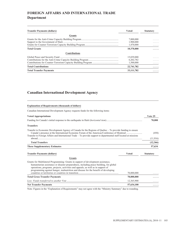# **FOREIGN AFFAIRS AND INTERNATIONAL TRADE Department**

| <b>Transfer Payments (dollars)</b> | <b>Voted</b> | <b>Statutory</b> |
|------------------------------------|--------------|------------------|
| <b>Grants</b>                      |              |                  |
|                                    | 7,000,000    | .                |
|                                    | 1,900,000    | .                |
|                                    | 1,470,000    | .                |
| <b>Total Grants</b>                | 10,370,000   | .                |
| <b>Contributions</b>               |              |                  |
|                                    | 15,039,000   | .                |
|                                    | 6,202,782    | .                |
|                                    | 1,500,000    | .                |
| <b>Total Contributions</b>         | 22,741,782   | .                |
| <b>Total Transfer Payments</b>     | 33,111,782   | .                |

## **Canadian International Development Agency**

| <b>Explanation of Requirements (thousands of dollars)</b>                                                                                                                                                                                                                                                                                             |              |                  |
|-------------------------------------------------------------------------------------------------------------------------------------------------------------------------------------------------------------------------------------------------------------------------------------------------------------------------------------------------------|--------------|------------------|
| Canadian International Development Agency requests funds for the following items:                                                                                                                                                                                                                                                                     |              |                  |
| <b>Voted Appropriations</b>                                                                                                                                                                                                                                                                                                                           |              | Vote 25          |
|                                                                                                                                                                                                                                                                                                                                                       |              | 70,000           |
| <b>Transfers</b>                                                                                                                                                                                                                                                                                                                                      |              |                  |
| Transfer to Economic Development Agency of Canada for the Regions of Ouebec – To provide funding to ensure<br>Transfer to Foreign Affairs and International Trade – To provide support to departmental staff located at missions                                                                                                                      |              | (450)            |
|                                                                                                                                                                                                                                                                                                                                                       |              | (11,916)         |
| <b>Total Transfers</b>                                                                                                                                                                                                                                                                                                                                |              | (12,366)         |
| <b>These Supplementary Estimates</b>                                                                                                                                                                                                                                                                                                                  |              | 57,634           |
| <b>Transfer Payments (dollars)</b>                                                                                                                                                                                                                                                                                                                    | <b>Voted</b> | <b>Statutory</b> |
| <b>Grants</b>                                                                                                                                                                                                                                                                                                                                         |              |                  |
| Grants for Multilateral Programming: Grants in support of development assistance,<br>humanitarian assistance or disaster preparedness, including peace building, for global<br>operations, programs, projects, activities and appeals; as well as in support of<br>programming against hunger, malnutrition and disease for the benefit of developing | 70,000,000   |                  |
| <b>Total Gross Transfer Payments</b>                                                                                                                                                                                                                                                                                                                  | 70,000,000   |                  |
|                                                                                                                                                                                                                                                                                                                                                       | 12,365,900   |                  |
|                                                                                                                                                                                                                                                                                                                                                       |              |                  |
| <b>Net Transfer Payments</b>                                                                                                                                                                                                                                                                                                                          | 57,634,100   |                  |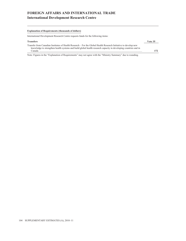# **FOREIGN AFFAIRS AND INTERNATIONAL TRADE International Development Research Centre**

## **Explanation of Requirements (thousands of dollars)**

International Development Research Centre requests funds for the following items:

| <b>Transfers</b>                                                                                                                                                                                                                             | Vote 35 |
|----------------------------------------------------------------------------------------------------------------------------------------------------------------------------------------------------------------------------------------------|---------|
| Transfer from Canadian Institutes of Health Research – For the Global Health Research Initiative to develop new<br>knowledge to strengthen health systems and build global health research capacity in developing countries and in<br>Canada | 172     |
|                                                                                                                                                                                                                                              |         |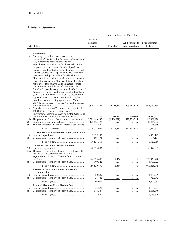|            | Vote (dollars)                                                                                                                                                                                                                                                                                                                                                                                                                                                                                                                                                                                                                                                                                                                                                                                                                                                                                                                                                                                                                                                                                                                                                                                                                          | Previous<br>Estimates<br>to date       | <b>Transfers</b>      | <b>Adjustments to</b><br><b>Appropriations</b> | <b>Total Estimates</b><br>to date      |
|------------|-----------------------------------------------------------------------------------------------------------------------------------------------------------------------------------------------------------------------------------------------------------------------------------------------------------------------------------------------------------------------------------------------------------------------------------------------------------------------------------------------------------------------------------------------------------------------------------------------------------------------------------------------------------------------------------------------------------------------------------------------------------------------------------------------------------------------------------------------------------------------------------------------------------------------------------------------------------------------------------------------------------------------------------------------------------------------------------------------------------------------------------------------------------------------------------------------------------------------------------------|----------------------------------------|-----------------------|------------------------------------------------|----------------------------------------|
| 1a<br>5a   | Department<br>Operating expenditures and, pursuant to<br>paragraph $29.1(2)(a)$ of the Financial Administration<br>Act, authority to spend revenues to offset<br>expenditures incurred in the fiscal year arising from<br>the provision of services or the sale of products<br>related to health protection, regulatory activities and<br>medical services and the payment to each member of<br>the Queen's Privy Council for Canada who is a<br>Minister without Portfolio or a Minister of State who<br>does not preside over a Ministry of State of a salary<br>not to exceed the salary paid to Ministers of State<br>who preside over Ministries of State under the<br>Salaries Act, as adjusted pursuant to the Parliament of<br>Canada Act and pro rata for any period of less than a<br>year – To authorize the transfer of $$9,871,000$ from<br>Agriculture and Agri-Food Vote 1, and \$150,000<br>from Industry Vote 1, Appropriation Act No. 1,<br>$2010 - 11$ for the purposes of this Vote and to provide<br>Capital expenditures – To authorize the transfer of<br>\$508,000 from National Defence Vote 5,<br><i>Appropriation Act No. 1, 2010–11</i> for the purposes of<br>this Vote and to provide a further amount of | 1,876,073,442<br>37,718,271            | 9,808,000<br>508,000  | 103,007,922<br>350,000                         | 1,988,889,364<br>38,576,271            |
| (S)<br>(S) | 10a The grants listed in the Estimates and contributions<br>Minister of Health - Salary and motor car allowance                                                                                                                                                                                                                                                                                                                                                                                                                                                                                                                                                                                                                                                                                                                                                                                                                                                                                                                                                                                                                                                                                                                         | 1,382,680,292<br>122,825,392<br>78,649 | (1,564,088)<br>.<br>. | 129,253,724<br>.<br>.                          | 1,510,369,928<br>122,825,392<br>78,649 |
|            |                                                                                                                                                                                                                                                                                                                                                                                                                                                                                                                                                                                                                                                                                                                                                                                                                                                                                                                                                                                                                                                                                                                                                                                                                                         | 3,419,376,046                          | 8,751,912             | 232,611,646                                    | 3,660,739,604                          |
|            | <b>Assisted Human Reproduction Agency of Canada</b>                                                                                                                                                                                                                                                                                                                                                                                                                                                                                                                                                                                                                                                                                                                                                                                                                                                                                                                                                                                                                                                                                                                                                                                     |                                        |                       |                                                |                                        |
| 15         |                                                                                                                                                                                                                                                                                                                                                                                                                                                                                                                                                                                                                                                                                                                                                                                                                                                                                                                                                                                                                                                                                                                                                                                                                                         | 9,929,142                              |                       |                                                | 9,929,142                              |
| (S)        |                                                                                                                                                                                                                                                                                                                                                                                                                                                                                                                                                                                                                                                                                                                                                                                                                                                                                                                                                                                                                                                                                                                                                                                                                                         | 594,174                                | .                     | .                                              | 594,174                                |
|            |                                                                                                                                                                                                                                                                                                                                                                                                                                                                                                                                                                                                                                                                                                                                                                                                                                                                                                                                                                                                                                                                                                                                                                                                                                         | 10,523,316                             | .                     | .                                              | 10,523,316                             |
| 20<br>25a  | <b>Canadian Institutes of Health Research</b><br>The grants listed in the Estimates $-$ To authorize the<br>transfer of \$180,000 from Health Vote 50,<br>Appropriation Act No. 1, 2010–11 for the purposes of                                                                                                                                                                                                                                                                                                                                                                                                                                                                                                                                                                                                                                                                                                                                                                                                                                                                                                                                                                                                                          | 48,994,883                             |                       | .                                              | 48,994,883                             |
|            |                                                                                                                                                                                                                                                                                                                                                                                                                                                                                                                                                                                                                                                                                                                                                                                                                                                                                                                                                                                                                                                                                                                                                                                                                                         | 926, 925, 685                          | 8,054                 | 1                                              | 926, 933, 740                          |
| (S)        |                                                                                                                                                                                                                                                                                                                                                                                                                                                                                                                                                                                                                                                                                                                                                                                                                                                                                                                                                                                                                                                                                                                                                                                                                                         | 4,900,322                              | .                     |                                                | 4,900,322                              |
|            |                                                                                                                                                                                                                                                                                                                                                                                                                                                                                                                                                                                                                                                                                                                                                                                                                                                                                                                                                                                                                                                                                                                                                                                                                                         | 980,820,890                            | 8,054                 | 1                                              | 980,828,945                            |
|            | <b>Hazardous Materials Information Review</b><br>Commission                                                                                                                                                                                                                                                                                                                                                                                                                                                                                                                                                                                                                                                                                                                                                                                                                                                                                                                                                                                                                                                                                                                                                                             |                                        |                       |                                                |                                        |
| 30         |                                                                                                                                                                                                                                                                                                                                                                                                                                                                                                                                                                                                                                                                                                                                                                                                                                                                                                                                                                                                                                                                                                                                                                                                                                         | 4,980,289                              | .                     |                                                | 4,980,289                              |
| (S)        |                                                                                                                                                                                                                                                                                                                                                                                                                                                                                                                                                                                                                                                                                                                                                                                                                                                                                                                                                                                                                                                                                                                                                                                                                                         | 723,742                                | .                     | .                                              | 723,742                                |
|            |                                                                                                                                                                                                                                                                                                                                                                                                                                                                                                                                                                                                                                                                                                                                                                                                                                                                                                                                                                                                                                                                                                                                                                                                                                         | 5,704,031                              | .                     | .                                              | 5,704,031                              |
| 35         | <b>Patented Medicine Prices Review Board</b>                                                                                                                                                                                                                                                                                                                                                                                                                                                                                                                                                                                                                                                                                                                                                                                                                                                                                                                                                                                                                                                                                                                                                                                            | 11, 163, 291                           |                       |                                                | 11,163,291                             |
| (S)        |                                                                                                                                                                                                                                                                                                                                                                                                                                                                                                                                                                                                                                                                                                                                                                                                                                                                                                                                                                                                                                                                                                                                                                                                                                         | 1,018,349                              | .<br>.                | .<br>.                                         | 1,018,349                              |
|            |                                                                                                                                                                                                                                                                                                                                                                                                                                                                                                                                                                                                                                                                                                                                                                                                                                                                                                                                                                                                                                                                                                                                                                                                                                         | 12,181,640                             | .                     | .                                              | 12,181,640                             |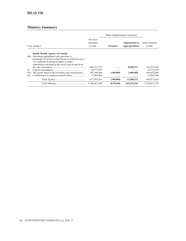## **HEALTH**

|                  |                                                                                                                                                                                                                                                          |                                                        | These Supplementary Estimates |                                         |                                                        |
|------------------|----------------------------------------------------------------------------------------------------------------------------------------------------------------------------------------------------------------------------------------------------------|--------------------------------------------------------|-------------------------------|-----------------------------------------|--------------------------------------------------------|
|                  | Vote (dollars)                                                                                                                                                                                                                                           | Previous<br>Estimates<br>to date                       | <b>Transfers</b>              | <b>Adjustments to</b><br>Appropriations | <b>Total Estimates</b><br>to date                      |
| 40a              | <b>Public Health Agency of Canada</b><br>Operating expenditures and, pursuant to<br>paragraph $29.1(2)(a)$ of the <i>Financial Administration</i><br>Act, authority to spend revenues to offset<br>expenditures incurred in the fiscal year arising from |                                                        |                               |                                         |                                                        |
| 45<br>50a<br>(S) | The grants listed in the Estimates and contributions                                                                                                                                                                                                     | 406,215,725<br>36,773,594<br>203,200,000<br>31,805,944 | .<br>(180,000)<br>.           | 8,058,571<br>.<br>3,000,000<br>.        | 414,274,296<br>36,773,594<br>206,020,000<br>31,805,944 |
|                  |                                                                                                                                                                                                                                                          | 677,995,263<br>5,106,601,186                           | (180,000)<br>8,579,966        | 11,058,571<br>243,670,218               | 688, 873, 834<br>5,358,851,370                         |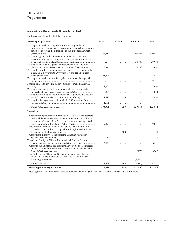## **Explanation of Requirements (thousands of dollars)**

Health requests funds for the following items:

| <b>Voted Appropriations</b>                                                                                                                                                                          | Vote 1  | Vote 5   | Vote 10       | <b>Total</b> |
|------------------------------------------------------------------------------------------------------------------------------------------------------------------------------------------------------|---------|----------|---------------|--------------|
| Funding to maintain and improve current Aboriginal health<br>promotion and disease prevention programs, as well as programs<br>aimed at improving the First Nations and Inuit health system          |         |          |               |              |
| Funding for grants to the Governments of Nunavut, Northwest<br>Territories, and Yukon to support a two-year extension of the                                                                         | 36,415  | .        | 93,996        | 130,411      |
| Territorial Health System Sustainability Initiative<br>Funding to continue to support the implementation of the First                                                                                | .       | .        | 30,000        | 30,000       |
| Nations Water and Wastewater Action Plan (horizontal item)<br>Funding for health risk assessments and related activities under the<br>Canadian Environmental Protection Act and the Chemicals        | 20,343  | .        | 5,258         | 25,601       |
| Funding to maintain support for regulatory reviews of drugs and                                                                                                                                      | 21,478  | .        | .             | 21,478       |
| Funding related to government advertising programs (horizontal                                                                                                                                       | 10,131  | .        | .             | 10,131       |
| Funding to enhance the ability to prevent, detect and respond to                                                                                                                                     | 8,000   | .        | .             | 8,000        |
| outbreaks of food-borne illness (horizontal item)<br>Funding for planning and operations related to policing and security                                                                            | 3,854   | .        | .             | 3,854        |
| Funding for the organization of the 2010 G20 Summit in Toronto                                                                                                                                       | 1,612   | 350      | .             | 1,962        |
|                                                                                                                                                                                                      | 1,175   | .        | .             | 1,175        |
| <b>Total Voted Appropriations</b>                                                                                                                                                                    | 103,008 | 350      | 129,254       | 232,612      |
| <b>Transfers</b>                                                                                                                                                                                     |         |          |               |              |
| Transfer from Agriculture and Agri-Food - To protect and promote<br>health while being more responsive to innovation and industry<br>advances and issues identified by the agriculture and agri-food | 9,871   |          | .             | 9,871        |
| Transfer from National Defence – For public security initiatives<br>related to the Chemical, Biological, Radiological and Nuclear                                                                    |         | 508      |               | 508          |
| Transfer from Industry – To support the Canadian Regulatory                                                                                                                                          | 150     | .        | .<br>$\cdots$ | 150          |
| Transfer to Foreign Affairs and International Trade – To provide<br>support to departmental staff located at missions abroad                                                                         | (213)   | $\cdots$ |               | (213)        |
| Transfer to Indian Affairs and Northern Development – To increase<br>grants to the Sechelt Indian Band pursuant to the Sechelt Indian                                                                | .       | .        | (307)         | (307)        |
| Transfer to Indian Affairs and Northern Development – For the<br>renewal of financial provisions of the Nisga'a Nation Fiscal                                                                        | .       | .        | (1,257)       | (1,257)      |
| <b>Total Transfers</b>                                                                                                                                                                               | 9,808   | 508      | (1, 564)      | 8,752        |
| <b>These Supplementary Estimates</b>                                                                                                                                                                 | 112,816 | 858      | 127,690       | 241,364      |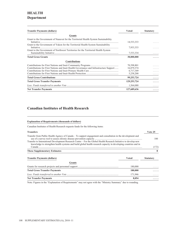# **HEALTH Department**

| <b>Transfer Payments (dollars)</b>                                                                                                                                       | <b>Voted</b>  | <b>Statutory</b> |
|--------------------------------------------------------------------------------------------------------------------------------------------------------------------------|---------------|------------------|
| <b>Grants</b>                                                                                                                                                            |               |                  |
| Grant to the Government of Nunavut for the Territorial Health System Sustainability<br>Grant to the Government of Yukon for the Territorial Health System Sustainability | 14,533,333    |                  |
| Grant to the Government of Northwest Territories for the Territorial Health System                                                                                       | 7,933,333     |                  |
|                                                                                                                                                                          | 7,533,334     |                  |
| <b>Total Gross Grants</b>                                                                                                                                                | 30,000,000    |                  |
| <b>Contributions</b>                                                                                                                                                     |               |                  |
|                                                                                                                                                                          | 70,398,801    |                  |
| Contributions for First Nations and Inuit Health Governance and Infrastructure Support                                                                                   | 16,879,374    |                  |
|                                                                                                                                                                          | 6,717,349     |                  |
|                                                                                                                                                                          | 5,258,200     |                  |
| <b>Total Gross Contributions</b>                                                                                                                                         | 99,253,724    |                  |
| <b>Total Gross Transfer Payments</b>                                                                                                                                     | 129, 253, 724 |                  |
|                                                                                                                                                                          | 1,564,088     |                  |
| <b>Net Transfer Payments</b>                                                                                                                                             | 127,689,636   | .                |

## **Canadian Institutes of Health Research**

## **Explanation of Requirements (thousands of dollars)**

Canadian Institutes of Health Research requests funds for the following items:

| <b>Transfers</b>                                                                                                 | Vote 25          |
|------------------------------------------------------------------------------------------------------------------|------------------|
| Transfer from Public Health Agency of Canada – To support engagement and consultation in the development and     | 180.             |
| Transfer to International Development Research Centre – For the Global Health Research Initiative to develop new |                  |
| knowledge to strengthen health systems and build global health research capacity in developing countries and in  | (172)            |
| <b>These Supplementary Estimates</b>                                                                             |                  |
|                                                                                                                  |                  |
| <b>Transfer Payments (dollars)</b><br>Voted                                                                      | <b>Statutory</b> |
| Grants                                                                                                           |                  |
| 180,000                                                                                                          |                  |
| <b>Total Gross Transfer Payments</b><br>180,000                                                                  |                  |
| 171.946                                                                                                          | .                |
| <b>Net Transfer Payments</b><br>8,054                                                                            | .                |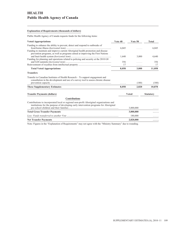# **HEALTH Public Health Agency of Canada**

## **Explanation of Requirements (thousands of dollars)**

Public Health Agency of Canada requests funds for the following items:

| <b>Voted Appropriations</b>                                                                                                                                                      | Vote 40 | Vote 50      | Total            |
|----------------------------------------------------------------------------------------------------------------------------------------------------------------------------------|---------|--------------|------------------|
| Funding to enhance the ability to prevent, detect and respond to outbreaks of                                                                                                    | 6,045   |              | 6,045            |
| Funding to maintain and improve current Aboriginal health promotion and disease<br>prevention programs, as well as programs aimed at improving the First Nations                 |         |              |                  |
| Funding for planning and operations related to policing and security at the 2010 G8                                                                                              | 1,640   | 3,000        | 4,640            |
|                                                                                                                                                                                  | 356     | .            | 356              |
|                                                                                                                                                                                  | 17      |              | 17               |
| <b>Total Voted Appropriations</b>                                                                                                                                                | 8,058   | 3,000        | 11,058           |
| <b>Transfers</b>                                                                                                                                                                 |         |              |                  |
| Transfer to Canadian Institutes of Health Research – To support engagement and<br>consultation in the development and use of a survey tool to assess chronic disease             |         |              |                  |
|                                                                                                                                                                                  |         | (180)        | (180)            |
| <b>These Supplementary Estimates</b>                                                                                                                                             | 8,058   | 2,820        | 10,878           |
| <b>Transfer Payments (dollars)</b>                                                                                                                                               |         | <b>Voted</b> | <b>Statutory</b> |
| <b>Contributions</b>                                                                                                                                                             |         |              |                  |
| Contributions to incorporated local or regional non-profit Aboriginal organizations and<br>institutions for the purpose of developing early intervention programs for Aboriginal |         |              |                  |
|                                                                                                                                                                                  |         | 3,000,000    |                  |
| <b>Total Gross Transfer Payments</b>                                                                                                                                             |         | 3,000,000    |                  |
|                                                                                                                                                                                  |         | 180,000      |                  |
| <b>Net Transfer Payments</b>                                                                                                                                                     |         | 2,820,000    | .                |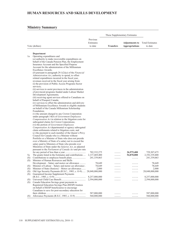## **HUMAN RESOURCES AND SKILLS DEVELOPMENT**

## **Ministry Summary**

|            |                                                                                                                     | These Supplementary Estimates    |                  |                                                |                                   |
|------------|---------------------------------------------------------------------------------------------------------------------|----------------------------------|------------------|------------------------------------------------|-----------------------------------|
|            | Vote (dollars)                                                                                                      | Previous<br>Estimates<br>to date | <b>Transfers</b> | <b>Adjustments to</b><br><b>Appropriations</b> | <b>Total Estimates</b><br>to date |
|            | Department                                                                                                          |                                  |                  |                                                |                                   |
| 1a         | Operating expenditures and<br>$(a)$ authority to make recoverable expenditures on                                   |                                  |                  |                                                |                                   |
|            | behalf of the Canada Pension Plan, the Employment<br>Insurance Account and the Specified Purpose                    |                                  |                  |                                                |                                   |
|            | Account for the administration of the Millennium<br>Excellence Awards:                                              |                                  |                  |                                                |                                   |
|            | (b) pursuant to paragraph $29.1(2)(a)$ of the <i>Financial</i><br>Administration Act, authority to spend, to offset |                                  |                  |                                                |                                   |
|            | related expenditures incurred in the fiscal year,<br>revenues received in the fiscal year arising from:             |                                  |                  |                                                |                                   |
|            | (i) the provision of Public Access Programs Sector<br>services;                                                     |                                  |                  |                                                |                                   |
|            | (ii) services to assist provinces in the administration<br>of provincial programs funded under Labour Market        |                                  |                  |                                                |                                   |
|            | Development Agreements;                                                                                             |                                  |                  |                                                |                                   |
|            | (iii) receiving agent services offered to Canadians on<br>behalf of Passport Canada;                                |                                  |                  |                                                |                                   |
|            | (iv) services to offset the administration and delivery<br>of Millennium Excellence Awards to eligible students     |                                  |                  |                                                |                                   |
|            | on behalf of the Canada Millennium Scholarship<br>Foundation:                                                       |                                  |                  |                                                |                                   |
|            | (v) the amount charged to any Crown Corporation                                                                     |                                  |                  |                                                |                                   |
|            | under paragraph $14(b)$ of Government Employees<br>Compensation Act in relation to the litigation costs for         |                                  |                  |                                                |                                   |
|            | subrogated claims for Crown Corporations;<br>(vi) the portion of Government Employees                               |                                  |                  |                                                |                                   |
|            | Compensation Act departmental or agency subrogated                                                                  |                                  |                  |                                                |                                   |
|            | claim settlements related to litigation costs; and<br>$(c)$ the payment to each member of the Queen's Privy         |                                  |                  |                                                |                                   |
|            | Council for Canada who is a Minister without<br>Portfolio or a Minister of State who does not preside               |                                  |                  |                                                |                                   |
|            | over a Ministry of State of a salary not to exceed the                                                              |                                  |                  |                                                |                                   |
|            | salary paid to Ministers of State who preside over<br>Ministries of State under the Salaries Act, as adjusted       |                                  |                  |                                                |                                   |
|            | pursuant to the Parliament of Canada Act and pro rata                                                               | 702,332,275                      |                  | 26,975,400                                     | 729,307,675                       |
| 5a         | The grants listed in the Estimates and contributions                                                                | 2,137,469,400                    |                  | 54,870,000                                     | 2,192,339,400                     |
| (S)<br>(S) | Minister of Human Resources and Skills                                                                              | 241,339,063                      | .                | .                                              | 241,339,063                       |
|            | Development – Salary and motor car allowance                                                                        | 78,649                           |                  | .                                              | 78.649                            |
| (S)        | Minister of Labour - Salary and motor car allowance.<br>Minister of State (Seniors) – Motor car allowance           | 78,649<br>2,000                  | .                | .                                              | 78,649<br>2,000                   |
| (S)<br>(S) | Old Age Security Payments (R.S.C., 1985, c. O-9) 28,048,000,000                                                     |                                  |                  | .                                              | 28,048,000,000                    |
| (S)        | Guaranteed Income Supplement Payments                                                                               |                                  |                  |                                                |                                   |
|            |                                                                                                                     | 8,257,000,000<br>2,594,000,000   |                  | .                                              | 8,257,000,000<br>2,594,000,000    |
| (S)<br>(S) | Canada Education Savings grant payments to                                                                          |                                  |                  | .                                              |                                   |
|            | Registered Education Savings Plan (RESP) trustees                                                                   |                                  |                  |                                                |                                   |
|            | on behalf of RESP beneficiaries to encourage<br>Canadians to save for post-secondary education for                  |                                  |                  |                                                |                                   |
|            |                                                                                                                     | 587,000,000                      |                  |                                                | 587,000,000                       |
| (S)        | Allowance Payments (R.S.C, 1985, c. O-9)                                                                            | 560,000,000                      | .                | .                                              | 560,000,000                       |

<u> 1980 - Johann Barbara, martxa alemaniar a</u>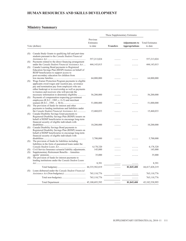# **HUMAN RESOURCES AND SKILLS DEVELOPMENT**

|            |                                                                                                                                                                                                                                                                        |                                  | These Supplementary Estimates |                                                |                                   |  |  |  |
|------------|------------------------------------------------------------------------------------------------------------------------------------------------------------------------------------------------------------------------------------------------------------------------|----------------------------------|-------------------------------|------------------------------------------------|-----------------------------------|--|--|--|
|            | Vote (dollars)                                                                                                                                                                                                                                                         | Previous<br>Estimates<br>to date | <b>Transfers</b>              | <b>Adjustments to</b><br><b>Appropriations</b> | <b>Total Estimates</b><br>to date |  |  |  |
|            |                                                                                                                                                                                                                                                                        |                                  |                               |                                                |                                   |  |  |  |
| (S)        | Canada Study Grants to qualifying full and part-time<br>students pursuant to the Canada Student Financial                                                                                                                                                              | 557,213,024                      |                               |                                                | 557,213,024                       |  |  |  |
| (S)        | Payments related to the direct financing arrangement                                                                                                                                                                                                                   |                                  |                               |                                                |                                   |  |  |  |
| (S)        | under the Canada Student Financial Assistance Act<br>Canada Learning Bond payments to Registered<br>Education Savings Plan (RESP) trustees on behalf of<br>RESP beneficiaries to support access to<br>post-secondary education for children from                       | 444, 143, 015                    |                               |                                                | 444, 143, 015                     |  |  |  |
| (S)        | Wage Earner Protection Program payments to eligible<br>applicants owed wages and vacation pay, severance<br>pay and termination pay from employers who are<br>either bankrupt or in receivership as well as payments<br>to trustees and receivers who will provide the | 64,000,000                       |                               |                                                | 64,000,000                        |  |  |  |
| (S)        | necessary information to determine eligibility<br>Payments of compensation respecting government<br>employees (R.S.C., 1985, c. G-5) and merchant                                                                                                                      | 56,200,000                       |                               | .                                              | 56,200,000                        |  |  |  |
| (S)        | The provision of funds for interest and other<br>payments to lending institutions and liabilities under                                                                                                                                                                | 51,000,000                       |                               |                                                | 51,000,000                        |  |  |  |
| (S)        | the Canada Student Financial Assistance Act<br>Canada Disability Savings Grant payments to<br>Registered Disability Savings Plan (RDSP) issuers on<br>behalf of RDSP beneficiaries to encourage long-term<br>financial security of eligible individuals with           | 15,460,033                       |                               |                                                | 15,460,033                        |  |  |  |
| (S)        | Canada Disability Savings Bond payments to<br>Registered Disability Savings Plan (RDSP) issuers on<br>behalf of RDSP beneficiaries to encourage long-term<br>financial security of eligible individuals with                                                           | 10,200,000                       |                               |                                                | 10,200,000                        |  |  |  |
| (S)        | The provision of funds for liabilities including<br>liabilities in the form of guaranteed loans under the                                                                                                                                                              | 5,700,000                        |                               |                                                | 5,700,000                         |  |  |  |
|            |                                                                                                                                                                                                                                                                        | 4,178,320                        |                               |                                                | 4,178,320                         |  |  |  |
| (S)<br>(S) | Civil Service Insurance actuarial liability adjustments.<br>Supplementary Retirement Benefits - Annuities                                                                                                                                                              | 145,000                          |                               |                                                | 145,000                           |  |  |  |
| (S)        | The provision of funds for interest payments to<br>lending institutions under the Canada Student Loans                                                                                                                                                                 | 35,000                           |                               |                                                | 35,000                            |  |  |  |
|            |                                                                                                                                                                                                                                                                        | 8,391                            |                               |                                                | 8,391                             |  |  |  |
|            |                                                                                                                                                                                                                                                                        |                                  | .                             | 81,845,400                                     | 44,417,428,219                    |  |  |  |
| (S)        | Loans disbursed under the Canada Student Financial                                                                                                                                                                                                                     | 765,110,776                      | .                             | .                                              | 765,110,776                       |  |  |  |
|            |                                                                                                                                                                                                                                                                        | 765,110,776                      | .                             | .                                              | 765,110,776                       |  |  |  |
|            |                                                                                                                                                                                                                                                                        |                                  | .                             | 81,845,400                                     | 45,182,538,995                    |  |  |  |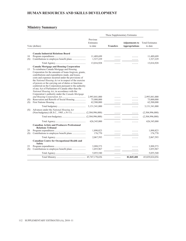# **HUMAN RESOURCES AND SKILLS DEVELOPMENT**

### **Ministry Summary**

|                  |                                                                                                                                                                                                                                                                                                                                                                                                                                                                                                                                                                                                       |                                           | These Supplementary Estimates |                                                |                                           |
|------------------|-------------------------------------------------------------------------------------------------------------------------------------------------------------------------------------------------------------------------------------------------------------------------------------------------------------------------------------------------------------------------------------------------------------------------------------------------------------------------------------------------------------------------------------------------------------------------------------------------------|-------------------------------------------|-------------------------------|------------------------------------------------|-------------------------------------------|
|                  | Vote (dollars)                                                                                                                                                                                                                                                                                                                                                                                                                                                                                                                                                                                        | Previous<br>Estimates<br>to date          | <b>Transfers</b>              | <b>Adjustments to</b><br><b>Appropriations</b> | <b>Total Estimates</b><br>to date         |
|                  | <b>Canada Industrial Relations Board</b>                                                                                                                                                                                                                                                                                                                                                                                                                                                                                                                                                              |                                           |                               |                                                |                                           |
| 10<br>(S)        |                                                                                                                                                                                                                                                                                                                                                                                                                                                                                                                                                                                                       | 11,489,699<br>1,527,229                   |                               |                                                | 11,489,699<br>1,527,229                   |
|                  |                                                                                                                                                                                                                                                                                                                                                                                                                                                                                                                                                                                                       | 13,016,928                                | .                             | .                                              | 13,016,928                                |
| 15<br>(S)<br>(S) | <b>Canada Mortgage and Housing Corporation</b><br>To reimburse Canada Mortgage and Housing<br>Corporation for the amounts of loans forgiven, grants,<br>contributions and expenditures made, and losses,<br>costs and expenses incurred under the provisions of<br>the National Housing Act or in respect of the exercise<br>of powers or the carrying out of duties or functions<br>conferred on the Corporation pursuant to the authority<br>of any Act of Parliament of Canada other than the<br>National Housing Act, in accordance with the<br>Corporation's authority under the Canada Mortgage | 2,993,841,000<br>75,000,000<br>62,500,000 | .                             | .                                              | 2,993,841,000<br>75,000,000<br>62,500,000 |
|                  |                                                                                                                                                                                                                                                                                                                                                                                                                                                                                                                                                                                                       | 3, 131, 341, 000                          | .                             | .                                              | 3, 131, 341, 000                          |
| (S)              | Advances under the National Housing Act                                                                                                                                                                                                                                                                                                                                                                                                                                                                                                                                                               |                                           | .                             | .                                              | (2,504,996,000)                           |
|                  |                                                                                                                                                                                                                                                                                                                                                                                                                                                                                                                                                                                                       |                                           | .                             | .                                              | (2,504,996,000)                           |
|                  |                                                                                                                                                                                                                                                                                                                                                                                                                                                                                                                                                                                                       | 626, 345, 000                             | .                             | .                                              | 626,345,000                               |
|                  | <b>Canadian Artists and Producers Professional</b><br><b>Relations Tribunal</b>                                                                                                                                                                                                                                                                                                                                                                                                                                                                                                                       |                                           |                               |                                                |                                           |
| 20               |                                                                                                                                                                                                                                                                                                                                                                                                                                                                                                                                                                                                       | 1,890,823                                 |                               |                                                | 1,890,823                                 |
| (S)              |                                                                                                                                                                                                                                                                                                                                                                                                                                                                                                                                                                                                       | 176,770                                   | .                             | .                                              | 176,770                                   |
|                  |                                                                                                                                                                                                                                                                                                                                                                                                                                                                                                                                                                                                       | 2,067,593                                 | .                             | .                                              | 2,067,593                                 |
|                  | <b>Canadian Centre for Occupational Health and</b><br><b>Safety</b>                                                                                                                                                                                                                                                                                                                                                                                                                                                                                                                                   |                                           |                               |                                                |                                           |
| 25               |                                                                                                                                                                                                                                                                                                                                                                                                                                                                                                                                                                                                       | 3,999,573                                 |                               |                                                | 3,999,573                                 |
| (S)              |                                                                                                                                                                                                                                                                                                                                                                                                                                                                                                                                                                                                       | 1,055,967                                 | .                             |                                                | 1,055,967                                 |
|                  |                                                                                                                                                                                                                                                                                                                                                                                                                                                                                                                                                                                                       | 5,055,540                                 | .                             | .                                              | 5,055,540                                 |
|                  |                                                                                                                                                                                                                                                                                                                                                                                                                                                                                                                                                                                                       |                                           | .                             | 81,845,400                                     | 45,829,024,056                            |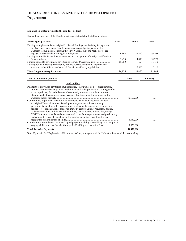# **HUMAN RESOURCES AND SKILLS DEVELOPMENT Department**

### **Explanation of Requirements (thousands of dollars)**

Human Resources and Skills Development requests funds for the following items:

| Funding to implement the Aboriginal Skills and Employment Training Strategy, and<br>the Skills and Partnership Fund to increase Aboriginal participation in the                                                                                                                                                                                                                                                                                                                                                                                                                                                                                                                                                                                                                                                                                                                                                                                                  |        |              |                  |
|------------------------------------------------------------------------------------------------------------------------------------------------------------------------------------------------------------------------------------------------------------------------------------------------------------------------------------------------------------------------------------------------------------------------------------------------------------------------------------------------------------------------------------------------------------------------------------------------------------------------------------------------------------------------------------------------------------------------------------------------------------------------------------------------------------------------------------------------------------------------------------------------------------------------------------------------------------------|--------|--------------|------------------|
| Canadian labour market, ensuring that First Nations, Inuit and Métis people are                                                                                                                                                                                                                                                                                                                                                                                                                                                                                                                                                                                                                                                                                                                                                                                                                                                                                  |        |              |                  |
|                                                                                                                                                                                                                                                                                                                                                                                                                                                                                                                                                                                                                                                                                                                                                                                                                                                                                                                                                                  | 6,805  | 32,500       | 39,305           |
| Funding to provide for the timely assessment and recognition of foreign qualifications                                                                                                                                                                                                                                                                                                                                                                                                                                                                                                                                                                                                                                                                                                                                                                                                                                                                           |        |              |                  |
|                                                                                                                                                                                                                                                                                                                                                                                                                                                                                                                                                                                                                                                                                                                                                                                                                                                                                                                                                                  | 3,420  | 14,850       | 18,270           |
| Funding related to government advertising programs (horizontal item)                                                                                                                                                                                                                                                                                                                                                                                                                                                                                                                                                                                                                                                                                                                                                                                                                                                                                             | 16,750 | .            | 16,750           |
| Funding for the Enabling Accessibility Fund to construct and renovate permanent                                                                                                                                                                                                                                                                                                                                                                                                                                                                                                                                                                                                                                                                                                                                                                                                                                                                                  |        |              |                  |
| structures to be fully accessible to all Canadians with varying abilities                                                                                                                                                                                                                                                                                                                                                                                                                                                                                                                                                                                                                                                                                                                                                                                                                                                                                        | .      | 7,520        | 7,520            |
| <b>These Supplementary Estimates</b>                                                                                                                                                                                                                                                                                                                                                                                                                                                                                                                                                                                                                                                                                                                                                                                                                                                                                                                             | 26,975 | 54,870       | 81,845           |
| <b>Transfer Payments (dollars)</b>                                                                                                                                                                                                                                                                                                                                                                                                                                                                                                                                                                                                                                                                                                                                                                                                                                                                                                                               |        | <b>Voted</b> | <b>Statutory</b> |
| <b>Contributions</b>                                                                                                                                                                                                                                                                                                                                                                                                                                                                                                                                                                                                                                                                                                                                                                                                                                                                                                                                             |        |              |                  |
| Payments to provinces, territories, municipalities, other public bodies, organizations,<br>groups, communities, employers and individuals for the provision of training and/or<br>work experience, the mobilization of community resources, and human resource<br>planning and adjustment measures necessary for the efficient functioning of the<br>Contributions to provincial/territorial governments, band councils, tribal councils,<br>Aboriginal Human Resources Development Agreement holders, municipal<br>governments, not-for-profit organizations, professional associations, business and<br>private sector organizations, consortia, industry groups, unions, regulatory bodies,<br>ad-hoc associations, public health institutions, school boards, universities, colleges,<br>CEGEPs, sector councils, and cross-sectoral councils to support enhanced productivity<br>and competitiveness of Canadian workplaces by supporting investment in and |        | 32,500,000   |                  |
| Contributions to fund construction of capital projects enabling accessibility to all people of                                                                                                                                                                                                                                                                                                                                                                                                                                                                                                                                                                                                                                                                                                                                                                                                                                                                   |        | 14,850,000   |                  |
| varying abilities across Canada, through the Enabling Accessibility Fund                                                                                                                                                                                                                                                                                                                                                                                                                                                                                                                                                                                                                                                                                                                                                                                                                                                                                         |        | 7,520,000    |                  |
| <b>Total Transfer Payments</b>                                                                                                                                                                                                                                                                                                                                                                                                                                                                                                                                                                                                                                                                                                                                                                                                                                                                                                                                   |        | 54,870,000   | .                |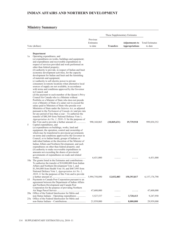### **INDIAN AFFAIRS AND NORTHERN DEVELOPMENT**

### **Ministry Summary**

|    |                                                                                                                 |               | These Supplementary Estimates |                       |                        |
|----|-----------------------------------------------------------------------------------------------------------------|---------------|-------------------------------|-----------------------|------------------------|
|    |                                                                                                                 | Previous      |                               |                       |                        |
|    |                                                                                                                 | Estimates     |                               | <b>Adjustments to</b> | <b>Total Estimates</b> |
|    | Vote (dollars)                                                                                                  | to date       | <b>Transfers</b>              | <b>Appropriations</b> | to date                |
|    |                                                                                                                 |               |                               |                       |                        |
|    | Department                                                                                                      |               |                               |                       |                        |
| 1a | Operating expenditures, and                                                                                     |               |                               |                       |                        |
|    | $(a)$ expenditures on works, buildings and equipment;                                                           |               |                               |                       |                        |
|    | and expenditures and recoverable expenditures in                                                                |               |                               |                       |                        |
|    | respect of services provided and work performed on                                                              |               |                               |                       |                        |
|    | other than federal property;                                                                                    |               |                               |                       |                        |
|    | $(b)$ authority to provide, in respect of Indian and Inuit<br>economic development activities, for the capacity |               |                               |                       |                        |
|    | development for Indian and Inuit and the furnishing                                                             |               |                               |                       |                        |
|    | of materials and equipment;                                                                                     |               |                               |                       |                        |
|    | $(c)$ authority to sell electric power to private                                                               |               |                               |                       |                        |
|    | consumers in remote locations when alternative local                                                            |               |                               |                       |                        |
|    | sources of supply are not available, in accordance                                                              |               |                               |                       |                        |
|    | with terms and conditions approved by the Governor                                                              |               |                               |                       |                        |
|    | in Council; and                                                                                                 |               |                               |                       |                        |
|    | (d) the payment to each member of the Queen's Privy<br>Council for Canada who is a Minister without             |               |                               |                       |                        |
|    | Portfolio or a Minister of State who does not preside                                                           |               |                               |                       |                        |
|    | over a Ministry of State of a salary not to exceed the                                                          |               |                               |                       |                        |
|    | salary paid to Ministers of State who preside over                                                              |               |                               |                       |                        |
|    | Ministries of State under the Salaries Act, as adjusted                                                         |               |                               |                       |                        |
|    | pursuant to the Parliament of Canada Act and pro rata                                                           |               |                               |                       |                        |
|    | for any period of less than a year $-$ To authorize the                                                         |               |                               |                       |                        |
|    | transfer of \$80,369 from National Defence Vote 1,                                                              |               |                               |                       |                        |
|    | Appropriation Act No. 1, 2010–11 for the purposes of<br>this Vote and to provide a further amount of            | 990,160,065   | (10,069,631)                  | 19,739,918            | 999,830,352            |
| 5  | Capital expenditures, and                                                                                       |               |                               |                       |                        |
|    | $(a)$ expenditures on buildings, works, land and                                                                |               |                               |                       |                        |
|    | equipment, the operation, control and ownership of                                                              |               |                               |                       |                        |
|    | which may be transferred to provincial governments                                                              |               |                               |                       |                        |
|    | on terms and conditions approved by the Governor in                                                             |               |                               |                       |                        |
|    | Council, or to Indian bands, groups of Indians or                                                               |               |                               |                       |                        |
|    | individual Indians at the discretion of the Minister of                                                         |               |                               |                       |                        |
|    | Indian Affairs and Northern Development, and such<br>expenditures on other than federal property; and           |               |                               |                       |                        |
|    | $(b)$ authority to make recoverable expenditures in                                                             |               |                               |                       |                        |
|    | amounts not exceeding the shares of provincial                                                                  |               |                               |                       |                        |
|    | governments of expenditures on roads and related                                                                |               |                               |                       |                        |
|    |                                                                                                                 | 6,431,000     |                               |                       | 6,431,000              |
|    | 10a The grants listed in the Estimates and contributions –                                                      |               |                               |                       |                        |
|    | To authorize the transfer of \$10,000,000 from Indian<br>Affairs and Northern Development Vote 1, and           |               |                               |                       |                        |
|    | \$1,564,088 from Health Vote 10, and \$467,995 from                                                             |               |                               |                       |                        |
|    | National Defence Vote 1, Appropriation Act No. 1,                                                               |               |                               |                       |                        |
|    | $2010 - 11$ for the purposes of this Vote and to provide                                                        |               |                               |                       |                        |
|    |                                                                                                                 | 5,994,750,890 | 12,032,083                    | 150,393,817           | 6,157,176,790          |
| 15 | Payments to Canada Post Corporation pursuant to an                                                              |               |                               |                       |                        |
|    | agreement between the Department of Indian Affairs                                                              |               |                               |                       |                        |
|    | and Northern Development and Canada Post                                                                        |               |                               |                       |                        |
|    | Corporation for the purpose of providing Northern                                                               | 47,600,000    |                               |                       | 47,600,000             |
|    | 20a Office of the Federal Interlocutor for Métis and                                                            |               |                               |                       |                        |
|    | non-Status Indians – Operating expenditures                                                                     | 5,527,537     |                               | 3,720,413             | 9,247,950              |
|    | 25a Office of the Federal Interlocutor for Métis and                                                            |               |                               |                       |                        |
|    |                                                                                                                 | 21,939,000    |                               | 8,000,000             | 29,939,000             |

<u> 1989 - Johann Barn, mars ann an t-Amhain Aonaich an t-Aonaich an t-Aonaich ann an t-Aonaich ann an t-Aonaich</u>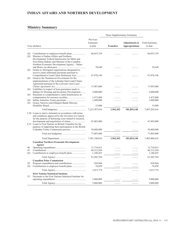# **INDIAN AFFAIRS AND NORTHERN DEVELOPMENT**

### **Ministry Summary**

|            |                                                                                                                                                                                                                                                                                               |                                  | These Supplementary Estimates |                                                |                                   |  |
|------------|-----------------------------------------------------------------------------------------------------------------------------------------------------------------------------------------------------------------------------------------------------------------------------------------------|----------------------------------|-------------------------------|------------------------------------------------|-----------------------------------|--|
|            | Vote (dollars)                                                                                                                                                                                                                                                                                | Previous<br>Estimates<br>to date | <b>Transfers</b>              | <b>Adjustments to</b><br><b>Appropriations</b> | <b>Total Estimates</b><br>to date |  |
| (S)<br>(S) | Minister of Indian Affairs and Northern                                                                                                                                                                                                                                                       | 66,055,729                       |                               |                                                | 66,055,729                        |  |
| (S)        | Development, Federal Interlocutor for Métis and<br>Non-Status Indians and Minister of the Canadian<br>Northern Economic Development Agency - Salary<br>Grants to Aboriginal organizations designated to                                                                                       | 78,649                           | .                             | .                                              | 78,649                            |  |
| (S)        | receive claim settlement payments pursuant to<br>Comprehensive Land Claim Settlement Acts<br>Grant to the Nunatsiavut Government for the                                                                                                                                                      | 67,970,146                       |                               |                                                | 67,970,146                        |  |
| (S)        | implementation of the Labrador Inuit Land Claims<br>Agreement pursuant to the Labrador Inuit Land<br>Liabilities in respect of loan guarantees made to                                                                                                                                        | 17,987,000                       |                               | .                                              | 17,987,000                        |  |
|            | Indians for Housing and Economic Development                                                                                                                                                                                                                                                  | 2,000,000                        | .                             | .                                              | 2,000,000                         |  |
| (S)<br>(S) | Payments to comprehensive claim beneficiaries in                                                                                                                                                                                                                                              | 1,472,000<br>1,400,000           | .                             | .                                              | 1,472,000<br>1,400,000            |  |
| (S)        | Grassy Narrows and Islington Bands Mercury                                                                                                                                                                                                                                                    | 15,000                           | .                             | .                                              | 15,000                            |  |
|            |                                                                                                                                                                                                                                                                                               | 7,223,387,016                    | 1,962,452                     | 181,854,148                                    | 7,407,203,616                     |  |
|            | L30 Loans to native claimants in accordance with terms<br>and conditions approved by the Governor in Council<br>for the purpose of defraying costs related to research,<br>L35 Loans to First Nations in British Columbia for the<br>purpose of supporting their participation in the British | 47,403,000<br>30,400,000         | .                             | .                                              | 47,403,000<br>30,400,000          |  |
|            |                                                                                                                                                                                                                                                                                               | 77,803,000                       | .                             | .                                              | 77,803,000                        |  |
|            |                                                                                                                                                                                                                                                                                               | 7,301,190,016                    | 1,962,452                     | 181,854,148                                    | 7,485,006,616                     |  |
|            | <b>Canadian Northern Economic Development</b><br>Agency                                                                                                                                                                                                                                       |                                  |                               |                                                |                                   |  |
| 40         |                                                                                                                                                                                                                                                                                               | 13,710,015                       | .                             |                                                | 13,710,015                        |  |
| 45<br>(S)  |                                                                                                                                                                                                                                                                                               | 46, 312, 294<br>1,180,455        | .<br>.                        | .                                              | 46, 312, 294<br>1,180,455         |  |
|            |                                                                                                                                                                                                                                                                                               |                                  |                               |                                                | 61,202,764                        |  |
|            |                                                                                                                                                                                                                                                                                               | 61,202,764                       | .                             | .                                              |                                   |  |
| 50<br>(S)  | <b>Canadian Polar Commission</b>                                                                                                                                                                                                                                                              | 938,944<br>76,830                | .<br>.                        | .<br>.                                         | 938,944<br>76,830                 |  |
|            |                                                                                                                                                                                                                                                                                               | 1,015,774                        | .                             | .                                              | 1,015,774                         |  |
| 55         | <b>First Nations Statistical Institute</b><br>Payments to the First Nations Statistical Institute for                                                                                                                                                                                         |                                  |                               |                                                |                                   |  |
|            |                                                                                                                                                                                                                                                                                               | 5,000,000                        | .                             |                                                | 5,000,000                         |  |
|            |                                                                                                                                                                                                                                                                                               | 5,000,000                        | .                             | .                                              | 5,000,000                         |  |

<u> 1989 - Johann Barn, mars ann an t-Amhain Aonaich an t-Aonaich an t-Aonaich ann an t-Aonaich ann an t-Aonaich</u>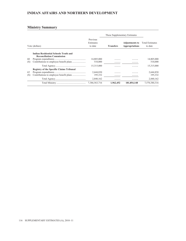### **INDIAN AFFAIRS AND NORTHERN DEVELOPMENT**

### **Ministry Summary**

|           |                                                                                 |                                  | These Supplementary Estimates |                                                |                                   |
|-----------|---------------------------------------------------------------------------------|----------------------------------|-------------------------------|------------------------------------------------|-----------------------------------|
|           | Vote (dollars)                                                                  | Previous<br>Estimates<br>to date | <b>Transfers</b>              | <b>Adjustments to</b><br><b>Appropriations</b> | <b>Total Estimates</b><br>to date |
|           | <b>Indian Residential Schools Truth and</b><br><b>Reconciliation Commission</b> |                                  |                               |                                                |                                   |
| 60<br>(S) |                                                                                 | 14,805,000<br>510,000            | .<br>.                        | .                                              | 14,805,000<br>510,000             |
|           |                                                                                 | 15,315,000                       | .                             | .                                              | 15,315,000                        |
| 65<br>(S) | <b>Registry of the Specific Claims Tribunal</b>                                 | 2,644,830<br>195.332             | .<br>.                        | .<br>.                                         | 2,644,830<br>195,332              |
|           |                                                                                 | 2,840,162                        | .                             | .                                              | 2,840,162                         |
|           |                                                                                 | 7,386,563,716                    | 1,962,452                     | 181,854,148                                    | 7,570,380,316                     |

<u> 1989 - Johann Barbara, martxa alemaniar a</u>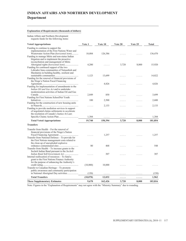# **INDIAN AFFAIRS AND NORTHERN DEVELOPMENT Department**

### **Explanation of Requirements (thousands of dollars)**

Indian Affairs and Northern Development requests funds for the following items:

| <b>Voted Appropriations</b>                                                                                                                                                                                                   | Vote 1   | Vote 10 | Vote 20 | Vote 25  | <b>Total</b> |
|-------------------------------------------------------------------------------------------------------------------------------------------------------------------------------------------------------------------------------|----------|---------|---------|----------|--------------|
| Funding to continue to support the<br>implementation of the First Nations Water and<br>Wastewater Action Plan (horizontal item)<br>Funding to manage Métis and non-status Indian<br>litigation and to implement the proactive | 10,084   | 126,386 | .       |          | 136,470      |
| reconciliation and management of Métis<br>Aboriginal rights (horizontal item)<br>Funding for continued support of the two                                                                                                     | 4,200    |         | 3,720   | 8,000    | 15,920       |
| Labrador Innu communities of Natuashish and<br>Sheshatsiu in building healthy, resilient and<br>Funding for the renewal of financial provisions of                                                                            | 1,123    | 13,699  | .       | .        | 14,822       |
| the Nisga'a Nation Fiscal Financing<br>Funding for implementation of amendments to the                                                                                                                                        | .        | 4,826   | .       | $\cdots$ | 4,826        |
| Indian Oil and Gas Act and to undertake<br>modernization activities of Indian Oil and Gas<br>Funding for First Nations SchoolNet Youth                                                                                        | 2,849    | 850     | .       | .        | 3,699        |
|                                                                                                                                                                                                                               | 100      | 2,500   |         | .        | 2,600        |
| Funding for the construction of new housing units                                                                                                                                                                             | .        | 2,133   | .       | .        | 2,133        |
| Funding to provide mediation services in support<br>of negotiated claims settlements to accelerate<br>the resolution of Canada's Justice At Last:                                                                             |          |         |         |          |              |
|                                                                                                                                                                                                                               | 1,384    | .       | .       | .        | 1,384        |
| <b>Total Voted Appropriations</b>                                                                                                                                                                                             | 19,740   | 150,394 | 3,720   | 8,000    | 181,854      |
| <b>Transfers</b>                                                                                                                                                                                                              |          |         |         |          |              |
| Transfer from Health – For the renewal of<br>financial provisions of the Nisga'a Nation<br>Transfer from National Defence – To provide for                                                                                    |          | 1,257   | .       | 1.1.1    | 1,257        |
| the First Nations management costs related to<br>the clean up of unexploded explosive<br>Transfer from Health $-$ To increase grants to the                                                                                   | 80       | 468     | .       | .        | 548          |
| Sechelt Indian Band pursuant to the Sechelt<br>Indian Band Self-Government Act<br>Internal reallocation of resources - To fund a                                                                                              |          | 307     | .       | $\cdots$ | 307          |
| grant to the First Nations Finance Authority<br>for the purpose of enhancing the Authority's                                                                                                                                  | (10,000) | 10,000  | .       | 1.1.1    |              |
| Transfer to Canadian Heritage - To promote<br>public awareness and community participation                                                                                                                                    |          |         |         |          |              |
|                                                                                                                                                                                                                               | (150)    | .       | .       | .        | (150)        |
| <b>Total Transfers</b>                                                                                                                                                                                                        | (10,070) | 12,032  | .       | .        | 1,962        |
| <b>These Supplementary Estimates</b>                                                                                                                                                                                          | 9,670    | 162,426 | 3,720   | 8,000    | 183,816      |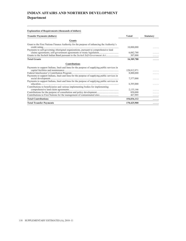# **INDIAN AFFAIRS AND NORTHERN DEVELOPMENT Department**

### **Explanation of Requirements (thousands of dollars)**

| <b>Transfer Payments (dollars)</b>                                                                                                                                                         | <b>Voted</b>                      | <b>Statutory</b> |  |
|--------------------------------------------------------------------------------------------------------------------------------------------------------------------------------------------|-----------------------------------|------------------|--|
| <b>Grants</b>                                                                                                                                                                              |                                   |                  |  |
| Grant to the First Nations Finance Authority for the purpose of enhancing the Authority's<br>Payments to self-governing Aboriginal organizations, pursuant to comprehensive land           | 10,000,000                        |                  |  |
| Grants to the Sechelt Indian Band pursuant to the Sechelt Self-Government Act                                                                                                              | 6,082,788<br>307,000              |                  |  |
| <b>Total Grants</b>                                                                                                                                                                        | 16,389,788                        |                  |  |
| <b>Contributions</b>                                                                                                                                                                       |                                   |                  |  |
| Payments to support Indians, Inuit and Innu for the purpose of supplying public services in                                                                                                | 128,812,971<br>8,000,000          |                  |  |
| Payments to support Indians, Inuit and Innu for the purpose of supplying public services in<br>Payments to support Indians, Inuit and Innu for the purpose of supplying public services in | 7,377,000                         |                  |  |
| Contributions to beneficiaries and various implementing bodies for implementing                                                                                                            | 6,395,000                         |                  |  |
| Contributions for the purpose of consultation and policy development                                                                                                                       | 2, 133, 146<br>850,000<br>467,995 |                  |  |
| <b>Total Contributions</b>                                                                                                                                                                 | 154,036,112                       | .                |  |
| <b>Total Transfer Payments</b>                                                                                                                                                             | 170,425,900                       | .                |  |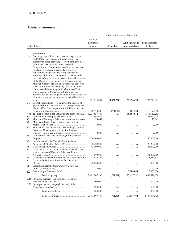|                   |                                                                                                                                                                                                                                                                                                                                                                                                                                                                                                                                                                                                                                                                                                                  |                                  | These Supplementary Estimates |                                                |                                   |
|-------------------|------------------------------------------------------------------------------------------------------------------------------------------------------------------------------------------------------------------------------------------------------------------------------------------------------------------------------------------------------------------------------------------------------------------------------------------------------------------------------------------------------------------------------------------------------------------------------------------------------------------------------------------------------------------------------------------------------------------|----------------------------------|-------------------------------|------------------------------------------------|-----------------------------------|
|                   | Vote (dollars)                                                                                                                                                                                                                                                                                                                                                                                                                                                                                                                                                                                                                                                                                                   | Previous<br>Estimates<br>to date | <b>Transfers</b>              | <b>Adjustments to</b><br><b>Appropriations</b> | <b>Total Estimates</b><br>to date |
|                   | Department                                                                                                                                                                                                                                                                                                                                                                                                                                                                                                                                                                                                                                                                                                       |                                  |                               |                                                |                                   |
| 1a                | Operating expenditures, and pursuant to paragraph<br>$29.1(2)(a)$ of the Financial Administration Act,<br>authority to expend revenue received during the fiscal<br>year related to Communications Research,<br>Bankruptcy and Corporations and from services and<br>regulatory processes, specifically pre-merger<br>notification filings, advance ruling certificates,<br>advisory opinions and photocopies, provided under<br>the Competition Act and the payment to each member<br>of the Queen's Privy Council for Canada who is a<br>Minister without Portfolio or a Minister of State who<br>does not preside over a Ministry of State of a salary<br>not to exceed the salary paid to Ministers of State |                                  |                               |                                                |                                   |
|                   | who preside over Ministries of State under the<br>Salaries Act, as adjusted pursuant to the Parliament of<br>Canada Act and pro rata for any period of less than a                                                                                                                                                                                                                                                                                                                                                                                                                                                                                                                                               |                                  |                               |                                                |                                   |
| 5a                | Capital expenditures $-$ To authorize the transfer of                                                                                                                                                                                                                                                                                                                                                                                                                                                                                                                                                                                                                                                            | 365,255,887                      | (4,451,500)                   | 31,994,428                                     | 392,798,815                       |
|                   | \$3,700,500 from Industry Vote 1, Appropriation Act<br>No. 1, 2010–11 for the purposes of this Vote and to                                                                                                                                                                                                                                                                                                                                                                                                                                                                                                                                                                                                       |                                  |                               |                                                |                                   |
|                   | 10a The grants listed in the Estimates and contributions                                                                                                                                                                                                                                                                                                                                                                                                                                                                                                                                                                                                                                                         | 10,730,000<br>1,294,657,449      | 3,700,500<br>.                | 761,550<br>39,861,814                          | 15,192,050<br>1,334,519,263       |
| (S)<br>(S)<br>(S) | Minister of Industry - Salary and motor car allowance<br>Minister of State (Small Business and Tourism) -                                                                                                                                                                                                                                                                                                                                                                                                                                                                                                                                                                                                        | 53,997,679<br>78,649             | .<br>.                        | .<br>.                                         | 53,997,679<br>78,649              |
| (S)               | Minister of State (Science and Technology) (Federal<br>Economic Development Agency for Southern                                                                                                                                                                                                                                                                                                                                                                                                                                                                                                                                                                                                                  | 2,000                            | .                             | .                                              | 2,000                             |
| (S)               | Contribution under the Knowledge Infrastructure                                                                                                                                                                                                                                                                                                                                                                                                                                                                                                                                                                                                                                                                  | 2,000                            | .                             | .                                              | 2,000                             |
| (S)               | Liabilities under the Canada Small Business                                                                                                                                                                                                                                                                                                                                                                                                                                                                                                                                                                                                                                                                      | 500,000,000                      | .                             | .                                              | 500,000,000                       |
| (S)<br>(S)        | Grant to CANARIE Inc. to operate and develop the                                                                                                                                                                                                                                                                                                                                                                                                                                                                                                                                                                                                                                                                 | 90,200,000<br>43,000,000         | .                             | .                                              | 90,200,000<br>43,000,000          |
|                   | next generation of Canada's Advanced Research                                                                                                                                                                                                                                                                                                                                                                                                                                                                                                                                                                                                                                                                    |                                  |                               |                                                |                                   |
| (S)<br>(S)        | Canadian Intellectual Property Office Revolving Fund<br>Grant to the Perimeter Institute for Theoretical                                                                                                                                                                                                                                                                                                                                                                                                                                                                                                                                                                                                         | 31,000,000<br>13,659,172         | .                             | .                                              | 31,000,000<br>13,659,172          |
| (S)               | Liabilities under the Small Business Loans Act                                                                                                                                                                                                                                                                                                                                                                                                                                                                                                                                                                                                                                                                   | 10,000,000                       | .                             | .                                              | 10,000,000                        |
|                   |                                                                                                                                                                                                                                                                                                                                                                                                                                                                                                                                                                                                                                                                                                                  | 125,000                          |                               | .<br>5,000,000                                 | 125,000<br>5,000,000              |
| <u>(S)</u>        |                                                                                                                                                                                                                                                                                                                                                                                                                                                                                                                                                                                                                                                                                                                  | 2,412,707,836                    | (751,000)                     | 77,617,792                                     | 2,489,574,628                     |
|                   | L15 Payments pursuant to subsection $14(2)$ of the                                                                                                                                                                                                                                                                                                                                                                                                                                                                                                                                                                                                                                                               |                                  |                               |                                                |                                   |
|                   | L20 Loans pursuant to paragraph $14(1)(a)$ of the                                                                                                                                                                                                                                                                                                                                                                                                                                                                                                                                                                                                                                                                | 300,000                          | .                             | .                                              | 300,000                           |
|                   |                                                                                                                                                                                                                                                                                                                                                                                                                                                                                                                                                                                                                                                                                                                  | 500,000                          | .                             |                                                | 500,000                           |
|                   |                                                                                                                                                                                                                                                                                                                                                                                                                                                                                                                                                                                                                                                                                                                  | 800,000                          | .                             |                                                | 800,000                           |
|                   |                                                                                                                                                                                                                                                                                                                                                                                                                                                                                                                                                                                                                                                                                                                  | 2,413,507,836                    | (751,000)                     | 77,617,792                                     | 2,490,374,628                     |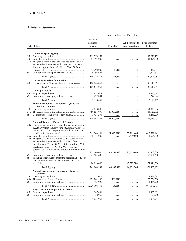### **INDUSTRY**

|                  |                                                                                                                                                                                                                                                                                                                                                                                                                                                  |                                        | These Supplementary Estimates |                                                |                                        |
|------------------|--------------------------------------------------------------------------------------------------------------------------------------------------------------------------------------------------------------------------------------------------------------------------------------------------------------------------------------------------------------------------------------------------------------------------------------------------|----------------------------------------|-------------------------------|------------------------------------------------|----------------------------------------|
|                  | Vote (dollars)                                                                                                                                                                                                                                                                                                                                                                                                                                   | Previous<br>Estimates<br>to date       | <b>Transfers</b>              | <b>Adjustments to</b><br><b>Appropriations</b> | <b>Total Estimates</b><br>to date      |
|                  |                                                                                                                                                                                                                                                                                                                                                                                                                                                  |                                        |                               |                                                |                                        |
| 25<br>30         | <b>Canadian Space Agency</b><br>35a The grants listed in the Estimates and contributions –                                                                                                                                                                                                                                                                                                                                                       | 252, 278, 159<br>81,394,000            | .                             | .                                              | 252,278,159<br>81,394,000              |
| (S)              | To authorize the transfer of \$35,000 from Industry<br>Vote 60, Appropriation Act No. 1, 2010-11 for the                                                                                                                                                                                                                                                                                                                                         | 46,292,000<br>10,792,628               | 35,000<br>.                   | 1<br>.                                         | 46,327,001<br>10,792,628               |
|                  |                                                                                                                                                                                                                                                                                                                                                                                                                                                  | 390,756,787                            | 35,000                        | $\mathbf{1}$                                   | 390,791,788                            |
| 40               | <b>Canadian Tourism Commission</b><br>Payments to the Canadian Tourism Commission                                                                                                                                                                                                                                                                                                                                                                | 100,643,061                            | .                             | .                                              | 100,643,061                            |
|                  |                                                                                                                                                                                                                                                                                                                                                                                                                                                  | 100,643,061                            | .                             | .                                              | 100,643,061                            |
| 45               | <b>Copyright Board</b>                                                                                                                                                                                                                                                                                                                                                                                                                           | 2,817,613                              | .                             | .                                              | 2,817,613                              |
| (S)              |                                                                                                                                                                                                                                                                                                                                                                                                                                                  | 292,844                                | .                             | .                                              | 292,844                                |
|                  |                                                                                                                                                                                                                                                                                                                                                                                                                                                  | 3,110,457                              | .                             | .                                              | 3,110,457                              |
|                  | <b>Federal Economic Development Agency for</b><br><b>Southern Ontario</b>                                                                                                                                                                                                                                                                                                                                                                        |                                        |                               |                                                |                                        |
| 50<br>55a<br>(S) | The grants listed in the Estimates and contributions                                                                                                                                                                                                                                                                                                                                                                                             | 34,010,886<br>469,523,095<br>3,431,296 | .<br>(45,000,000)<br>.        | .<br>.                                         | 34,010,886<br>424,523,095<br>3,431,296 |
|                  |                                                                                                                                                                                                                                                                                                                                                                                                                                                  | 506,965,277                            | (45,000,000)                  | .                                              | 461,965,277                            |
|                  | <b>National Research Council of Canada</b><br>60a Operating expenditures $-$ To authorize the transfer of<br>\$2,250,000 from Industry Vote 55, Appropriation Act<br>No. 1, 2010–11 for the purposes of this Vote and to<br>70a The grants listed in the Estimates and contributions –<br>To authorize the transfer of \$42,750,000 from<br>Industry Vote 55, and \$7,200,000 from Industry Vote<br>60, Appropriation Act No. 1, 2010–11 for the | 361, 304, 501<br>48,115,000            | (4,985,000)<br>.              | 57,212,440<br>3,439,000                        | 413,531,941<br>51,554,000              |
| (S)<br>(S)       | purposes of this Vote and to provide a further amount<br>Spending of revenues pursuant to paragraph $5(1)(e)$ of<br>the National Research Council Act (R.S.C., 1985,                                                                                                                                                                                                                                                                             | 213,048,000<br>45,581,698              | 49,950,000<br>.               | 27,855,800<br>.                                | 290,853,800<br>45,581,698              |
|                  |                                                                                                                                                                                                                                                                                                                                                                                                                                                  | 80,920,000                             | .                             | (3,573,500)                                    | 77,346,500                             |
|                  |                                                                                                                                                                                                                                                                                                                                                                                                                                                  | 748.969.199                            | 44,965,000                    | 84,933,740                                     | 878, 867, 939                          |
|                  | <b>Natural Sciences and Engineering Research</b><br>Council                                                                                                                                                                                                                                                                                                                                                                                      |                                        |                               |                                                |                                        |
| 75<br>80a<br>(S) |                                                                                                                                                                                                                                                                                                                                                                                                                                                  | 42,511,011<br>973,262,500<br>4,424,920 | .<br>(508,000)<br>.           | .<br>.                                         | 42,511,011<br>972,754,500<br>4,424,920 |
|                  |                                                                                                                                                                                                                                                                                                                                                                                                                                                  | 1,020,198,431                          | (508,000)                     | .                                              | 1,019,690,431                          |
| 85<br>(S)        | <b>Registry of the Competition Tribunal</b>                                                                                                                                                                                                                                                                                                                                                                                                      | 1,907,001<br>158,950                   | .                             | .<br>.                                         | 1,907,001<br>158,950                   |
|                  |                                                                                                                                                                                                                                                                                                                                                                                                                                                  | 2,065,951                              | .                             | .                                              | 2,065,951                              |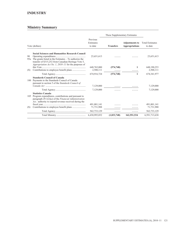### **INDUSTRY**

| Vote (dollars) |                                                                                                                                                                                                           |                                  | These Supplementary Estimates |                                                |                                   |
|----------------|-----------------------------------------------------------------------------------------------------------------------------------------------------------------------------------------------------------|----------------------------------|-------------------------------|------------------------------------------------|-----------------------------------|
|                |                                                                                                                                                                                                           | Previous<br>Estimates<br>to date | <b>Transfers</b>              | <b>Adjustments to</b><br><b>Appropriations</b> | <b>Total Estimates</b><br>to date |
|                | <b>Social Sciences and Humanities Research Council</b>                                                                                                                                                    |                                  |                               |                                                |                                   |
| 90             | 95a The grants listed in the Estimates $-$ To authorize the<br>transfer of \$315,252 from Canadian Heritage Vote 5,<br>Appropriation Act No. 1, 2010–11 for the purposes of                               | 23,651,613                       |                               |                                                | 23,651,613                        |
| (S)            |                                                                                                                                                                                                           | 648,765,000<br>2,500,111         | (574, 748)                    | 1                                              | 648,190,253<br>2,500,111          |
|                |                                                                                                                                                                                                           | 674,916,724                      | (574, 748)                    | 1                                              | 674,341,977                       |
| 100            | <b>Standards Council of Canada</b><br>Payments to the Standards Council of Canada<br>pursuant to section 5 of the Standards Council of                                                                    | 7,129,000                        |                               |                                                | 7,129,000                         |
|                |                                                                                                                                                                                                           | 7,129,000                        |                               |                                                | 7,129,000                         |
| 105            | <b>Statistics Canada</b><br>Program expenditures, contributions and pursuant to<br>paragraph $29.1(2)(a)$ of the Financial Administration<br><i>Act</i> , authority to expend revenue received during the |                                  |                               |                                                |                                   |
|                |                                                                                                                                                                                                           | 491,001,141                      |                               |                                                | 491,001,141                       |
| (S)            |                                                                                                                                                                                                           | 71,731,988                       |                               |                                                | 71,731,988                        |
|                |                                                                                                                                                                                                           | 562,733,129                      | .                             | .                                              | 562,733,129                       |
|                |                                                                                                                                                                                                           | 6,430,995,852                    | (1,833,748)                   | 162,551,534                                    | 6,591,713,638                     |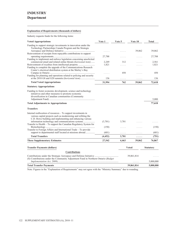### **Explanation of Requirements (thousands of dollars)**

Industry requests funds for the following items:

| <b>Voted Appropriations</b>                                                                                                                                                                   | Vote 1                 | Vote 5 | Vote 10      | <b>Total</b>     |
|-----------------------------------------------------------------------------------------------------------------------------------------------------------------------------------------------|------------------------|--------|--------------|------------------|
| Funding to support strategic investments in innovation under the<br>Technology Partnerships Canada Program and the Strategic                                                                  |                        |        |              |                  |
| Reinvestment of receipts from repayable contributions to support                                                                                                                              |                        |        | 39,862       | 39,862           |
| Funding to implement and enforce legislation concerning unsolicited                                                                                                                           | 27,788                 |        |              | 27,788           |
| commercial email and related online threats (horizontal item)                                                                                                                                 | 2,249                  | 312    |              | 2,561            |
| Funding to complete the upgrade of the Communications Research<br>Centre's electrical distribution system at the Shirley's Bay                                                                | 1,821                  | .      |              | 1,821            |
| Funding for planning and operations related to policing and security                                                                                                                          | .                      | 450    | $\cdots$     | 450              |
|                                                                                                                                                                                               | 136                    | .      | .            | 136              |
| <b>Total Voted Appropriations</b>                                                                                                                                                             | 31,994                 | 762    | 39,862       | 72,618           |
| <b>Statutory Appropriations</b>                                                                                                                                                               |                        |        |              |                  |
| Funding to foster economic development, science and technology<br>initiatives and other measures to promote economic<br>diversification in Canadian communities (Community                    |                        |        |              | 5,000            |
| <b>Total Adjustments to Appropriations</b>                                                                                                                                                    |                        |        |              | 77,618           |
|                                                                                                                                                                                               |                        |        |              |                  |
| <b>Transfers</b>                                                                                                                                                                              |                        |        |              |                  |
| Internal reallocation of resources – To support investments in<br>various capital projects such as modernizing and refitting the<br>C.D. Howe building and implementing and enhancing various |                        |        |              |                  |
| Transfer to Health – To support the Canadian Regulatory System for                                                                                                                            | (3,701)                | 3,701  |              |                  |
| Transfer to Foreign Affairs and International Trade – To provide                                                                                                                              | (150)                  | .      | 1.1.1        | (150)            |
| support to departmental staff located at missions abroad                                                                                                                                      | (601)                  | .      | .            | (601)            |
| <b>Total Transfers</b>                                                                                                                                                                        | (4, 452)               | 3,701  | .            | (751)            |
| <b>These Supplementary Estimates</b>                                                                                                                                                          | 27,542                 | 4,463  | 39,862       | 76,867           |
| <b>Transfer Payments (dollars)</b>                                                                                                                                                            |                        |        | <b>Voted</b> | <b>Statutory</b> |
| <b>Contributions</b>                                                                                                                                                                          |                        |        |              |                  |
| (S) Contributions under the Community Adjustment Fund in Northern Ontario (Budget)                                                                                                            |                        |        | 39,861,814   | 5,000,000        |
| <b>Total Transfer Payments</b>                                                                                                                                                                |                        |        | 39,861,814   | 5,000,000        |
| $\pm$ $\pi$ $\pi$ $\pm$ $\pi$ $\pi$ $\pm$<br>$\cdots$                                                                                                                                         | that any contact their |        |              |                  |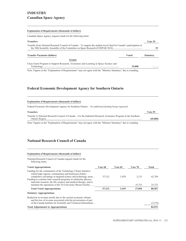### **INDUSTRY Canadian Space Agency**

#### **Explanation of Requirements (thousands of dollars)**

Canadian Space Agency requests funds for the following items:

| <b>Transfers</b>                                                                                                     |        | Vote 35          |
|----------------------------------------------------------------------------------------------------------------------|--------|------------------|
| Transfer from National Research Council of Canada – To support the student travel fund for Canada's participation at |        |                  |
| <b>Transfer Payments (dollars)</b>                                                                                   | Voted  | <b>Statutory</b> |
| <b>Grants</b>                                                                                                        |        |                  |
| Class Grant Program to Support Research, Awareness and Learning in Space Science and                                 | 35,000 | .                |

Note: Figures in the "Explanation of Requirements" may not agree with the "Ministry Summary" due to rounding.

### **Federal Economic Development Agency for Southern Ontario**

#### **Explanation of Requirements (thousands of dollars)**

Federal Economic Development Agency for Southern Ontario – *No additional funding being requested*

| <b>Transfers</b>                                                                                                 | Vote 55  |
|------------------------------------------------------------------------------------------------------------------|----------|
| Transfer to National Research Council of Canada – For the Industrial Research Assistance Program in the Southern | (45,000) |
|                                                                                                                  |          |

Note: Figures in the "Explanation of Requirements" may not agree with the "Ministry Summary" due to rounding.

### **National Research Council of Canada**

### **Explanation of Requirements (thousands of dollars)**

National Research Council of Canada requests funds for the following items:

| <b>Voted Appropriations</b>                                                                                                                                                                                                                                                                                                                                                                             | Vote 60     | Vote 65    | Vote 70         | Total            |
|---------------------------------------------------------------------------------------------------------------------------------------------------------------------------------------------------------------------------------------------------------------------------------------------------------------------------------------------------------------------------------------------------------|-------------|------------|-----------------|------------------|
| Funding for the continuation of the Technology Cluster Initiative<br>which helps regions, communities and businesses build a<br>competitive advantage in targeted science and technology areas<br>Funding to continue base research programs in subatomic physics,<br>materials research, the life sciences and medical therapy, and to<br>maintain the operations of the Tri-University Meson Facility | 57.212<br>. | 3.439<br>. | 2.133<br>25,723 | 62.784<br>25,723 |
| <b>Total Voted Appropriations</b>                                                                                                                                                                                                                                                                                                                                                                       | 57,212      | 3,439      | 27,856          | 88,507           |
| <b>Statutory Appropriations</b>                                                                                                                                                                                                                                                                                                                                                                         |             |            |                 |                  |
| Reduction in revenue mostly due to the current economic climate<br>and the loss of revenue associated with the privatization of part<br>of the Canada Institute for Scientific and Technical Information                                                                                                                                                                                                |             |            |                 | (3,574)          |
| <b>Total Adjustments to Appropriations</b>                                                                                                                                                                                                                                                                                                                                                              |             |            |                 | 84,933           |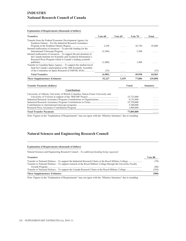### **INDUSTRY National Research Council of Canada**

### **Explanation of Requirements (thousands of dollars)**

| <b>Transfers</b>                                                                   | Vote 60 | Vote 65 | Vote 70      | Total            |
|------------------------------------------------------------------------------------|---------|---------|--------------|------------------|
| Transfer from the Federal Economic Development Agency for                          |         |         |              |                  |
| Southern Ontario – For the Industrial Research Assistance                          |         |         |              |                  |
|                                                                                    | 2,250   | .       | 42,750       | 45,000           |
| Internal reallocation of resources – To provide funding for the                    |         |         |              |                  |
|                                                                                    | (5,300) |         | 5,300        |                  |
| Internal reallocation of resources – To support the privatization of               |         |         |              |                  |
| the Canada Institute for Scientific and Technical Information's                    |         |         |              |                  |
| Research Press Program which is Canada's leading scientific                        |         |         |              |                  |
| Transfer to Canadian Space Agency – To support the student travel                  | (1,900) |         | 1,900        |                  |
| fund for Canada's participation at the 38th Scientific Assembly                    |         |         |              |                  |
| of the Committee on Space Research (COSPAR 2010)                                   | (35)    |         |              | (35)             |
|                                                                                    |         | .       | .            |                  |
| <b>Total Transfers</b>                                                             | (4,985) | .       | 49,950       | 44,965           |
| <b>These Supplementary Estimates</b>                                               | 52,227  | 3,439   | 77,806       | 129,898          |
| <b>Transfer Payments (dollars)</b>                                                 |         |         | <b>Voted</b> | <b>Statutory</b> |
| <b>Contributions</b>                                                               |         |         |              |                  |
| University of Alberta, University of British Columbia, Simon Fraser University and |         |         |              |                  |
|                                                                                    |         |         | 25,723,000   |                  |
|                                                                                    |         |         | 9,132,800    |                  |
|                                                                                    |         |         | 35,750,000   |                  |
|                                                                                    |         |         | 5,300,000    | $\cdots$         |
|                                                                                    |         |         | 1,900,000    | .                |
| <b>Total Transfer Payments</b>                                                     |         |         | 77,805,800   | .                |

Note: Figures in the "Explanation of Requirements" may not agree with the "Ministry Summary" due to rounding.

### **Natural Sciences and Engineering Research Council**

#### **Explanation of Requirements (thousands of dollars)**

Natural Sciences and Engineering Research Council – *No additional funding being requested*

| <b>Transfers</b>                                                                                                | Vote 80       |
|-----------------------------------------------------------------------------------------------------------------|---------------|
| Transfer to National Defence – To support research at the Royal Military College through the University Faculty | 78)           |
|                                                                                                                 | (80)<br>(350) |
| <b>These Supplementary Estimates</b>                                                                            | (508)         |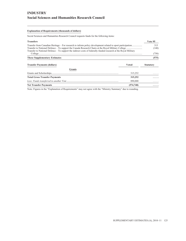### **INDUSTRY Social Sciences and Humanities Research Council**

### **Explanation of Requirements (thousands of dollars)**

Social Sciences and Humanities Research Council requests funds for the following items:

| <b>Transfers</b>                                                                                                  | Vote 95      |
|-------------------------------------------------------------------------------------------------------------------|--------------|
|                                                                                                                   | 315<br>(140) |
| Transfer to National Defence $-$ To support the indirect costs of federally-funded research at the Royal Military | (750)        |
| <b>These Supplementary Estimates</b>                                                                              | (575)        |

| <b>Transfer Payments (dollars)</b>   | Voted      | <b>Statutory</b> |  |
|--------------------------------------|------------|------------------|--|
| <b>Grants</b>                        |            |                  |  |
|                                      | 315.252    | .                |  |
| <b>Total Gross Transfer Payments</b> | 315,252    | .                |  |
|                                      | 890,000    | .                |  |
| <b>Net Transfer Payments</b>         | (574, 748) | .                |  |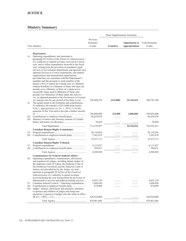### **Ministry Summary**

| These Supplementary Estimates |                                                                                                                                                                                                                                                                                                                                                                                                                                                                                                                                                                                                                                                                                                                                                                                                                                                                                                                      |                                   |                  |                                                |                                   |
|-------------------------------|----------------------------------------------------------------------------------------------------------------------------------------------------------------------------------------------------------------------------------------------------------------------------------------------------------------------------------------------------------------------------------------------------------------------------------------------------------------------------------------------------------------------------------------------------------------------------------------------------------------------------------------------------------------------------------------------------------------------------------------------------------------------------------------------------------------------------------------------------------------------------------------------------------------------|-----------------------------------|------------------|------------------------------------------------|-----------------------------------|
|                               | Vote (dollars)                                                                                                                                                                                                                                                                                                                                                                                                                                                                                                                                                                                                                                                                                                                                                                                                                                                                                                       | Previous<br>Estimates<br>to date  | <b>Transfers</b> | <b>Adjustments to</b><br><b>Appropriations</b> | <b>Total Estimates</b><br>to date |
| 1a                            | Department<br>Operating expenditures, and, pursuant to<br>paragraph $29.1(2)(a)$ of the <i>Financial Administration</i><br>Act, authority to expend revenues received in a fiscal<br>year, and to offset expenditures incurred in the fiscal<br>year, arising from the provision of mandatory legal<br>services to Government departments and agencies and<br>optional services to Crown corporations, non-federal<br>organizations and international organizations<br>provided they are consistent with the Department's<br>mandate and the payment to each member of the<br>Queen's Privy Council for Canada who is a Minister<br>without Portfolio or a Minister of State who does not<br>preside over a Ministry of State of a salary not to<br>exceed the salary paid to Ministers of State who<br>preside over Ministries of State under the Salaries<br>Act, as adjusted pursuant to the Parliament of Canada |                                   |                  |                                                |                                   |
| 5a                            | Act and pro rata for any period of less than a year<br>The grants listed in the Estimates and contributions –<br>To authorize the transfer of \$215,000 from Justice<br>Vote 1, Appropriation Act No. 1, 2010-11 for the<br>purposes of this Vote and to provide a further amount                                                                                                                                                                                                                                                                                                                                                                                                                                                                                                                                                                                                                                    | 258,688,270                       | (215,000)        | 22,310,434                                     | 280,783,704                       |
| (S)<br>(S)                    | Minister of Justice and Attorney General of Canada -                                                                                                                                                                                                                                                                                                                                                                                                                                                                                                                                                                                                                                                                                                                                                                                                                                                                 | 386,880,000<br>66,624,078         | 215,000<br>.     | 2,000,000<br>.                                 | 389,095,000<br>66,624,078         |
|                               |                                                                                                                                                                                                                                                                                                                                                                                                                                                                                                                                                                                                                                                                                                                                                                                                                                                                                                                      | 78,649                            | .                | .                                              | 78,649                            |
|                               |                                                                                                                                                                                                                                                                                                                                                                                                                                                                                                                                                                                                                                                                                                                                                                                                                                                                                                                      | 712,270,997                       | .                | 24,310,434                                     | 736,581,431                       |
| 10<br>(S)                     | <b>Canadian Human Rights Commission</b>                                                                                                                                                                                                                                                                                                                                                                                                                                                                                                                                                                                                                                                                                                                                                                                                                                                                              | 20,110,034<br>2,365,078           | .<br>.           | .                                              | 20,110,034<br>2,365,078           |
|                               |                                                                                                                                                                                                                                                                                                                                                                                                                                                                                                                                                                                                                                                                                                                                                                                                                                                                                                                      | 22,475,112                        | .                | .                                              | 22,475,112                        |
| 15<br>(S)                     | <b>Canadian Human Rights Tribunal</b>                                                                                                                                                                                                                                                                                                                                                                                                                                                                                                                                                                                                                                                                                                                                                                                                                                                                                | 4,115,827<br>394,031              | .<br>.           | .<br>.                                         | 4,115,827<br>394,031              |
| 20                            | <b>Commissioner for Federal Judicial Affairs</b><br>Operating expenditures, remuneration, allowances<br>and expenses for judges, including deputy judges of<br>the Supreme Court of Yukon, the Supreme Court of<br>the Northwest Territories and the Nunavut Court of<br>Justice, not provided for by the <i>Judges Act</i> and,<br>pursuant to paragraph $29.1(2)(a)$ of the <i>Financial</i><br>Administration Act, authority to spend revenues<br>received during the year arising from the provision of                                                                                                                                                                                                                                                                                                                                                                                                          | 4,509,858                         | .                | .                                              | 4,509,858                         |
| 25<br>(S)<br>(S)              | administrative services and judicial training services<br>Canadian Judicial Council – Operating expenditures<br>Judges' salaries, allowances and annuities, annuities<br>to spouses and children of judges and lump sum<br>payments to spouses of judges who die while in office                                                                                                                                                                                                                                                                                                                                                                                                                                                                                                                                                                                                                                     | 8,055,138<br>1,608,450<br>874,098 |                  |                                                | 8,055,138<br>1,608,450<br>874,098 |
|                               |                                                                                                                                                                                                                                                                                                                                                                                                                                                                                                                                                                                                                                                                                                                                                                                                                                                                                                                      | 428,924,000                       | .                | .                                              | 428,924,000                       |
|                               |                                                                                                                                                                                                                                                                                                                                                                                                                                                                                                                                                                                                                                                                                                                                                                                                                                                                                                                      | 439,461,686                       |                  |                                                | 439,461,686                       |

<u> 1989 - Johann Barbara, martxa alemaniar a</u>

L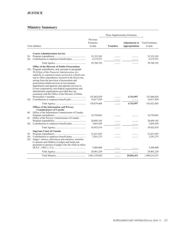# **JUSTICE**

|                  |                                                                                                                                                                                                                                                                                                                                                                                                                                                                                                                                                                                                           |                                  |                  | These Supplementary Estimates                  |                                   |
|------------------|-----------------------------------------------------------------------------------------------------------------------------------------------------------------------------------------------------------------------------------------------------------------------------------------------------------------------------------------------------------------------------------------------------------------------------------------------------------------------------------------------------------------------------------------------------------------------------------------------------------|----------------------------------|------------------|------------------------------------------------|-----------------------------------|
|                  | Vote (dollars)                                                                                                                                                                                                                                                                                                                                                                                                                                                                                                                                                                                            | Previous<br>Estimates<br>to date | <b>Transfers</b> | <b>Adjustments to</b><br><b>Appropriations</b> | <b>Total Estimates</b><br>to date |
|                  | <b>Courts Administration Service</b>                                                                                                                                                                                                                                                                                                                                                                                                                                                                                                                                                                      |                                  |                  |                                                |                                   |
| 30<br>(S)        |                                                                                                                                                                                                                                                                                                                                                                                                                                                                                                                                                                                                           | 53, 333, 242<br>6,375,551        | .                |                                                | 53, 333, 242<br>6,375,551         |
|                  |                                                                                                                                                                                                                                                                                                                                                                                                                                                                                                                                                                                                           | 59,708,793                       | .                | .                                              | 59,708,793                        |
| (S)              | <b>Office of the Director of Public Prosecutions</b><br>35a Program expenditures, and, pursuant to paragraph<br>$29.1(2)(a)$ of the Financial Administration Act,<br>authority to expend revenues received in a fiscal year,<br>and to offset expenditures incurred in the fiscal year,<br>arising from the provision of prosecution and<br>prosecution-related services to Government<br>departments and agencies and optional services to<br>Crown corporations, non-federal organizations and<br>international organizations provided they are<br>consistent with the Office of the Director of Public | 142,862,039<br>16,017,429        | .                | 4,743,997<br>.                                 | 147,606,036<br>16,017,429         |
|                  |                                                                                                                                                                                                                                                                                                                                                                                                                                                                                                                                                                                                           | 158,879,468                      |                  | 4,743,997                                      | 163,623,465                       |
| 40               | Offices of the Information and Privacy<br><b>Commissioners of Canada</b><br>Office of the Information Commissioner of Canada -                                                                                                                                                                                                                                                                                                                                                                                                                                                                            |                                  | .                |                                                |                                   |
| 45               | Office of the Privacy Commissioner of Canada -                                                                                                                                                                                                                                                                                                                                                                                                                                                                                                                                                            | 10,750,062                       |                  |                                                | 10,750,062                        |
| (S)              | Contributions to employee benefit plans                                                                                                                                                                                                                                                                                                                                                                                                                                                                                                                                                                   | 20,099,185<br>3,603,429          | .                |                                                | 20,099,185<br>3,603,429           |
|                  |                                                                                                                                                                                                                                                                                                                                                                                                                                                                                                                                                                                                           | 34,452,676                       | .                | .                                              | 34,452,676                        |
| 50<br>(S)<br>(S) | <b>Supreme Court of Canada</b><br>Judges' salaries, allowances and annuities, annuities<br>to spouses and children of judges and lump sum<br>payments to spouses of judges who die while in office                                                                                                                                                                                                                                                                                                                                                                                                        | 21,631,955<br>2,281,275          |                  |                                                | 21,631,955<br>2,281,275           |
|                  |                                                                                                                                                                                                                                                                                                                                                                                                                                                                                                                                                                                                           | 5,488,000                        |                  |                                                | 5,488,000                         |
|                  |                                                                                                                                                                                                                                                                                                                                                                                                                                                                                                                                                                                                           | 29,401,230                       | .                | .                                              | 29,401,230                        |
|                  |                                                                                                                                                                                                                                                                                                                                                                                                                                                                                                                                                                                                           | 1,461,159,820                    | .                | 29,054,431                                     | 1,490,214,251                     |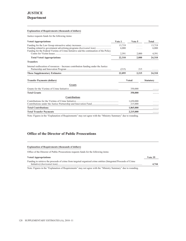# **JUSTICE Department**

### **Explanation of Requirements (thousands of dollars)**

Justice requests funds for the following items:

| <b>Voted Appropriations</b>                                                            | Vote 1          | Vote 5       | <b>Total</b>     |
|----------------------------------------------------------------------------------------|-----------------|--------------|------------------|
| Funding related to government advertising programs <i>(horizontal item)</i>            | 13,719<br>6,000 |              | 13,719<br>6,000  |
| Funding for the Federal Victims of Crime Initiative and the continuation of the Policy | 2,591           | 2,000        | 4,591            |
| <b>Total Voted Appropriations</b>                                                      | 22,310          | 2,000        | 24,310           |
| <b>Transfers</b>                                                                       |                 |              |                  |
| Internal reallocation of resources – Increase contribution funding under the Justice   | (215)           | 215          |                  |
| <b>These Supplementary Estimates</b>                                                   | 22,095          | 2,215        | 24,310           |
| <b>Transfer Payments (dollars)</b>                                                     |                 | <b>Voted</b> | <b>Statutory</b> |
| <b>Grants</b>                                                                          |                 |              |                  |
|                                                                                        |                 | 350,000      |                  |
| <b>Total Grants</b>                                                                    |                 | 350,000      |                  |
| <b>Contributions</b>                                                                   |                 |              |                  |
|                                                                                        |                 | 1,650,000    |                  |
|                                                                                        |                 | 215,000      |                  |
| <b>Total Contributions</b>                                                             |                 | 1,865,000    |                  |
| <b>Total Transfer Payments</b>                                                         |                 | 2,215,000    | .                |

Note: Figures in the "Explanation of Requirements" may not agree with the "Ministry Summary" due to rounding.

### **Office of the Director of Public Prosecutions**

#### **Explanation of Requirements (thousands of dollars)**

Office of the Director of Public Prosecutions requests funds for the following items:

| <b>Voted Appropriations</b>                                                                                    | Vote 35 |
|----------------------------------------------------------------------------------------------------------------|---------|
| Funding to retrieve the proceeds of crime from targeted organized crime entities (Integrated Proceeds of Crime |         |
|                                                                                                                | 4.744   |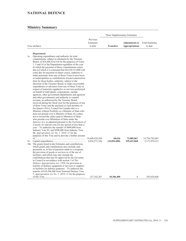### **NATIONAL DEFENCE**

|    |                                                                                                                                                                                                                                                                                                                                                                                                                                                                                                                                                                                                                                                                                                                                                                                                                                                                                                                                                                                                                                                                                                                                                                                                                                                                                                                                                                                                                                                                                                                                                                                                                                                                                             |                                  | These Supplementary Estimates |                                                |                                   |
|----|---------------------------------------------------------------------------------------------------------------------------------------------------------------------------------------------------------------------------------------------------------------------------------------------------------------------------------------------------------------------------------------------------------------------------------------------------------------------------------------------------------------------------------------------------------------------------------------------------------------------------------------------------------------------------------------------------------------------------------------------------------------------------------------------------------------------------------------------------------------------------------------------------------------------------------------------------------------------------------------------------------------------------------------------------------------------------------------------------------------------------------------------------------------------------------------------------------------------------------------------------------------------------------------------------------------------------------------------------------------------------------------------------------------------------------------------------------------------------------------------------------------------------------------------------------------------------------------------------------------------------------------------------------------------------------------------|----------------------------------|-------------------------------|------------------------------------------------|-----------------------------------|
|    | Vote (dollars)                                                                                                                                                                                                                                                                                                                                                                                                                                                                                                                                                                                                                                                                                                                                                                                                                                                                                                                                                                                                                                                                                                                                                                                                                                                                                                                                                                                                                                                                                                                                                                                                                                                                              | Previous<br>Estimates<br>to date | <b>Transfers</b>              | <b>Adjustments to</b><br><b>Appropriations</b> | <b>Total Estimates</b><br>to date |
|    | Department                                                                                                                                                                                                                                                                                                                                                                                                                                                                                                                                                                                                                                                                                                                                                                                                                                                                                                                                                                                                                                                                                                                                                                                                                                                                                                                                                                                                                                                                                                                                                                                                                                                                                  |                                  |                               |                                                |                                   |
| 1a | Operating expenditures and authority for total<br>commitments, subject to allotment by the Treasury<br>Board, of \$29,408,434,518 for the purposes of Votes<br>1, 5 and 10 of the Department regardless of the year<br>in which the payment of those commitments comes<br>due (of which it is estimated that \$9,238,213,000 will<br>come due for payment in future years), authority to<br>make payments from any of those Votes to provinces<br>or municipalities as contributions toward construction<br>done by those bodies, authority, subject to the<br>direction of the Treasury Board, to make recoverable<br>expenditures or advances from any of those Votes in<br>respect of materials supplied to or services performed<br>on behalf of individuals, corporations, outside<br>agencies, other government departments and agencies<br>and other governments and authority to expend<br>revenue, as authorized by the Treasury Board,<br>received during the fiscal year for the purposes of any<br>of those Votes and the payment to each member of<br>the Queen's Privy Council for Canada who is a<br>Minister without Portfolio or a Minister of State who<br>does not preside over a Ministry of State of a salary<br>not to exceed the salary paid to Ministers of State<br>who preside over Ministries of State under the<br>Salaries Act, as adjusted pursuant to the Parliament of<br>Canada Act and pro rata for any period of less than a<br>year – To authorize the transfer of \$890,000 from<br>Industry Vote 95, and \$508,000 from Industry Vote<br>80, <i>Appropriation Act No. 1, 2010–11</i> for the<br>purposes of this Vote and to provide a further amount |                                  |                               |                                                |                                   |
| 5a | 10a The grants listed in the Estimates and contributions,<br>which grants and contributions may include cash<br>payments or, in lieu of payment made to a recipient,<br>the provision of goods or services or of the use of<br>facilities, and which may also include the<br>contributions that may be approved by the Governor<br>in Council in accordance with section 3 of The<br>Defence Appropriation Act, 1950, for provision or<br>transfer of defence equipment or services or supplies<br>or facilities for defence purposes – To authorize the<br>transfer of \$18,386,400 from National Defence Vote<br>5, Appropriation Act No. 1, 2010–11 for the purposes                                                                                                                                                                                                                                                                                                                                                                                                                                                                                                                                                                                                                                                                                                                                                                                                                                                                                                                                                                                                                     | 4,854,571,544                    | 68,636<br>(22,054,400)        | 72,085,067<br>339,422,068                      | 14,720,782,063<br>5,171,939,212   |
|    |                                                                                                                                                                                                                                                                                                                                                                                                                                                                                                                                                                                                                                                                                                                                                                                                                                                                                                                                                                                                                                                                                                                                                                                                                                                                                                                                                                                                                                                                                                                                                                                                                                                                                             | 227, 242, 267                    | 18,386,400                    | 1                                              | 245,628,668                       |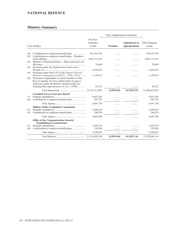### **NATIONAL DEFENCE**

|            |                                                                                                                                                                                                                                                                |                                  | These Supplementary Estimates |                                                |                                   |
|------------|----------------------------------------------------------------------------------------------------------------------------------------------------------------------------------------------------------------------------------------------------------------|----------------------------------|-------------------------------|------------------------------------------------|-----------------------------------|
|            | Vote (dollars)                                                                                                                                                                                                                                                 | Previous<br>Estimates<br>to date | <b>Transfers</b>              | <b>Adjustments to</b><br><b>Appropriations</b> | <b>Total Estimates</b><br>to date |
| (S)<br>(S) | Contributions to employee benefit plans – Members                                                                                                                                                                                                              | 362,592,783                      |                               |                                                | 362,592,783                       |
|            |                                                                                                                                                                                                                                                                | 1,001,715,141                    |                               |                                                | 1,001,715,141                     |
| (S)<br>(S) | Minister of National Defence - Salary and motor car<br>Payments under the Supplementary Retirement                                                                                                                                                             | 78,649                           |                               |                                                | 78,649                            |
|            |                                                                                                                                                                                                                                                                | 5,459,452                        |                               |                                                | 5,459,452                         |
| (S)<br>(S) | Payments under Parts I-IV of the Defence Services<br>Pension Continuation Act (R.S.C., 1970, c. D-3)<br>Payments to dependants of certain members of the<br>Royal Canadian Air Force killed while serving as<br>instructors under the British Commonwealth Air | 1,159,415                        |                               |                                                | 1,159,415                         |
|            | Training Plan ( <i>Appropriation Act No. 4,1968</i> )                                                                                                                                                                                                          | 64,272                           |                               |                                                | 64,272                            |
|            |                                                                                                                                                                                                                                                                |                                  | (3,599,364)                   | 411,507,136                                    | 21,509,419,655                    |
| 15<br>(S)  | <b>Canadian Forces Grievance Board</b>                                                                                                                                                                                                                         | 6,053,383<br>587,755             |                               |                                                | 6,053,383<br>587,755              |
|            |                                                                                                                                                                                                                                                                | 6,641,138                        | .                             |                                                | 6,641,138                         |
| 20<br>(S)  | <b>Military Police Complaints Commission</b>                                                                                                                                                                                                                   | 4,388,419<br>296,879             |                               |                                                | 4,388,419<br>296,879              |
|            |                                                                                                                                                                                                                                                                | 4,685,298                        |                               |                                                | 4,685,298                         |
| 25         | <b>Office of the Communications Security</b><br><b>Establishment Commissioner</b>                                                                                                                                                                              | 1,970,519<br>129,506             |                               |                                                | 1,970,519<br>129,506              |
| (S)        |                                                                                                                                                                                                                                                                | 2,100,025                        |                               |                                                | 2,100,025                         |
|            |                                                                                                                                                                                                                                                                |                                  | .<br>(3,599,364)              | .<br>411,507,136                               | 21,522,846,116                    |
|            |                                                                                                                                                                                                                                                                |                                  |                               |                                                |                                   |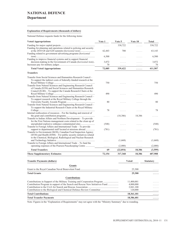# **NATIONAL DEFENCE**

### **Department**

### **Explanation of Requirements (thousands of dollars)**

National Defence requests funds for the following items:

| <b>Voted Appropriations</b>                                              | Vote 1  | Vote 5    | Vote 10      | <b>Total</b>     |
|--------------------------------------------------------------------------|---------|-----------|--------------|------------------|
|                                                                          |         | 338,722   | .            | 338,722          |
| Funding for planning and operations related to policing and security     |         |           |              |                  |
|                                                                          | 62,443  | 700       | .            | 63,143           |
| Funding related to government advertising programs (horizontal           |         |           |              |                  |
|                                                                          | 6,500   | .         | .            | 6,500            |
| Funding to improve financial systems and to support financial            |         |           |              |                  |
| decision-making in the Government of Canada (horizontal item)            | 3,072   | .         | .            | 3,072            |
|                                                                          | 70      | .         | .            | 70               |
| <b>Total Voted Appropriations</b>                                        | 72,085  | 339,422   | .            | 411,507          |
| <b>Transfers</b>                                                         |         |           |              |                  |
| Transfer from Social Sciences and Humanities Research Council -          |         |           |              |                  |
| To support the indirect costs of federally-funded research at the        |         |           |              |                  |
|                                                                          | 750     |           | $\cdots$     | 750              |
| Transfer from Natural Sciences and Engineering Research Council          |         |           |              |                  |
| of Canada (\$350) and Social Sciences and Humanities Research            |         |           |              |                  |
| Council $(\$140)$ – To support the Canada Research Chairs at the         |         |           |              |                  |
|                                                                          | 490     | .         | .            | 490              |
| Transfer from Natural Sciences and Engineering Research Council -        |         |           |              |                  |
| To support research at the Royal Military College through the            |         |           |              |                  |
|                                                                          | 80      | .         | .            | 80               |
| Transfer from Natural Sciences and Engineering Research Council -        |         |           |              |                  |
| To support the Industrial Research Chairs at the Royal Military          |         |           |              |                  |
|                                                                          | 78      | .         | .            | 78               |
| Internal reallocation of resources - For the funding and renewal of      |         |           |              |                  |
|                                                                          | .       | (18, 386) | 18,386       |                  |
| Transfer to Indian Affairs and Northern Development – To provide         |         |           |              |                  |
| for the First Nations management costs related to the clean up of        |         |           |              |                  |
| unexploded explosive ordnance contaminated sites                         | (548)   |           |              | (548)            |
| Transfer to Foreign Affairs and International Trade – To provide         |         |           |              |                  |
| support to departmental staff located at missions abroad                 | (781)   |           |              | (781)            |
| Transfer to Environment (\$630), Canadian Food Inspection Agency         |         |           |              |                  |
| $(\$530)$ and Health $(\$508)$ – For public security initiatives related |         |           |              |                  |
| to the Chemical, Biological, Radiological and Nuclear Research           |         |           |              |                  |
|                                                                          | 1.1.1.1 | (1,668)   | .            | (1,668)          |
| Transfer to Foreign Affairs and International Trade – To fund the        |         |           |              |                  |
| operating expenses of the Pearson Peacekeeping Centre                    | .       | (2,000)   | .            | (2,000)          |
| <b>Total Transfers</b>                                                   | 69      | (22, 054) | 18,386       | (3,599)          |
| <b>These Supplementary Estimates</b>                                     | 72,154  | 317,368   | 18,386       | 407,908          |
| <b>Transfer Payments (dollars)</b>                                       |         |           | <b>Voted</b> | <b>Statutory</b> |
|                                                                          |         |           |              |                  |

| $\frac{1}{2}$                                                                 | , vuu      | 500000001 |
|-------------------------------------------------------------------------------|------------|-----------|
| <b>Grants</b>                                                                 |            |           |
|                                                                               | 25,300     | .         |
| <b>Total Grants</b>                                                           | 25,300     | .         |
| <b>Contributions</b>                                                          |            |           |
| Contributions in Support of the Military Training and Cooperation Program     | 11,400,001 | .         |
| Contribution Program in support of the Search and Rescue New Initiatives Fund | 4,000,000  | .         |
|                                                                               | 2.841.100  | .         |
| Contribution to the Biological and Chemical Defence Review Committee          | 120,000    | .         |
| <b>Total Contributions</b>                                                    | 18,361,101 | .         |
| <b>Total Transfer Payments</b>                                                | 18,386,401 | .         |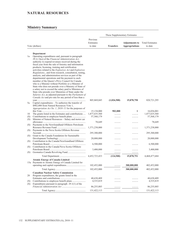### **NATURAL RESOURCES**

|     |                                                                                                                                                                                                                                                                                                                                                                                                                                                                                                                                                                                                                                                                                                                                                                                                                                                                                                                   |                                  | These Supplementary Estimates |                                                |                                   |
|-----|-------------------------------------------------------------------------------------------------------------------------------------------------------------------------------------------------------------------------------------------------------------------------------------------------------------------------------------------------------------------------------------------------------------------------------------------------------------------------------------------------------------------------------------------------------------------------------------------------------------------------------------------------------------------------------------------------------------------------------------------------------------------------------------------------------------------------------------------------------------------------------------------------------------------|----------------------------------|-------------------------------|------------------------------------------------|-----------------------------------|
|     | Vote (dollars)                                                                                                                                                                                                                                                                                                                                                                                                                                                                                                                                                                                                                                                                                                                                                                                                                                                                                                    | Previous<br>Estimates<br>to date | <b>Transfers</b>              | <b>Adjustments to</b><br><b>Appropriations</b> | <b>Total Estimates</b><br>to date |
|     | Department                                                                                                                                                                                                                                                                                                                                                                                                                                                                                                                                                                                                                                                                                                                                                                                                                                                                                                        |                                  |                               |                                                |                                   |
| 1a  | Operating expenditures and, pursuant to paragraph<br>$29.1(2)(a)$ of the Financial Administration Act,<br>authority to expend revenues received during the<br>fiscal year from the sale of forestry and information<br>products; licensing, training and certification<br>activities related to the Explosives Act and Explosives<br>Regulations;, and from research, consultation, testing,<br>analysis, and administration services as part of the<br>departmental operations and the payment to each<br>member of the Queen's Privy Council for Canada<br>who is a Minister without Portfolio or a Minister of<br>State who does not preside over a Ministry of State of<br>a salary not to exceed the salary paid to Ministers of<br>State who preside over Ministries of State under the<br>Salaries Act, as adjusted pursuant to the Parliament of<br>Canada Act and pro rata for any period of less than a |                                  |                               |                                                |                                   |
| 5a  | Capital expenditures – To authorize the transfer of<br>\$902,000 from Natural Resources Vote 1,                                                                                                                                                                                                                                                                                                                                                                                                                                                                                                                                                                                                                                                                                                                                                                                                                   | 805,869,045                      | (1,026,500)                   | 15,878,750                                     | 820, 721, 295                     |
|     | Appropriation Act No. 1, 2010–11 for the purposes of                                                                                                                                                                                                                                                                                                                                                                                                                                                                                                                                                                                                                                                                                                                                                                                                                                                              |                                  |                               |                                                |                                   |
|     |                                                                                                                                                                                                                                                                                                                                                                                                                                                                                                                                                                                                                                                                                                                                                                                                                                                                                                                   | 15,134,000                       | 902,000                       | 1                                              | 16,036,001                        |
| 10  | The grants listed in the Estimates and contributions                                                                                                                                                                                                                                                                                                                                                                                                                                                                                                                                                                                                                                                                                                                                                                                                                                                              | 1,877,635,560                    | .                             | .                                              | 1,877,635,560                     |
| (S) | Minister of Natural Resources - Salary and motor car                                                                                                                                                                                                                                                                                                                                                                                                                                                                                                                                                                                                                                                                                                                                                                                                                                                              | 57,568,179                       | .                             |                                                | 57,568,179                        |
| (S) |                                                                                                                                                                                                                                                                                                                                                                                                                                                                                                                                                                                                                                                                                                                                                                                                                                                                                                                   | 78,649                           |                               |                                                | 78,649                            |
| (S) | Payments to the Newfoundland Offshore Petroleum                                                                                                                                                                                                                                                                                                                                                                                                                                                                                                                                                                                                                                                                                                                                                                                                                                                                   |                                  |                               |                                                |                                   |
| (S) | Payments to the Nova Scotia Offshore Revenue                                                                                                                                                                                                                                                                                                                                                                                                                                                                                                                                                                                                                                                                                                                                                                                                                                                                      | 1,371,238,000                    |                               |                                                | 1,371,238,000                     |
| (S) | Grant to the Canada Foundation for Sustainable                                                                                                                                                                                                                                                                                                                                                                                                                                                                                                                                                                                                                                                                                                                                                                                                                                                                    | 295,300,000                      |                               |                                                | 295,300,000                       |
| (S) | Contribution to the Canada/Newfoundland Offshore                                                                                                                                                                                                                                                                                                                                                                                                                                                                                                                                                                                                                                                                                                                                                                                                                                                                  | 20,000,000                       |                               |                                                | 20,000,000                        |
| (S) | Contribution to the Canada/Nova Scotia Offshore                                                                                                                                                                                                                                                                                                                                                                                                                                                                                                                                                                                                                                                                                                                                                                                                                                                                   | 6,500,000                        |                               |                                                | 6,500,000                         |
| (S) |                                                                                                                                                                                                                                                                                                                                                                                                                                                                                                                                                                                                                                                                                                                                                                                                                                                                                                                   | 3,400,000                        | .                             | .                                              | 3,400,000                         |
|     |                                                                                                                                                                                                                                                                                                                                                                                                                                                                                                                                                                                                                                                                                                                                                                                                                                                                                                                   | 4,452,723,433                    | (124, 500)                    | 15,878,751                                     | 4,468,477,684                     |
|     | <b>Atomic Energy of Canada Limited</b>                                                                                                                                                                                                                                                                                                                                                                                                                                                                                                                                                                                                                                                                                                                                                                                                                                                                            |                                  |                               |                                                |                                   |
|     | 15a Payments to Atomic Energy of Canada Limited for                                                                                                                                                                                                                                                                                                                                                                                                                                                                                                                                                                                                                                                                                                                                                                                                                                                               |                                  |                               |                                                |                                   |
|     |                                                                                                                                                                                                                                                                                                                                                                                                                                                                                                                                                                                                                                                                                                                                                                                                                                                                                                                   | 102,452,000                      | .                             | 300,000,000                                    | 402,452,000                       |
|     |                                                                                                                                                                                                                                                                                                                                                                                                                                                                                                                                                                                                                                                                                                                                                                                                                                                                                                                   | 102,452,000                      |                               | 300,000,000                                    | 402,452,000                       |
|     | <b>Canadian Nuclear Safety Commission</b>                                                                                                                                                                                                                                                                                                                                                                                                                                                                                                                                                                                                                                                                                                                                                                                                                                                                         |                                  |                               |                                                |                                   |
| 20  | Program expenditures, the grants listed in the                                                                                                                                                                                                                                                                                                                                                                                                                                                                                                                                                                                                                                                                                                                                                                                                                                                                    |                                  |                               |                                                |                                   |
| (S) |                                                                                                                                                                                                                                                                                                                                                                                                                                                                                                                                                                                                                                                                                                                                                                                                                                                                                                                   | 40,630,409<br>4,535,819          |                               | .                                              | 40,630,409<br>4,535,819           |
| (S) | Expenditures pursuant to paragraph 29.1(1) of the                                                                                                                                                                                                                                                                                                                                                                                                                                                                                                                                                                                                                                                                                                                                                                                                                                                                 |                                  |                               |                                                |                                   |
|     |                                                                                                                                                                                                                                                                                                                                                                                                                                                                                                                                                                                                                                                                                                                                                                                                                                                                                                                   | 86,255,885                       | .                             | .                                              | 86,255,885                        |
|     |                                                                                                                                                                                                                                                                                                                                                                                                                                                                                                                                                                                                                                                                                                                                                                                                                                                                                                                   | 131,422,113                      | .                             | .                                              | 131,422,113                       |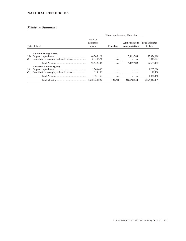# **NATURAL RESOURCES**

|            |                                 |                                  | These Supplementary Estimates |                                         |                                   |  |
|------------|---------------------------------|----------------------------------|-------------------------------|-----------------------------------------|-----------------------------------|--|
|            | Vote (dollars)                  | Previous<br>Estimates<br>to date | <b>Transfers</b>              | <b>Adjustments to</b><br>Appropriations | <b>Total Estimates</b><br>to date |  |
|            | <b>National Energy Board</b>    |                                  |                               |                                         |                                   |  |
| 25a<br>(S) |                                 | 46,205,129<br>6,344,274          | .                             | 7,119,789<br>.                          | 53,324,918<br>6,344,274           |  |
|            |                                 | 52,549,403                       | .                             | 7,119,789                               | 59,669,192                        |  |
| 30<br>(S)  | <b>Northern Pipeline Agency</b> | 1,203,000<br>118,150             | .                             | .<br>.                                  | 1,203,000<br>118,150              |  |
|            |                                 | 1,321,150                        | .                             | .                                       | 1,321,150                         |  |
|            |                                 | 4,740,468,099                    | (124.500)                     | 322,998,540                             | 5,063,342,139                     |  |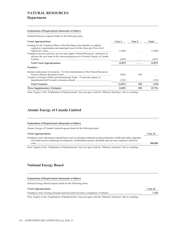### **NATURAL RESOURCES Department**

#### **Explanation of Requirements (thousands of dollars)**

Natural Resources requests funds for the following items:

| <b>Voted Appropriations</b>                                                                                                                                                                                                                                                                                                       | Vote 1  | Vote 5 | <b>Total</b> |
|-----------------------------------------------------------------------------------------------------------------------------------------------------------------------------------------------------------------------------------------------------------------------------------------------------------------------------------|---------|--------|--------------|
| Funding for the Transition Phase of the Port Hope Area Initiative to address<br>regulatory requirements and municipal issues for the clean-up of low-level<br>Funding to procure advisory services and support Natural Resources' operations to<br>advance the next steps in the restructuring process of Atomic Energy of Canada | 11,000  |        | 11,000       |
|                                                                                                                                                                                                                                                                                                                                   | 4,879   | .      | 4,879        |
| <b>Total Voted Appropriations</b>                                                                                                                                                                                                                                                                                                 | 15,879  | .      | 15,879       |
| <b>Transfers</b>                                                                                                                                                                                                                                                                                                                  |         |        |              |
| Internal reallocation of resources – For the modernization of the Natural Resources<br>Transfer to Foreign Affairs and International Trade – To provide support to                                                                                                                                                                | (902)   | 902    |              |
|                                                                                                                                                                                                                                                                                                                                   | (125)   | .      | (125)        |
| <b>Total Transfers</b>                                                                                                                                                                                                                                                                                                            | (1,027) | 902    | (125)        |
| <b>These Supplementary Estimates</b>                                                                                                                                                                                                                                                                                              | 14,852  | 902    | 15,754       |

Note: Figures in the "Explanation of Requirements" may not agree with the "Ministry Summary" due to rounding.

### **Atomic Energy of Canada Limited**

#### **Explanation of Requirements (thousands of dollars)**

Atomic Energy of Canada Limited requests funds for the following items:

| <b>Voted Appropriations</b>                                                                                                                                                                                                       | Vote 15 |
|-----------------------------------------------------------------------------------------------------------------------------------------------------------------------------------------------------------------------------------|---------|
| Funding to meet operational requirements such as ensuring continued isotope production, health and safety upgrades,<br>new build reactor technology development, refurbishment project shortfalls and one-time employee reduction |         |
| costs                                                                                                                                                                                                                             | 300,000 |

Note: Figures in the "Explanation of Requirements" may not agree with the "Ministry Summary" due to rounding.

### **National Energy Board**

| <b>Explanation of Requirements (thousands of dollars)</b><br>National Energy Board requests funds for the following items: |         |
|----------------------------------------------------------------------------------------------------------------------------|---------|
| <b>Voted Appropriations</b>                                                                                                | Vote 25 |
|                                                                                                                            | 7.120   |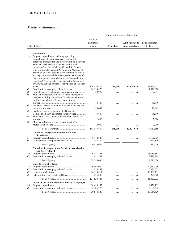# **PRIVY COUNCIL**

|           |                                                                                                                                                                                                                                                                                                                                                                                                                                                                                                       |                           | These Supplementary Estimates |                       |                           |
|-----------|-------------------------------------------------------------------------------------------------------------------------------------------------------------------------------------------------------------------------------------------------------------------------------------------------------------------------------------------------------------------------------------------------------------------------------------------------------------------------------------------------------|---------------------------|-------------------------------|-----------------------|---------------------------|
|           |                                                                                                                                                                                                                                                                                                                                                                                                                                                                                                       | Previous                  |                               |                       |                           |
|           |                                                                                                                                                                                                                                                                                                                                                                                                                                                                                                       | Estimates                 |                               | <b>Adjustments to</b> | <b>Total Estimates</b>    |
|           | Vote (dollars)                                                                                                                                                                                                                                                                                                                                                                                                                                                                                        | to date                   | <b>Transfers</b>              | <b>Appropriations</b> | to date                   |
|           |                                                                                                                                                                                                                                                                                                                                                                                                                                                                                                       |                           |                               |                       |                           |
| 1a        | Department<br>Program expenditures, including operating<br>expenditures of Commissions of Inquiry not<br>otherwise provided for and the operation of the Prime<br>Minister's residence; and the payment to each<br>member of the Queen's Privy Council for Canada<br>who is a Minister without Portfolio or a Minister of<br>State who does not preside over a Ministry of State of<br>a salary not to exceed the salary paid to Ministers of<br>State who preside over Ministries of State under the |                           |                               |                       |                           |
|           | Salaries Act, as adjusted pursuant to the Parliament                                                                                                                                                                                                                                                                                                                                                                                                                                                  |                           |                               |                       |                           |
|           | of Canada Act and pro rata for any period of less than                                                                                                                                                                                                                                                                                                                                                                                                                                                |                           |                               |                       |                           |
| (S)       |                                                                                                                                                                                                                                                                                                                                                                                                                                                                                                       | 129,026,775<br>14,518,870 | (255,000)                     | 13,824,670            | 142,596,445<br>14,518,870 |
| (S)       | Prime Minister – Salary and motor car allowance                                                                                                                                                                                                                                                                                                                                                                                                                                                       | 162,097                   |                               |                       | 162,097                   |
| (S)       | Minister of Intergovernmental Affairs, President of<br>the Queen's Privy Council for Canada and Minister<br>for La Francophonie - Salary and motor car                                                                                                                                                                                                                                                                                                                                                |                           |                               |                       |                           |
|           |                                                                                                                                                                                                                                                                                                                                                                                                                                                                                                       | 78,649                    |                               |                       | 78,649                    |
|           | (S) Leader of the Government in the Senate – Salary and                                                                                                                                                                                                                                                                                                                                                                                                                                               |                           |                               |                       |                           |
|           |                                                                                                                                                                                                                                                                                                                                                                                                                                                                                                       | 78,649                    |                               |                       | 78,649                    |
| (S)       | Leader of the Government in the House of                                                                                                                                                                                                                                                                                                                                                                                                                                                              |                           |                               |                       |                           |
| (S)       | Commons - Salary and motor car allowance<br>Minister of State (Democratic Reform) – Motor car                                                                                                                                                                                                                                                                                                                                                                                                         | 78,649                    |                               |                       | 78,649                    |
| (S)       | Minister of State and Chief Government Whip -                                                                                                                                                                                                                                                                                                                                                                                                                                                         | 2,000                     | .                             | .                     | 2,000                     |
|           |                                                                                                                                                                                                                                                                                                                                                                                                                                                                                                       | 2,000                     |                               | .                     | 2,000                     |
|           |                                                                                                                                                                                                                                                                                                                                                                                                                                                                                                       | 143,947,689               | (255,000)                     | 13,824,670            | 157,517,359               |
|           | Canadian Intergovernmental Conference<br>Secretariat                                                                                                                                                                                                                                                                                                                                                                                                                                                  |                           |                               |                       |                           |
| 5         |                                                                                                                                                                                                                                                                                                                                                                                                                                                                                                       | 6,172,826                 |                               |                       | 6,172,826                 |
| (S)       |                                                                                                                                                                                                                                                                                                                                                                                                                                                                                                       | 442,820                   | .                             |                       | 442,820                   |
|           |                                                                                                                                                                                                                                                                                                                                                                                                                                                                                                       | 6,615,646                 | .                             | .                     | 6,615,646                 |
|           | <b>Canadian Transportation Accident Investigation</b><br>and Safety Board                                                                                                                                                                                                                                                                                                                                                                                                                             |                           |                               |                       |                           |
| 10        |                                                                                                                                                                                                                                                                                                                                                                                                                                                                                                       | 26, 353, 868              |                               |                       | 26, 353, 868              |
| (S)       |                                                                                                                                                                                                                                                                                                                                                                                                                                                                                                       | 3,431,768                 | .                             |                       | 3,431,768                 |
|           |                                                                                                                                                                                                                                                                                                                                                                                                                                                                                                       | 29,785,636                | .                             | .                     | 29,785,636                |
|           | <b>Chief Electoral Officer</b>                                                                                                                                                                                                                                                                                                                                                                                                                                                                        |                           |                               |                       |                           |
| 15<br>(S) |                                                                                                                                                                                                                                                                                                                                                                                                                                                                                                       | 29,567,959<br>5,026,553   |                               |                       | 29,567,959<br>5,026,553   |
| (S)       |                                                                                                                                                                                                                                                                                                                                                                                                                                                                                                       | 86,950,411                |                               |                       | 86,950,411                |
| (S)       |                                                                                                                                                                                                                                                                                                                                                                                                                                                                                                       | 275,800                   | .                             | .                     | 275,800                   |
|           |                                                                                                                                                                                                                                                                                                                                                                                                                                                                                                       | 121,820,723               | .                             | .                     | 121,820,723               |
|           | Office of the Commissioner of Official Languages                                                                                                                                                                                                                                                                                                                                                                                                                                                      |                           |                               |                       |                           |
| 20        |                                                                                                                                                                                                                                                                                                                                                                                                                                                                                                       | 18,429,153                | .                             | .                     | 18,429,153                |
| (S)       |                                                                                                                                                                                                                                                                                                                                                                                                                                                                                                       | 2,185,376                 | .                             | .                     | 2,185,376                 |
|           |                                                                                                                                                                                                                                                                                                                                                                                                                                                                                                       | 20,614,529                | .                             | .                     | 20,614,529                |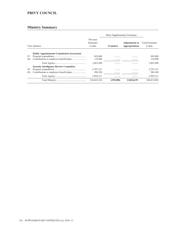# **PRIVY COUNCIL**

|           |                                                   |                                  | These Supplementary Estimates |                                         |                                   |
|-----------|---------------------------------------------------|----------------------------------|-------------------------------|-----------------------------------------|-----------------------------------|
|           | Vote (dollars)                                    | Previous<br>Estimates<br>to date | <b>Transfers</b>              | <b>Adjustments to</b><br>Appropriations | <b>Total Estimates</b><br>to date |
| 25<br>(S) | <b>Public Appointments Commission Secretariat</b> | 945,000<br>118,490               | .<br>.                        | .<br>.                                  | 945,000<br>118,490                |
|           |                                                   | 1,063,490                        | .                             | .                                       | 1,063,490                         |
| 30<br>(S) | <b>Security Intelligence Review Committee</b>     | 2,707,331<br>288.180             | .<br>.                        | .<br>.                                  | 2,707,331<br>288,180              |
|           |                                                   | 2,995,511                        | .                             | .                                       | 2,995,511                         |
|           |                                                   | 326,843,224                      | (255.000)                     | 13,824,670                              | 340,412,894                       |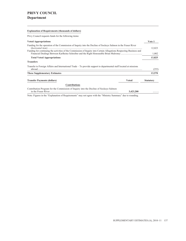# **PRIVY COUNCIL Department**

### **Explanation of Requirements (thousands of dollars)**

Privy Council requests funds for the following items:

| <b>Voted Appropriations</b>                                                                                                                                                                                                          |           | Vote 1           |  |  |
|--------------------------------------------------------------------------------------------------------------------------------------------------------------------------------------------------------------------------------------|-----------|------------------|--|--|
| Funding for the operation of the Commission of Inquiry into the Decline of Sockeye Salmon in the Fraser River<br>Funding for continuing the activities of the Commission of Inquiry into Certain Allegations Respecting Business and |           |                  |  |  |
|                                                                                                                                                                                                                                      |           |                  |  |  |
| <b>Transfers</b>                                                                                                                                                                                                                     |           |                  |  |  |
| Transfer to Foreign Affairs and International Trade – To provide support to departmental staff located at missions<br>$abroad$                                                                                                       |           | (255)            |  |  |
| <b>These Supplementary Estimates</b>                                                                                                                                                                                                 |           | 13,570           |  |  |
| <b>Transfer Payments (dollars)</b>                                                                                                                                                                                                   | Voted     | <b>Statutory</b> |  |  |
| <b>Contributions</b>                                                                                                                                                                                                                 |           |                  |  |  |
| Contribution Program for the Commission of Inquiry into the Decline of Sockeye Salmon                                                                                                                                                | 3,423,200 |                  |  |  |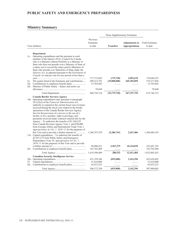### **Ministry Summary**

|                        |                                                                                                                                                                                                                                                                                                                                                                                                                                                                                                                                                                                                                                                                                                                                                                                                                                                                                                |                                           | These Supplementary Estimates   |                                                |                                          |
|------------------------|------------------------------------------------------------------------------------------------------------------------------------------------------------------------------------------------------------------------------------------------------------------------------------------------------------------------------------------------------------------------------------------------------------------------------------------------------------------------------------------------------------------------------------------------------------------------------------------------------------------------------------------------------------------------------------------------------------------------------------------------------------------------------------------------------------------------------------------------------------------------------------------------|-------------------------------------------|---------------------------------|------------------------------------------------|------------------------------------------|
|                        | Vote (dollars)                                                                                                                                                                                                                                                                                                                                                                                                                                                                                                                                                                                                                                                                                                                                                                                                                                                                                 | Previous<br>Estimates<br>to date          | <b>Transfers</b>                | <b>Adjustments to</b><br><b>Appropriations</b> | <b>Total Estimates</b><br>to date        |
| 1a<br>5a<br>(S)<br>(S) | Department<br>Operating expenditures and the payment to each<br>member of the Queen's Privy Council for Canada<br>who is a Minister without Portfolio or a Minister of<br>State who does not preside over a Ministry of State of<br>a salary not to exceed the salary paid to Ministers of<br>State who preside over Ministries of State under the<br>Salaries Act, as adjusted pursuant to the Parliament of<br>Canada Act and pro rata for any period of less than a<br>The grants listed in the Estimates and contributions<br>Minister of Public Safety - Salary and motor car                                                                                                                                                                                                                                                                                                             | 137,733,602<br>289,212,791<br>13,703,682  | (179, 720)<br>(35,000,000)<br>. | 2,092,670<br>265,105,059<br>.                  | 139,646,552<br>519,317,850<br>13,703,682 |
|                        |                                                                                                                                                                                                                                                                                                                                                                                                                                                                                                                                                                                                                                                                                                                                                                                                                                                                                                | 78,649<br>440,728,724                     | .<br>(35, 179, 720)             | .<br>267, 197, 729                             | 78,649<br>672,746,733                    |
|                        | <b>Canada Border Services Agency</b><br>10a Operating expenditures and, pursuant to paragraph<br>$29.1(2)(a)$ of the <i>Financial Administration Act</i> ,<br>authority to expend in the current fiscal year revenues<br>received during the fiscal year related to the border<br>operations of the Canada Border Services Agency:<br>fees for the provision of a service or the use of a<br>facility or for a product, right or privilege; and<br>payments received under contracts entered into by the<br>Agency – To authorize the transfer of $$1,360,532$<br>from Canada Revenue Agency Vote 1, and \$20,000<br>from Foreign Affairs and International Trade Vote 1,<br>Appropriation Act No. 1, 2010–11 for the purposes of<br>15a Capital expenditures – To authorize the transfer of<br>\$2,567,275 from Public Safety and Emergency<br>Preparedness Vote 10, Appropriation Act No. 1, | 1,360,707,529                             | (2, 286, 743)                   | 2,267,406                                      | 1,360,688,192                            |
| (S)                    | $2010 - 11$ for the purposes of this Vote and to provide                                                                                                                                                                                                                                                                                                                                                                                                                                                                                                                                                                                                                                                                                                                                                                                                                                       | 94,980,412<br>163,702,468                 | 2,567,275<br>.                  | 10,144,078<br>.                                | 107,691,765<br>163,702,468               |
|                        |                                                                                                                                                                                                                                                                                                                                                                                                                                                                                                                                                                                                                                                                                                                                                                                                                                                                                                | 1,619,390,409                             | 280,532                         | 12,411,484                                     | 1,632,082,425                            |
| 20a<br>25<br>(S)       | <b>Canadian Security Intelligence Service</b>                                                                                                                                                                                                                                                                                                                                                                                                                                                                                                                                                                                                                                                                                                                                                                                                                                                  | 431, 329, 546<br>31,610,000<br>43,633,223 | (835,000)<br>.<br>.             | 2,162,296<br>.                                 | 432,656,842<br>31,610,000<br>43,633,223  |
|                        |                                                                                                                                                                                                                                                                                                                                                                                                                                                                                                                                                                                                                                                                                                                                                                                                                                                                                                | 506,572,769                               | (835,000)                       | 2,162,296                                      | 507,900,065                              |

<u> 1989 - Johann Barbara, martxa alemaniar a</u>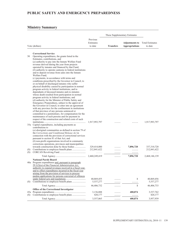### **Ministry Summary**

| These Supplementary Estimates |                                                                                                              |                         |                  |                       |                         |
|-------------------------------|--------------------------------------------------------------------------------------------------------------|-------------------------|------------------|-----------------------|-------------------------|
|                               |                                                                                                              | Previous                |                  |                       |                         |
|                               |                                                                                                              | Estimates               |                  | <b>Adjustments to</b> | <b>Total Estimates</b>  |
|                               | Vote (dollars)                                                                                               | to date                 | <b>Transfers</b> | <b>Appropriations</b> | to date                 |
|                               |                                                                                                              |                         |                  |                       |                         |
| 30                            | <b>Correctional Service</b><br>Operating expenditures, the grants listed in the                              |                         |                  |                       |                         |
|                               | Estimates, contributions, and                                                                                |                         |                  |                       |                         |
|                               | $(a)$ authority to pay into the Inmate Welfare Fund                                                          |                         |                  |                       |                         |
|                               | revenue derived during the year from projects<br>operated by inmates and financed by that Fund;              |                         |                  |                       |                         |
|                               | $(b)$ authority to operate canteens in federal institutions                                                  |                         |                  |                       |                         |
|                               | and to deposit revenue from sales into the Inmate                                                            |                         |                  |                       |                         |
|                               | Welfare Fund:                                                                                                |                         |                  |                       |                         |
|                               | $(c)$ payments, in accordance with terms and<br>conditions prescribed by the Governor in Council, to         |                         |                  |                       |                         |
|                               | or on behalf of discharged inmates who suffer                                                                |                         |                  |                       |                         |
|                               | physical disability caused by participation in normal                                                        |                         |                  |                       |                         |
|                               | program activity in federal institutions, and to                                                             |                         |                  |                       |                         |
|                               | dependants of deceased inmates and ex-inmates<br>whose death resulted from participation in normal           |                         |                  |                       |                         |
|                               | program activity in federal institutions; and                                                                |                         |                  |                       |                         |
|                               | (d) authority for the Minister of Public Safety and                                                          |                         |                  |                       |                         |
|                               | Emergency Preparedness, subject to the approval of                                                           |                         |                  |                       |                         |
|                               | the Governor in Council, to enter into an agreement<br>with any province for the confinement in institutions |                         |                  |                       |                         |
|                               | of that province of any persons sentenced or                                                                 |                         |                  |                       |                         |
|                               | committed to a penitentiary, for compensation for the                                                        |                         |                  |                       |                         |
|                               | maintenance of such persons and for payment in                                                               |                         |                  |                       |                         |
|                               | respect of the construction and related costs of such                                                        | 1,917,993,797           |                  |                       | 1,917,993,797           |
|                               | 35a Capital expenditures, including payments as                                                              |                         |                  |                       |                         |
|                               | contributions to                                                                                             |                         |                  |                       |                         |
|                               | $(a)$ aboriginal communities as defined in section 79 of<br>the Corrections and Conditional Release Act in   |                         |                  |                       |                         |
|                               | connection with the provision of correctional services                                                       |                         |                  |                       |                         |
|                               | pursuant to section 81 of that Act; and                                                                      |                         |                  |                       |                         |
|                               | $(b)$ non-profit organizations involved in community                                                         |                         |                  |                       |                         |
|                               | corrections operations, provinces and municipalities<br>towards construction done by those bodies            | 329,414,000             |                  | 7,896,720             | 337,310,720             |
| (S)                           |                                                                                                              | 212,841,622             | .                | .                     | 212,841,622             |
| (S)                           |                                                                                                              | $\alpha$ is a second    | .                | .                     |                         |
|                               |                                                                                                              | 2,460,249,419           | .                | 7,896,720             | 2,468,146,139           |
|                               | <b>National Parole Board</b>                                                                                 |                         |                  |                       |                         |
|                               | 40a Program expenditures and, pursuant to paragraph                                                          |                         |                  |                       |                         |
|                               | $29.1(2)(a)$ of the Financial Administration Act,<br>authority to expend revenues received in a fiscal year, |                         |                  |                       |                         |
|                               | and to offset expenditures incurred in the fiscal year                                                       |                         |                  |                       |                         |
|                               | arising from the provision of services to process                                                            |                         |                  |                       |                         |
|                               | pardon applications for persons convicted of offences                                                        |                         |                  |                       |                         |
| (S)                           |                                                                                                              | 40,869,455<br>5,537,277 |                  | 1                     | 40,869,456<br>5,537,277 |
|                               |                                                                                                              | 46,406,732              | .                | .<br>1                |                         |
|                               | Office of the Correctional Investigator                                                                      |                         | .                |                       | 46,406,733              |
|                               |                                                                                                              | 3,136,888               | .                | 400,874               | 3,537,762               |
| (S)                           |                                                                                                              | 420,177                 |                  | $\cdots\cdots$        | 420,177                 |
|                               |                                                                                                              | 3,557,065               | .                | 400,874               | 3,957,939               |

<u> 1989 - Johann Stoff, deutscher Stoffen und der Stoffen und der Stoffen und der Stoffen und der Stoffen und der</u>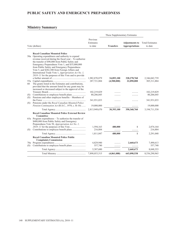### **Ministry Summary**

|            |                                                                                                                                                                                                                                                                                                                                                                                                                         |                                  | These Supplementary Estimates |                                                |                                   |
|------------|-------------------------------------------------------------------------------------------------------------------------------------------------------------------------------------------------------------------------------------------------------------------------------------------------------------------------------------------------------------------------------------------------------------------------|----------------------------------|-------------------------------|------------------------------------------------|-----------------------------------|
|            | Vote (dollars)                                                                                                                                                                                                                                                                                                                                                                                                          | Previous<br>Estimates<br>to date | <b>Transfers</b>              | <b>Adjustments to</b><br><b>Appropriations</b> | <b>Total Estimates</b><br>to date |
|            | <b>Royal Canadian Mounted Police</b><br>50a Operating expenditures and authority to expend<br>revenue received during the fiscal year $-$ To authorize<br>the transfer of \$90,800 from Public Safety and<br>Emergency Preparedness Vote 1, and \$35,000,000<br>from Public Safety and Emergency Preparedness<br>Vote 5, and \$282,300 from Foreign Affairs and<br>International Trade Vote 1, Appropriation Act No. 1, |                                  |                               |                                                |                                   |
| 60         | $2010 - 11$ for the purposes of this Vote and to provide<br>The grants listed in the Estimates and contributions,<br>provided that the amount listed for any grant may be<br>increased or decreased subject to the approval of the                                                                                                                                                                                      | 1,982,870,879<br>287,721,884     | 34,893,100<br>(4,500,000)     | 328,278,760<br>22,090,000                      | 2,346,042,739<br>305, 311, 884    |
| (S)<br>(S) | Pensions and other employee benefits - Members of                                                                                                                                                                                                                                                                                                                                                                       | 102,219,829<br>80,206,045        |                               |                                                | 102,219,829<br>80,206,045         |
| (S)        | Pensions under the Royal Canadian Mounted Police<br>Pension Continuation Act (R.S.C., 1970, c. R-10)                                                                                                                                                                                                                                                                                                                    | 341,931,033<br>19,000,000        |                               |                                                | 341,931,033<br>19,000,000         |
|            |                                                                                                                                                                                                                                                                                                                                                                                                                         | 2,813,949,670                    | 30,393,100                    | 350,368,760                                    | 3,194,711,530                     |
|            | <b>Royal Canadian Mounted Police External Review</b><br>Committee<br>$65a$ Program expenditures – To authorize the transfer of<br>\$480,000 from Public Safety and Emergency<br>Preparedness Vote 50, Appropriation Act No. 1,                                                                                                                                                                                          |                                  |                               |                                                |                                   |
| (S)        |                                                                                                                                                                                                                                                                                                                                                                                                                         | 1,594,163<br>216,884             | 480,000<br>.                  | 1                                              | 2,074,164<br>216,884              |
|            |                                                                                                                                                                                                                                                                                                                                                                                                                         | 1,811,047                        | 480,000                       | 1                                              | 2,291,048                         |
|            | <b>Royal Canadian Mounted Police Public</b><br><b>Complaints Commission</b>                                                                                                                                                                                                                                                                                                                                             |                                  |                               |                                                |                                   |
| 70a<br>(S) | Contributions to employee benefit plans                                                                                                                                                                                                                                                                                                                                                                                 | 4,829,940<br>557,740             |                               | 2,660,673<br>.                                 | 7,490,613<br>557,740              |
|            |                                                                                                                                                                                                                                                                                                                                                                                                                         | 5,387,680                        | .                             | 2,660,673                                      | 8,048,353                         |
|            |                                                                                                                                                                                                                                                                                                                                                                                                                         | 7,898,053,515                    | (4,861,088)                   | 643,098,538                                    | 8,536,290,965                     |

<u> 1989 - Johann Barn, mars and de Brasilian (b. 1989)</u>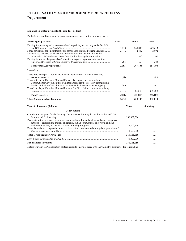# **PUBLIC SAFETY AND EMERGENCY PREPAREDNESS Department**

### **Explanation of Requirements (thousands of dollars)**

Public Safety and Emergency Preparedness requests funds for the following items:

| <b>Voted Appropriations</b>                                                                                                                                                                                                                       | Vote 1 | Vote 5       | <b>Total</b>     |
|---------------------------------------------------------------------------------------------------------------------------------------------------------------------------------------------------------------------------------------------------|--------|--------------|------------------|
| Funding for planning and operations related to policing and security at the 2010 G8                                                                                                                                                               | 1,810  | 260,803      | 262,613          |
| Funds for critical policing infrastructure for the First Nations Policing Program                                                                                                                                                                 | .      | 2,802        | 2,802            |
| Financial assistance to provinces and territories for costs incurred during the                                                                                                                                                                   |        |              |                  |
| repatriation of Canadian evacuees from Haiti following the earthquake                                                                                                                                                                             | .      | 1,500        | 1,500            |
| Funding to retrieve the proceeds of crime from targeted organized crime entities                                                                                                                                                                  | 283    | .            | 283              |
| <b>Total Voted Appropriations</b>                                                                                                                                                                                                                 | 2,093  | 265,105      | 267,198          |
| <b>Transfers</b>                                                                                                                                                                                                                                  |        |              |                  |
| Transfer to Transport – For the creation and operations of an aviation security<br>Transfer to Royal Canadian Mounted Police – To support the Continuity of                                                                                       | (89)   |              | (89)             |
| Constitutional Government Program that establishes the necessary arrangements<br>for the continuity of constitutional government in the event of an emergency<br>Transfer to Royal Canadian Mounted Police – For First Nations community policing | (91)   | .            | (91)             |
|                                                                                                                                                                                                                                                   | .      | (35,000)     | (35,000)         |
| <b>Total Transfers</b>                                                                                                                                                                                                                            | (180)  | (35,000)     | (35, 180)        |
| <b>These Supplementary Estimates</b>                                                                                                                                                                                                              | 1,913  | 230,105      | 232,018          |
| <b>Transfer Payments (dollars)</b>                                                                                                                                                                                                                |        | <b>Voted</b> | <b>Statutory</b> |
| <b>Contributions</b>                                                                                                                                                                                                                              |        |              |                  |
| Contribution Program for the Security Cost Framework Policy in relation to the 2010 G8                                                                                                                                                            |        | 260,802,500  |                  |
| Payments to the provinces, territories, municipalities, Indian band councils and recognized<br>authorities representing Indians on reserve, Indian communities on Crown land and                                                                  |        |              |                  |
|                                                                                                                                                                                                                                                   |        | 2,802,559    |                  |
| Financial assistance to provinces and territories for costs incurred during the repatriation of                                                                                                                                                   |        | 1,500,000    |                  |
| <b>Total Gross Transfer Payments</b>                                                                                                                                                                                                              |        | 265,105,059  |                  |
|                                                                                                                                                                                                                                                   |        | 35,000,000   | .                |

**Net Transfer Payments 230,105,059 .....**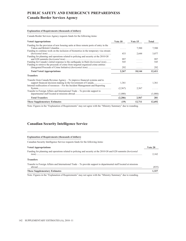### **Canada Border Services Agency**

### **Explanation of Requirements (thousands of dollars)**

Canada Border Services Agency requests funds for the following items:

| <b>Voted Appropriations</b>                                                                                                                                            | Vote 10  | Vote 15 | Total   |
|------------------------------------------------------------------------------------------------------------------------------------------------------------------------|----------|---------|---------|
| Funding for the provision of new housing units at three remote ports of entry in the                                                                                   |          | 7,500   | 7,500   |
| Funding to continue work on the inclusion of biometrics in the temporary visa stream                                                                                   | 433      | 2,644   | 3,077   |
| Funding for planning and operations related to policing and security at the 2010 G8                                                                                    | 997      | .       | 997     |
| Funding for Canada's initial response to the earthquake in Haiti (horizontal item)<br>Funding to retrieve the proceeds of crime from targeted organized crime entities | 545      | .       | 545     |
|                                                                                                                                                                        | 292      | .       | 292     |
| <b>Total Voted Appropriations</b>                                                                                                                                      | 2,267    | 10,144  | 12,411  |
| <b>Transfers</b>                                                                                                                                                       |          |         |         |
| Transfer from Canada Revenue Agency – To improve financial systems and to<br>Internal reallocation of resources – For the Incident Management and Reporting            | 1,361    | .       | 1,361   |
| Transfer to Foreign Affairs and International Trade – To provide support to                                                                                            | (2, 567) | 2,567   |         |
|                                                                                                                                                                        | (1,080)  | .       | (1,080) |
| <b>Total Transfers</b>                                                                                                                                                 | (2,286)  | 2,567   | 281     |
| <b>These Supplementary Estimates</b>                                                                                                                                   | (19)     | 12,711  | 12,692  |

Note: Figures in the "Explanation of Requirements" may not agree with the "Ministry Summary" due to rounding.

### **Canadian Security Intelligence Service**

### **Explanation of Requirements (thousands of dollars)**

Canadian Security Intelligence Service requests funds for the following items:

| <b>Voted Appropriations</b>                                                                                                  | Vote 20 |
|------------------------------------------------------------------------------------------------------------------------------|---------|
| Funding for planning and operations related to policing and security at the 2010 G8 and G20 summits (horizontal              | 2.162   |
| <b>Transfers</b>                                                                                                             |         |
| Transfer to Foreign Affairs and International Trade – To provide support to departmental staff located at missions<br>abroad | (835)   |
| <b>These Supplementary Estimates</b>                                                                                         | 1.327   |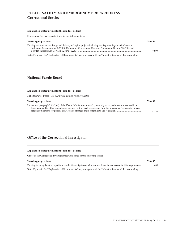# **PUBLIC SAFETY AND EMERGENCY PREPAREDNESS Correctional Service**

#### **Explanation of Requirements (thousands of dollars)**

Correctional Service requests funds for the following items:

| <b>Voted Appropriations</b>                                                                                                                                                                                            | Vote 35 |
|------------------------------------------------------------------------------------------------------------------------------------------------------------------------------------------------------------------------|---------|
| Funding to complete the design and delivery of capital projects including the Regional Psychiatric Centre in<br>Saskatoon, Saskatchewan (\$2,730), Community Correctional Centre in Portsmouth, Ontario (\$2,630), and |         |
|                                                                                                                                                                                                                        | 7.897   |

Note: Figures in the "Explanation of Requirements" may not agree with the "Ministry Summary" due to rounding.

### **National Parole Board**

| <b>Explanation of Requirements (thousands of dollars)</b>                                                                                                                                                                                           |         |
|-----------------------------------------------------------------------------------------------------------------------------------------------------------------------------------------------------------------------------------------------------|---------|
| National Parole Board $-$ <i>No additional funding being requested</i>                                                                                                                                                                              |         |
| <b>Voted Appropriations</b>                                                                                                                                                                                                                         | Vote 40 |
| Pursuant to paragraph $29.1(2)(a)$ of the <i>Financial Administration Act</i> , authority to expend revenues received in a<br>fiscal year, and to offset expenditures incurred in the fiscal year arising from the provision of services to process |         |

### **Office of the Correctional Investigator**

### **Explanation of Requirements (thousands of dollars)**

Office of the Correctional Investigator requests funds for the following items:

| <b>Voted Appropriations</b>                                                                                            | Vote 45 |
|------------------------------------------------------------------------------------------------------------------------|---------|
| Funding to strengthen the capacity to conduct investigations and to address financial and accountability requirements. | 401     |
| Note: Figures in the "Evaluption of Dequirements" may not garee with the "Ministry Summary" due to rounding            |         |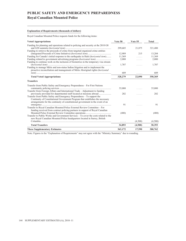# **PUBLIC SAFETY AND EMERGENCY PREPAREDNESS Royal Canadian Mounted Police**

### **Explanation of Requirements (thousands of dollars)**

Royal Canadian Mounted Police requests funds for the following items:

| <b>Voted Appropriations</b>                                                                                                                                             | Vote 50 | Vote 55 | <b>Total</b> |
|-------------------------------------------------------------------------------------------------------------------------------------------------------------------------|---------|---------|--------------|
| Funding for planning and operations related to policing and security at the 2010 G8                                                                                     | 299,605 | 21,875  | 321,480      |
| Funding to retrieve the proceeds of crime from targeted organized crime entities                                                                                        | 12.989  | 215     | 13,204       |
| Funding for Canada's initial response to the earthquake in Haiti (horizontal item)                                                                                      | 11,369  | .       | 11,369       |
| Funding related to government advertising programs ( <i>horizontal item</i> )<br>Funding to continue work on the inclusion of biometrics in the temporary visa stream   | 2,000   | .       | 2,000        |
|                                                                                                                                                                         | 1,707   | .       | 1,707        |
| Funding to manage Métis and non-status Indian litigation and to implement the<br>proactive reconciliation and management of Métis Aboriginal rights ( <i>horizontal</i> |         |         |              |
|                                                                                                                                                                         | 609     | .       | 609          |
| <b>Total Voted Appropriations</b>                                                                                                                                       | 328,279 | 22,090  | 350,369      |
| <b>Transfers</b>                                                                                                                                                        |         |         |              |
| Transfer from Public Safety and Emergency Preparedness – For First Nations                                                                                              | 35,000  | .       | 35,000       |
| Transfer from Foreign Affairs and International Trade – Adjustment to funding                                                                                           |         |         |              |
| previously provided for departmental staff located at missions abroad<br>Transfer from Public Safety and Emergency Preparedness – To support the                        | 282     | .       | 282          |
| Continuity of Constitutional Government Program that establishes the necessary<br>arrangements for the continuity of constitutional government in the event of an       | 91      |         | 91           |
| Transfer to Royal Canadian Mounted Police External Review Committee - For<br>funding received from contract policing partners in support of Royal Canadian              |         |         |              |
|                                                                                                                                                                         | (480)   | .       | (480)        |
| Transfer to Public Works and Government Services – To cover the costs related to the<br>new Royal Canadian Mounted Police headquarters located in Surrey, British       |         |         |              |
|                                                                                                                                                                         | .       | (4,500) | (4,500)      |
| <b>Total Transfers</b>                                                                                                                                                  | 34,893  | (4,500) | 30,393       |
| <b>These Supplementary Estimates</b>                                                                                                                                    | 363,172 | 17,590  | 380,762      |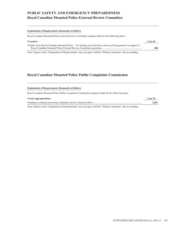# **PUBLIC SAFETY AND EMERGENCY PREPAREDNESS Royal Canadian Mounted Police External Review Committee**

#### **Explanation of Requirements (thousands of dollars)**

Royal Canadian Mounted Police External Review Committee requests funds for the following items:

| <b>Transfers</b>                                                                                                 | Vote 65 |
|------------------------------------------------------------------------------------------------------------------|---------|
| Transfer from Royal Canadian Mounted Police – For funding received from contract policing partners in support of |         |
|                                                                                                                  | 480     |

Note: Figures in the "Explanation of Requirements" may not agree with the "Ministry Summary" due to rounding.

### **Royal Canadian Mounted Police Public Complaints Commission**

| <b>Explanation of Requirements (thousands of dollars)</b>                                          |         |
|----------------------------------------------------------------------------------------------------|---------|
| Royal Canadian Mounted Police Public Complaints Commission requests funds for the following items: |         |
| <b>Voted Appropriations</b>                                                                        | Vote 70 |
|                                                                                                    | 2.661   |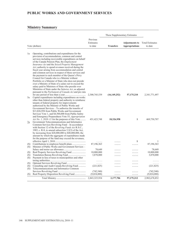## **PUBLIC WORKS AND GOVERNMENT SERVICES**

|            |                                                                                                                                                                                                                                                                                                                                                                                                                                                                                                                                                                                                                                                                                                                                                                                    |                                  | These Supplementary Estimates |                                                |                                   |
|------------|------------------------------------------------------------------------------------------------------------------------------------------------------------------------------------------------------------------------------------------------------------------------------------------------------------------------------------------------------------------------------------------------------------------------------------------------------------------------------------------------------------------------------------------------------------------------------------------------------------------------------------------------------------------------------------------------------------------------------------------------------------------------------------|----------------------------------|-------------------------------|------------------------------------------------|-----------------------------------|
|            | Vote (dollars)                                                                                                                                                                                                                                                                                                                                                                                                                                                                                                                                                                                                                                                                                                                                                                     | Previous<br>Estimates<br>to date | <b>Transfers</b>              | <b>Adjustments to</b><br><b>Appropriations</b> | <b>Total Estimates</b><br>to date |
| 1a         | Operating, contributions and expenditures for the<br>provision of accommodation, common and central<br>services including recoverable expenditures on behalf<br>of the Canada Pension Plan, the <i>Employment</i><br>Insurance Act and the Seized Property Management<br>Act; authority to spend revenues received during the<br>fiscal year arising from accommodation and central<br>and common services in respect of these services and<br>the payment to each member of the Queen's Privy<br>Council for Canada who is a Minister without<br>Portfolio or a Minister of State who does not preside<br>over a Ministry of State of a salary not to exceed the<br>salary paid to Ministers of State who preside over<br>Ministries of State under the Salaries Act, as adjusted |                                  |                               |                                                |                                   |
| 5a         | pursuant to the Parliament of Canada Act and pro rata<br>Capital expenditures including expenditures on works<br>other than federal property and authority to reimburse<br>tenants of federal property for improvements<br>authorized by the Minister of Public Works and<br>Government Services – To authorize the transfer of<br>\$13,826,958 from Public Works and Government<br>Services Vote 1, and \$4,500,000 from Public Safety<br>and Emergency Preparedness Vote 55, Appropriation                                                                                                                                                                                                                                                                                       | 2,300,745,539                    | (16, 149, 252)                | 57,175,210                                     | 2,341,771,497                     |
| 7a         | <i>Act No. 1, 2010–11</i> for the purposes of this Vote<br>Government Telecommunications and Informatics<br>Common Services Revolving Fund – In accordance<br>with Section 12 of the <i>Revolving Funds Act</i> R.S.C.,<br>1985, c. R-8, to amend subsection $5.2(3)$ of the Act,<br>by increasing from \$20,000,000 to \$40,000,000, the<br>amount by which the aggregate of expenditures made<br>for the purpose of the fund may exceed the revenues,                                                                                                                                                                                                                                                                                                                            | 451, 423, 748                    | 18,326,958                    | $\mathbf{1}$                                   | 469,750,707                       |
|            |                                                                                                                                                                                                                                                                                                                                                                                                                                                                                                                                                                                                                                                                                                                                                                                    | .                                |                               | 1                                              |                                   |
| (S)<br>(S) | Minister of Public Works and Government Services -                                                                                                                                                                                                                                                                                                                                                                                                                                                                                                                                                                                                                                                                                                                                 | 87,196,363                       |                               | .                                              | 87,196,363                        |
|            |                                                                                                                                                                                                                                                                                                                                                                                                                                                                                                                                                                                                                                                                                                                                                                                    | 78,649                           |                               |                                                | 78,649                            |
| (S)        |                                                                                                                                                                                                                                                                                                                                                                                                                                                                                                                                                                                                                                                                                                                                                                                    | 10,000,000                       |                               |                                                | 10,000,000                        |
| (S)        |                                                                                                                                                                                                                                                                                                                                                                                                                                                                                                                                                                                                                                                                                                                                                                                    | 3,870,000                        | .                             | .                                              | 3,870,000                         |
| (S)        | Payment in lieu of taxes to municipalities and other                                                                                                                                                                                                                                                                                                                                                                                                                                                                                                                                                                                                                                                                                                                               |                                  |                               |                                                |                                   |
|            |                                                                                                                                                                                                                                                                                                                                                                                                                                                                                                                                                                                                                                                                                                                                                                                    | .                                |                               |                                                |                                   |
| (S)        |                                                                                                                                                                                                                                                                                                                                                                                                                                                                                                                                                                                                                                                                                                                                                                                    | .                                | .                             | .                                              | .                                 |
| (S)        | Consulting and Audit Canada Revolving Fund<br>Telecommunications and Informatics Common                                                                                                                                                                                                                                                                                                                                                                                                                                                                                                                                                                                                                                                                                            | (221, 825)                       |                               | .                                              | (221, 825)                        |
| (S)        |                                                                                                                                                                                                                                                                                                                                                                                                                                                                                                                                                                                                                                                                                                                                                                                    | (742, 540)                       |                               |                                                | (742, 540)                        |
| (S)        | Real Property Disposition Revolving Fund                                                                                                                                                                                                                                                                                                                                                                                                                                                                                                                                                                                                                                                                                                                                           | (9,024,000)                      | .<br>.                        | .<br>.                                         | (9,024,000)                       |
|            |                                                                                                                                                                                                                                                                                                                                                                                                                                                                                                                                                                                                                                                                                                                                                                                    |                                  |                               |                                                |                                   |
|            |                                                                                                                                                                                                                                                                                                                                                                                                                                                                                                                                                                                                                                                                                                                                                                                    | 2,843,325,934                    | 2,177,706                     | 57, 175, 212                                   | 2,902,678,852                     |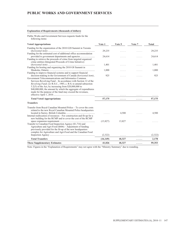### **PUBLIC WORKS AND GOVERNMENT SERVICES**

#### **Explanation of Requirements (thousands of dollars)**

Public Works and Government Services requests funds for the following items:

| <b>Voted Appropriations</b>                                                                                                                                                                                                                                                                                                                                                                                                                         | Vote 1          | Vote 5 | Vote 7 | <b>Total</b> |
|-----------------------------------------------------------------------------------------------------------------------------------------------------------------------------------------------------------------------------------------------------------------------------------------------------------------------------------------------------------------------------------------------------------------------------------------------------|-----------------|--------|--------|--------------|
| Funding for the organization of the 2010 G20 Summit in Toronto                                                                                                                                                                                                                                                                                                                                                                                      | 29,235          | .      | .      | 29,235       |
| Funding for the estimated cost of additional office accommodation<br>provided to government departments and agencies<br>Funding to retrieve the proceeds of crime from targeted organized                                                                                                                                                                                                                                                           | 24,614          | .      | .      | 24,614       |
| crime entities (Integrated Proceeds of Crime Initiative)<br>Funding for hosting and organizing the 2010 G8 Summit in                                                                                                                                                                                                                                                                                                                                | 1,401           | .      | .      | 1,401        |
| Funding to improve financial systems and to support financial                                                                                                                                                                                                                                                                                                                                                                                       | 1,000           | .      | .      | 1,000        |
| decision-making in the Government of Canada (horizontal item)<br>Government Telecommunications and Informatics Common<br>Services Revolving Fund – In accordance with Section 12 of the<br>Revolving Funds Act R.S.C., 1985, c. R-8, to amend subsection<br>$5.2(3)$ of the Act, by increasing from \$20,000,000 to<br>\$40,000,000, the amount by which the aggregate of expenditures<br>made for the purpose of the fund may exceed the revenues, | 925<br>$\cdots$ | .      | .      | 925          |
| <b>Total Voted Appropriations</b>                                                                                                                                                                                                                                                                                                                                                                                                                   | 57,175          | .      | .      | 57,175       |
| <b>Transfers</b>                                                                                                                                                                                                                                                                                                                                                                                                                                    |                 |        |        |              |
| Transfer from Royal Canadian Mounted Police - To cover the costs<br>related to the new Royal Canadian Mounted Police headquarters<br>Internal reallocation of resources – For construction and fit-up for a<br>new building for the RCMP and to cover the cost of the RCMP                                                                                                                                                                          | 1.1.1.1         | 4,500  |        | 4,500        |
| Transfer to Canadian Food Inspection Agency (\$1,716) and<br>Agriculture and Agri-Food (\$606) – Adjustment of funding<br>previously provided for the fit-up of the new headquarters<br>complex for Agriculture and Agri-Food and the Canadian Food                                                                                                                                                                                                 | (13,827)        | 13,827 |        |              |
|                                                                                                                                                                                                                                                                                                                                                                                                                                                     | (2,322)         | .      | .      | (2,322)      |
| <b>Total Transfers</b>                                                                                                                                                                                                                                                                                                                                                                                                                              | (16, 149)       | 18,327 | .      | 2,178        |
| <b>These Supplementary Estimates</b>                                                                                                                                                                                                                                                                                                                                                                                                                | 41,026          | 18,327 | .      | 59,353       |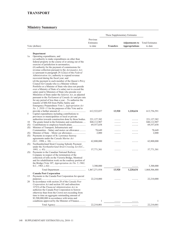|     |                                                                                                                                                                                                                                                                                                                                                                                                                                                                                                                                                                                                                                                                                                                                                                                                       |                                  | These Supplementary Estimates |                                                |                                   |
|-----|-------------------------------------------------------------------------------------------------------------------------------------------------------------------------------------------------------------------------------------------------------------------------------------------------------------------------------------------------------------------------------------------------------------------------------------------------------------------------------------------------------------------------------------------------------------------------------------------------------------------------------------------------------------------------------------------------------------------------------------------------------------------------------------------------------|----------------------------------|-------------------------------|------------------------------------------------|-----------------------------------|
|     | Vote (dollars)                                                                                                                                                                                                                                                                                                                                                                                                                                                                                                                                                                                                                                                                                                                                                                                        | Previous<br>Estimates<br>to date | <b>Transfers</b>              | <b>Adjustments to</b><br><b>Appropriations</b> | <b>Total Estimates</b><br>to date |
|     | Department                                                                                                                                                                                                                                                                                                                                                                                                                                                                                                                                                                                                                                                                                                                                                                                            |                                  |                               |                                                |                                   |
| 1a  | Operating expenditures, and<br>$(a)$ authority to make expenditures on other than<br>federal property in the course of or arising out of the<br>exercise of jurisdiction in aeronautics;<br>$(b)$ authority for the payment of commissions for<br>revenue collection pursuant to the Aeronautics Act;<br>(c) pursuant to paragraph $29.1(2)(a)$ of the Federal<br>Administration Act, authority to expend revenue<br>recovered during the fiscal year; and<br>(d) the payment to each member of the Queen's Privy<br>Council for Canada who is a Minister without<br>Portfolio or a Minister of State who does not preside<br>over a Ministry of State of a salary not to exceed the<br>salary paid to Ministers of State who preside over<br>Ministries of State under the Salaries Act, as adjusted |                                  |                               |                                                |                                   |
|     | pursuant to the Parliament of Canada Act and pro rata                                                                                                                                                                                                                                                                                                                                                                                                                                                                                                                                                                                                                                                                                                                                                 |                                  |                               |                                                |                                   |
|     | for any period of less than a year $-$ To authorize the<br>transfer of \$88,920 from Public Safety and                                                                                                                                                                                                                                                                                                                                                                                                                                                                                                                                                                                                                                                                                                |                                  |                               |                                                |                                   |
|     | Emergency Preparedness Vote 1, Appropriation Act                                                                                                                                                                                                                                                                                                                                                                                                                                                                                                                                                                                                                                                                                                                                                      |                                  |                               |                                                |                                   |
|     | No. 1, 2010–11 for the purposes of this Vote and to                                                                                                                                                                                                                                                                                                                                                                                                                                                                                                                                                                                                                                                                                                                                                   | 612,522,037                      | 13,920                        | 1,220,634                                      | 613,756,591                       |
| 5   | Capital expenditures including contributions to                                                                                                                                                                                                                                                                                                                                                                                                                                                                                                                                                                                                                                                                                                                                                       |                                  |                               |                                                |                                   |
|     | provinces or municipalities or local or private<br>authorities towards construction done by those bodies.                                                                                                                                                                                                                                                                                                                                                                                                                                                                                                                                                                                                                                                                                             | 221, 127, 382                    |                               |                                                | 221, 127, 382                     |
| 10  | The grants listed in the Estimates and contributions                                                                                                                                                                                                                                                                                                                                                                                                                                                                                                                                                                                                                                                                                                                                                  | 840,112,907                      | .                             |                                                | 840,112,907                       |
| (S) |                                                                                                                                                                                                                                                                                                                                                                                                                                                                                                                                                                                                                                                                                                                                                                                                       | 69,557,658                       | .                             | .                                              | 69,557,658                        |
| (S) | Minister of Transport, Infrastructure and<br>Communities – Salary and motor car allowance                                                                                                                                                                                                                                                                                                                                                                                                                                                                                                                                                                                                                                                                                                             | 78,649                           |                               |                                                | 78,649                            |
| (S) |                                                                                                                                                                                                                                                                                                                                                                                                                                                                                                                                                                                                                                                                                                                                                                                                       | 2,000                            | .                             | .                                              | 2,000                             |
| (S) | Payments in respect of St. Lawrence Seaway                                                                                                                                                                                                                                                                                                                                                                                                                                                                                                                                                                                                                                                                                                                                                            |                                  |                               |                                                |                                   |
|     | agreements under the Canada Marine Act                                                                                                                                                                                                                                                                                                                                                                                                                                                                                                                                                                                                                                                                                                                                                                |                                  |                               |                                                |                                   |
| (S) | Northumberland Strait Crossing Subsidy Payment                                                                                                                                                                                                                                                                                                                                                                                                                                                                                                                                                                                                                                                                                                                                                        | 62,800,000                       | .                             | .                                              | 62,800,000                        |
|     | under the Northumberland Strait Crossing Act (S.C.,                                                                                                                                                                                                                                                                                                                                                                                                                                                                                                                                                                                                                                                                                                                                                   |                                  |                               |                                                |                                   |
| (S) | Payments to the Canadian National Railway                                                                                                                                                                                                                                                                                                                                                                                                                                                                                                                                                                                                                                                                                                                                                             | 57,771,301                       |                               |                                                | 57,771,301                        |
|     | Company in respect of the termination of the<br>collection of tolls on the Victoria Bridge, Montreal                                                                                                                                                                                                                                                                                                                                                                                                                                                                                                                                                                                                                                                                                                  |                                  |                               |                                                |                                   |
|     | and for rehabilitation work on the roadway portion of<br>the Bridge (Vote 107, Appropriation Act No. 5, 1963,                                                                                                                                                                                                                                                                                                                                                                                                                                                                                                                                                                                                                                                                                         |                                  |                               |                                                |                                   |
|     |                                                                                                                                                                                                                                                                                                                                                                                                                                                                                                                                                                                                                                                                                                                                                                                                       | 3,300,000                        | .                             | .                                              | 3,300,000                         |
|     |                                                                                                                                                                                                                                                                                                                                                                                                                                                                                                                                                                                                                                                                                                                                                                                                       | 1,867,271,934                    | 13,920                        | 1,220,634                                      | 1,868,506,488                     |
|     | <b>Canada Post Corporation</b>                                                                                                                                                                                                                                                                                                                                                                                                                                                                                                                                                                                                                                                                                                                                                                        |                                  |                               |                                                |                                   |
| 15  | Payments to the Canada Post Corporation for special                                                                                                                                                                                                                                                                                                                                                                                                                                                                                                                                                                                                                                                                                                                                                   |                                  |                               |                                                |                                   |
| 20  | In accordance with section 28 of the Canada Post                                                                                                                                                                                                                                                                                                                                                                                                                                                                                                                                                                                                                                                                                                                                                      | 22,210,000                       |                               |                                                | 22,210,000                        |
|     | Corporation Act and section 101 and subsection<br>127(3) of the Financial Administration Act, to<br>authorize the Canada Post Corporation to borrow<br>otherwise than from the Crown not exceeding from<br>time to time an aggregate outstanding amount of<br>\$2,500,000,000 in accordance with terms and                                                                                                                                                                                                                                                                                                                                                                                                                                                                                            |                                  |                               |                                                |                                   |
|     | conditions approved by the Minister of Finance                                                                                                                                                                                                                                                                                                                                                                                                                                                                                                                                                                                                                                                                                                                                                        | $\mathbf{1}$                     |                               |                                                | 1                                 |
|     |                                                                                                                                                                                                                                                                                                                                                                                                                                                                                                                                                                                                                                                                                                                                                                                                       | 22,210,001                       |                               |                                                | 22,210,001                        |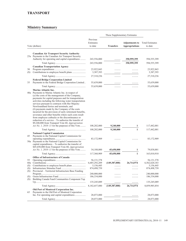|                         |                                                                                                                                                                                                                                                                                                                                                                                                                                                                                                                                                                                                                                                               |                                                           | These Supplementary Estimates  |                                                |                                                           |
|-------------------------|---------------------------------------------------------------------------------------------------------------------------------------------------------------------------------------------------------------------------------------------------------------------------------------------------------------------------------------------------------------------------------------------------------------------------------------------------------------------------------------------------------------------------------------------------------------------------------------------------------------------------------------------------------------|-----------------------------------------------------------|--------------------------------|------------------------------------------------|-----------------------------------------------------------|
|                         | Vote (dollars)                                                                                                                                                                                                                                                                                                                                                                                                                                                                                                                                                                                                                                                | Previous<br>Estimates<br>to date                          | <b>Transfers</b>               | <b>Adjustments to</b><br><b>Appropriations</b> | <b>Total Estimates</b><br>to date                         |
|                         | <b>Canadian Air Transport Security Authority</b>                                                                                                                                                                                                                                                                                                                                                                                                                                                                                                                                                                                                              |                                                           |                                |                                                |                                                           |
|                         | 25a Payments to the Canadian Air Transport Security<br>Authority for operating and capital expenditures                                                                                                                                                                                                                                                                                                                                                                                                                                                                                                                                                       | 243,556,000                                               | .                              | 350,999,399                                    | 594,555,399                                               |
|                         |                                                                                                                                                                                                                                                                                                                                                                                                                                                                                                                                                                                                                                                               | 243,556,000                                               | .                              | 350,999,399                                    | 594,555,399                                               |
| 30<br>(S)               | <b>Canadian Transportation Agency</b>                                                                                                                                                                                                                                                                                                                                                                                                                                                                                                                                                                                                                         | 23,922,843<br>3,387,393                                   | .<br>.                         |                                                | 23,922,843<br>3,387,393                                   |
|                         |                                                                                                                                                                                                                                                                                                                                                                                                                                                                                                                                                                                                                                                               | 27,310,236                                                | .                              | .                                              | 27,310,236                                                |
|                         | <b>Federal Bridge Corporation Limited</b>                                                                                                                                                                                                                                                                                                                                                                                                                                                                                                                                                                                                                     |                                                           |                                |                                                |                                                           |
| 35                      | Payments to the Federal Bridge Corporation Limited                                                                                                                                                                                                                                                                                                                                                                                                                                                                                                                                                                                                            | 55,639,000                                                | .                              | .                                              | 55,639,000                                                |
|                         | Marine Atlantic Inc.                                                                                                                                                                                                                                                                                                                                                                                                                                                                                                                                                                                                                                          | 55,639,000                                                | .                              | .                                              | 55,639,000                                                |
|                         | 40a Payments to Marine Atlantic Inc. in respect of<br>(a) the costs of the management of the Company,<br>payments for capital purposes and for transportation<br>activities including the following water transportation<br>services pursuant to contracts with Her Majesty:<br>Newfoundland ferries and terminals; and<br>(b) payments made by the Company of the costs<br>incurred for the provision of early retirement benefits,<br>severance and other benefits where such costs result<br>from employee cutbacks or the discontinuance or<br>reduction of a service - To authorize the transfer of<br>\$9,240,000 from Transport Vote 60, Appropriation |                                                           |                                |                                                |                                                           |
|                         | Act No. 1, 2010–11 for the purposes of this Vote                                                                                                                                                                                                                                                                                                                                                                                                                                                                                                                                                                                                              | 108,202,000                                               | 9,240,000                      | 1                                              | 117,442,001                                               |
|                         |                                                                                                                                                                                                                                                                                                                                                                                                                                                                                                                                                                                                                                                               | 108,202,000                                               | 9,240,000                      | $\mathbf{1}$                                   | 117,442,001                                               |
| 45                      | <b>National Capital Commission</b><br>Payments to the National Capital Commission for<br>50a Payments to the National Capital Commission for<br>capital expenditures - To authorize the transfer of<br>\$45,650,000 from Transport Vote 60, Appropriation<br>Act No. 1, 2010–11 for the purposes of this Vote                                                                                                                                                                                                                                                                                                                                                 | 83,172,909<br>34,188,000                                  | 45,650,000                     | 1                                              | 83,172,909<br>79,838,001                                  |
|                         |                                                                                                                                                                                                                                                                                                                                                                                                                                                                                                                                                                                                                                                               | 117,360,909                                               | 45,650,000                     | $\mathbf{1}$                                   | 163,010,910                                               |
|                         | Office of Infrastructure of Canada                                                                                                                                                                                                                                                                                                                                                                                                                                                                                                                                                                                                                            |                                                           |                                |                                                |                                                           |
| 55<br>60a<br>(S)<br>(S) |                                                                                                                                                                                                                                                                                                                                                                                                                                                                                                                                                                                                                                                               | 56, 131, 378<br>6,685,292,209<br>5,156,445<br>874,498,759 | .<br>(149, 387, 000)<br>.<br>. | 26,714,974<br>.<br>.                           | 56, 131, 378<br>6,562,620,183<br>5,156,445<br>874,498,759 |
| (S)<br>(S)<br>(S)       | Provincial – Territorial Infrastructure Base Funding<br>Building Canada Fund Communities Component Top                                                                                                                                                                                                                                                                                                                                                                                                                                                                                                                                                        | 240,000,000<br>186,334,000                                |                                |                                                | 240,000,000<br>186,334,000                                |
|                         |                                                                                                                                                                                                                                                                                                                                                                                                                                                                                                                                                                                                                                                               | 135,245,089                                               | .                              | .                                              | 135,245,089                                               |
|                         |                                                                                                                                                                                                                                                                                                                                                                                                                                                                                                                                                                                                                                                               | 8,182,657,880                                             | (149, 387, 000)                | 26,714,974                                     | 8,059,985,854                                             |
| 65                      | Old Port of Montreal Corporation Inc.<br>Payments to the Old Port of Montreal Corporation                                                                                                                                                                                                                                                                                                                                                                                                                                                                                                                                                                     |                                                           |                                |                                                |                                                           |
|                         | Inc. For operating and capital expenditures                                                                                                                                                                                                                                                                                                                                                                                                                                                                                                                                                                                                                   | 28,073,000                                                |                                |                                                | 28,073,000                                                |
|                         |                                                                                                                                                                                                                                                                                                                                                                                                                                                                                                                                                                                                                                                               | 28,073,000                                                | .                              | .                                              | 28,073,000                                                |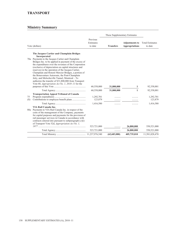|           |                                                                                                                                                                                                                                                                                                                                                                                                                                                                                                                                                                                 |                                  | These Supplementary Estimates |                                                |                                   |
|-----------|---------------------------------------------------------------------------------------------------------------------------------------------------------------------------------------------------------------------------------------------------------------------------------------------------------------------------------------------------------------------------------------------------------------------------------------------------------------------------------------------------------------------------------------------------------------------------------|----------------------------------|-------------------------------|------------------------------------------------|-----------------------------------|
|           | Vote (dollars)                                                                                                                                                                                                                                                                                                                                                                                                                                                                                                                                                                  | Previous<br>Estimates<br>to date | <b>Transfers</b>              | <b>Adjustments to</b><br><b>Appropriations</b> | <b>Total Estimates</b><br>to date |
|           | The Jacques Cartier and Champlain Bridges                                                                                                                                                                                                                                                                                                                                                                                                                                                                                                                                       |                                  |                               |                                                |                                   |
|           | Incorporated<br>70a Payments to the Jacques Cartier and Champlain<br>Bridges Inc. to be applied in payment of the excess of<br>the expenditures over the revenues of the Corporation<br>(exclusive of depreciation on capital structures and<br>reserves) in the operation of the Jacques Cartier,<br>Champlain and Honoré Mercier Bridges, a portion of<br>the Bonaventure Autoroute, the Pont-Champlain<br>Jetty, and Melocheville Tunnel, Montreal - To<br>authorize the transfer of \$31,800,000 from Transport<br>Vote 60, <i>Appropriation Act No. 1, 2010–11</i> for the | 60,558,000                       | 31,800,000                    | 1                                              | 92,358,001                        |
|           |                                                                                                                                                                                                                                                                                                                                                                                                                                                                                                                                                                                 | 60,558,000                       | 31,800,000                    | 1                                              | 92,358,001                        |
| 75<br>(S) | <b>Transportation Appeal Tribunal of Canada</b>                                                                                                                                                                                                                                                                                                                                                                                                                                                                                                                                 | 1,292,701<br>123,879             |                               |                                                | 1,292,701<br>123,879              |
|           |                                                                                                                                                                                                                                                                                                                                                                                                                                                                                                                                                                                 | 1,416,580                        |                               |                                                | 1,416,580                         |
|           | VIA Rail Canada Inc.<br>80a Payments to VIA Rail Canada Inc. in respect of the<br>costs of the management of the Company, payments<br>for capital purposes and payments for the provision of<br>rail passenger services in Canada in accordance with<br>contracts entered into pursuant to subparagraph $(c)(i)$<br>of Transport Vote 52d, Appropriation Act No. 1,                                                                                                                                                                                                             |                                  |                               |                                                |                                   |
|           |                                                                                                                                                                                                                                                                                                                                                                                                                                                                                                                                                                                 | 523,721,000                      |                               | 26,800,000                                     | 550,521,000                       |
|           |                                                                                                                                                                                                                                                                                                                                                                                                                                                                                                                                                                                 | 523,721,000                      | .                             | 26,800,000                                     | 550,521,000                       |
|           |                                                                                                                                                                                                                                                                                                                                                                                                                                                                                                                                                                                 |                                  | (62, 683, 080)                | 405,735,010                                    | 11,581,028,470                    |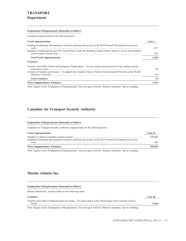#### **Explanation of Requirements (thousands of dollars)**

Transport requests funds for the following items:

| <b>Voted Appropriations</b>                                                                                                                                                                                                          | Vote 1 |
|--------------------------------------------------------------------------------------------------------------------------------------------------------------------------------------------------------------------------------------|--------|
| Funding for planning and operations related to policing and security at the 2010 G8 and G20 summits (horizontal<br>Funding to implement the new GO Transit Project under the Building Canada Fund to improve service and reliability | 637    |
|                                                                                                                                                                                                                                      | 583    |
| <b>Total Voted Appropriations</b>                                                                                                                                                                                                    | 1.220  |
| <b>Transfers</b>                                                                                                                                                                                                                     |        |
| Transfer from Public Safety and Emergency Preparedness – For the creation and operations of an aviation security                                                                                                                     | 89     |
| Transfer to Fisheries and Oceans – To support the Canadian Chair in Marine Environmental Protection at the World                                                                                                                     | (75)   |
| <b>Total Transfers</b>                                                                                                                                                                                                               | 14     |
| <b>These Supplementary Estimates</b>                                                                                                                                                                                                 | 1.234  |

Note: Figures in the "Explanation of Requirements" may not agree with the "Ministry Summary" due to rounding.

### **Canadian Air Transport Security Authority**

#### **Explanation of Requirements (thousands of dollars)**

Canadian Air Transport Security Authority requests funds for the following items:

| <b>Voted Appropriations</b>                                                                                             | Vote 25 |
|-------------------------------------------------------------------------------------------------------------------------|---------|
| Funding for planning and operations related to policing and security at the 2010 G8 and G20 summits ( <i>horizontal</i> | 350,600 |
| $item)$                                                                                                                 | 399     |
| <b>These Supplementary Estimates</b>                                                                                    | 350.999 |

Note: Figures in the "Explanation of Requirements" may not agree with the "Ministry Summary" due to rounding.

### **Marine Atlantic Inc.**

# **Explanation of Requirements (thousands of dollars)** Marine Atlantic Inc. requests funds for the following items: **Transfers Vote 40** Transfer from Office of Infrastructure of Canada – For dock repairs at the North Sydney ferry terminal in Nova Scotia ............................................................................................................................................................................ **9,240**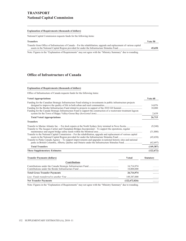#### **Explanation of Requirements (thousands of dollars)**

National Capital Commission requests funds for the following items:

| <b>Transfers</b>                                                                                                      | Vote 50 |
|-----------------------------------------------------------------------------------------------------------------------|---------|
| Transfer from Office of Infrastructure of Canada – For the rehabilitation, upgrade and replacement of various capital |         |
|                                                                                                                       | 45,650  |
|                                                                                                                       |         |

Note: Figures in the "Explanation of Requirements" may not agree with the "Ministry Summary" due to rounding.

### **Office of Infrastructure of Canada**

#### **Explanation of Requirements (thousands of dollars)**

Office of Infrastructure of Canada requests funds for the following items:

| <b>Voted Appropriations</b>                                                                                                                                                                                                           | Vote 60          |
|---------------------------------------------------------------------------------------------------------------------------------------------------------------------------------------------------------------------------------------|------------------|
| Funding for the Canadian Strategic Infrastructure Fund relating to investments in public infrastructure projects<br>Funding for the Canada Strategic Infrastructure Fund to support the construction of a wastewater treatment lagoon | 14,076<br>10,000 |
|                                                                                                                                                                                                                                       | 2,639            |
| <b>Total Voted Appropriations</b>                                                                                                                                                                                                     | 26,715           |
| <b>Transfers</b>                                                                                                                                                                                                                      |                  |
| Transfer to The Jacques Cartier and Champlain Bridges Incorporated – To support the operations, regular                                                                                                                               | (9,240)          |
|                                                                                                                                                                                                                                       | (31,800)         |
| Transfer to the National Capital Commission – For the rehabilitation, upgrade and replacement of various capital                                                                                                                      | (45,650)         |
| Transfer to Parks Canada Agency – To support improvements and upgrades in national historic sites and national                                                                                                                        |                  |
|                                                                                                                                                                                                                                       | (62, 697)        |
| <b>Total Transfers</b>                                                                                                                                                                                                                | (149, 387)       |
| <b>These Supplementary Estimates</b>                                                                                                                                                                                                  | (122, 672)       |
| <b>Transfer Payments (dollars)</b><br><b>Voted</b>                                                                                                                                                                                    | <b>Statutory</b> |
| <b>Contributions</b>                                                                                                                                                                                                                  |                  |

| <b>Net Transfer Payments</b>         | (122,672,026) | . |
|--------------------------------------|---------------|---|
|                                      | 149,387,000   | . |
| <b>Total Gross Transfer Payments</b> | 26,714,974    | . |
|                                      | 10,000,000    | . |
|                                      | 16,714,974    | . |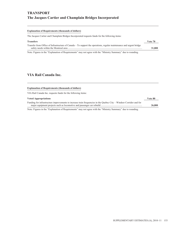#### **Explanation of Requirements (thousands of dollars)**

The Jacques Cartier and Champlain Bridges Incorporated requests funds for the following items:

| <b>Transfers</b>                                                                                                    | Vote 70 |
|---------------------------------------------------------------------------------------------------------------------|---------|
| Transfer from Office of Infrastructure of Canada – To support the operations, regular maintenance and urgent bridge |         |
|                                                                                                                     | 31,800  |

Note: Figures in the "Explanation of Requirements" may not agree with the "Ministry Summary" due to rounding.

### **VIA Rail Canada Inc.**

#### **Explanation of Requirements (thousands of dollars)**

VIA Rail Canada Inc. requests funds for the following items:

#### **Voted Appropriations Vote 80**

| Funding for infrastructure improvements to increase train frequencies in the Quebec City – Windsor Corridor and for |        |
|---------------------------------------------------------------------------------------------------------------------|--------|
|                                                                                                                     | 26,800 |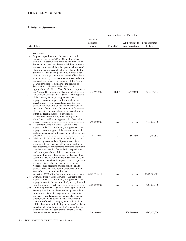### **TREASURY BOARD**

|    |                                                                                                                                                                                                                                                                                                                                                                                                                                                                                                                                                                                                                                                                                                                                                                                       |                                  | These Supplementary Estimates |                                                |                                   |
|----|---------------------------------------------------------------------------------------------------------------------------------------------------------------------------------------------------------------------------------------------------------------------------------------------------------------------------------------------------------------------------------------------------------------------------------------------------------------------------------------------------------------------------------------------------------------------------------------------------------------------------------------------------------------------------------------------------------------------------------------------------------------------------------------|----------------------------------|-------------------------------|------------------------------------------------|-----------------------------------|
|    | Vote (dollars)                                                                                                                                                                                                                                                                                                                                                                                                                                                                                                                                                                                                                                                                                                                                                                        | Previous<br>Estimates<br>to date | <b>Transfers</b>              | <b>Adjustments to</b><br><b>Appropriations</b> | <b>Total Estimates</b><br>to date |
|    | Secretariat                                                                                                                                                                                                                                                                                                                                                                                                                                                                                                                                                                                                                                                                                                                                                                           |                                  |                               |                                                |                                   |
| 1a | Program expenditures and the payment to each<br>member of the Queen's Privy Council for Canada<br>who is a Minister without Portfolio or a Minister of<br>State who does not preside over a Ministry of State of<br>a salary not to exceed the salary paid to Ministers of<br>State who preside over Ministries of State under the<br>Salaries Act, as adjusted pursuant to the Parliament of<br>Canada Act and pro rata for any period of less than a<br>year and authority to expend revenues received during<br>the fiscal year arising from activities of the Treasury<br>Board Secretariat – To authorize the transfer of<br>\$144,458 from Fisheries and Oceans Vote 1,<br>Appropriation Act No. 1, 2010–11 for the purposes of<br>this Vote and to provide a further amount of | 236,591,045                      | 144,458                       | 3,440,000                                      | 240, 175, 503                     |
| 5  | Government Contingencies – Subject to the approval<br>of the Treasury Board, to supplement other<br>appropriations and to provide for miscellaneous,<br>urgent or unforeseen expenditures not otherwise<br>provided for, including grants and contributions not<br>listed in the Estimates and the increase of the amount<br>of grants listed in these, where those expenditures are<br>within the legal mandate of a government<br>organization, and authority to re-use any sums<br>allotted and repaid to this appropriation from other                                                                                                                                                                                                                                            |                                  |                               |                                                |                                   |
|    | 10a Government-Wide Initiatives – Subject to the<br>approval of the Treasury Board, to supplement other<br>appropriations in support of the implementation of<br>strategic management initiatives in the public service                                                                                                                                                                                                                                                                                                                                                                                                                                                                                                                                                               | 750,000,000                      |                               |                                                | 750,000,000                       |
| 20 | Public Service Insurance – Payments, in respect of<br>insurance, pension or benefit programs or other<br>arrangements, or in respect of the administration of<br>such programs, or arrangements, including premiums,<br>contributions, benefits, fees and other expenditures,<br>made in respect of the public service or any part<br>thereof and for such other persons, as Treasury Board<br>determines, and authority to expend any revenues or<br>other amounts received in respect of such programs or<br>arrangements to offset any such expenditures in<br>respect of such programs or arrangements and to<br>provide for the return to certain employees of their<br>share of the premium reduction under                                                                     | 6,215,000                        |                               | 2,867,893                                      | 9,082,893                         |
| 25 | subsection 96(3) of the <i>Employment Insurance Act</i><br>Operating Budget Carry Forward – Subject to the<br>approval of the Treasury Board, to supplement other<br>appropriations for the operating budget carry forward                                                                                                                                                                                                                                                                                                                                                                                                                                                                                                                                                            | 2,223,793,511                    |                               |                                                | 2,223,793,511                     |
|    | 30a Paylist Requirements – Subject to the approval of the<br>Treasury Board, to supplement other appropriations<br>for requirements related to parental and maternity<br>allowances, entitlements on cessation of service or<br>employment and adjustments made to terms and<br>conditions of service or employment of the Federal<br>public administration including members of the Royal<br>Canadian Mounted Police and the Canadian Forces,<br>where these have not been provided from Vote 15,                                                                                                                                                                                                                                                                                    | 1,200,000,000                    | .                             |                                                | 1,200,000,000                     |
|    |                                                                                                                                                                                                                                                                                                                                                                                                                                                                                                                                                                                                                                                                                                                                                                                       | 500,000,000                      | .                             | 100,000,000                                    | 600,000,000                       |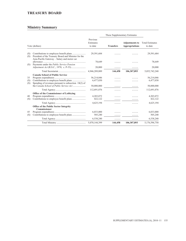### **TREASURY BOARD**

| Vote (dollars)   |                                                                                                                                             |                                       | These Supplementary Estimates |                                                |                                       |
|------------------|---------------------------------------------------------------------------------------------------------------------------------------------|---------------------------------------|-------------------------------|------------------------------------------------|---------------------------------------|
|                  |                                                                                                                                             | Previous<br>Estimates<br>to date      | <b>Transfers</b>              | <b>Adjustments to</b><br><b>Appropriations</b> | <b>Total Estimates</b><br>to date     |
| (S)<br>(S)       | President of the Treasury Board and Minister for the<br>Asia-Pacific Gateway – Salary and motor car                                         | 29,591,684                            |                               |                                                | 29,591,684                            |
| (S)              | Payments under the Public Service Pension                                                                                                   | 78,649                                |                               |                                                | 78,649                                |
|                  |                                                                                                                                             | 20,000                                |                               |                                                | 20,000                                |
|                  |                                                                                                                                             | 4,946,289,889                         | 144,458                       | 106,307,893                                    | 5,052,742,240                         |
| 35<br>(S)<br>(S) | <b>Canada School of Public Service</b><br>Spending of revenues pursuant to subsection $18(2)$ of<br>the Canada School of Public Service Act | 56,214,046<br>6,477,030<br>50,000,000 |                               |                                                | 56,214,046<br>6,477,030<br>50,000,000 |
|                  |                                                                                                                                             | 112,691,076                           |                               |                                                | 112,691,076                           |
| 40<br>(S)        | Office of the Commissioner of Lobbying                                                                                                      | 4,203,072<br>422,122                  |                               |                                                | 4,203,072<br>422,122                  |
|                  | <b>Office of the Public Sector Integrity</b><br>Commissioner                                                                                | 4,625,194                             |                               |                                                | 4,625,194                             |
| 45<br>(S)        |                                                                                                                                             | 6,033,000<br>505,240                  |                               |                                                | 6,033,000<br>505,240                  |
|                  |                                                                                                                                             | 6,538,240                             |                               |                                                | 6,538,240                             |
|                  |                                                                                                                                             | 5,070,144,399                         | 144,458                       | 106,307,893                                    | 5,176,596,750                         |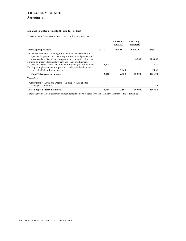### **TREASURY BOARD Secretariat**

#### **Explanation of Requirements (thousands of dollars)**

Treasury Board Secretariat requests funds for the following items:

|                                                                                                                                                                                                                                                                         |        | Centrally-<br>managed | Centrally-<br>managed |         |
|-------------------------------------------------------------------------------------------------------------------------------------------------------------------------------------------------------------------------------------------------------------------------|--------|-----------------------|-----------------------|---------|
| <b>Voted Appropriations</b>                                                                                                                                                                                                                                             | Vote 1 | Vote 10               | Vote 30               | Total   |
| Paylist Requirements – Funding for allocations to departments and<br>agencies for parental and maternity allowances and payments of<br>severance benefits and vacation pay upon termination of service<br>Funding to improve financial systems and to support financial |        | .                     | 100,000               | 100,000 |
| decision-making in the Government of Canada ( <i>horizontal item</i> )<br>Funding to implement a new approach to leadership development                                                                                                                                 | 3,440  | .                     | .                     | 3,440   |
| across the Federal Public Service                                                                                                                                                                                                                                       | .      | 2,868                 | .                     | 2,868   |
| <b>Total Voted Appropriations</b>                                                                                                                                                                                                                                       | 3,440  | 2,868                 | 100,000               | 106,308 |
| <b>Transfers</b>                                                                                                                                                                                                                                                        |        |                       |                       |         |
| Transfer from Fisheries and Oceans – To support the National                                                                                                                                                                                                            | 144    | .                     | .                     | 144     |
| <b>These Supplementary Estimates</b>                                                                                                                                                                                                                                    | 3,584  | 2.868                 | 100,000               | 106,452 |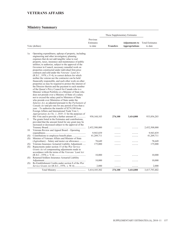# **VETERANS AFFAIRS**

| Vote (dollars) |                                                                                                                                                                                                                                                                                                                                                                                                                                                                                                                                                                                                                                                                                                                                                                                                                                                                                                                                                                                                                                                                                                                                                                                                                                                                                                                                                                                                                                     |                                  | These Supplementary Estimates |                                                |                                   |
|----------------|-------------------------------------------------------------------------------------------------------------------------------------------------------------------------------------------------------------------------------------------------------------------------------------------------------------------------------------------------------------------------------------------------------------------------------------------------------------------------------------------------------------------------------------------------------------------------------------------------------------------------------------------------------------------------------------------------------------------------------------------------------------------------------------------------------------------------------------------------------------------------------------------------------------------------------------------------------------------------------------------------------------------------------------------------------------------------------------------------------------------------------------------------------------------------------------------------------------------------------------------------------------------------------------------------------------------------------------------------------------------------------------------------------------------------------------|----------------------------------|-------------------------------|------------------------------------------------|-----------------------------------|
|                |                                                                                                                                                                                                                                                                                                                                                                                                                                                                                                                                                                                                                                                                                                                                                                                                                                                                                                                                                                                                                                                                                                                                                                                                                                                                                                                                                                                                                                     | Previous<br>Estimates<br>to date | <b>Transfers</b>              | <b>Adjustments to</b><br><b>Appropriations</b> | <b>Total Estimates</b><br>to date |
| 1a<br>5        | Operating expenditures, upkeep of property, including<br>engineering and other investigatory planning<br>expenses that do not add tangible value to real<br>property, taxes, insurance and maintenance of public<br>utilities; to authorize, subject to the approval of the<br>Governor in Council, necessary remedial work on<br>properties constructed under individual firm price<br>contracts and sold under the Veterans' Land Act<br>(R.S.C., 1970, c.V-4), to correct defects for which<br>neither the veteran nor the contractor can be held<br>financially responsible, and such other work on other<br>properties as may be required to protect the interest of<br>the Director therein and the payment to each member<br>of the Queen's Privy Council for Canada who is a<br>Minister without Portfolio or a Minister of State who<br>does not preside over a Ministry of State of a salary<br>not to exceed the salary paid to Ministers of State<br>who preside over Ministries of State under the<br><i>Salaries Act</i> , as adjusted pursuant to the <i>Parliament of</i><br>Canada Act and pro rata for any period of less than a<br>year – To authorize the transfer of \$274,100 from<br>Foreign Affairs and International Trade Vote 1,<br><i>Appropriation Act No. 1, 2010–11</i> for the purposes of<br>this Vote and to provide a further amount of<br>The grants listed in the Estimates and contributions, | 930,168,103                      | 274,100                       | 3,414,000                                      | 933,856,203                       |
|                | provided that the amount listed for any grant may be<br>increased or decreased subject to the approval of the                                                                                                                                                                                                                                                                                                                                                                                                                                                                                                                                                                                                                                                                                                                                                                                                                                                                                                                                                                                                                                                                                                                                                                                                                                                                                                                       | 2,432,508,000                    |                               |                                                | 2,432,508,000                     |
| 10             | Veterans Review and Appeal Board – Operating                                                                                                                                                                                                                                                                                                                                                                                                                                                                                                                                                                                                                                                                                                                                                                                                                                                                                                                                                                                                                                                                                                                                                                                                                                                                                                                                                                                        |                                  |                               |                                                |                                   |
|                |                                                                                                                                                                                                                                                                                                                                                                                                                                                                                                                                                                                                                                                                                                                                                                                                                                                                                                                                                                                                                                                                                                                                                                                                                                                                                                                                                                                                                                     | 9,943,839                        |                               |                                                | 9,943,839                         |
| (S)<br>(S)     | Minister of Veterans Affairs and Minister of State                                                                                                                                                                                                                                                                                                                                                                                                                                                                                                                                                                                                                                                                                                                                                                                                                                                                                                                                                                                                                                                                                                                                                                                                                                                                                                                                                                                  | 41,209,711                       |                               |                                                | 41,209,711                        |
|                | (Agriculture) – Salary and motor car allowance                                                                                                                                                                                                                                                                                                                                                                                                                                                                                                                                                                                                                                                                                                                                                                                                                                                                                                                                                                                                                                                                                                                                                                                                                                                                                                                                                                                      | 78,649                           |                               |                                                | 78.649                            |
| (S)            | Veterans Insurance Actuarial Liability Adjustment                                                                                                                                                                                                                                                                                                                                                                                                                                                                                                                                                                                                                                                                                                                                                                                                                                                                                                                                                                                                                                                                                                                                                                                                                                                                                                                                                                                   | 175,000                          |                               | .                                              | 175,000                           |
| (S)            | Repayments under section 15 of the War Service<br>Grants Act of compensating adjustments made in                                                                                                                                                                                                                                                                                                                                                                                                                                                                                                                                                                                                                                                                                                                                                                                                                                                                                                                                                                                                                                                                                                                                                                                                                                                                                                                                    |                                  |                               |                                                |                                   |
|                | accordance with the terms of the Veterans' Land Act                                                                                                                                                                                                                                                                                                                                                                                                                                                                                                                                                                                                                                                                                                                                                                                                                                                                                                                                                                                                                                                                                                                                                                                                                                                                                                                                                                                 |                                  |                               |                                                |                                   |
| (S)            | Returned Soldiers Insurance Actuarial Liability                                                                                                                                                                                                                                                                                                                                                                                                                                                                                                                                                                                                                                                                                                                                                                                                                                                                                                                                                                                                                                                                                                                                                                                                                                                                                                                                                                                     | 10,000                           |                               |                                                | 10,000                            |
|                |                                                                                                                                                                                                                                                                                                                                                                                                                                                                                                                                                                                                                                                                                                                                                                                                                                                                                                                                                                                                                                                                                                                                                                                                                                                                                                                                                                                                                                     | 10,000                           |                               |                                                | 10,000                            |
| (S)            | Re-Establishment Credits under section 8 of the War                                                                                                                                                                                                                                                                                                                                                                                                                                                                                                                                                                                                                                                                                                                                                                                                                                                                                                                                                                                                                                                                                                                                                                                                                                                                                                                                                                                 |                                  |                               |                                                |                                   |
|                |                                                                                                                                                                                                                                                                                                                                                                                                                                                                                                                                                                                                                                                                                                                                                                                                                                                                                                                                                                                                                                                                                                                                                                                                                                                                                                                                                                                                                                     | 2,000                            | .                             | .                                              | 2,000                             |
|                |                                                                                                                                                                                                                                                                                                                                                                                                                                                                                                                                                                                                                                                                                                                                                                                                                                                                                                                                                                                                                                                                                                                                                                                                                                                                                                                                                                                                                                     | 3,414,105,302                    | 274,100                       | 3,414,000                                      | 3,417,793,402                     |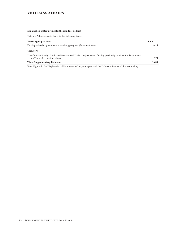### **VETERANS AFFAIRS**

| <b>Explanation of Requirements (thousands of dollars)</b>                                                          |        |
|--------------------------------------------------------------------------------------------------------------------|--------|
| Veterans Affairs requests funds for the following items:                                                           |        |
| <b>Voted Appropriations</b>                                                                                        | Vote 1 |
|                                                                                                                    | 3.414  |
| <b>Transfers</b>                                                                                                   |        |
| Transfer from Foreign Affairs and International Trade – Adjustment to funding previously provided for departmental | 274    |
| <b>These Supplementary Estimates</b>                                                                               | 3.688  |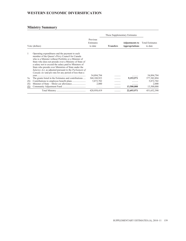# **WESTERN ECONOMIC DIVERSIFICATION**

|                                     |                                                                                                                                                                                                                                                                                                                                                                                                                                                                                                                         |                                                            | These Supplementary Estimates |                                                |                                                                 |
|-------------------------------------|-------------------------------------------------------------------------------------------------------------------------------------------------------------------------------------------------------------------------------------------------------------------------------------------------------------------------------------------------------------------------------------------------------------------------------------------------------------------------------------------------------------------------|------------------------------------------------------------|-------------------------------|------------------------------------------------|-----------------------------------------------------------------|
| Vote (dollars)                      |                                                                                                                                                                                                                                                                                                                                                                                                                                                                                                                         | Previous<br>Estimates<br>to date                           | <b>Transfers</b>              | <b>Adjustments to</b><br><b>Appropriations</b> | <b>Total Estimates</b><br>to date                               |
| 1<br>5a<br>(S)<br>(S)<br><u>(S)</u> | Operating expenditures and the payment to each<br>member of the Queen's Privy Council for Canada<br>who is a Minister without Portfolio or a Minister of<br>State who does not preside over a Ministry of State of<br>a salary not to exceed the salary paid to Ministers of<br>State who preside over Ministries of State under the<br>Salaries Act, as adjusted pursuant to the Parliament of<br><i>Canada Act</i> and pro rata for any period of less than a<br>The grants listed in the Estimates and contributions | 54,894,794<br>368,188,923<br>5,872,702<br>2.000<br>1.1.1.1 | .<br>.<br>.                   | .<br>9,193,971<br>.<br>13,500,000              | 54,894,794<br>377, 382, 894<br>5,872,702<br>2,000<br>13,500,000 |
|                                     |                                                                                                                                                                                                                                                                                                                                                                                                                                                                                                                         | 428,958,419                                                | .                             | 22,693,971                                     | 451,652,390                                                     |